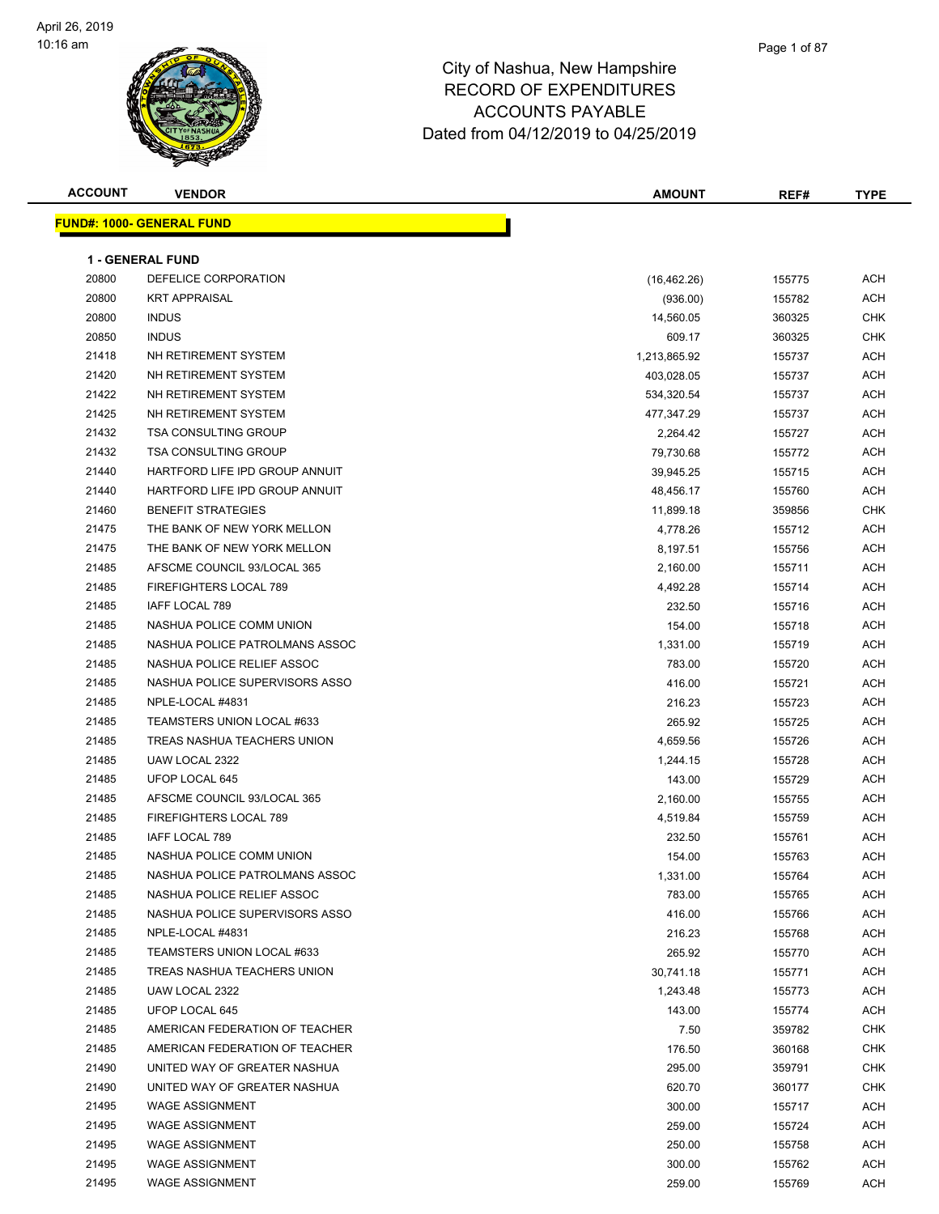

#### Page 1 of 87

| <b>ACCOUNT</b> | <b>VENDOR</b>                    | <b>AMOUNT</b> | REF#   | <b>TYPE</b> |
|----------------|----------------------------------|---------------|--------|-------------|
|                | <b>FUND#: 1000- GENERAL FUND</b> |               |        |             |
|                |                                  |               |        |             |
|                | <b>1 - GENERAL FUND</b>          |               |        |             |
| 20800          | DEFELICE CORPORATION             | (16, 462.26)  | 155775 | ACH         |
| 20800          | <b>KRT APPRAISAL</b>             | (936.00)      | 155782 | ACH         |
| 20800          | <b>INDUS</b>                     | 14,560.05     | 360325 | CHK         |
| 20850          | <b>INDUS</b>                     | 609.17        | 360325 | CHK         |
| 21418          | NH RETIREMENT SYSTEM             | 1,213,865.92  | 155737 | ACH         |
| 21420          | NH RETIREMENT SYSTEM             | 403,028.05    | 155737 | ACH         |
| 21422          | NH RETIREMENT SYSTEM             | 534,320.54    | 155737 | ACH         |
| 21425          | NH RETIREMENT SYSTEM             | 477,347.29    | 155737 | ACH         |
| 21432          | <b>TSA CONSULTING GROUP</b>      | 2,264.42      | 155727 | ACH         |
| 21432          | <b>TSA CONSULTING GROUP</b>      | 79,730.68     | 155772 | ACH         |
| 21440          | HARTFORD LIFE IPD GROUP ANNUIT   | 39,945.25     | 155715 | ACH         |
| 21440          | HARTFORD LIFE IPD GROUP ANNUIT   | 48,456.17     | 155760 | ACH         |
| 21460          | <b>BENEFIT STRATEGIES</b>        | 11,899.18     | 359856 | CHK         |
| 21475          | THE BANK OF NEW YORK MELLON      | 4,778.26      | 155712 | ACH         |
| 21475          | THE BANK OF NEW YORK MELLON      | 8,197.51      | 155756 | ACH         |
| 21485          | AFSCME COUNCIL 93/LOCAL 365      | 2,160.00      | 155711 | ACH         |
| 21485          | FIREFIGHTERS LOCAL 789           | 4,492.28      | 155714 | ACH         |
| 21485          | IAFF LOCAL 789                   | 232.50        | 155716 | ACH         |
| 21485          | NASHUA POLICE COMM UNION         | 154.00        | 155718 | ACH         |
| 21485          | NASHUA POLICE PATROLMANS ASSOC   | 1,331.00      | 155719 | ACH         |
| 21485          | NASHUA POLICE RELIEF ASSOC       | 783.00        | 155720 | ACH         |
| 21485          | NASHUA POLICE SUPERVISORS ASSO   | 416.00        | 155721 | ACH         |
| 21485          | NPLE-LOCAL #4831                 | 216.23        | 155723 | ACH         |
| 21485          | TEAMSTERS UNION LOCAL #633       | 265.92        | 155725 | ACH         |
| 21485          | TREAS NASHUA TEACHERS UNION      | 4,659.56      | 155726 | ACH         |
| 21485          | UAW LOCAL 2322                   | 1,244.15      | 155728 | ACH         |
| 21485          | UFOP LOCAL 645                   | 143.00        | 155729 | ACH         |
| 21485          | AFSCME COUNCIL 93/LOCAL 365      | 2,160.00      | 155755 | ACH         |
| 21485          | <b>FIREFIGHTERS LOCAL 789</b>    | 4,519.84      | 155759 | ACH         |
| 21485          | IAFF LOCAL 789                   | 232.50        | 155761 | ACH         |
| 21485          | NASHUA POLICE COMM UNION         | 154.00        | 155763 | ACH         |
| 21485          | NASHUA POLICE PATROLMANS ASSOC   | 1,331.00      | 155764 | <b>ACH</b>  |
| 21485          | NASHUA POLICE RELIEF ASSOC       | 783.00        | 155765 | ACH         |
| 21485          | NASHUA POLICE SUPERVISORS ASSO   | 416.00        | 155766 | ACH         |
| 21485          | NPLE-LOCAL #4831                 | 216.23        | 155768 | ACH         |
| 21485          | TEAMSTERS UNION LOCAL #633       | 265.92        | 155770 | ACH         |
| 21485          | TREAS NASHUA TEACHERS UNION      | 30,741.18     | 155771 | ACH         |
| 21485          | UAW LOCAL 2322                   | 1,243.48      | 155773 | ACH         |
| 21485          | UFOP LOCAL 645                   | 143.00        | 155774 | ACH         |
| 21485          | AMERICAN FEDERATION OF TEACHER   | 7.50          | 359782 | CHK         |
| 21485          | AMERICAN FEDERATION OF TEACHER   | 176.50        | 360168 | CHK         |
| 21490          | UNITED WAY OF GREATER NASHUA     | 295.00        | 359791 | CHK         |
| 21490          | UNITED WAY OF GREATER NASHUA     | 620.70        | 360177 | <b>CHK</b>  |
| 21495          | <b>WAGE ASSIGNMENT</b>           | 300.00        | 155717 | ACH         |
| 21495          | <b>WAGE ASSIGNMENT</b>           | 259.00        | 155724 | ACH         |
| 21495          | <b>WAGE ASSIGNMENT</b>           | 250.00        | 155758 | ACH         |
| 21495          | <b>WAGE ASSIGNMENT</b>           | 300.00        | 155762 | ACH         |
| 21495          | <b>WAGE ASSIGNMENT</b>           | 259.00        | 155769 | ACH         |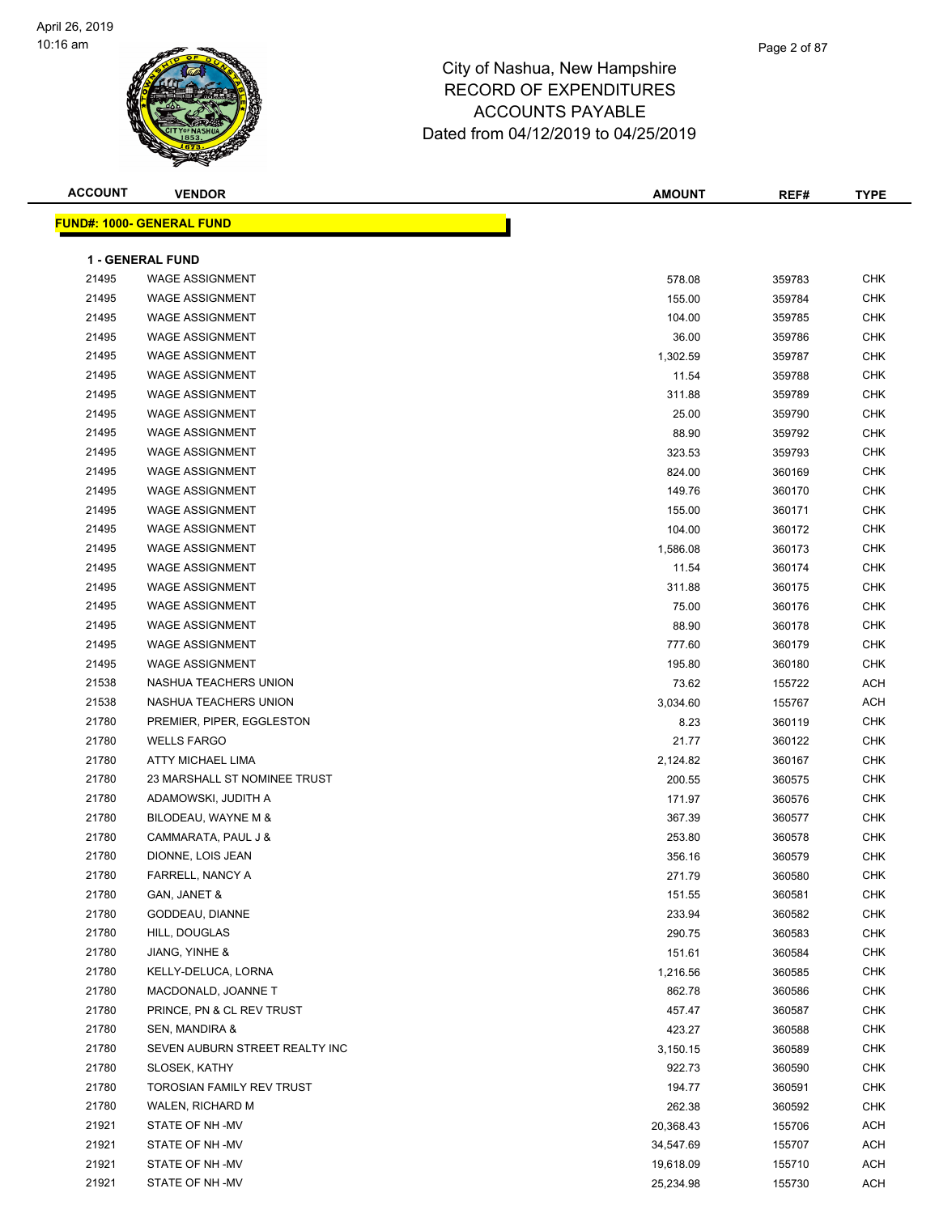

| <b>ACCOUNT</b> | <b>VENDOR</b>                    | <b>AMOUNT</b> | REF#   | <b>TYPE</b> |
|----------------|----------------------------------|---------------|--------|-------------|
|                | <b>FUND#: 1000- GENERAL FUND</b> |               |        |             |
|                |                                  |               |        |             |
|                | <b>1 - GENERAL FUND</b>          |               |        |             |
| 21495          | <b>WAGE ASSIGNMENT</b>           | 578.08        | 359783 | <b>CHK</b>  |
| 21495          | <b>WAGE ASSIGNMENT</b>           | 155.00        | 359784 | <b>CHK</b>  |
| 21495          | <b>WAGE ASSIGNMENT</b>           | 104.00        | 359785 | <b>CHK</b>  |
| 21495          | <b>WAGE ASSIGNMENT</b>           | 36.00         | 359786 | <b>CHK</b>  |
| 21495          | <b>WAGE ASSIGNMENT</b>           | 1,302.59      | 359787 | <b>CHK</b>  |
| 21495          | <b>WAGE ASSIGNMENT</b>           | 11.54         | 359788 | <b>CHK</b>  |
| 21495          | <b>WAGE ASSIGNMENT</b>           | 311.88        | 359789 | <b>CHK</b>  |
| 21495          | <b>WAGE ASSIGNMENT</b>           | 25.00         | 359790 | CHK         |
| 21495          | <b>WAGE ASSIGNMENT</b>           | 88.90         | 359792 | <b>CHK</b>  |
| 21495          | <b>WAGE ASSIGNMENT</b>           | 323.53        | 359793 | <b>CHK</b>  |
| 21495          | <b>WAGE ASSIGNMENT</b>           | 824.00        | 360169 | <b>CHK</b>  |
| 21495          | <b>WAGE ASSIGNMENT</b>           | 149.76        | 360170 | <b>CHK</b>  |
| 21495          | <b>WAGE ASSIGNMENT</b>           | 155.00        | 360171 | <b>CHK</b>  |
| 21495          | <b>WAGE ASSIGNMENT</b>           | 104.00        | 360172 | <b>CHK</b>  |
| 21495          | <b>WAGE ASSIGNMENT</b>           | 1,586.08      | 360173 | <b>CHK</b>  |
| 21495          | <b>WAGE ASSIGNMENT</b>           | 11.54         | 360174 | <b>CHK</b>  |
| 21495          | <b>WAGE ASSIGNMENT</b>           | 311.88        | 360175 | <b>CHK</b>  |
| 21495          | <b>WAGE ASSIGNMENT</b>           | 75.00         | 360176 | <b>CHK</b>  |
| 21495          | <b>WAGE ASSIGNMENT</b>           | 88.90         | 360178 | <b>CHK</b>  |
| 21495          | <b>WAGE ASSIGNMENT</b>           | 777.60        | 360179 | <b>CHK</b>  |
| 21495          | <b>WAGE ASSIGNMENT</b>           | 195.80        | 360180 | <b>CHK</b>  |
| 21538          | NASHUA TEACHERS UNION            | 73.62         | 155722 | <b>ACH</b>  |
| 21538          | NASHUA TEACHERS UNION            | 3,034.60      | 155767 | <b>ACH</b>  |
| 21780          | PREMIER, PIPER, EGGLESTON        | 8.23          | 360119 | <b>CHK</b>  |
| 21780          | <b>WELLS FARGO</b>               | 21.77         | 360122 | <b>CHK</b>  |
| 21780          | ATTY MICHAEL LIMA                | 2,124.82      | 360167 | <b>CHK</b>  |
| 21780          | 23 MARSHALL ST NOMINEE TRUST     | 200.55        | 360575 | <b>CHK</b>  |
| 21780          | ADAMOWSKI, JUDITH A              | 171.97        | 360576 | <b>CHK</b>  |
| 21780          | BILODEAU, WAYNE M &              | 367.39        | 360577 | <b>CHK</b>  |
| 21780          | CAMMARATA, PAUL J &              | 253.80        | 360578 | <b>CHK</b>  |
| 21780          | DIONNE, LOIS JEAN                | 356.16        | 360579 | <b>CHK</b>  |
| 21780          | FARRELL, NANCY A                 | 271.79        | 360580 | CHK         |
| 21780          | GAN, JANET &                     | 151.55        | 360581 | <b>CHK</b>  |
| 21780          | GODDEAU, DIANNE                  | 233.94        | 360582 | CHK         |
| 21780          | HILL, DOUGLAS                    | 290.75        | 360583 | <b>CHK</b>  |
| 21780          | JIANG, YINHE &                   | 151.61        | 360584 | <b>CHK</b>  |
| 21780          | KELLY-DELUCA, LORNA              | 1,216.56      | 360585 | <b>CHK</b>  |
| 21780          | MACDONALD, JOANNE T              | 862.78        | 360586 | CHK         |
| 21780          | PRINCE, PN & CL REV TRUST        | 457.47        | 360587 | CHK         |
| 21780          | SEN, MANDIRA &                   | 423.27        | 360588 | CHK         |
| 21780          | SEVEN AUBURN STREET REALTY INC   | 3,150.15      | 360589 | CHK         |
| 21780          | SLOSEK, KATHY                    | 922.73        | 360590 | CHK         |
| 21780          | TOROSIAN FAMILY REV TRUST        | 194.77        | 360591 | <b>CHK</b>  |
| 21780          | WALEN, RICHARD M                 | 262.38        | 360592 | CHK         |
| 21921          | STATE OF NH -MV                  | 20,368.43     | 155706 | ACH         |
| 21921          | STATE OF NH -MV                  | 34,547.69     | 155707 | ACH         |
| 21921          | STATE OF NH -MV                  | 19,618.09     | 155710 | ACH         |
| 21921          | STATE OF NH -MV                  | 25,234.98     | 155730 | ACH         |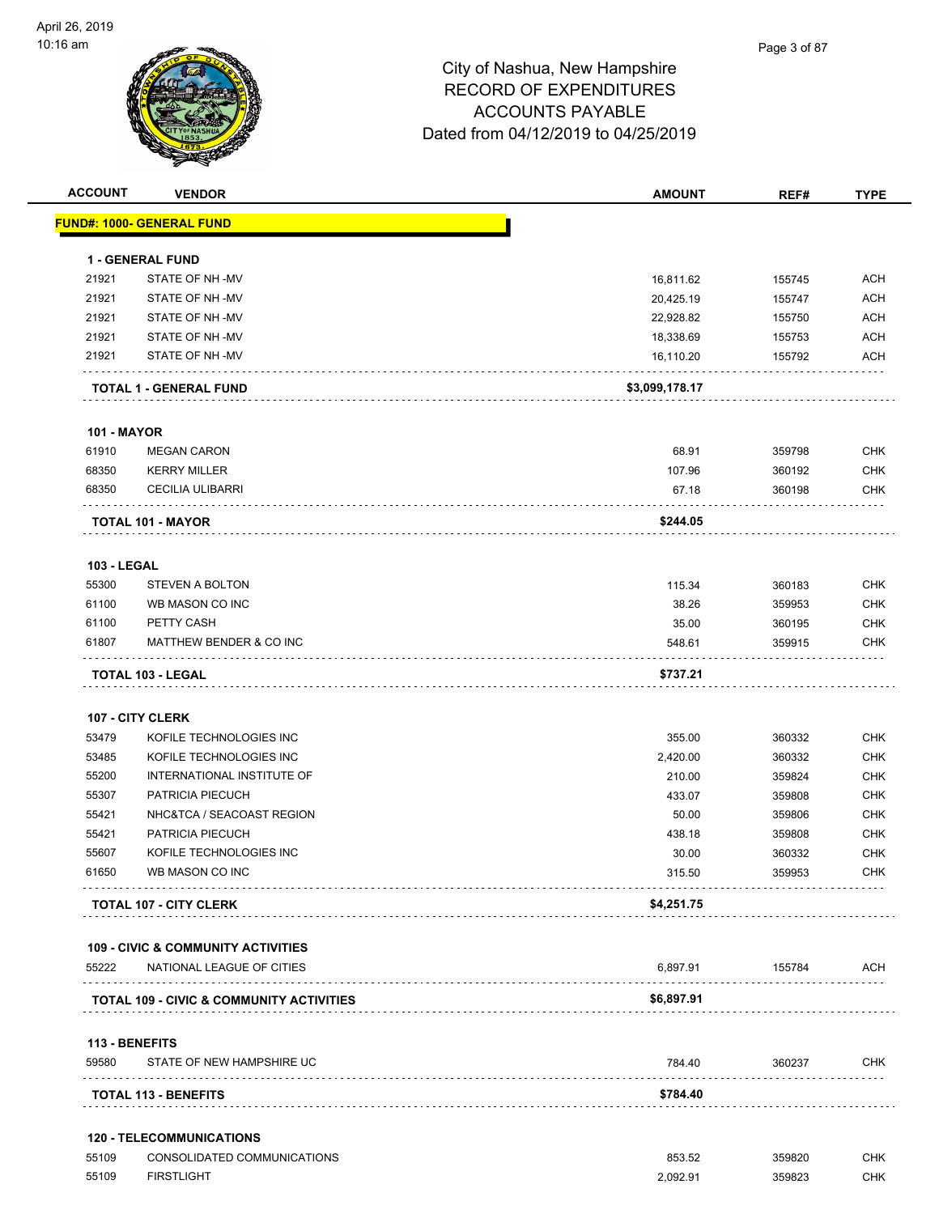| <b>ACCOUNT</b>          | <b>VENDOR</b>                                       | <b>AMOUNT</b>  | REF#   | <b>TYPE</b> |
|-------------------------|-----------------------------------------------------|----------------|--------|-------------|
|                         | <u> FUND#: 1000- GENERAL FUND</u>                   |                |        |             |
|                         | <b>1 - GENERAL FUND</b>                             |                |        |             |
| 21921                   | STATE OF NH-MV                                      | 16,811.62      | 155745 | <b>ACH</b>  |
| 21921                   | STATE OF NH-MV                                      | 20,425.19      | 155747 | <b>ACH</b>  |
| 21921                   | STATE OF NH-MV                                      | 22,928.82      | 155750 | ACH         |
| 21921                   | STATE OF NH-MV                                      | 18,338.69      | 155753 | <b>ACH</b>  |
| 21921                   | STATE OF NH-MV                                      | 16,110.20      | 155792 | <b>ACH</b>  |
|                         | <b>TOTAL 1 - GENERAL FUND</b>                       | \$3,099,178.17 |        |             |
| <b>101 - MAYOR</b>      |                                                     |                |        |             |
| 61910                   | <b>MEGAN CARON</b>                                  | 68.91          | 359798 | CHK         |
| 68350                   | <b>KERRY MILLER</b>                                 | 107.96         | 360192 | <b>CHK</b>  |
| 68350                   | <b>CECILIA ULIBARRI</b>                             | 67.18          | 360198 | <b>CHK</b>  |
|                         | TOTAL 101 - MAYOR                                   | \$244.05       |        |             |
|                         |                                                     |                |        |             |
| 103 - LEGAL             |                                                     |                |        |             |
| 55300                   | <b>STEVEN A BOLTON</b>                              | 115.34         | 360183 | <b>CHK</b>  |
| 61100                   | WB MASON CO INC                                     | 38.26          | 359953 | <b>CHK</b>  |
| 61100                   | PETTY CASH                                          | 35.00          | 360195 | <b>CHK</b>  |
| 61807                   | MATTHEW BENDER & CO INC                             | 548.61         | 359915 | <b>CHK</b>  |
|                         | <b>TOTAL 103 - LEGAL</b>                            | \$737.21       |        |             |
|                         | 107 - CITY CLERK                                    |                |        |             |
| 53479                   | KOFILE TECHNOLOGIES INC                             | 355.00         | 360332 | <b>CHK</b>  |
| 53485                   | KOFILE TECHNOLOGIES INC                             | 2,420.00       | 360332 | <b>CHK</b>  |
| 55200                   | INTERNATIONAL INSTITUTE OF                          | 210.00         | 359824 | <b>CHK</b>  |
| 55307                   | PATRICIA PIECUCH                                    | 433.07         | 359808 | <b>CHK</b>  |
| 55421                   | NHC&TCA / SEACOAST REGION                           | 50.00          | 359806 | <b>CHK</b>  |
| 55421                   | PATRICIA PIECUCH                                    | 438.18         | 359808 | <b>CHK</b>  |
| 55607                   | KOFILE TECHNOLOGIES INC                             | 30.00          | 360332 | <b>CHK</b>  |
| 61650                   | WB MASON CO INC                                     | 315.50         | 359953 | <b>CHK</b>  |
|                         | <b>TOTAL 107 - CITY CLERK</b>                       | \$4,251.75     |        |             |
|                         | <b>109 - CIVIC &amp; COMMUNITY ACTIVITIES</b>       |                |        |             |
| 55222                   | NATIONAL LEAGUE OF CITIES                           | 6,897.91       | 155784 | ACH         |
|                         | <b>TOTAL 109 - CIVIC &amp; COMMUNITY ACTIVITIES</b> | \$6,897.91     | .      |             |
|                         |                                                     |                |        |             |
| 113 - BENEFITS<br>59580 | STATE OF NEW HAMPSHIRE UC                           | 784.40         | 360237 | <b>CHK</b>  |
|                         | <b>TOTAL 113 - BENEFITS</b>                         | \$784.40       |        |             |
|                         | <b>120 - TELECOMMUNICATIONS</b>                     |                |        |             |
| 55109                   | CONSOLIDATED COMMUNICATIONS                         | 853.52         | 359820 | <b>CHK</b>  |
| 55109                   | <b>FIRSTLIGHT</b>                                   | 2,092.91       | 359823 | CHK         |
|                         |                                                     |                |        |             |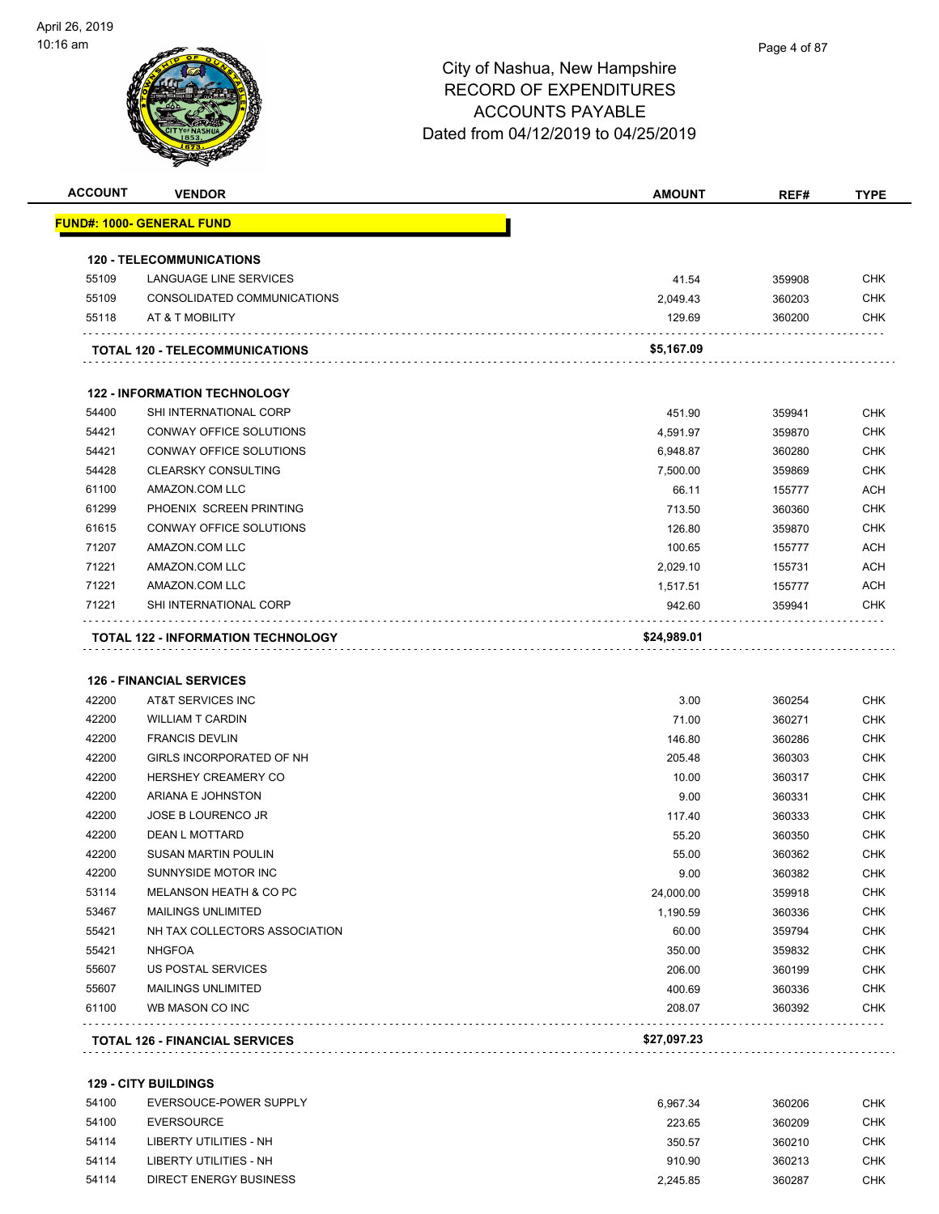| <b>ACCOUNT</b> | <b>VENDOR</b>                                        | <b>AMOUNT</b> | REF#   | <b>TYPE</b> |
|----------------|------------------------------------------------------|---------------|--------|-------------|
|                | <u> FUND#: 1000- GENERAL FUND</u>                    |               |        |             |
|                | <b>120 - TELECOMMUNICATIONS</b>                      |               |        |             |
| 55109          | <b>LANGUAGE LINE SERVICES</b>                        | 41.54         | 359908 | <b>CHK</b>  |
| 55109          | CONSOLIDATED COMMUNICATIONS                          | 2,049.43      | 360203 | <b>CHK</b>  |
| 55118          | AT & T MOBILITY                                      | 129.69        | 360200 | <b>CHK</b>  |
|                | <b>TOTAL 120 - TELECOMMUNICATIONS</b>                | \$5,167.09    |        |             |
|                | <b>122 - INFORMATION TECHNOLOGY</b>                  |               |        |             |
| 54400          | SHI INTERNATIONAL CORP                               | 451.90        | 359941 | <b>CHK</b>  |
| 54421          | CONWAY OFFICE SOLUTIONS                              | 4,591.97      | 359870 | <b>CHK</b>  |
| 54421          | CONWAY OFFICE SOLUTIONS                              | 6,948.87      | 360280 | <b>CHK</b>  |
| 54428          | <b>CLEARSKY CONSULTING</b>                           | 7,500.00      | 359869 | <b>CHK</b>  |
| 61100          | AMAZON.COM LLC                                       | 66.11         | 155777 | <b>ACH</b>  |
| 61299          | PHOENIX SCREEN PRINTING                              | 713.50        | 360360 | <b>CHK</b>  |
| 61615          | CONWAY OFFICE SOLUTIONS                              | 126.80        | 359870 | <b>CHK</b>  |
| 71207          | AMAZON.COM LLC                                       | 100.65        | 155777 | <b>ACH</b>  |
| 71221          | AMAZON.COM LLC                                       | 2,029.10      | 155731 | <b>ACH</b>  |
| 71221          | AMAZON.COM LLC                                       | 1,517.51      | 155777 | <b>ACH</b>  |
| 71221          | SHI INTERNATIONAL CORP                               | 942.60        | 359941 | CHK         |
|                |                                                      |               |        |             |
| 42200          | <b>126 - FINANCIAL SERVICES</b><br>AT&T SERVICES INC | 3.00          | 360254 | <b>CHK</b>  |
| 42200          | <b>WILLIAM T CARDIN</b>                              | 71.00         | 360271 | <b>CHK</b>  |
| 42200          | <b>FRANCIS DEVLIN</b>                                | 146.80        | 360286 | <b>CHK</b>  |
| 42200          | GIRLS INCORPORATED OF NH                             | 205.48        | 360303 | <b>CHK</b>  |
| 42200          | <b>HERSHEY CREAMERY CO</b>                           | 10.00         | 360317 | <b>CHK</b>  |
| 42200          | ARIANA E JOHNSTON                                    | 9.00          | 360331 | <b>CHK</b>  |
| 42200          | <b>JOSE B LOURENCO JR</b>                            | 117.40        | 360333 | <b>CHK</b>  |
| 42200          | <b>DEAN L MOTTARD</b>                                | 55.20         | 360350 | <b>CHK</b>  |
| 42200          | <b>SUSAN MARTIN POULIN</b>                           | 55.00         | 360362 | <b>CHK</b>  |
| 42200          | SUNNYSIDE MOTOR INC                                  | 9.00          | 360382 | <b>CHK</b>  |
| 53114          | MELANSON HEATH & CO PC                               | 24,000.00     | 359918 | CHK         |
| 53467          | <b>MAILINGS UNLIMITED</b>                            | 1,190.59      | 360336 | <b>CHK</b>  |
| 55421          | NH TAX COLLECTORS ASSOCIATION                        | 60.00         | 359794 | <b>CHK</b>  |
| 55421          | <b>NHGFOA</b>                                        | 350.00        | 359832 | CHK         |
| 55607          | US POSTAL SERVICES                                   | 206.00        | 360199 | <b>CHK</b>  |
| 55607          | MAILINGS UNLIMITED                                   | 400.69        | 360336 | <b>CHK</b>  |
| 61100          | WB MASON CO INC                                      | 208.07        | 360392 | <b>CHK</b>  |
|                | <b>TOTAL 126 - FINANCIAL SERVICES</b>                | \$27,097.23   |        |             |
|                | <b>129 - CITY BUILDINGS</b>                          |               |        |             |
| 54100          | EVERSOUCE-POWER SUPPLY                               | 6,967.34      | 360206 | <b>CHK</b>  |
| 54100          | <b>EVERSOURCE</b>                                    | 223.65        | 360209 | <b>CHK</b>  |

| 54114 | <b>LIBERTY UTILITIES - NH</b> | 350.57   | 360210 | снк |
|-------|-------------------------------|----------|--------|-----|
| 54114 | LIBERTY UTILITIES - NH        | 910.90   | 360213 | снк |
| 54114 | DIRECT ENERGY BUSINESS        | 2.245.85 | 360287 | снк |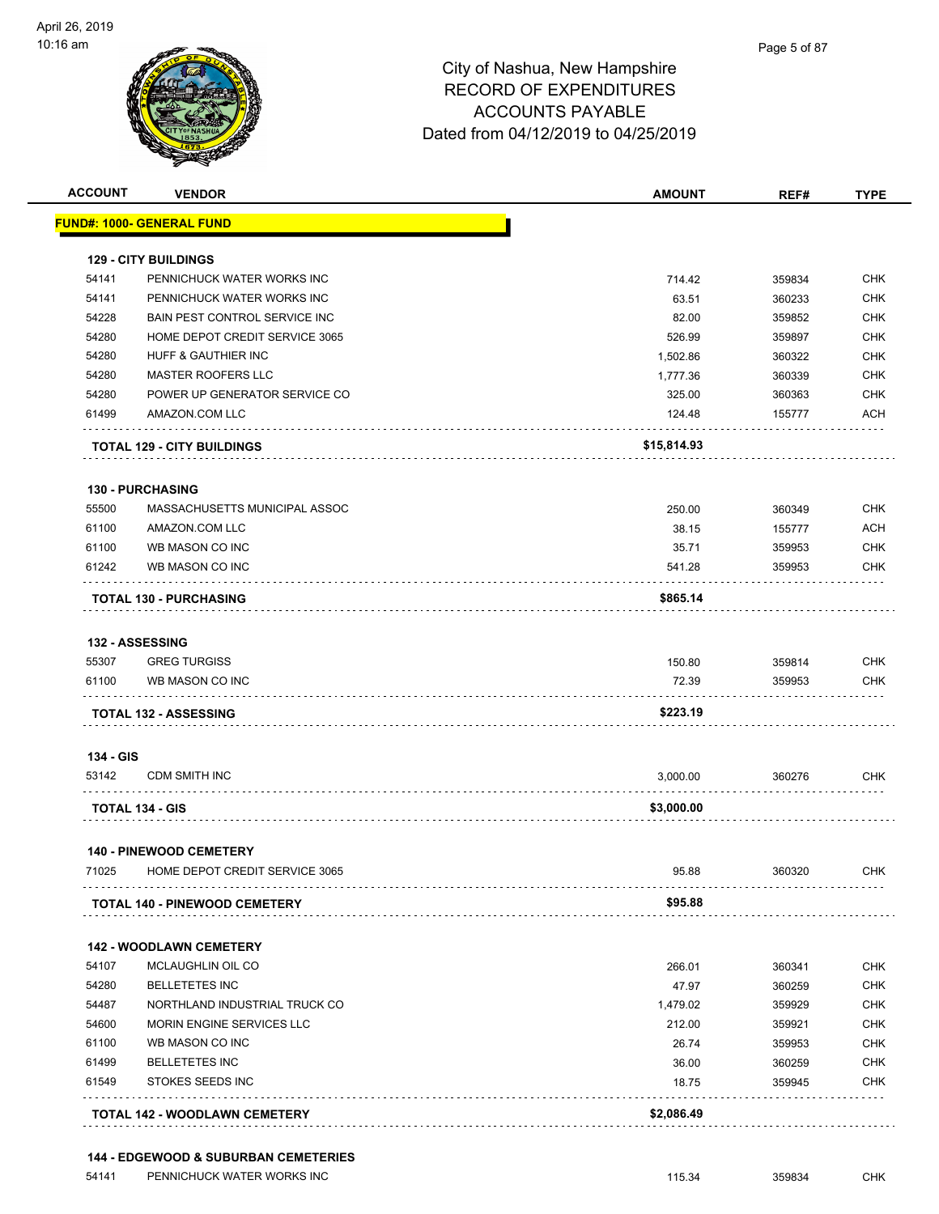

| <b>ACCOUNT</b> | <b>VENDOR</b>                        | <b>AMOUNT</b> | REF#   | <b>TYPE</b> |
|----------------|--------------------------------------|---------------|--------|-------------|
|                | <u> FUND#: 1000- GENERAL FUND</u>    |               |        |             |
|                | <b>129 - CITY BUILDINGS</b>          |               |        |             |
| 54141          | PENNICHUCK WATER WORKS INC           | 714.42        | 359834 | <b>CHK</b>  |
| 54141          | PENNICHUCK WATER WORKS INC           | 63.51         | 360233 | <b>CHK</b>  |
| 54228          | BAIN PEST CONTROL SERVICE INC        | 82.00         | 359852 | <b>CHK</b>  |
| 54280          | HOME DEPOT CREDIT SERVICE 3065       | 526.99        | 359897 | <b>CHK</b>  |
| 54280          | <b>HUFF &amp; GAUTHIER INC</b>       | 1,502.86      | 360322 | CHK         |
| 54280          | <b>MASTER ROOFERS LLC</b>            | 1,777.36      | 360339 | <b>CHK</b>  |
| 54280          | POWER UP GENERATOR SERVICE CO        | 325.00        | 360363 | <b>CHK</b>  |
| 61499          | AMAZON.COM LLC                       | 124.48        | 155777 | <b>ACH</b>  |
|                | <b>TOTAL 129 - CITY BUILDINGS</b>    | \$15,814.93   |        |             |
|                | 130 - PURCHASING                     |               |        |             |
| 55500          | MASSACHUSETTS MUNICIPAL ASSOC        | 250.00        | 360349 | <b>CHK</b>  |
| 61100          | AMAZON.COM LLC                       | 38.15         | 155777 | <b>ACH</b>  |
| 61100          | WB MASON CO INC                      | 35.71         | 359953 | <b>CHK</b>  |
| 61242          | WB MASON CO INC                      | 541.28        | 359953 | <b>CHK</b>  |
|                | <b>TOTAL 130 - PURCHASING</b>        | \$865.14      |        |             |
|                | <b>132 - ASSESSING</b>               |               |        |             |
| 55307          | <b>GREG TURGISS</b>                  | 150.80        | 359814 | <b>CHK</b>  |
| 61100          | WB MASON CO INC                      | 72.39         | 359953 | CHK         |
|                | <b>TOTAL 132 - ASSESSING</b>         | \$223.19      |        |             |
| 134 - GIS      |                                      |               |        |             |
| 53142          | <b>CDM SMITH INC</b>                 | 3,000.00      | 360276 | <b>CHK</b>  |
|                | <b>TOTAL 134 - GIS</b>               | \$3,000.00    |        |             |
|                | <b>140 - PINEWOOD CEMETERY</b>       |               |        |             |
| 71025          | HOME DEPOT CREDIT SERVICE 3065       | 95.88         | 360320 | CHK         |
|                | <b>TOTAL 140 - PINEWOOD CEMETERY</b> | \$95.88       |        |             |
|                | <b>142 - WOODLAWN CEMETERY</b>       |               |        |             |
| 54107          | MCLAUGHLIN OIL CO                    | 266.01        | 360341 | <b>CHK</b>  |
| 54280          | <b>BELLETETES INC</b>                | 47.97         | 360259 | <b>CHK</b>  |
| 54487          | NORTHLAND INDUSTRIAL TRUCK CO        | 1,479.02      | 359929 | CHK         |
| 54600          | MORIN ENGINE SERVICES LLC            | 212.00        | 359921 | <b>CHK</b>  |
| 61100          | WB MASON CO INC                      | 26.74         | 359953 | <b>CHK</b>  |
| 61499          | <b>BELLETETES INC</b>                | 36.00         | 360259 | <b>CHK</b>  |
| 61549          | STOKES SEEDS INC                     | 18.75         | 359945 | <b>CHK</b>  |
|                | <b>TOTAL 142 - WOODLAWN CEMETERY</b> | \$2,086.49    |        |             |
|                |                                      |               |        |             |

#### **144 - EDGEWOOD & SUBURBAN CEMETERIES**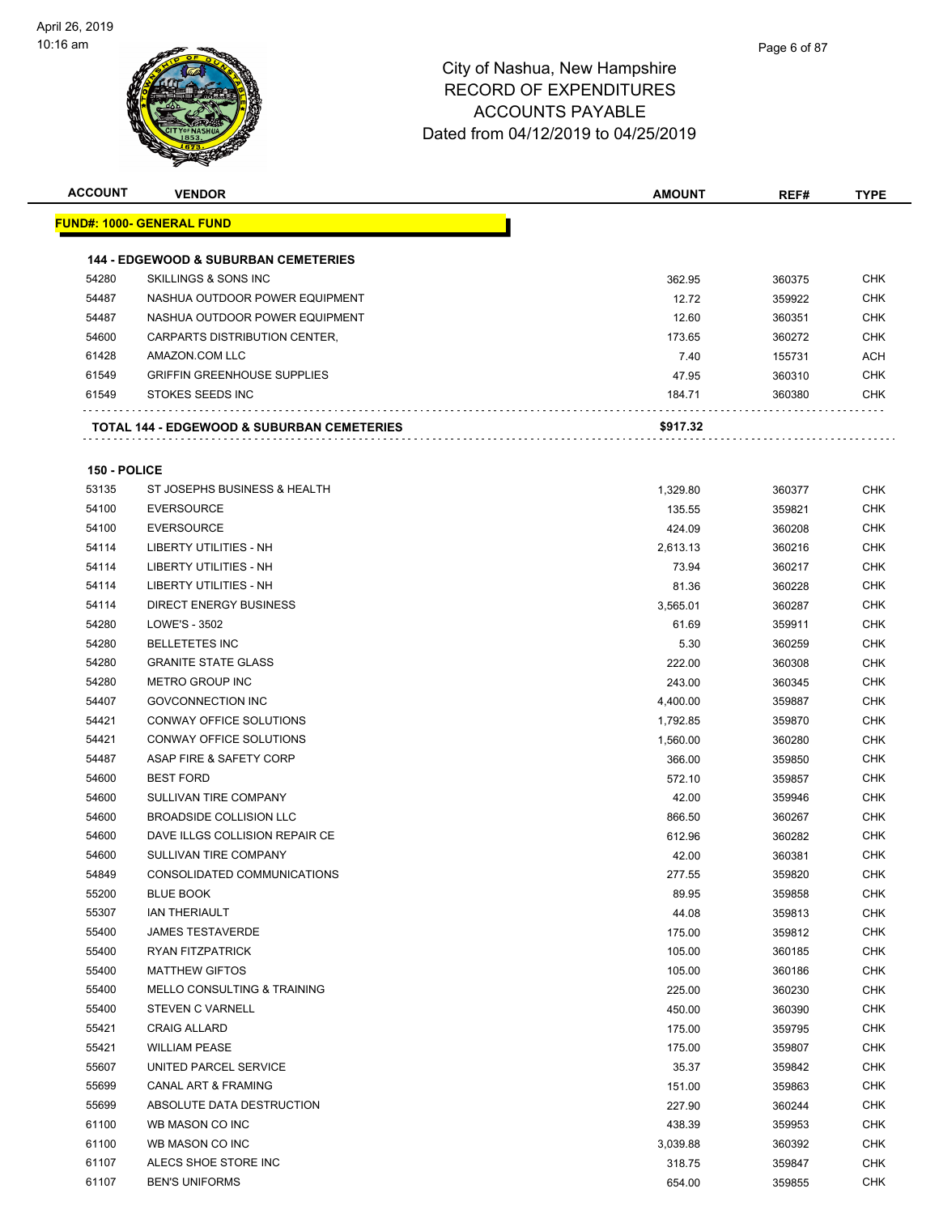

| <b>ACCOUNT</b> | <b>VENDOR</b>                                         | <b>AMOUNT</b> | REF#   | <b>TYPE</b> |
|----------------|-------------------------------------------------------|---------------|--------|-------------|
|                | <u> FUND#: 1000- GENERAL FUND</u>                     |               |        |             |
|                |                                                       |               |        |             |
|                | <b>144 - EDGEWOOD &amp; SUBURBAN CEMETERIES</b>       |               |        |             |
| 54280          | <b>SKILLINGS &amp; SONS INC</b>                       | 362.95        | 360375 | <b>CHK</b>  |
| 54487          | NASHUA OUTDOOR POWER EQUIPMENT                        | 12.72         | 359922 | <b>CHK</b>  |
| 54487          | NASHUA OUTDOOR POWER EQUIPMENT                        | 12.60         | 360351 | <b>CHK</b>  |
| 54600          | CARPARTS DISTRIBUTION CENTER,                         | 173.65        | 360272 | <b>CHK</b>  |
| 61428          | AMAZON.COM LLC                                        | 7.40          | 155731 | <b>ACH</b>  |
| 61549          | <b>GRIFFIN GREENHOUSE SUPPLIES</b>                    | 47.95         | 360310 | <b>CHK</b>  |
| 61549          | STOKES SEEDS INC                                      | 184.71        | 360380 | <b>CHK</b>  |
|                | <b>TOTAL 144 - EDGEWOOD &amp; SUBURBAN CEMETERIES</b> | \$917.32      |        |             |
| 150 - POLICE   |                                                       |               |        |             |
| 53135          | ST JOSEPHS BUSINESS & HEALTH                          | 1,329.80      | 360377 | <b>CHK</b>  |
| 54100          | <b>EVERSOURCE</b>                                     | 135.55        | 359821 | <b>CHK</b>  |
| 54100          | <b>EVERSOURCE</b>                                     | 424.09        | 360208 | <b>CHK</b>  |
| 54114          | LIBERTY UTILITIES - NH                                | 2,613.13      | 360216 | CHK         |
| 54114          | LIBERTY UTILITIES - NH                                | 73.94         | 360217 | <b>CHK</b>  |
| 54114          | <b>LIBERTY UTILITIES - NH</b>                         |               |        | <b>CHK</b>  |
|                |                                                       | 81.36         | 360228 |             |
| 54114          | <b>DIRECT ENERGY BUSINESS</b>                         | 3,565.01      | 360287 | <b>CHK</b>  |
| 54280          | LOWE'S - 3502                                         | 61.69         | 359911 | <b>CHK</b>  |
| 54280          | <b>BELLETETES INC</b>                                 | 5.30          | 360259 | <b>CHK</b>  |
| 54280          | <b>GRANITE STATE GLASS</b>                            | 222.00        | 360308 | <b>CHK</b>  |
| 54280          | <b>METRO GROUP INC</b>                                | 243.00        | 360345 | <b>CHK</b>  |
| 54407          | <b>GOVCONNECTION INC</b>                              | 4,400.00      | 359887 | CHK         |
| 54421          | CONWAY OFFICE SOLUTIONS                               | 1,792.85      | 359870 | <b>CHK</b>  |
| 54421          | CONWAY OFFICE SOLUTIONS                               | 1,560.00      | 360280 | <b>CHK</b>  |
| 54487          | ASAP FIRE & SAFETY CORP                               | 366.00        | 359850 | <b>CHK</b>  |
| 54600          | <b>BEST FORD</b>                                      | 572.10        | 359857 | <b>CHK</b>  |
| 54600          | SULLIVAN TIRE COMPANY                                 | 42.00         | 359946 | <b>CHK</b>  |
| 54600          | <b>BROADSIDE COLLISION LLC</b>                        | 866.50        | 360267 | <b>CHK</b>  |
| 54600          | DAVE ILLGS COLLISION REPAIR CE                        | 612.96        | 360282 | <b>CHK</b>  |
| 54600          | SULLIVAN TIRE COMPANY                                 | 42.00         | 360381 | <b>CHK</b>  |
| 54849          | CONSOLIDATED COMMUNICATIONS                           | 277.55        | 359820 | <b>CHK</b>  |
| 55200          | <b>BLUE BOOK</b>                                      | 89.95         | 359858 | <b>CHK</b>  |
| 55307          | <b>IAN THERIAULT</b>                                  | 44.08         | 359813 | <b>CHK</b>  |
| 55400          | <b>JAMES TESTAVERDE</b>                               | 175.00        | 359812 | <b>CHK</b>  |
| 55400          | RYAN FITZPATRICK                                      | 105.00        | 360185 | <b>CHK</b>  |
| 55400          | <b>MATTHEW GIFTOS</b>                                 | 105.00        | 360186 | <b>CHK</b>  |
| 55400          | MELLO CONSULTING & TRAINING                           | 225.00        | 360230 | <b>CHK</b>  |
| 55400          | <b>STEVEN C VARNELL</b>                               | 450.00        | 360390 | <b>CHK</b>  |
| 55421          | <b>CRAIG ALLARD</b>                                   | 175.00        | 359795 | <b>CHK</b>  |
| 55421          | <b>WILLIAM PEASE</b>                                  | 175.00        | 359807 | <b>CHK</b>  |
| 55607          | UNITED PARCEL SERVICE                                 | 35.37         | 359842 | <b>CHK</b>  |
| 55699          | CANAL ART & FRAMING                                   | 151.00        | 359863 | <b>CHK</b>  |
| 55699          | ABSOLUTE DATA DESTRUCTION                             | 227.90        | 360244 | <b>CHK</b>  |
| 61100          | WB MASON CO INC                                       | 438.39        | 359953 | <b>CHK</b>  |
| 61100          | WB MASON CO INC                                       | 3,039.88      | 360392 | <b>CHK</b>  |
|                |                                                       |               |        | <b>CHK</b>  |
| 61107          | ALECS SHOE STORE INC                                  | 318.75        | 359847 |             |
| 61107          | <b>BEN'S UNIFORMS</b>                                 | 654.00        | 359855 | <b>CHK</b>  |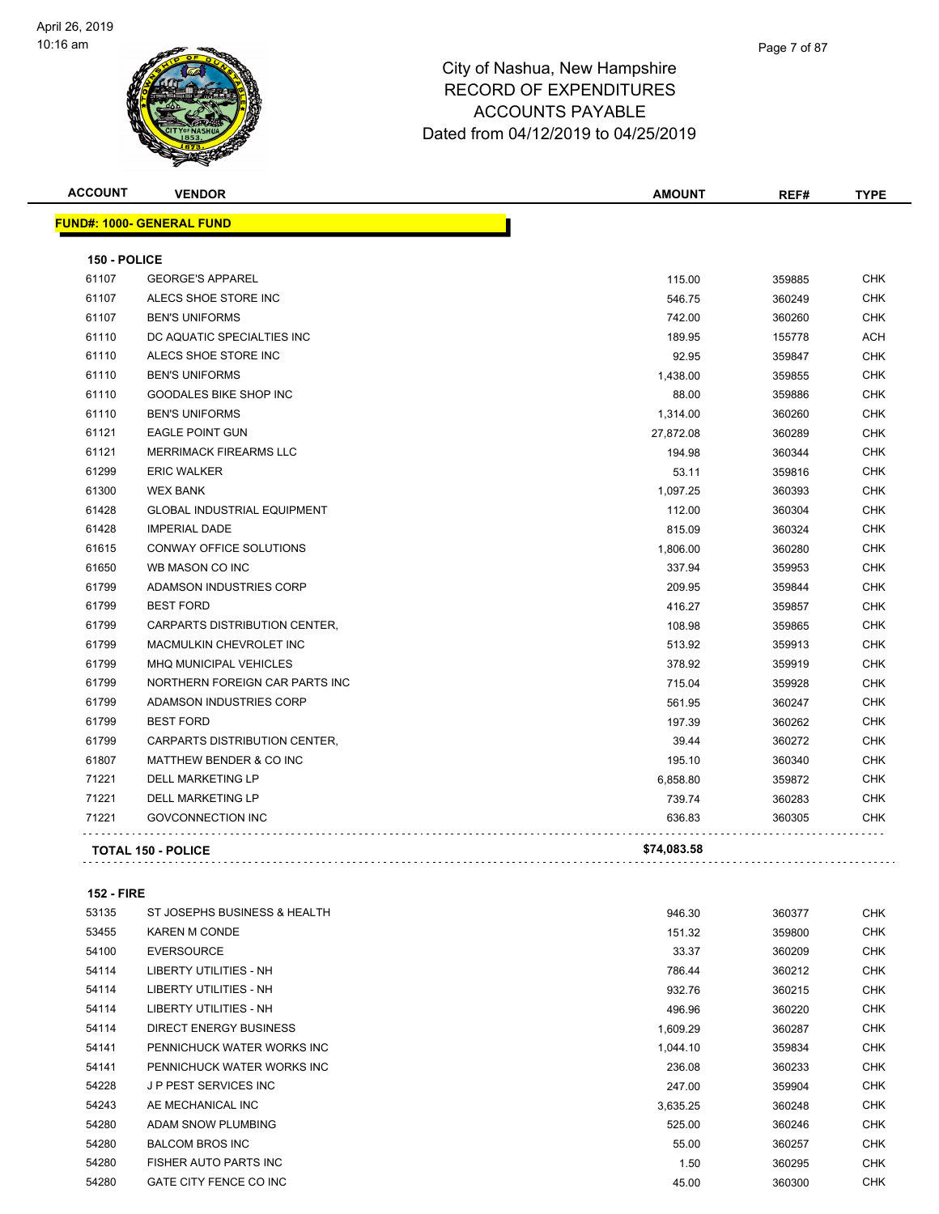

| <b>ACCOUNT</b> | <b>VENDOR</b>                      | <b>AMOUNT</b> | REF#   | <b>TYPE</b> |
|----------------|------------------------------------|---------------|--------|-------------|
|                | <b>FUND#: 1000- GENERAL FUND</b>   |               |        |             |
| 150 - POLICE   |                                    |               |        |             |
| 61107          | <b>GEORGE'S APPAREL</b>            | 115.00        | 359885 | <b>CHK</b>  |
| 61107          | ALECS SHOE STORE INC               | 546.75        | 360249 | <b>CHK</b>  |
| 61107          | <b>BEN'S UNIFORMS</b>              | 742.00        | 360260 | <b>CHK</b>  |
| 61110          | DC AQUATIC SPECIALTIES INC         | 189.95        | 155778 | <b>ACH</b>  |
| 61110          | ALECS SHOE STORE INC               | 92.95         | 359847 | <b>CHK</b>  |
| 61110          | <b>BEN'S UNIFORMS</b>              | 1,438.00      | 359855 | CHK         |
| 61110          | <b>GOODALES BIKE SHOP INC</b>      | 88.00         | 359886 | <b>CHK</b>  |
| 61110          | <b>BEN'S UNIFORMS</b>              | 1,314.00      | 360260 | <b>CHK</b>  |
| 61121          | <b>EAGLE POINT GUN</b>             | 27,872.08     | 360289 | <b>CHK</b>  |
| 61121          | <b>MERRIMACK FIREARMS LLC</b>      | 194.98        | 360344 | <b>CHK</b>  |
| 61299          | <b>ERIC WALKER</b>                 | 53.11         | 359816 | <b>CHK</b>  |
| 61300          | <b>WEX BANK</b>                    | 1,097.25      | 360393 | <b>CHK</b>  |
| 61428          | <b>GLOBAL INDUSTRIAL EQUIPMENT</b> | 112.00        | 360304 | <b>CHK</b>  |
| 61428          | <b>IMPERIAL DADE</b>               | 815.09        | 360324 | <b>CHK</b>  |
| 61615          | CONWAY OFFICE SOLUTIONS            | 1,806.00      | 360280 | <b>CHK</b>  |
| 61650          | WB MASON CO INC                    | 337.94        | 359953 | <b>CHK</b>  |
| 61799          | ADAMSON INDUSTRIES CORP            | 209.95        | 359844 | <b>CHK</b>  |
| 61799          | <b>BEST FORD</b>                   | 416.27        | 359857 | <b>CHK</b>  |
| 61799          | CARPARTS DISTRIBUTION CENTER.      | 108.98        | 359865 | <b>CHK</b>  |
| 61799          | MACMULKIN CHEVROLET INC            | 513.92        | 359913 | <b>CHK</b>  |
| 61799          | <b>MHQ MUNICIPAL VEHICLES</b>      | 378.92        | 359919 | <b>CHK</b>  |
| 61799          | NORTHERN FOREIGN CAR PARTS INC     | 715.04        | 359928 | CHK         |
| 61799          | ADAMSON INDUSTRIES CORP            | 561.95        | 360247 | <b>CHK</b>  |
| 61799          | <b>BEST FORD</b>                   | 197.39        | 360262 | <b>CHK</b>  |
| 61799          | CARPARTS DISTRIBUTION CENTER,      | 39.44         | 360272 | <b>CHK</b>  |
| 61807          | MATTHEW BENDER & CO INC            | 195.10        | 360340 | <b>CHK</b>  |
| 71221          | <b>DELL MARKETING LP</b>           | 6,858.80      | 359872 | <b>CHK</b>  |
| 71221          | DELL MARKETING LP                  | 739.74        | 360283 | CHK         |
| 71221          | <b>GOVCONNECTION INC</b>           | 636.83        | 360305 | <b>CHK</b>  |
|                | <b>TOTAL 150 - POLICE</b>          | \$74,083.58   |        |             |

#### **152 - FIRE**

| 53135 | ST JOSEPHS BUSINESS & HEALTH  | 946.30   | 360377 | <b>CHK</b> |
|-------|-------------------------------|----------|--------|------------|
| 53455 | <b>KAREN M CONDE</b>          | 151.32   | 359800 | <b>CHK</b> |
| 54100 | <b>EVERSOURCE</b>             | 33.37    | 360209 | <b>CHK</b> |
| 54114 | LIBERTY UTILITIES - NH        | 786.44   | 360212 | <b>CHK</b> |
| 54114 | LIBERTY UTILITIES - NH        | 932.76   | 360215 | <b>CHK</b> |
| 54114 | LIBERTY UTILITIES - NH        | 496.96   | 360220 | <b>CHK</b> |
| 54114 | <b>DIRECT ENERGY BUSINESS</b> | 1,609.29 | 360287 | <b>CHK</b> |
| 54141 | PENNICHUCK WATER WORKS INC    | 1,044.10 | 359834 | <b>CHK</b> |
| 54141 | PENNICHUCK WATER WORKS INC    | 236.08   | 360233 | <b>CHK</b> |
| 54228 | <b>JP PEST SERVICES INC</b>   | 247.00   | 359904 | <b>CHK</b> |
| 54243 | AE MECHANICAL INC             | 3,635.25 | 360248 | <b>CHK</b> |
| 54280 | ADAM SNOW PLUMBING            | 525.00   | 360246 | <b>CHK</b> |
| 54280 | <b>BALCOM BROS INC</b>        | 55.00    | 360257 | <b>CHK</b> |
| 54280 | FISHER AUTO PARTS INC         | 1.50     | 360295 | <b>CHK</b> |
| 54280 | GATE CITY FENCE CO INC        | 45.00    | 360300 | <b>CHK</b> |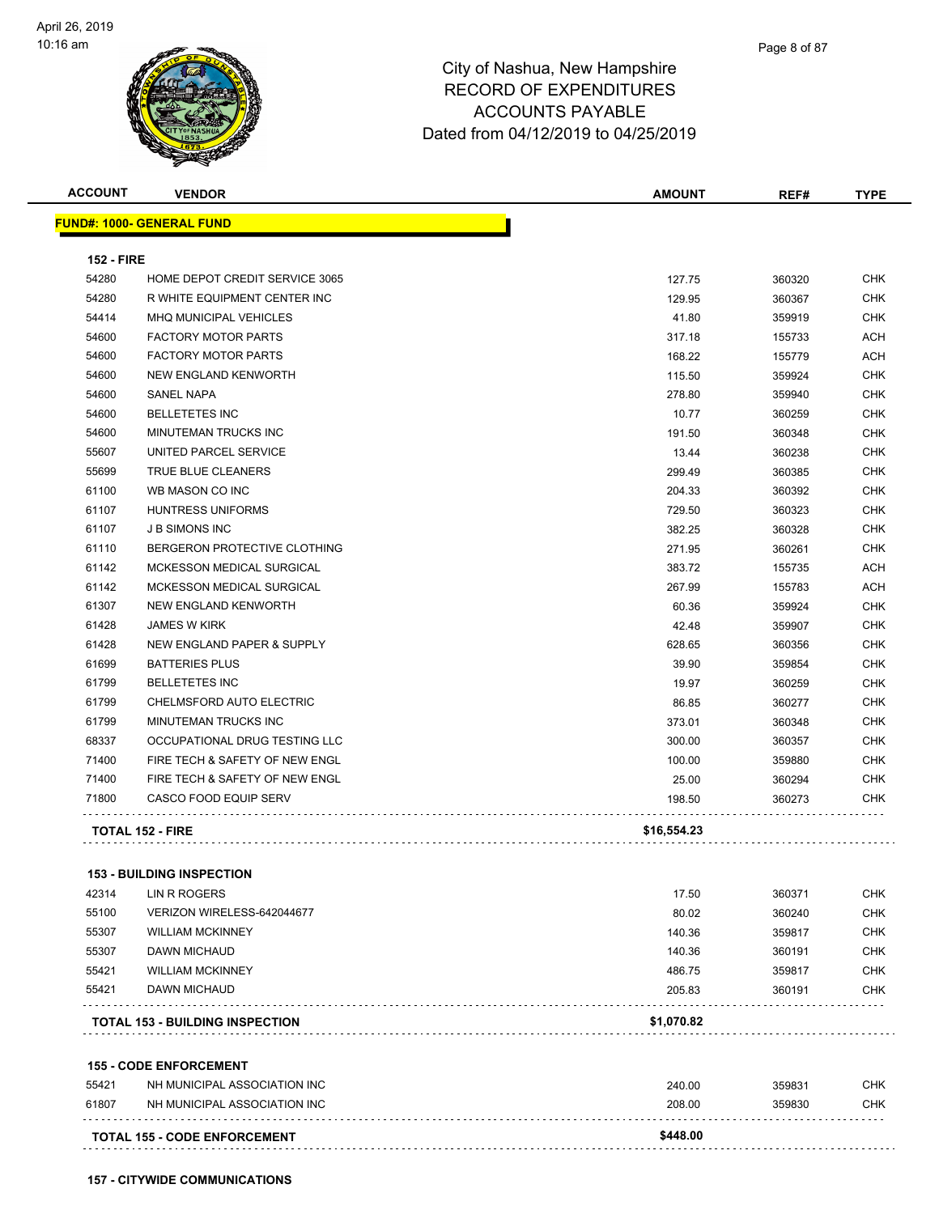

| <b>ACCOUNT</b>    | <b>VENDOR</b>                          | <b>AMOUNT</b> | REF#   | <b>TYPE</b> |
|-------------------|----------------------------------------|---------------|--------|-------------|
|                   | <b>FUND#: 1000- GENERAL FUND</b>       |               |        |             |
|                   |                                        |               |        |             |
| <b>152 - FIRE</b> |                                        |               |        |             |
| 54280             | HOME DEPOT CREDIT SERVICE 3065         | 127.75        | 360320 | <b>CHK</b>  |
| 54280             | R WHITE EQUIPMENT CENTER INC           | 129.95        | 360367 | <b>CHK</b>  |
| 54414             | <b>MHQ MUNICIPAL VEHICLES</b>          | 41.80         | 359919 | <b>CHK</b>  |
| 54600             | <b>FACTORY MOTOR PARTS</b>             | 317.18        | 155733 | <b>ACH</b>  |
| 54600             | <b>FACTORY MOTOR PARTS</b>             | 168.22        | 155779 | ACH         |
| 54600             | NEW ENGLAND KENWORTH                   | 115.50        | 359924 | <b>CHK</b>  |
| 54600             | <b>SANEL NAPA</b>                      | 278.80        | 359940 | <b>CHK</b>  |
| 54600             | <b>BELLETETES INC</b>                  | 10.77         | 360259 | CHK         |
| 54600             | MINUTEMAN TRUCKS INC                   | 191.50        | 360348 | <b>CHK</b>  |
| 55607             | UNITED PARCEL SERVICE                  | 13.44         | 360238 | <b>CHK</b>  |
| 55699             | TRUE BLUE CLEANERS                     | 299.49        | 360385 | CHK         |
| 61100             | WB MASON CO INC                        | 204.33        | 360392 | <b>CHK</b>  |
| 61107             | <b>HUNTRESS UNIFORMS</b>               | 729.50        | 360323 | <b>CHK</b>  |
| 61107             | <b>J B SIMONS INC</b>                  | 382.25        | 360328 | <b>CHK</b>  |
| 61110             | BERGERON PROTECTIVE CLOTHING           | 271.95        | 360261 | <b>CHK</b>  |
| 61142             | MCKESSON MEDICAL SURGICAL              | 383.72        | 155735 | ACH         |
| 61142             | MCKESSON MEDICAL SURGICAL              | 267.99        | 155783 | ACH         |
| 61307             | <b>NEW ENGLAND KENWORTH</b>            | 60.36         | 359924 | CHK.        |
| 61428             | <b>JAMES W KIRK</b>                    | 42.48         | 359907 | CHK         |
| 61428             | NEW ENGLAND PAPER & SUPPLY             | 628.65        | 360356 | <b>CHK</b>  |
| 61699             | <b>BATTERIES PLUS</b>                  | 39.90         | 359854 | <b>CHK</b>  |
| 61799             | <b>BELLETETES INC</b>                  | 19.97         | 360259 | <b>CHK</b>  |
| 61799             | CHELMSFORD AUTO ELECTRIC               | 86.85         | 360277 | <b>CHK</b>  |
| 61799             | MINUTEMAN TRUCKS INC                   | 373.01        | 360348 | CHK         |
| 68337             | OCCUPATIONAL DRUG TESTING LLC          | 300.00        | 360357 | <b>CHK</b>  |
| 71400             | FIRE TECH & SAFETY OF NEW ENGL         | 100.00        | 359880 | <b>CHK</b>  |
| 71400             | FIRE TECH & SAFETY OF NEW ENGL         | 25.00         | 360294 | <b>CHK</b>  |
| 71800             | <b>CASCO FOOD EQUIP SERV</b>           | 198.50        | 360273 | CHK         |
|                   | <b>TOTAL 152 - FIRE</b>                | \$16,554.23   |        |             |
|                   | <b>153 - BUILDING INSPECTION</b>       |               |        |             |
| 42314             | LIN R ROGERS                           | 17.50         | 360371 | CHK         |
| 55100             | VERIZON WIRELESS-642044677             | 80.02         | 360240 | CHK         |
| 55307             | <b>WILLIAM MCKINNEY</b>                | 140.36        | 359817 | <b>CHK</b>  |
| 55307             | DAWN MICHAUD                           | 140.36        | 360191 | CHK         |
| 55421             | <b>WILLIAM MCKINNEY</b>                | 486.75        | 359817 | CHK         |
| 55421             | <b>DAWN MICHAUD</b>                    | 205.83        | 360191 | CHK         |
|                   | <b>TOTAL 153 - BUILDING INSPECTION</b> | \$1,070.82    |        |             |
|                   | <b>155 - CODE ENFORCEMENT</b>          |               |        |             |
| 55421             | NH MUNICIPAL ASSOCIATION INC           | 240.00        | 359831 | CHK         |
| 61807             | NH MUNICIPAL ASSOCIATION INC           | 208.00        | 359830 | CHK         |
|                   | <b>TOTAL 155 - CODE ENFORCEMENT</b>    | \$448.00      |        |             |
|                   |                                        |               |        |             |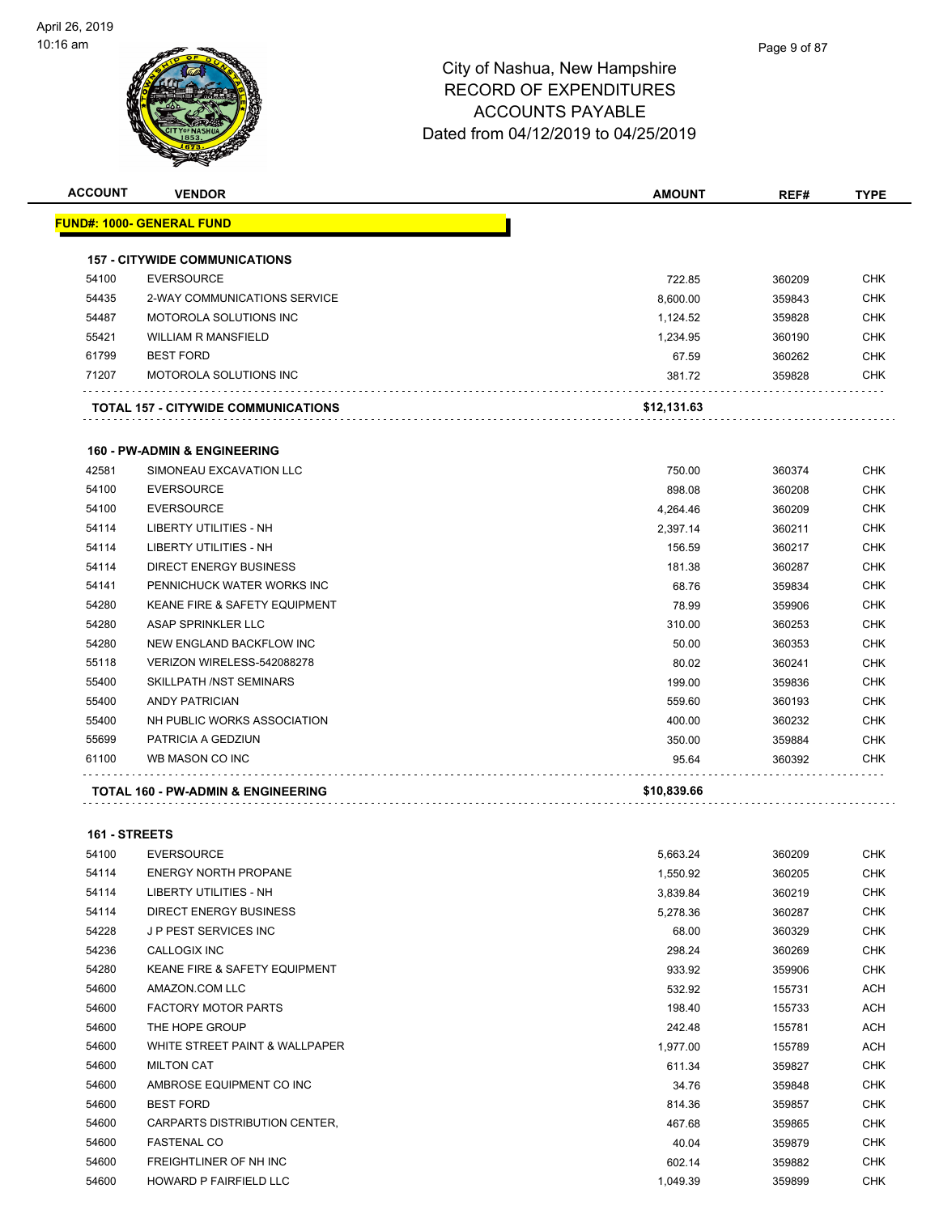

| <b>ACCOUNT</b> | <b>VENDOR</b>                                      | <b>AMOUNT</b> | REF#   | <b>TYPE</b>       |
|----------------|----------------------------------------------------|---------------|--------|-------------------|
|                | <u> FUND#: 1000- GENERAL FUND</u>                  |               |        |                   |
|                | <b>157 - CITYWIDE COMMUNICATIONS</b>               |               |        |                   |
| 54100          | <b>EVERSOURCE</b>                                  | 722.85        | 360209 | <b>CHK</b>        |
| 54435          | 2-WAY COMMUNICATIONS SERVICE                       | 8,600.00      | 359843 | CHK               |
| 54487          | MOTOROLA SOLUTIONS INC                             | 1,124.52      | 359828 | <b>CHK</b>        |
| 55421          | <b>WILLIAM R MANSFIELD</b>                         | 1,234.95      | 360190 | CHK               |
| 61799          | <b>BEST FORD</b>                                   | 67.59         | 360262 | <b>CHK</b>        |
| 71207          | <b>MOTOROLA SOLUTIONS INC</b>                      | 381.72        | 359828 | <b>CHK</b>        |
|                | TOTAL 157 - CITYWIDE COMMUNICATIONS                | \$12,131.63   |        |                   |
|                | <b>160 - PW-ADMIN &amp; ENGINEERING</b>            |               |        |                   |
| 42581          |                                                    |               |        |                   |
|                | SIMONEAU EXCAVATION LLC                            | 750.00        | 360374 | <b>CHK</b>        |
| 54100          | <b>EVERSOURCE</b>                                  | 898.08        | 360208 | <b>CHK</b>        |
| 54100          | <b>EVERSOURCE</b><br><b>LIBERTY UTILITIES - NH</b> | 4,264.46      | 360209 | <b>CHK</b>        |
| 54114          | <b>LIBERTY UTILITIES - NH</b>                      | 2,397.14      | 360211 | CHK<br><b>CHK</b> |
| 54114          |                                                    | 156.59        | 360217 |                   |
| 54114          | <b>DIRECT ENERGY BUSINESS</b>                      | 181.38        | 360287 | <b>CHK</b>        |
| 54141          | PENNICHUCK WATER WORKS INC                         | 68.76         | 359834 | CHK               |
| 54280          | <b>KEANE FIRE &amp; SAFETY EQUIPMENT</b>           | 78.99         | 359906 | <b>CHK</b>        |
| 54280          | ASAP SPRINKLER LLC                                 | 310.00        | 360253 | <b>CHK</b>        |
| 54280          | NEW ENGLAND BACKFLOW INC                           | 50.00         | 360353 | <b>CHK</b>        |
| 55118          | VERIZON WIRELESS-542088278                         | 80.02         | 360241 | <b>CHK</b>        |
| 55400          | SKILLPATH /NST SEMINARS                            | 199.00        | 359836 | CHK               |
| 55400          | <b>ANDY PATRICIAN</b>                              | 559.60        | 360193 | CHK               |
| 55400          | NH PUBLIC WORKS ASSOCIATION                        | 400.00        | 360232 | CHK               |
| 55699          | PATRICIA A GEDZIUN                                 | 350.00        | 359884 | CHK               |
| 61100          | WB MASON CO INC                                    | 95.64         | 360392 | CHK               |
|                | TOTAL 160 - PW-ADMIN & ENGINEERING                 | \$10,839.66   |        |                   |
| 161 - STREETS  |                                                    |               |        |                   |
| 54100          | <b>EVERSOURCE</b>                                  | 5,663.24      | 360209 | <b>CHK</b>        |
| 54114          | <b>ENERGY NORTH PROPANE</b>                        | 1,550.92      | 360205 | CHK               |
| 54114          | LIBERTY UTILITIES - NH                             | 3,839.84      | 360219 | <b>CHK</b>        |
| 54114          | <b>DIRECT ENERGY BUSINESS</b>                      | 5,278.36      | 360287 | <b>CHK</b>        |
| 54228          | J P PEST SERVICES INC                              | 68.00         | 360329 | <b>CHK</b>        |
| 54236          | CALLOGIX INC                                       | 298.24        | 360269 | <b>CHK</b>        |
| 54280          | KEANE FIRE & SAFETY EQUIPMENT                      | 933.92        | 359906 | <b>CHK</b>        |
| 54600          | AMAZON.COM LLC                                     | 532.92        | 155731 | <b>ACH</b>        |
| 54600          | <b>FACTORY MOTOR PARTS</b>                         | 198.40        | 155733 | <b>ACH</b>        |
| 54600          | THE HOPE GROUP                                     |               |        |                   |
| 54600          | WHITE STREET PAINT & WALLPAPER                     | 242.48        | 155781 | ACH               |
|                |                                                    | 1,977.00      | 155789 | <b>ACH</b>        |
| 54600<br>54600 | <b>MILTON CAT</b>                                  | 611.34        | 359827 | <b>CHK</b>        |
|                | AMBROSE EQUIPMENT CO INC                           | 34.76         | 359848 | <b>CHK</b>        |
| 54600          | <b>BEST FORD</b>                                   | 814.36        | 359857 | <b>CHK</b>        |
| 54600          | CARPARTS DISTRIBUTION CENTER,                      | 467.68        | 359865 | <b>CHK</b>        |
| 54600          | <b>FASTENAL CO</b>                                 | 40.04         | 359879 | <b>CHK</b>        |
| 54600          | FREIGHTLINER OF NH INC                             | 602.14        | 359882 | CHK               |

HOWARD P FAIRFIELD LLC 1,049.39 359899 CHK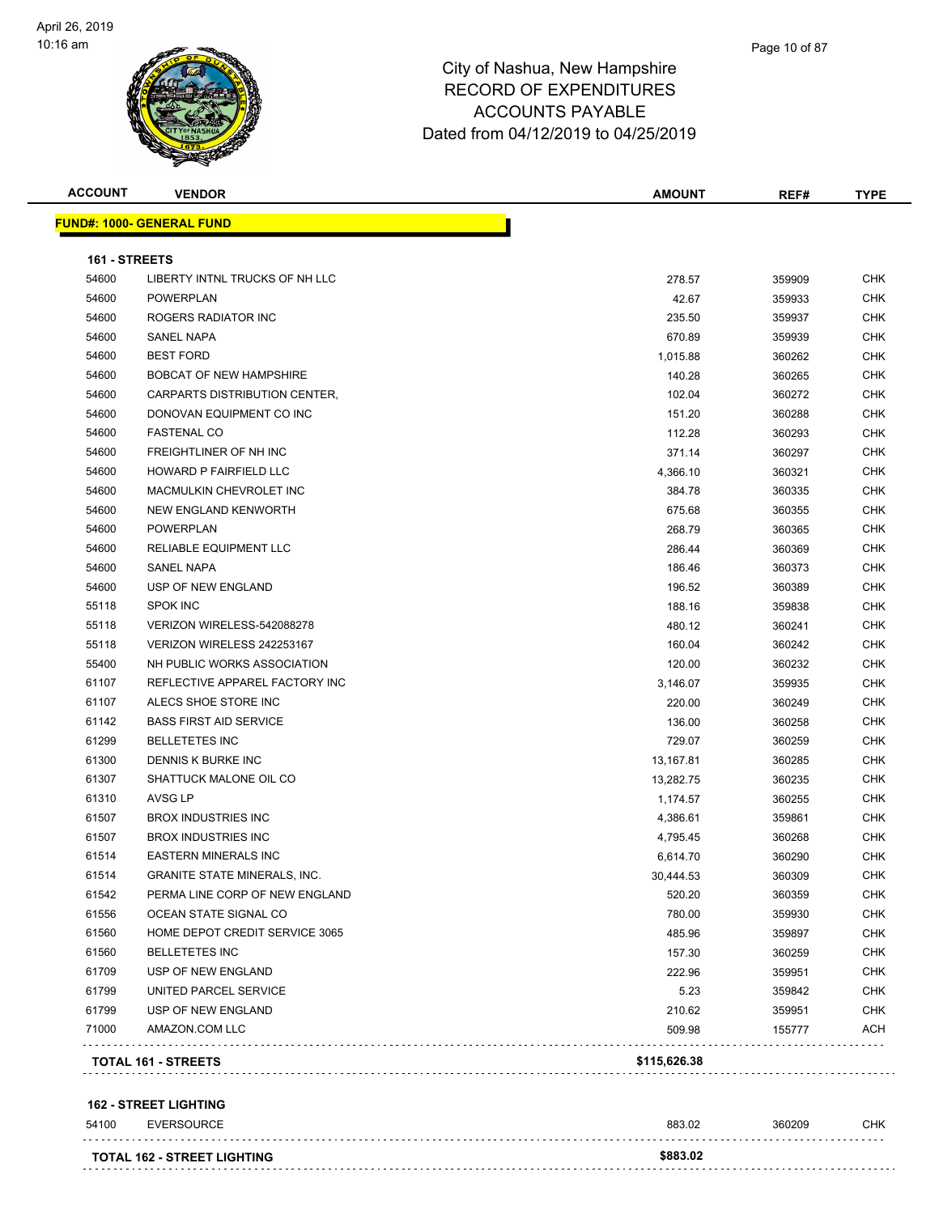

|               | <b>VENDOR</b>                       | <b>AMOUNT</b> | REF#   | <b>TYPE</b> |
|---------------|-------------------------------------|---------------|--------|-------------|
|               | <b>FUND#: 1000- GENERAL FUND</b>    |               |        |             |
| 161 - STREETS |                                     |               |        |             |
| 54600         | LIBERTY INTNL TRUCKS OF NH LLC      | 278.57        | 359909 | CHK         |
| 54600         | <b>POWERPLAN</b>                    | 42.67         | 359933 | <b>CHK</b>  |
| 54600         | ROGERS RADIATOR INC                 | 235.50        | 359937 | CHK         |
| 54600         | <b>SANEL NAPA</b>                   | 670.89        | 359939 | <b>CHK</b>  |
| 54600         | <b>BEST FORD</b>                    | 1,015.88      | 360262 | CHK         |
| 54600         | <b>BOBCAT OF NEW HAMPSHIRE</b>      | 140.28        | 360265 | CHK         |
| 54600         | CARPARTS DISTRIBUTION CENTER.       | 102.04        | 360272 | <b>CHK</b>  |
| 54600         | DONOVAN EQUIPMENT CO INC            | 151.20        | 360288 | <b>CHK</b>  |
| 54600         | <b>FASTENAL CO</b>                  | 112.28        | 360293 | <b>CHK</b>  |
| 54600         | FREIGHTLINER OF NH INC              | 371.14        | 360297 | <b>CHK</b>  |
| 54600         | HOWARD P FAIRFIELD LLC              | 4,366.10      | 360321 | CHK         |
| 54600         | MACMULKIN CHEVROLET INC             | 384.78        | 360335 | CHK         |
| 54600         | NEW ENGLAND KENWORTH                | 675.68        | 360355 | <b>CHK</b>  |
| 54600         | <b>POWERPLAN</b>                    | 268.79        | 360365 | CHK         |
| 54600         | <b>RELIABLE EQUIPMENT LLC</b>       | 286.44        | 360369 | <b>CHK</b>  |
| 54600         | <b>SANEL NAPA</b>                   | 186.46        | 360373 | <b>CHK</b>  |
| 54600         | USP OF NEW ENGLAND                  | 196.52        | 360389 | CHK         |
| 55118         | <b>SPOK INC</b>                     | 188.16        | 359838 | <b>CHK</b>  |
| 55118         | VERIZON WIRELESS-542088278          | 480.12        | 360241 | CHK         |
| 55118         | VERIZON WIRELESS 242253167          | 160.04        | 360242 | CHK         |
| 55400         | NH PUBLIC WORKS ASSOCIATION         | 120.00        | 360232 | CHK         |
| 61107         | REFLECTIVE APPAREL FACTORY INC      | 3,146.07      | 359935 | CHK         |
| 61107         | ALECS SHOE STORE INC                | 220.00        | 360249 | CHK         |
| 61142         | <b>BASS FIRST AID SERVICE</b>       | 136.00        | 360258 | <b>CHK</b>  |
| 61299         | <b>BELLETETES INC</b>               | 729.07        | 360259 | CHK         |
| 61300         | DENNIS K BURKE INC                  | 13,167.81     | 360285 | <b>CHK</b>  |
| 61307         | SHATTUCK MALONE OIL CO              | 13,282.75     | 360235 | CHK         |
| 61310         | AVSG LP                             | 1,174.57      | 360255 | CHK         |
| 61507         | <b>BROX INDUSTRIES INC</b>          | 4,386.61      | 359861 | <b>CHK</b>  |
| 61507         | <b>BROX INDUSTRIES INC</b>          | 4,795.45      | 360268 | CHK         |
| 61514         | <b>EASTERN MINERALS INC</b>         | 6,614.70      | 360290 | CHK         |
| 61514         | <b>GRANITE STATE MINERALS, INC.</b> | 30,444.53     | 360309 | <b>CHK</b>  |
| 61542         | PERMA LINE CORP OF NEW ENGLAND      | 520.20        | 360359 | CHK         |
| 61556         | OCEAN STATE SIGNAL CO               | 780.00        | 359930 | CHK         |
| 61560         | HOME DEPOT CREDIT SERVICE 3065      | 485.96        | 359897 | CHK         |
| 61560         | <b>BELLETETES INC</b>               | 157.30        | 360259 | CHK         |
| 61709         | USP OF NEW ENGLAND                  | 222.96        | 359951 | CHK         |
| 61799         | UNITED PARCEL SERVICE               | 5.23          | 359842 | CHK         |
| 61799         | USP OF NEW ENGLAND                  | 210.62        | 359951 | <b>CHK</b>  |
| 71000         | AMAZON.COM LLC                      | 509.98        | 155777 | <b>ACH</b>  |
|               | <b>TOTAL 161 - STREETS</b>          | \$115,626.38  |        |             |

| 54100 | <b>EVERSOURCE</b>                  | 883.02   | 360209 | СНК |
|-------|------------------------------------|----------|--------|-----|
|       |                                    |          |        |     |
|       | <b>TOTAL 162 - STREET LIGHTING</b> | \$883.02 |        |     |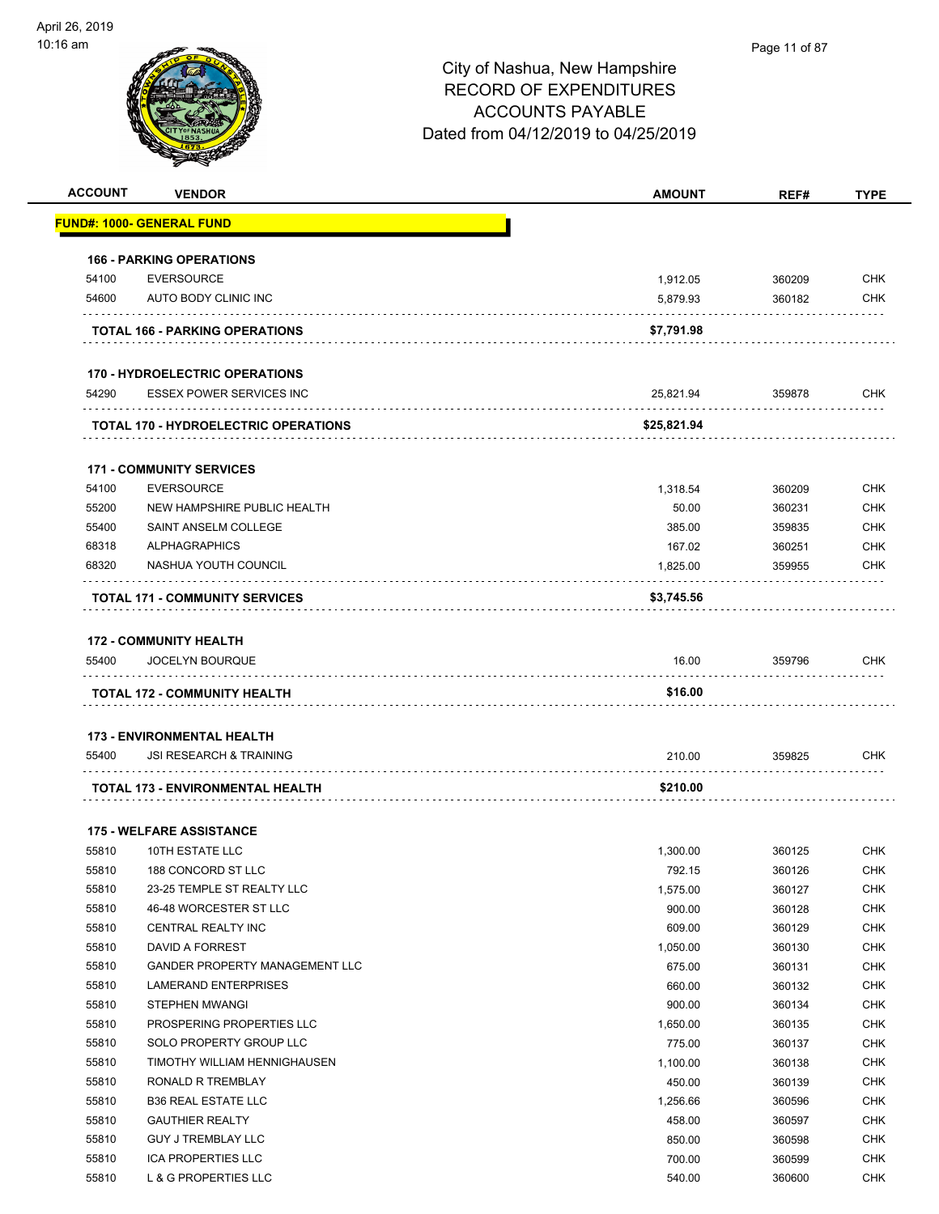

| <b>ACCOUNT</b> | <b>VENDOR</b>                               | <b>AMOUNT</b> | REF#   | <b>TYPE</b> |
|----------------|---------------------------------------------|---------------|--------|-------------|
|                | <u> FUND#: 1000- GENERAL FUND</u>           |               |        |             |
|                |                                             |               |        |             |
|                | <b>166 - PARKING OPERATIONS</b>             |               |        |             |
| 54100          | <b>EVERSOURCE</b>                           | 1,912.05      | 360209 | CHK         |
| 54600          | AUTO BODY CLINIC INC                        | 5,879.93      | 360182 | <b>CHK</b>  |
|                | <b>TOTAL 166 - PARKING OPERATIONS</b>       | \$7,791.98    |        |             |
|                |                                             |               |        |             |
|                | <b>170 - HYDROELECTRIC OPERATIONS</b>       |               |        |             |
| 54290          | <b>ESSEX POWER SERVICES INC</b>             | 25,821.94     | 359878 | CHK         |
|                | <b>TOTAL 170 - HYDROELECTRIC OPERATIONS</b> | \$25,821.94   |        |             |
|                | <b>171 - COMMUNITY SERVICES</b>             |               |        |             |
| 54100          | <b>EVERSOURCE</b>                           | 1,318.54      | 360209 | CHK         |
| 55200          | NEW HAMPSHIRE PUBLIC HEALTH                 | 50.00         | 360231 | <b>CHK</b>  |
| 55400          | SAINT ANSELM COLLEGE                        | 385.00        | 359835 | <b>CHK</b>  |
| 68318          | <b>ALPHAGRAPHICS</b>                        | 167.02        | 360251 | CHK         |
| 68320          | NASHUA YOUTH COUNCIL                        | 1,825.00      | 359955 | CHK         |
|                |                                             |               |        |             |
|                | <b>TOTAL 171 - COMMUNITY SERVICES</b>       | \$3,745.56    |        |             |
|                | <b>172 - COMMUNITY HEALTH</b>               |               |        |             |
| 55400          | JOCELYN BOURQUE                             | 16.00         | 359796 | CHK         |
|                | <b>TOTAL 172 - COMMUNITY HEALTH</b>         | \$16.00       |        |             |
|                |                                             |               |        |             |
|                | <b>173 - ENVIRONMENTAL HEALTH</b>           |               |        |             |
| 55400          | <b>JSI RESEARCH &amp; TRAINING</b>          | 210.00        | 359825 | <b>CHK</b>  |
|                | TOTAL 173 - ENVIRONMENTAL HEALTH            | \$210.00      |        |             |
|                |                                             |               |        |             |
|                | <b>175 - WELFARE ASSISTANCE</b>             |               |        |             |
| 55810          | 10TH ESTATE LLC                             | 1,300.00      | 360125 | CHK         |
| 55810          | 188 CONCORD ST LLC                          | 792.15        | 360126 | <b>CHK</b>  |
| 55810          | 23-25 TEMPLE ST REALTY LLC                  | 1,575.00      | 360127 | <b>CHK</b>  |
| 55810          | 46-48 WORCESTER ST LLC                      | 900.00        | 360128 | <b>CHK</b>  |
| 55810          | <b>CENTRAL REALTY INC</b>                   | 609.00        | 360129 | <b>CHK</b>  |
| 55810          | DAVID A FORREST                             | 1,050.00      | 360130 | CHK         |
| 55810          | GANDER PROPERTY MANAGEMENT LLC              | 675.00        | 360131 | <b>CHK</b>  |
| 55810          | <b>LAMERAND ENTERPRISES</b>                 | 660.00        | 360132 | <b>CHK</b>  |
| 55810          | STEPHEN MWANGI                              | 900.00        | 360134 | <b>CHK</b>  |
| 55810          | PROSPERING PROPERTIES LLC                   | 1,650.00      | 360135 | <b>CHK</b>  |
| 55810          | SOLO PROPERTY GROUP LLC                     | 775.00        | 360137 | <b>CHK</b>  |
| 55810          | TIMOTHY WILLIAM HENNIGHAUSEN                | 1,100.00      | 360138 | <b>CHK</b>  |
| 55810          | RONALD R TREMBLAY                           | 450.00        | 360139 | <b>CHK</b>  |
| 55810          | <b>B36 REAL ESTATE LLC</b>                  | 1,256.66      | 360596 | <b>CHK</b>  |
| 55810          | <b>GAUTHIER REALTY</b>                      | 458.00        | 360597 | <b>CHK</b>  |
| 55810          | <b>GUY J TREMBLAY LLC</b>                   | 850.00        | 360598 | <b>CHK</b>  |
| 55810          | <b>ICA PROPERTIES LLC</b>                   | 700.00        | 360599 | <b>CHK</b>  |
| 55810          | L & G PROPERTIES LLC                        | 540.00        | 360600 | <b>CHK</b>  |
|                |                                             |               |        |             |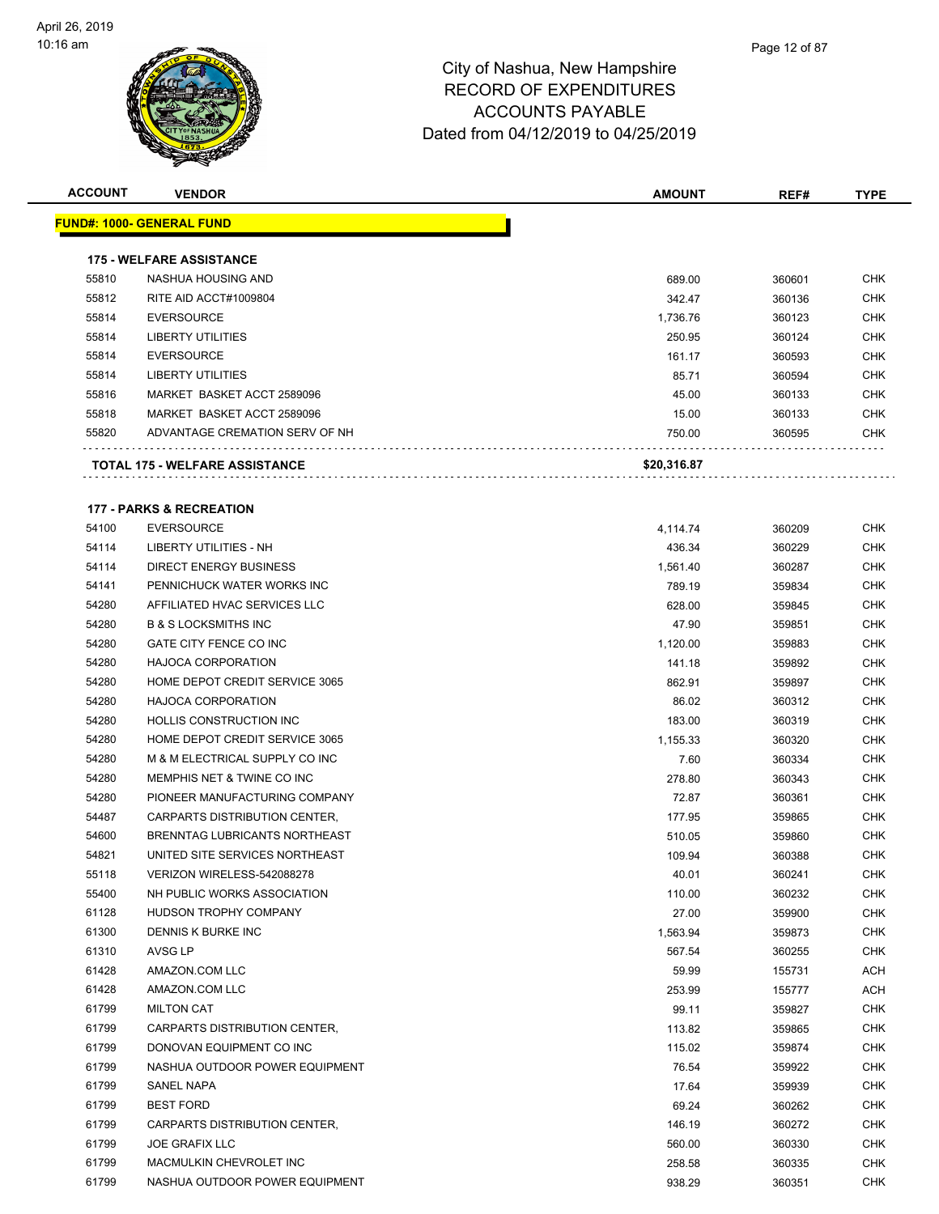

| <b>ACCOUNT</b> | <b>VENDOR</b>                        | <b>AMOUNT</b> | REF#   | <b>TYPE</b> |
|----------------|--------------------------------------|---------------|--------|-------------|
|                | <u> FUND#: 1000- GENERAL FUND</u>    |               |        |             |
|                |                                      |               |        |             |
|                | <b>175 - WELFARE ASSISTANCE</b>      |               |        |             |
| 55810          | NASHUA HOUSING AND                   | 689.00        | 360601 | <b>CHK</b>  |
| 55812          | RITE AID ACCT#1009804                | 342.47        | 360136 | CHK         |
| 55814          | <b>EVERSOURCE</b>                    | 1,736.76      | 360123 | <b>CHK</b>  |
| 55814          | <b>LIBERTY UTILITIES</b>             | 250.95        | 360124 | <b>CHK</b>  |
| 55814          | <b>EVERSOURCE</b>                    | 161.17        | 360593 | <b>CHK</b>  |
| 55814          | <b>LIBERTY UTILITIES</b>             | 85.71         | 360594 | <b>CHK</b>  |
| 55816          | MARKET BASKET ACCT 2589096           | 45.00         | 360133 | <b>CHK</b>  |
| 55818          | MARKET BASKET ACCT 2589096           | 15.00         | 360133 | <b>CHK</b>  |
| 55820          | ADVANTAGE CREMATION SERV OF NH       | 750.00        | 360595 | CHK         |
|                | TOTAL 175 - WELFARE ASSISTANCE       | \$20,316.87   |        |             |
|                | <b>177 - PARKS &amp; RECREATION</b>  |               |        |             |
| 54100          | <b>EVERSOURCE</b>                    | 4,114.74      | 360209 | CHK         |
| 54114          | LIBERTY UTILITIES - NH               | 436.34        | 360229 | <b>CHK</b>  |
| 54114          | <b>DIRECT ENERGY BUSINESS</b>        | 1,561.40      | 360287 | <b>CHK</b>  |
| 54141          | PENNICHUCK WATER WORKS INC           | 789.19        | 359834 | CHK         |
| 54280          | AFFILIATED HVAC SERVICES LLC         | 628.00        | 359845 | <b>CHK</b>  |
| 54280          | <b>B &amp; S LOCKSMITHS INC</b>      | 47.90         | 359851 | <b>CHK</b>  |
| 54280          | GATE CITY FENCE CO INC               | 1,120.00      | 359883 | <b>CHK</b>  |
| 54280          | <b>HAJOCA CORPORATION</b>            | 141.18        | 359892 | <b>CHK</b>  |
| 54280          | HOME DEPOT CREDIT SERVICE 3065       | 862.91        | 359897 | CHK         |
| 54280          | <b>HAJOCA CORPORATION</b>            | 86.02         | 360312 | CHK         |
| 54280          | <b>HOLLIS CONSTRUCTION INC</b>       | 183.00        | 360319 | <b>CHK</b>  |
| 54280          | HOME DEPOT CREDIT SERVICE 3065       | 1,155.33      | 360320 | CHK         |
| 54280          | M & M ELECTRICAL SUPPLY CO INC       | 7.60          | 360334 | <b>CHK</b>  |
| 54280          | MEMPHIS NET & TWINE CO INC           | 278.80        | 360343 | CHK         |
| 54280          | PIONEER MANUFACTURING COMPANY        | 72.87         | 360361 | <b>CHK</b>  |
| 54487          | <b>CARPARTS DISTRIBUTION CENTER.</b> | 177.95        | 359865 | <b>CHK</b>  |
| 54600          | BRENNTAG LUBRICANTS NORTHEAST        | 510.05        | 359860 | <b>CHK</b>  |
| 54821          | UNITED SITE SERVICES NORTHEAST       | 109.94        | 360388 | <b>CHK</b>  |
| 55118          | VERIZON WIRELESS-542088278           | 40.01         | 360241 | CHK         |
| 55400          | NH PUBLIC WORKS ASSOCIATION          | 110.00        | 360232 | CHK         |
| 61128          | HUDSON TROPHY COMPANY                | 27.00         | 359900 | <b>CHK</b>  |
| 61300          | DENNIS K BURKE INC                   | 1,563.94      | 359873 | <b>CHK</b>  |
| 61310          | AVSG LP                              | 567.54        | 360255 | CHK         |
| 61428          | AMAZON.COM LLC                       | 59.99         | 155731 | ACH         |
| 61428          | AMAZON.COM LLC                       | 253.99        | 155777 | <b>ACH</b>  |
| 61799          | <b>MILTON CAT</b>                    | 99.11         | 359827 | <b>CHK</b>  |
| 61799          | CARPARTS DISTRIBUTION CENTER,        | 113.82        | 359865 | <b>CHK</b>  |
| 61799          | DONOVAN EQUIPMENT CO INC             | 115.02        | 359874 | <b>CHK</b>  |
| 61799          | NASHUA OUTDOOR POWER EQUIPMENT       | 76.54         | 359922 | <b>CHK</b>  |
| 61799          | SANEL NAPA                           | 17.64         | 359939 | <b>CHK</b>  |
| 61799          | <b>BEST FORD</b>                     | 69.24         | 360262 | <b>CHK</b>  |
| 61799          | CARPARTS DISTRIBUTION CENTER,        | 146.19        | 360272 | <b>CHK</b>  |
| 61799          | <b>JOE GRAFIX LLC</b>                | 560.00        | 360330 | <b>CHK</b>  |
| 61799          | MACMULKIN CHEVROLET INC              | 258.58        | 360335 | <b>CHK</b>  |
| 61799          | NASHUA OUTDOOR POWER EQUIPMENT       | 938.29        | 360351 | <b>CHK</b>  |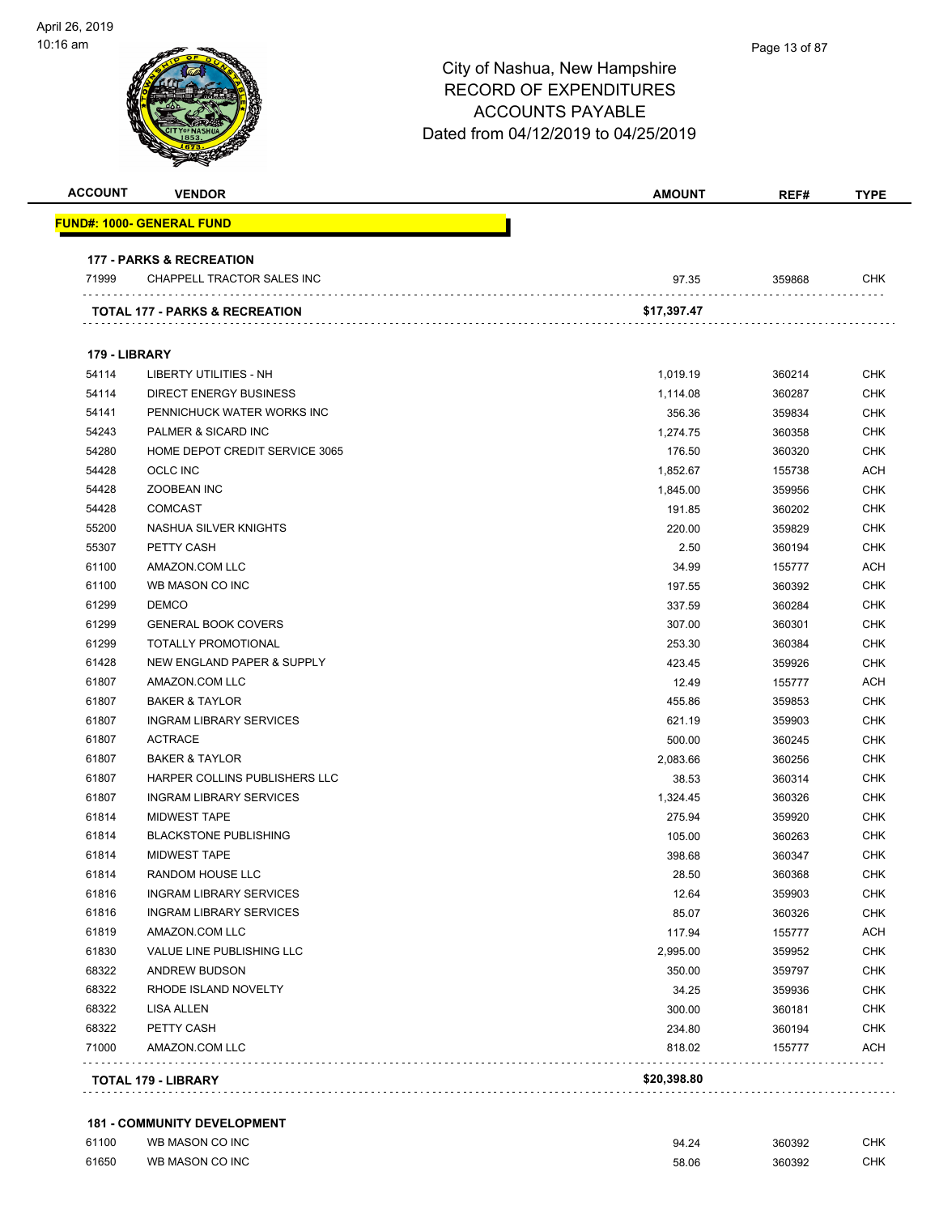| <b>ACCOUNT</b> | <b>VENDOR</b>                       | <b>AMOUNT</b> | REF#   | <b>TYPE</b> |
|----------------|-------------------------------------|---------------|--------|-------------|
|                | FUND#: 1000- GENERAL FUND           |               |        |             |
|                | <b>177 - PARKS &amp; RECREATION</b> |               |        |             |
| 71999          | CHAPPELL TRACTOR SALES INC          | 97.35         | 359868 | CHK         |
|                | TOTAL 177 - PARKS & RECREATION      | \$17,397.47   |        |             |
| 179 - LIBRARY  |                                     |               |        |             |
| 54114          | <b>LIBERTY UTILITIES - NH</b>       | 1,019.19      | 360214 | <b>CHK</b>  |
| 54114          | <b>DIRECT ENERGY BUSINESS</b>       | 1,114.08      | 360287 | <b>CHK</b>  |
| 54141          | PENNICHUCK WATER WORKS INC          | 356.36        | 359834 | <b>CHK</b>  |
| 54243          | PALMER & SICARD INC                 | 1,274.75      | 360358 | <b>CHK</b>  |
| 54280          | HOME DEPOT CREDIT SERVICE 3065      | 176.50        | 360320 | <b>CHK</b>  |
| 54428          | <b>OCLC INC</b>                     | 1,852.67      | 155738 | <b>ACH</b>  |
| 54428          | <b>ZOOBEAN INC</b>                  | 1,845.00      | 359956 | <b>CHK</b>  |
| 54428          | <b>COMCAST</b>                      | 191.85        | 360202 | <b>CHK</b>  |
| 55200          | NASHUA SILVER KNIGHTS               | 220.00        | 359829 | <b>CHK</b>  |
| 55307          | PETTY CASH                          | 2.50          | 360194 | <b>CHK</b>  |
| 61100          | AMAZON.COM LLC                      | 34.99         | 155777 | ACH         |
| 61100          | WB MASON CO INC                     | 197.55        | 360392 | <b>CHK</b>  |
| 61299          | <b>DEMCO</b>                        | 337.59        | 360284 | <b>CHK</b>  |
| 61299          | <b>GENERAL BOOK COVERS</b>          | 307.00        | 360301 | <b>CHK</b>  |
| 61299          | <b>TOTALLY PROMOTIONAL</b>          | 253.30        | 360384 | <b>CHK</b>  |
| 61428          | NEW ENGLAND PAPER & SUPPLY          | 423.45        | 359926 | <b>CHK</b>  |
| 61807          | AMAZON.COM LLC                      | 12.49         | 155777 | <b>ACH</b>  |
| 61807          | <b>BAKER &amp; TAYLOR</b>           | 455.86        | 359853 | <b>CHK</b>  |
| 61807          | <b>INGRAM LIBRARY SERVICES</b>      | 621.19        | 359903 | <b>CHK</b>  |
| 61807          | <b>ACTRACE</b>                      | 500.00        | 360245 | <b>CHK</b>  |
| 61807          | <b>BAKER &amp; TAYLOR</b>           | 2,083.66      | 360256 | <b>CHK</b>  |
| 61807          | HARPER COLLINS PUBLISHERS LLC       | 38.53         | 360314 | <b>CHK</b>  |
| 61807          | <b>INGRAM LIBRARY SERVICES</b>      | 1,324.45      | 360326 | <b>CHK</b>  |
| 61814          | <b>MIDWEST TAPE</b>                 | 275.94        | 359920 | <b>CHK</b>  |
| 61814          | <b>BLACKSTONE PUBLISHING</b>        | 105.00        | 360263 | <b>CHK</b>  |
| 61814          | <b>MIDWEST TAPE</b>                 | 398.68        | 360347 | <b>CHK</b>  |
| 61814          | RANDOM HOUSE LLC                    | 28.50         | 360368 | <b>CHK</b>  |
| 61816          | <b>INGRAM LIBRARY SERVICES</b>      | 12.64         | 359903 | <b>CHK</b>  |
| 61816          | <b>INGRAM LIBRARY SERVICES</b>      | 85.07         | 360326 | <b>CHK</b>  |
| 61819          | AMAZON.COM LLC                      | 117.94        | 155777 | <b>ACH</b>  |
| 61830          | VALUE LINE PUBLISHING LLC           | 2,995.00      | 359952 | <b>CHK</b>  |
| 68322          | ANDREW BUDSON                       | 350.00        | 359797 | <b>CHK</b>  |
| 68322          | RHODE ISLAND NOVELTY                | 34.25         | 359936 | <b>CHK</b>  |
| 68322          | LISA ALLEN                          | 300.00        | 360181 | <b>CHK</b>  |
| 68322          | PETTY CASH                          | 234.80        | 360194 | <b>CHK</b>  |
| 71000          | AMAZON.COM LLC                      | 818.02        | 155777 | <b>ACH</b>  |

#### **181 - COMMUNITY DEVELOPMENT**

| 61100 | WB MASON CO INC | 94.24 | 360392 | СНК |
|-------|-----------------|-------|--------|-----|
| 61650 | WB MASON CO INC | 58.06 | 360392 | СНК |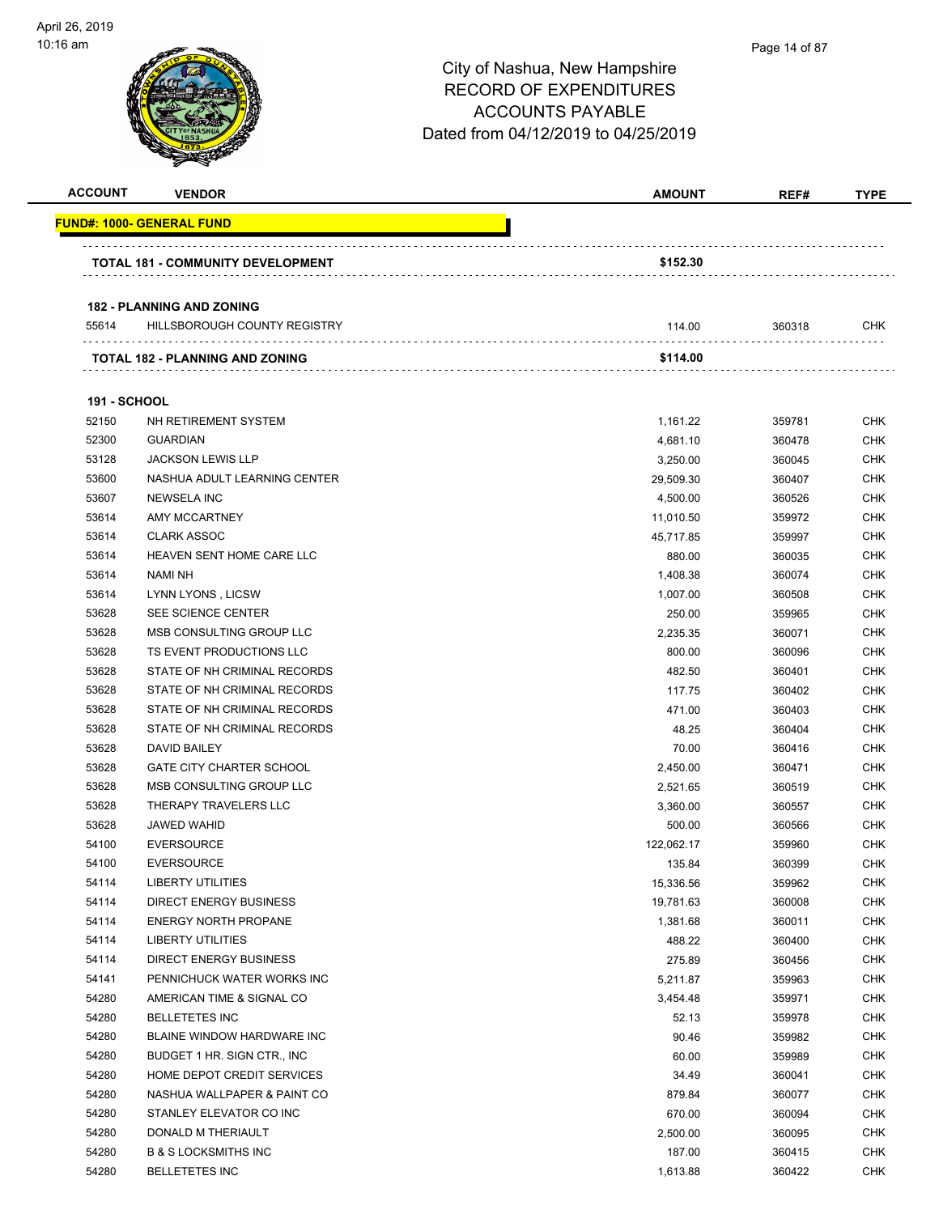| <b>ACCOUNT</b>               | <b>VENDOR</b>                            | <b>AMOUNT</b>        | REF#             | <b>TYPE</b>              |
|------------------------------|------------------------------------------|----------------------|------------------|--------------------------|
|                              | <u> FUND#: 1000- GENERAL FUND</u>        |                      |                  |                          |
|                              | <b>TOTAL 181 - COMMUNITY DEVELOPMENT</b> | \$152.30             |                  |                          |
|                              |                                          |                      |                  |                          |
|                              | <b>182 - PLANNING AND ZONING</b>         |                      |                  |                          |
| 55614                        | HILLSBOROUGH COUNTY REGISTRY             | 114.00               | 360318           | CHK                      |
|                              | <b>TOTAL 182 - PLANNING AND ZONING</b>   | \$114.00             |                  |                          |
|                              |                                          |                      |                  |                          |
| <b>191 - SCHOOL</b><br>52150 | NH RETIREMENT SYSTEM                     |                      | 359781           | <b>CHK</b>               |
| 52300                        | <b>GUARDIAN</b>                          | 1,161.22             |                  | <b>CHK</b>               |
| 53128                        | <b>JACKSON LEWIS LLP</b>                 | 4,681.10             | 360478           | <b>CHK</b>               |
| 53600                        | NASHUA ADULT LEARNING CENTER             | 3,250.00             | 360045           | <b>CHK</b>               |
| 53607                        | <b>NEWSELA INC</b>                       | 29,509.30            | 360407           |                          |
| 53614                        | <b>AMY MCCARTNEY</b>                     | 4,500.00             | 360526           | <b>CHK</b><br><b>CHK</b> |
| 53614                        | <b>CLARK ASSOC</b>                       | 11,010.50            | 359972           | <b>CHK</b>               |
| 53614                        | HEAVEN SENT HOME CARE LLC                | 45,717.85            | 359997           | <b>CHK</b>               |
| 53614                        | <b>NAMI NH</b>                           | 880.00               | 360035<br>360074 | <b>CHK</b>               |
| 53614                        | LYNN LYONS, LICSW                        | 1,408.38<br>1,007.00 | 360508           | <b>CHK</b>               |
| 53628                        | SEE SCIENCE CENTER                       | 250.00               | 359965           | <b>CHK</b>               |
| 53628                        | MSB CONSULTING GROUP LLC                 | 2,235.35             | 360071           | <b>CHK</b>               |
| 53628                        | TS EVENT PRODUCTIONS LLC                 | 800.00               | 360096           | <b>CHK</b>               |
| 53628                        | STATE OF NH CRIMINAL RECORDS             | 482.50               | 360401           | <b>CHK</b>               |
| 53628                        | STATE OF NH CRIMINAL RECORDS             | 117.75               | 360402           | <b>CHK</b>               |
| 53628                        | STATE OF NH CRIMINAL RECORDS             | 471.00               | 360403           | <b>CHK</b>               |
| 53628                        | STATE OF NH CRIMINAL RECORDS             | 48.25                | 360404           | <b>CHK</b>               |
| 53628                        | DAVID BAILEY                             | 70.00                | 360416           | <b>CHK</b>               |
| 53628                        | <b>GATE CITY CHARTER SCHOOL</b>          | 2,450.00             | 360471           | <b>CHK</b>               |
| 53628                        | MSB CONSULTING GROUP LLC                 | 2,521.65             | 360519           | <b>CHK</b>               |
| 53628                        | THERAPY TRAVELERS LLC                    | 3,360.00             | 360557           | CHK                      |
| 53628                        | <b>JAWED WAHID</b>                       | 500.00               | 360566           | <b>CHK</b>               |
| 54100                        | <b>EVERSOURCE</b>                        | 122,062.17           |                  | <b>CHK</b>               |
| 54100                        | <b>EVERSOURCE</b>                        | 135.84               | 359960<br>360399 | <b>CHK</b>               |
| 54114                        | LIBERTY UTILITIES                        | 15,336.56            | 359962           | <b>CHK</b>               |
| 54114                        | <b>DIRECT ENERGY BUSINESS</b>            | 19,781.63            | 360008           | <b>CHK</b>               |
| 54114                        | <b>ENERGY NORTH PROPANE</b>              | 1,381.68             | 360011           | <b>CHK</b>               |
| 54114                        | LIBERTY UTILITIES                        | 488.22               | 360400           | <b>CHK</b>               |
| 54114                        | <b>DIRECT ENERGY BUSINESS</b>            | 275.89               | 360456           | <b>CHK</b>               |
| 54141                        | PENNICHUCK WATER WORKS INC               | 5,211.87             | 359963           | <b>CHK</b>               |
| 54280                        | AMERICAN TIME & SIGNAL CO                | 3,454.48             | 359971           | <b>CHK</b>               |
| 54280                        | <b>BELLETETES INC</b>                    | 52.13                | 359978           | <b>CHK</b>               |
| 54280                        | BLAINE WINDOW HARDWARE INC               | 90.46                | 359982           | <b>CHK</b>               |
| 54280                        | BUDGET 1 HR. SIGN CTR., INC.             | 60.00                | 359989           | <b>CHK</b>               |
| 54280                        | HOME DEPOT CREDIT SERVICES               |                      |                  | <b>CHK</b>               |
| 54280                        | NASHUA WALLPAPER & PAINT CO              | 34.49<br>879.84      | 360041<br>360077 | <b>CHK</b>               |
| 54280                        | STANLEY ELEVATOR CO INC                  | 670.00               | 360094           | <b>CHK</b>               |
| 54280                        | DONALD M THERIAULT                       | 2,500.00             | 360095           | CHK                      |
| 54280                        | <b>B &amp; S LOCKSMITHS INC</b>          | 187.00               |                  | <b>CHK</b>               |
|                              | <b>BELLETETES INC</b>                    |                      | 360415           | <b>CHK</b>               |
| 54280                        |                                          | 1,613.88             | 360422           |                          |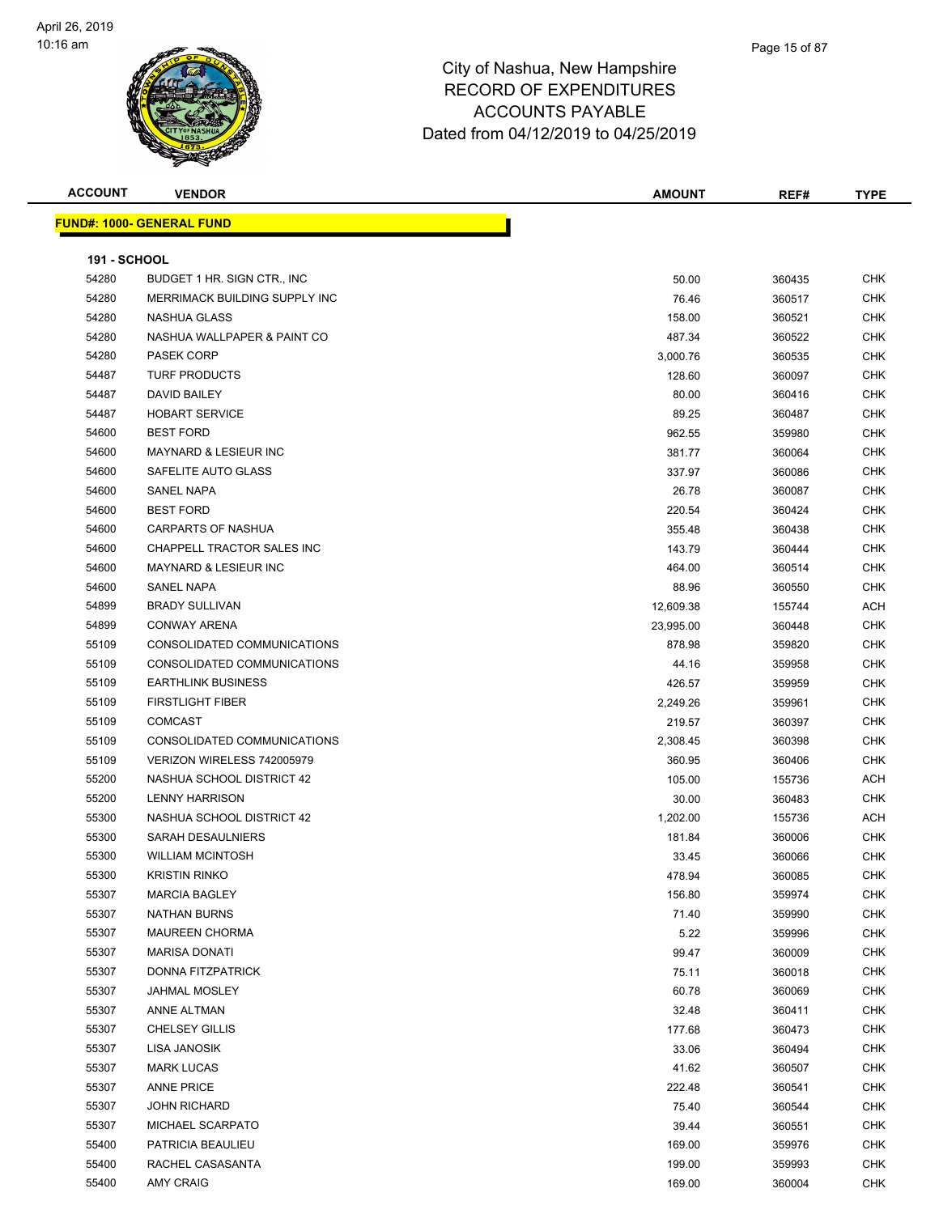

| <b>ACCOUNT</b>      | <b>VENDOR</b>                          | <b>AMOUNT</b>   | REF#             | <b>TYPE</b> |
|---------------------|----------------------------------------|-----------------|------------------|-------------|
|                     | <u> FUND#: 1000- GENERAL FUND</u>      |                 |                  |             |
|                     |                                        |                 |                  |             |
| <b>191 - SCHOOL</b> |                                        |                 |                  |             |
| 54280               | BUDGET 1 HR. SIGN CTR., INC            | 50.00           | 360435           | <b>CHK</b>  |
| 54280               | MERRIMACK BUILDING SUPPLY INC          | 76.46           | 360517           | CHK         |
| 54280               | NASHUA GLASS                           | 158.00          | 360521           | <b>CHK</b>  |
| 54280               | NASHUA WALLPAPER & PAINT CO            | 487.34          | 360522           | <b>CHK</b>  |
| 54280               | <b>PASEK CORP</b>                      | 3,000.76        | 360535           | <b>CHK</b>  |
| 54487               | <b>TURF PRODUCTS</b>                   | 128.60          | 360097           | CHK         |
| 54487               | DAVID BAILEY                           | 80.00           | 360416           | CHK         |
| 54487               | <b>HOBART SERVICE</b>                  | 89.25           | 360487           | CHK         |
| 54600               | <b>BEST FORD</b>                       | 962.55          | 359980           | <b>CHK</b>  |
| 54600               | <b>MAYNARD &amp; LESIEUR INC</b>       | 381.77          | 360064           | <b>CHK</b>  |
| 54600               | SAFELITE AUTO GLASS                    | 337.97          | 360086           | <b>CHK</b>  |
| 54600               | SANEL NAPA                             | 26.78           | 360087           | <b>CHK</b>  |
| 54600               | <b>BEST FORD</b>                       | 220.54          | 360424           | CHK         |
| 54600               | <b>CARPARTS OF NASHUA</b>              | 355.48          | 360438           | CHK         |
| 54600               | CHAPPELL TRACTOR SALES INC             | 143.79          | 360444           | CHK         |
| 54600               | <b>MAYNARD &amp; LESIEUR INC</b>       | 464.00          | 360514           | <b>CHK</b>  |
| 54600               | SANEL NAPA                             | 88.96           | 360550           | CHK         |
| 54899               | <b>BRADY SULLIVAN</b>                  | 12,609.38       | 155744           | ACH         |
| 54899               | <b>CONWAY ARENA</b>                    | 23,995.00       | 360448           | CHK         |
| 55109               | CONSOLIDATED COMMUNICATIONS            | 878.98          | 359820           | <b>CHK</b>  |
| 55109               | CONSOLIDATED COMMUNICATIONS            | 44.16           | 359958           | <b>CHK</b>  |
| 55109               | <b>EARTHLINK BUSINESS</b>              | 426.57          | 359959           | <b>CHK</b>  |
| 55109               | <b>FIRSTLIGHT FIBER</b>                | 2,249.26        | 359961           | <b>CHK</b>  |
| 55109               | <b>COMCAST</b>                         | 219.57          | 360397           | <b>CHK</b>  |
| 55109               | CONSOLIDATED COMMUNICATIONS            | 2,308.45        | 360398           | CHK         |
| 55109               | VERIZON WIRELESS 742005979             | 360.95          | 360406           | CHK         |
| 55200               | NASHUA SCHOOL DISTRICT 42              | 105.00          | 155736           | <b>ACH</b>  |
| 55200               | <b>LENNY HARRISON</b>                  | 30.00           | 360483           | <b>CHK</b>  |
| 55300               | NASHUA SCHOOL DISTRICT 42              | 1,202.00        | 155736           | ACH         |
| 55300               | <b>SARAH DESAULNIERS</b>               | 181.84          | 360006           | <b>CHK</b>  |
| 55300               | <b>WILLIAM MCINTOSH</b>                | 33.45           | 360066           | <b>CHK</b>  |
| 55300               | <b>KRISTIN RINKO</b>                   | 478.94          | 360085           | <b>CHK</b>  |
| 55307               | <b>MARCIA BAGLEY</b>                   | 156.80          | 359974           | CHK         |
| 55307               | <b>NATHAN BURNS</b>                    | 71.40           | 359990           | CHK         |
| 55307               | <b>MAUREEN CHORMA</b>                  | 5.22            | 359996           | <b>CHK</b>  |
| 55307               | <b>MARISA DONATI</b>                   | 99.47           | 360009           | <b>CHK</b>  |
| 55307               | DONNA FITZPATRICK                      | 75.11           | 360018           | <b>CHK</b>  |
| 55307               | JAHMAL MOSLEY                          | 60.78           | 360069           | <b>CHK</b>  |
| 55307               | ANNE ALTMAN                            | 32.48           | 360411           | <b>CHK</b>  |
| 55307               | <b>CHELSEY GILLIS</b>                  | 177.68          | 360473           | <b>CHK</b>  |
| 55307               | LISA JANOSIK                           | 33.06           | 360494           | <b>CHK</b>  |
|                     |                                        |                 |                  |             |
| 55307<br>55307      | <b>MARK LUCAS</b><br><b>ANNE PRICE</b> | 41.62<br>222.48 | 360507           | CHK<br>CHK  |
| 55307               | JOHN RICHARD                           | 75.40           | 360541           | <b>CHK</b>  |
| 55307               | MICHAEL SCARPATO                       | 39.44           | 360544           | CHK         |
| 55400               | PATRICIA BEAULIEU                      | 169.00          | 360551<br>359976 | <b>CHK</b>  |
| 55400               | RACHEL CASASANTA                       | 199.00          |                  | CHK         |
| 55400               | <b>AMY CRAIG</b>                       |                 | 359993           |             |
|                     |                                        | 169.00          | 360004           | <b>CHK</b>  |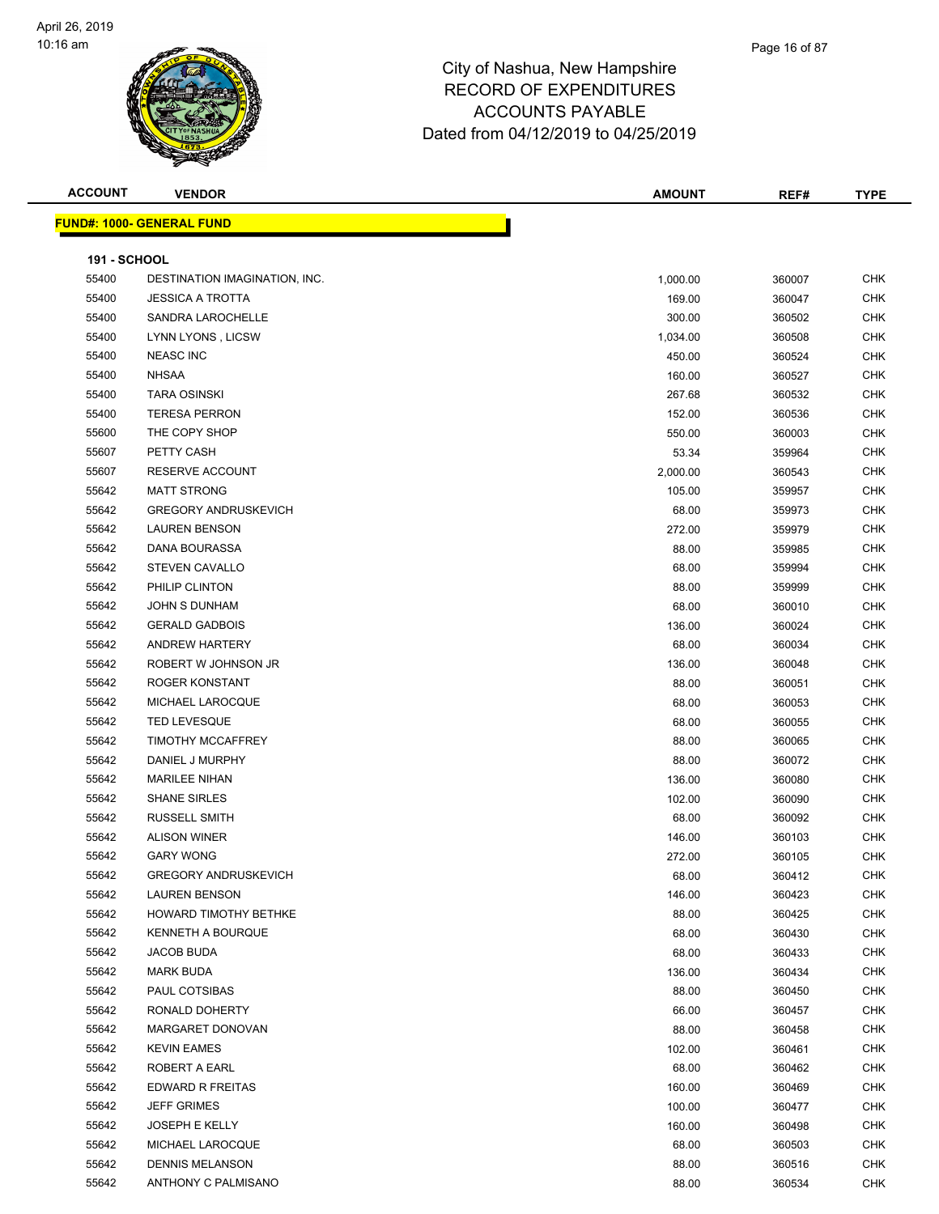

#### Page 16 of 87

| <b>ACCOUNT</b>      | <b>VENDOR</b>                    | <b>AMOUNT</b> | REF#   | <b>TYPE</b> |
|---------------------|----------------------------------|---------------|--------|-------------|
|                     | <b>FUND#: 1000- GENERAL FUND</b> |               |        |             |
|                     |                                  |               |        |             |
| <b>191 - SCHOOL</b> |                                  |               |        |             |
| 55400               | DESTINATION IMAGINATION, INC.    | 1,000.00      | 360007 | <b>CHK</b>  |
| 55400               | <b>JESSICA A TROTTA</b>          | 169.00        | 360047 | <b>CHK</b>  |
| 55400               | SANDRA LAROCHELLE                | 300.00        | 360502 | <b>CHK</b>  |
| 55400               | LYNN LYONS, LICSW                | 1,034.00      | 360508 | <b>CHK</b>  |
| 55400               | <b>NEASC INC</b>                 | 450.00        | 360524 | <b>CHK</b>  |
| 55400               | <b>NHSAA</b>                     | 160.00        | 360527 | <b>CHK</b>  |
| 55400               | <b>TARA OSINSKI</b>              | 267.68        | 360532 | <b>CHK</b>  |
| 55400               | <b>TERESA PERRON</b>             | 152.00        | 360536 | <b>CHK</b>  |
| 55600               | THE COPY SHOP                    | 550.00        | 360003 | <b>CHK</b>  |
| 55607               | PETTY CASH                       | 53.34         | 359964 | <b>CHK</b>  |
| 55607               | RESERVE ACCOUNT                  | 2,000.00      | 360543 | <b>CHK</b>  |
| 55642               | <b>MATT STRONG</b>               | 105.00        | 359957 | <b>CHK</b>  |
| 55642               | <b>GREGORY ANDRUSKEVICH</b>      | 68.00         | 359973 | <b>CHK</b>  |
| 55642               | <b>LAUREN BENSON</b>             | 272.00        | 359979 | <b>CHK</b>  |
| 55642               | DANA BOURASSA                    | 88.00         | 359985 | <b>CHK</b>  |
| 55642               | <b>STEVEN CAVALLO</b>            | 68.00         | 359994 | <b>CHK</b>  |
| 55642               | PHILIP CLINTON                   | 88.00         | 359999 | <b>CHK</b>  |
| 55642               | JOHN S DUNHAM                    | 68.00         | 360010 | <b>CHK</b>  |
| 55642               | <b>GERALD GADBOIS</b>            | 136.00        | 360024 | <b>CHK</b>  |
| 55642               | <b>ANDREW HARTERY</b>            | 68.00         | 360034 | <b>CHK</b>  |
| 55642               | ROBERT W JOHNSON JR              | 136.00        | 360048 | <b>CHK</b>  |
| 55642               | ROGER KONSTANT                   | 88.00         | 360051 | <b>CHK</b>  |
| 55642               | MICHAEL LAROCQUE                 | 68.00         | 360053 | <b>CHK</b>  |
| 55642               | <b>TED LEVESQUE</b>              | 68.00         | 360055 | <b>CHK</b>  |
| 55642               | <b>TIMOTHY MCCAFFREY</b>         | 88.00         | 360065 | <b>CHK</b>  |
| 55642               | DANIEL J MURPHY                  | 88.00         | 360072 | <b>CHK</b>  |
| 55642               | <b>MARILEE NIHAN</b>             | 136.00        | 360080 | <b>CHK</b>  |
| 55642               | <b>SHANE SIRLES</b>              | 102.00        | 360090 | <b>CHK</b>  |
| 55642               | <b>RUSSELL SMITH</b>             | 68.00         | 360092 | <b>CHK</b>  |
| 55642               | <b>ALISON WINER</b>              | 146.00        | 360103 | <b>CHK</b>  |
| 55642               | <b>GARY WONG</b>                 | 272.00        | 360105 | <b>CHK</b>  |
| 55642               | <b>GREGORY ANDRUSKEVICH</b>      | 68.00         | 360412 | <b>CHK</b>  |
| 55642               | <b>LAUREN BENSON</b>             | 146.00        | 360423 | <b>CHK</b>  |
| 55642               | HOWARD TIMOTHY BETHKE            | 88.00         | 360425 | <b>CHK</b>  |
| 55642               | KENNETH A BOURQUE                | 68.00         | 360430 | <b>CHK</b>  |
| 55642               | JACOB BUDA                       | 68.00         | 360433 | CHK         |
| 55642               | <b>MARK BUDA</b>                 | 136.00        | 360434 | <b>CHK</b>  |
| 55642               | PAUL COTSIBAS                    | 88.00         | 360450 | <b>CHK</b>  |
| 55642               | RONALD DOHERTY                   | 66.00         | 360457 | <b>CHK</b>  |
| 55642               | MARGARET DONOVAN                 | 88.00         | 360458 | <b>CHK</b>  |
| 55642               | <b>KEVIN EAMES</b>               | 102.00        | 360461 | <b>CHK</b>  |
| 55642               | ROBERT A EARL                    | 68.00         | 360462 | <b>CHK</b>  |
| 55642               | EDWARD R FREITAS                 | 160.00        | 360469 | <b>CHK</b>  |
| 55642               | <b>JEFF GRIMES</b>               | 100.00        | 360477 | <b>CHK</b>  |
| 55642               | <b>JOSEPH E KELLY</b>            | 160.00        | 360498 | <b>CHK</b>  |
| 55642               | MICHAEL LAROCQUE                 | 68.00         | 360503 | <b>CHK</b>  |
| 55642               | <b>DENNIS MELANSON</b>           | 88.00         | 360516 | CHK         |
| 55642               | ANTHONY C PALMISANO              | 88.00         | 360534 | <b>CHK</b>  |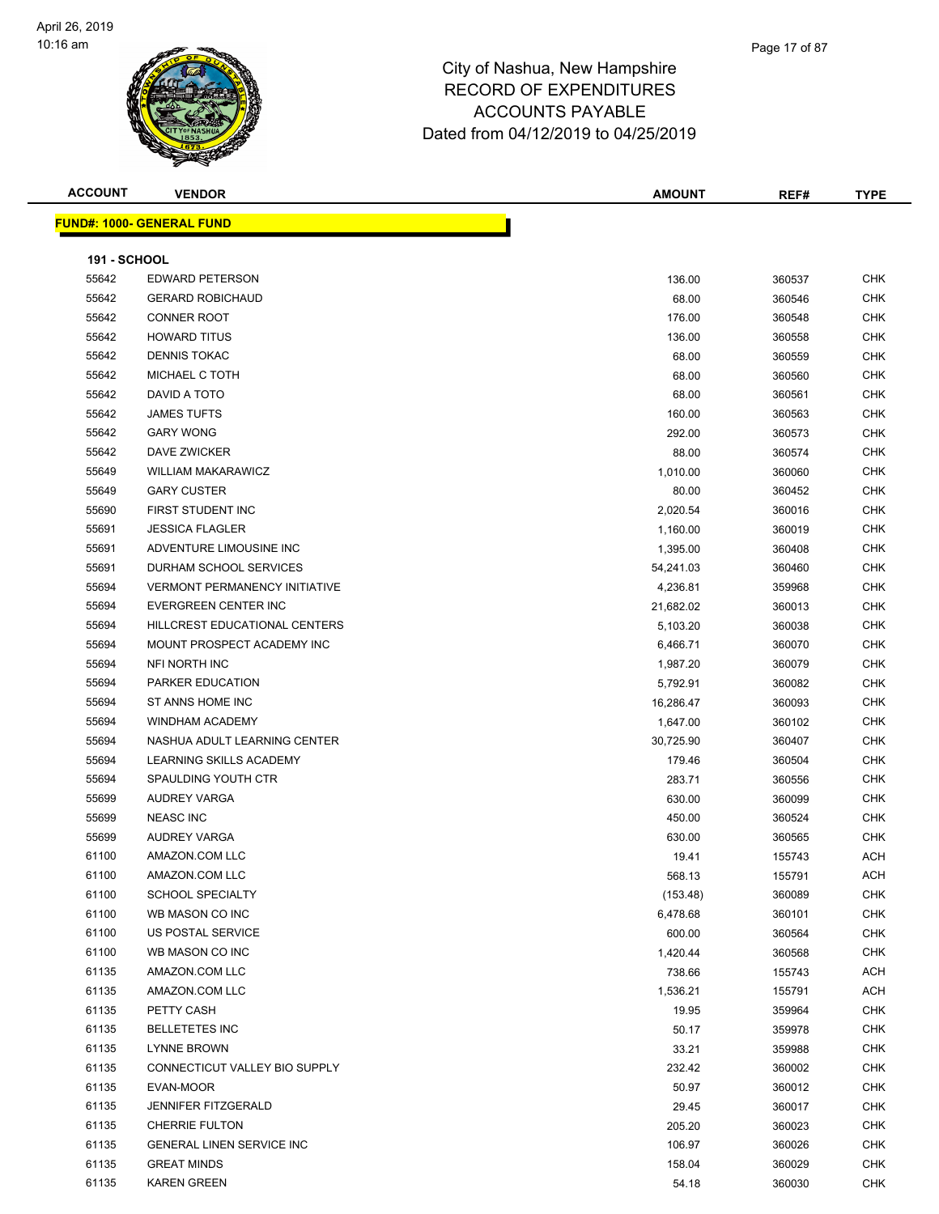

| <b>ACCOUNT</b>      | <b>VENDOR</b>                        | <b>AMOUNT</b> | REF#   | TYPE       |
|---------------------|--------------------------------------|---------------|--------|------------|
|                     | <u> FUND#: 1000- GENERAL FUND</u>    |               |        |            |
|                     |                                      |               |        |            |
| <b>191 - SCHOOL</b> |                                      |               |        |            |
| 55642               | <b>EDWARD PETERSON</b>               | 136.00        | 360537 | CHK        |
| 55642               | <b>GERARD ROBICHAUD</b>              | 68.00         | 360546 | <b>CHK</b> |
| 55642               | <b>CONNER ROOT</b>                   | 176.00        | 360548 | <b>CHK</b> |
| 55642               | <b>HOWARD TITUS</b>                  | 136.00        | 360558 | <b>CHK</b> |
| 55642               | <b>DENNIS TOKAC</b>                  | 68.00         | 360559 | <b>CHK</b> |
| 55642               | MICHAEL C TOTH                       | 68.00         | 360560 | <b>CHK</b> |
| 55642               | DAVID A TOTO                         | 68.00         | 360561 | <b>CHK</b> |
| 55642               | <b>JAMES TUFTS</b>                   | 160.00        | 360563 | <b>CHK</b> |
| 55642               | <b>GARY WONG</b>                     | 292.00        | 360573 | <b>CHK</b> |
| 55642               | DAVE ZWICKER                         | 88.00         | 360574 | <b>CHK</b> |
| 55649               | <b>WILLIAM MAKARAWICZ</b>            | 1,010.00      | 360060 | <b>CHK</b> |
| 55649               | <b>GARY CUSTER</b>                   | 80.00         | 360452 | <b>CHK</b> |
| 55690               | FIRST STUDENT INC                    | 2,020.54      | 360016 | <b>CHK</b> |
| 55691               | <b>JESSICA FLAGLER</b>               | 1,160.00      | 360019 | <b>CHK</b> |
| 55691               | ADVENTURE LIMOUSINE INC              | 1,395.00      | 360408 | <b>CHK</b> |
| 55691               | DURHAM SCHOOL SERVICES               | 54,241.03     | 360460 | <b>CHK</b> |
| 55694               | <b>VERMONT PERMANENCY INITIATIVE</b> | 4,236.81      | 359968 | <b>CHK</b> |
| 55694               | EVERGREEN CENTER INC                 | 21,682.02     | 360013 | <b>CHK</b> |
| 55694               | HILLCREST EDUCATIONAL CENTERS        | 5,103.20      | 360038 | CHK        |
| 55694               | MOUNT PROSPECT ACADEMY INC           | 6,466.71      | 360070 | <b>CHK</b> |
| 55694               | NFI NORTH INC                        | 1,987.20      | 360079 | <b>CHK</b> |
| 55694               | PARKER EDUCATION                     | 5,792.91      | 360082 | CHK        |
| 55694               | ST ANNS HOME INC                     | 16,286.47     | 360093 | <b>CHK</b> |
| 55694               | <b>WINDHAM ACADEMY</b>               | 1,647.00      | 360102 | <b>CHK</b> |
| 55694               | NASHUA ADULT LEARNING CENTER         | 30,725.90     | 360407 | <b>CHK</b> |
| 55694               | LEARNING SKILLS ACADEMY              | 179.46        | 360504 | <b>CHK</b> |
| 55694               | SPAULDING YOUTH CTR                  | 283.71        | 360556 | <b>CHK</b> |
| 55699               | AUDREY VARGA                         | 630.00        | 360099 | <b>CHK</b> |
| 55699               | <b>NEASC INC</b>                     | 450.00        | 360524 | <b>CHK</b> |
| 55699               | <b>AUDREY VARGA</b>                  | 630.00        | 360565 | <b>CHK</b> |
| 61100               | AMAZON.COM LLC                       | 19.41         | 155743 | ACH        |
| 61100               | AMAZON.COM LLC                       | 568.13        | 155791 | <b>ACH</b> |
| 61100               | <b>SCHOOL SPECIALTY</b>              | (153.48)      | 360089 | CHK        |
| 61100               | WB MASON CO INC                      | 6,478.68      | 360101 | CHK        |
| 61100               | <b>US POSTAL SERVICE</b>             | 600.00        | 360564 | CHK        |
| 61100               | WB MASON CO INC                      | 1,420.44      | 360568 | CHK        |
| 61135               | AMAZON.COM LLC                       | 738.66        | 155743 | ACH        |
| 61135               | AMAZON.COM LLC                       | 1,536.21      | 155791 | ACH        |
| 61135               | PETTY CASH                           | 19.95         | 359964 | <b>CHK</b> |
| 61135               | <b>BELLETETES INC</b>                | 50.17         | 359978 | CHK        |
| 61135               | <b>LYNNE BROWN</b>                   | 33.21         | 359988 | <b>CHK</b> |
| 61135               | CONNECTICUT VALLEY BIO SUPPLY        | 232.42        | 360002 | <b>CHK</b> |
| 61135               | EVAN-MOOR                            | 50.97         | 360012 | CHK        |
| 61135               | <b>JENNIFER FITZGERALD</b>           | 29.45         | 360017 | <b>CHK</b> |
| 61135               | <b>CHERRIE FULTON</b>                | 205.20        | 360023 | CHK        |
| 61135               | GENERAL LINEN SERVICE INC            | 106.97        | 360026 | CHK        |
| 61135               | <b>GREAT MINDS</b>                   | 158.04        | 360029 | <b>CHK</b> |
| 61135               | <b>KAREN GREEN</b>                   | 54.18         | 360030 | <b>CHK</b> |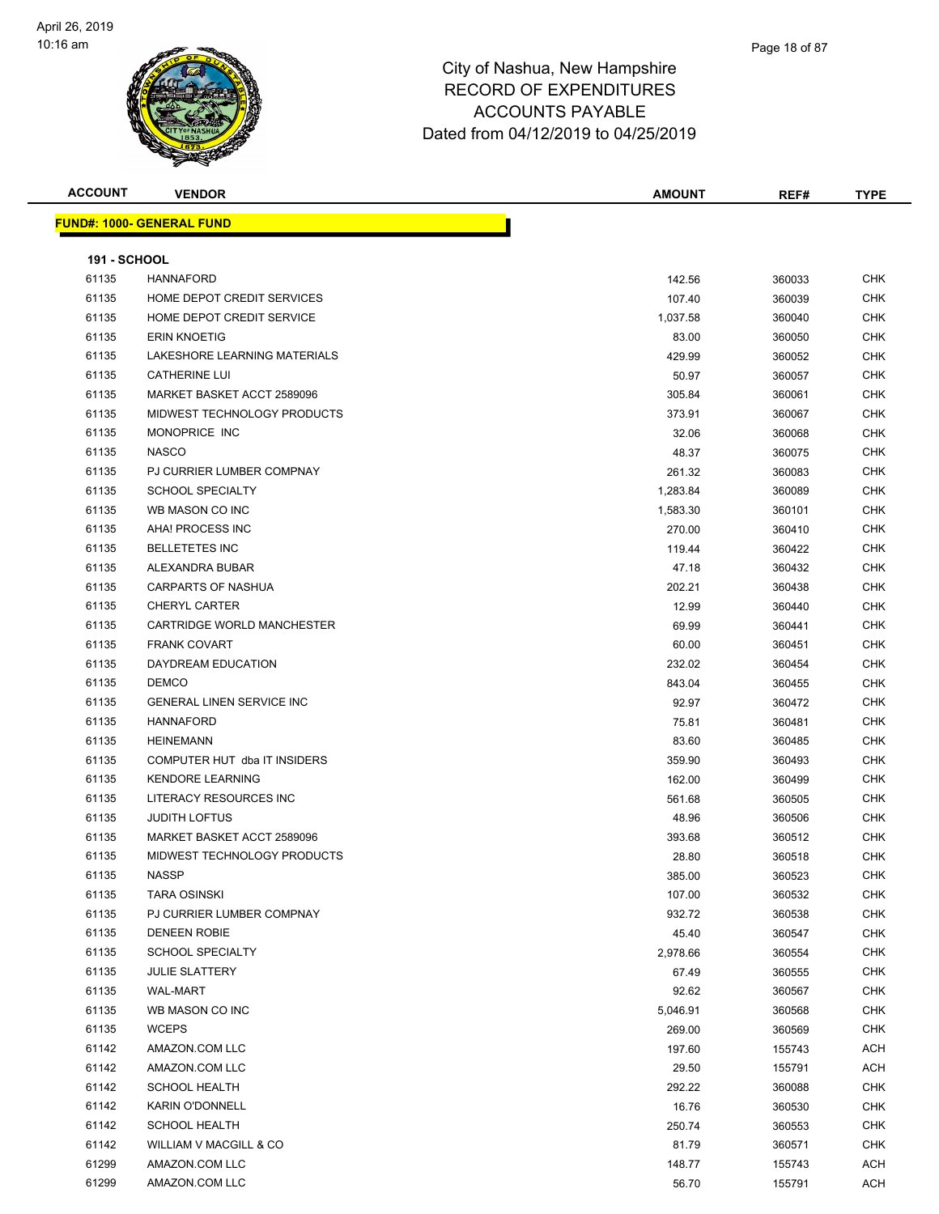

| <b>ACCOUNT</b>      | <b>VENDOR</b>                    | <b>AMOUNT</b> | REF#   | <b>TYPE</b> |
|---------------------|----------------------------------|---------------|--------|-------------|
|                     | <b>FUND#: 1000- GENERAL FUND</b> |               |        |             |
|                     |                                  |               |        |             |
| <b>191 - SCHOOL</b> |                                  |               |        |             |
| 61135               | <b>HANNAFORD</b>                 | 142.56        | 360033 | <b>CHK</b>  |
| 61135               | HOME DEPOT CREDIT SERVICES       | 107.40        | 360039 | <b>CHK</b>  |
| 61135               | HOME DEPOT CREDIT SERVICE        | 1,037.58      | 360040 | <b>CHK</b>  |
| 61135               | <b>ERIN KNOETIG</b>              | 83.00         | 360050 | <b>CHK</b>  |
| 61135               | LAKESHORE LEARNING MATERIALS     | 429.99        | 360052 | <b>CHK</b>  |
| 61135               | <b>CATHERINE LUI</b>             | 50.97         | 360057 | <b>CHK</b>  |
| 61135               | MARKET BASKET ACCT 2589096       | 305.84        | 360061 | <b>CHK</b>  |
| 61135               | MIDWEST TECHNOLOGY PRODUCTS      | 373.91        | 360067 | <b>CHK</b>  |
| 61135               | MONOPRICE INC                    | 32.06         | 360068 | <b>CHK</b>  |
| 61135               | <b>NASCO</b>                     | 48.37         | 360075 | <b>CHK</b>  |
| 61135               | PJ CURRIER LUMBER COMPNAY        | 261.32        | 360083 | <b>CHK</b>  |
| 61135               | <b>SCHOOL SPECIALTY</b>          | 1,283.84      | 360089 | <b>CHK</b>  |
| 61135               | WB MASON CO INC                  | 1,583.30      | 360101 | <b>CHK</b>  |
| 61135               | AHA! PROCESS INC                 | 270.00        | 360410 | <b>CHK</b>  |
| 61135               | <b>BELLETETES INC</b>            | 119.44        | 360422 | <b>CHK</b>  |
| 61135               | ALEXANDRA BUBAR                  | 47.18         | 360432 | <b>CHK</b>  |
| 61135               | <b>CARPARTS OF NASHUA</b>        | 202.21        | 360438 | <b>CHK</b>  |
| 61135               | <b>CHERYL CARTER</b>             | 12.99         | 360440 | <b>CHK</b>  |
| 61135               | CARTRIDGE WORLD MANCHESTER       | 69.99         | 360441 | <b>CHK</b>  |
| 61135               | <b>FRANK COVART</b>              | 60.00         | 360451 | <b>CHK</b>  |
| 61135               | DAYDREAM EDUCATION               | 232.02        | 360454 | <b>CHK</b>  |
| 61135               | <b>DEMCO</b>                     | 843.04        | 360455 | <b>CHK</b>  |
| 61135               | <b>GENERAL LINEN SERVICE INC</b> | 92.97         | 360472 | <b>CHK</b>  |
| 61135               | <b>HANNAFORD</b>                 | 75.81         | 360481 | <b>CHK</b>  |
| 61135               | <b>HEINEMANN</b>                 | 83.60         | 360485 | <b>CHK</b>  |
| 61135               | COMPUTER HUT dba IT INSIDERS     | 359.90        | 360493 | <b>CHK</b>  |
| 61135               | <b>KENDORE LEARNING</b>          | 162.00        | 360499 | <b>CHK</b>  |
| 61135               | LITERACY RESOURCES INC           | 561.68        | 360505 | <b>CHK</b>  |
| 61135               | <b>JUDITH LOFTUS</b>             | 48.96         | 360506 | <b>CHK</b>  |
| 61135               | MARKET BASKET ACCT 2589096       | 393.68        | 360512 | <b>CHK</b>  |
| 61135               | MIDWEST TECHNOLOGY PRODUCTS      | 28.80         | 360518 | <b>CHK</b>  |
| 61135               | <b>NASSP</b>                     | 385.00        | 360523 | <b>CHK</b>  |
| 61135               | <b>TARA OSINSKI</b>              | 107.00        | 360532 | <b>CHK</b>  |
| 61135               | PJ CURRIER LUMBER COMPNAY        | 932.72        | 360538 | <b>CHK</b>  |
| 61135               | <b>DENEEN ROBIE</b>              | 45.40         | 360547 | <b>CHK</b>  |
| 61135               | <b>SCHOOL SPECIALTY</b>          | 2,978.66      | 360554 | <b>CHK</b>  |
| 61135               | <b>JULIE SLATTERY</b>            | 67.49         | 360555 | <b>CHK</b>  |
| 61135               | WAL-MART                         | 92.62         | 360567 | <b>CHK</b>  |
| 61135               | WB MASON CO INC                  | 5,046.91      | 360568 | <b>CHK</b>  |
| 61135               | <b>WCEPS</b>                     | 269.00        | 360569 | <b>CHK</b>  |
| 61142               | AMAZON.COM LLC                   | 197.60        | 155743 | <b>ACH</b>  |
| 61142               | AMAZON.COM LLC                   | 29.50         | 155791 | <b>ACH</b>  |
| 61142               | <b>SCHOOL HEALTH</b>             | 292.22        | 360088 | <b>CHK</b>  |
| 61142               | <b>KARIN O'DONNELL</b>           | 16.76         | 360530 | <b>CHK</b>  |
| 61142               | <b>SCHOOL HEALTH</b>             | 250.74        | 360553 | <b>CHK</b>  |
| 61142               | WILLIAM V MACGILL & CO           | 81.79         | 360571 | <b>CHK</b>  |
| 61299               | AMAZON.COM LLC                   | 148.77        | 155743 | <b>ACH</b>  |
| 61299               | AMAZON.COM LLC                   | 56.70         | 155791 | <b>ACH</b>  |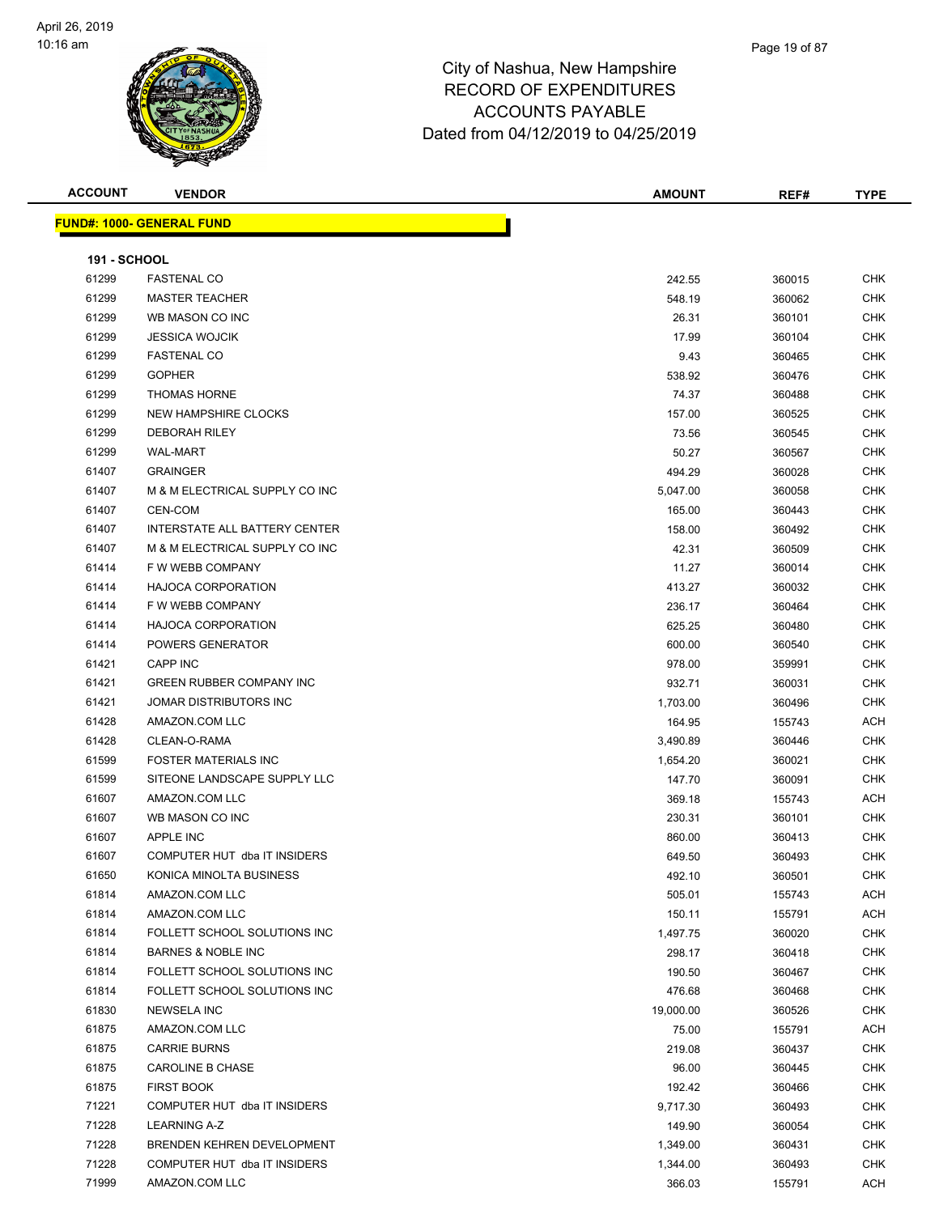

**ACCOUNT VENDOR AMOUNT REF# TYPE**

|       | <u> FUND#: 1000- GENERAL FUND</u>    |                    |        |            |
|-------|--------------------------------------|--------------------|--------|------------|
|       | <b>191 - SCHOOL</b>                  |                    |        |            |
| 61299 | <b>FASTENAL CO</b>                   | 242.55             | 360015 | <b>CHK</b> |
| 61299 | <b>MASTER TEACHER</b>                | 548.19             | 360062 | CHK        |
| 61299 | WB MASON CO INC                      | 26.31              | 360101 | <b>CHK</b> |
| 61299 | <b>JESSICA WOJCIK</b>                | 17.99              | 360104 | <b>CHK</b> |
| 61299 | <b>FASTENAL CO</b>                   | 9.43               | 360465 | CHK        |
| 61299 | <b>GOPHER</b>                        | 538.92             | 360476 | <b>CHK</b> |
| 61299 | <b>THOMAS HORNE</b>                  | 74.37              | 360488 | <b>CHK</b> |
| 61299 | <b>NEW HAMPSHIRE CLOCKS</b>          | 157.00             | 360525 | <b>CHK</b> |
| 61299 | <b>DEBORAH RILEY</b>                 | 73.56              | 360545 | CHK        |
| 61299 | <b>WAL-MART</b>                      | 50.27              | 360567 | CHK        |
| 61407 | <b>GRAINGER</b>                      | 494.29             | 360028 | CHK        |
| 61407 | M & M ELECTRICAL SUPPLY CO INC       | 5,047.00           | 360058 | CHK        |
| 61407 | CEN-COM                              | 165.00             | 360443 | CHK        |
| 61407 | <b>INTERSTATE ALL BATTERY CENTER</b> | 158.00             | 360492 | CHK        |
| 61407 | M & M ELECTRICAL SUPPLY CO INC       | 42.31              | 360509 | <b>CHK</b> |
| 61414 | F W WEBB COMPANY                     | 11.27              | 360014 | CHK        |
| 61414 | <b>HAJOCA CORPORATION</b>            | 413.27             | 360032 | <b>CHK</b> |
| 61414 | F W WEBB COMPANY                     | 236.17             | 360464 | <b>CHK</b> |
| 61414 | <b>HAJOCA CORPORATION</b>            | 625.25             | 360480 | <b>CHK</b> |
| 61414 | POWERS GENERATOR                     | 600.00             | 360540 | CHK        |
| 61421 | CAPP INC                             | 978.00             | 359991 | CHK        |
| 61421 | <b>GREEN RUBBER COMPANY INC</b>      | 932.71             | 360031 | CHK        |
| 61421 | JOMAR DISTRIBUTORS INC               | 1,703.00           | 360496 | <b>CHK</b> |
| 61428 | AMAZON.COM LLC                       | 164.95             | 155743 | ACH        |
| 61428 | CLEAN-O-RAMA                         | 3,490.89           | 360446 | <b>CHK</b> |
| 61599 | <b>FOSTER MATERIALS INC</b>          |                    |        | <b>CHK</b> |
| 61599 | SITEONE LANDSCAPE SUPPLY LLC         | 1,654.20<br>147.70 | 360021 | <b>CHK</b> |
|       | AMAZON.COM LLC                       |                    | 360091 |            |
| 61607 |                                      | 369.18             | 155743 | ACH        |
| 61607 | WB MASON CO INC                      | 230.31             | 360101 | <b>CHK</b> |
| 61607 | APPLE INC                            | 860.00             | 360413 | <b>CHK</b> |
| 61607 | COMPUTER HUT dba IT INSIDERS         | 649.50             | 360493 | <b>CHK</b> |
| 61650 | KONICA MINOLTA BUSINESS              | 492.10             | 360501 | CHK        |
| 61814 | AMAZON.COM LLC                       | 505.01             | 155743 | ACH        |
| 61814 | AMAZON.COM LLC                       | 150.11             | 155791 | ACH        |
| 61814 | FOLLETT SCHOOL SOLUTIONS INC         | 1,497.75           | 360020 | <b>CHK</b> |
| 61814 | <b>BARNES &amp; NOBLE INC</b>        | 298.17             | 360418 | <b>CHK</b> |
| 61814 | FOLLETT SCHOOL SOLUTIONS INC         | 190.50             | 360467 | <b>CHK</b> |
| 61814 | FOLLETT SCHOOL SOLUTIONS INC         | 476.68             | 360468 | <b>CHK</b> |
| 61830 | <b>NEWSELA INC</b>                   | 19,000.00          | 360526 | <b>CHK</b> |
| 61875 | AMAZON.COM LLC                       | 75.00              | 155791 | ACH        |
| 61875 | <b>CARRIE BURNS</b>                  | 219.08             | 360437 | <b>CHK</b> |
| 61875 | <b>CAROLINE B CHASE</b>              | 96.00              | 360445 | <b>CHK</b> |
| 61875 | <b>FIRST BOOK</b>                    | 192.42             | 360466 | CHK        |
| 71221 | COMPUTER HUT dba IT INSIDERS         | 9,717.30           | 360493 | <b>CHK</b> |
| 71228 | <b>LEARNING A-Z</b>                  | 149.90             | 360054 | <b>CHK</b> |
| 71228 | BRENDEN KEHREN DEVELOPMENT           | 1,349.00           | 360431 | CHK        |
| 71228 | COMPUTER HUT dba IT INSIDERS         | 1,344.00           | 360493 | CHK        |
| 71999 | AMAZON.COM LLC                       | 366.03             | 155791 | ACH        |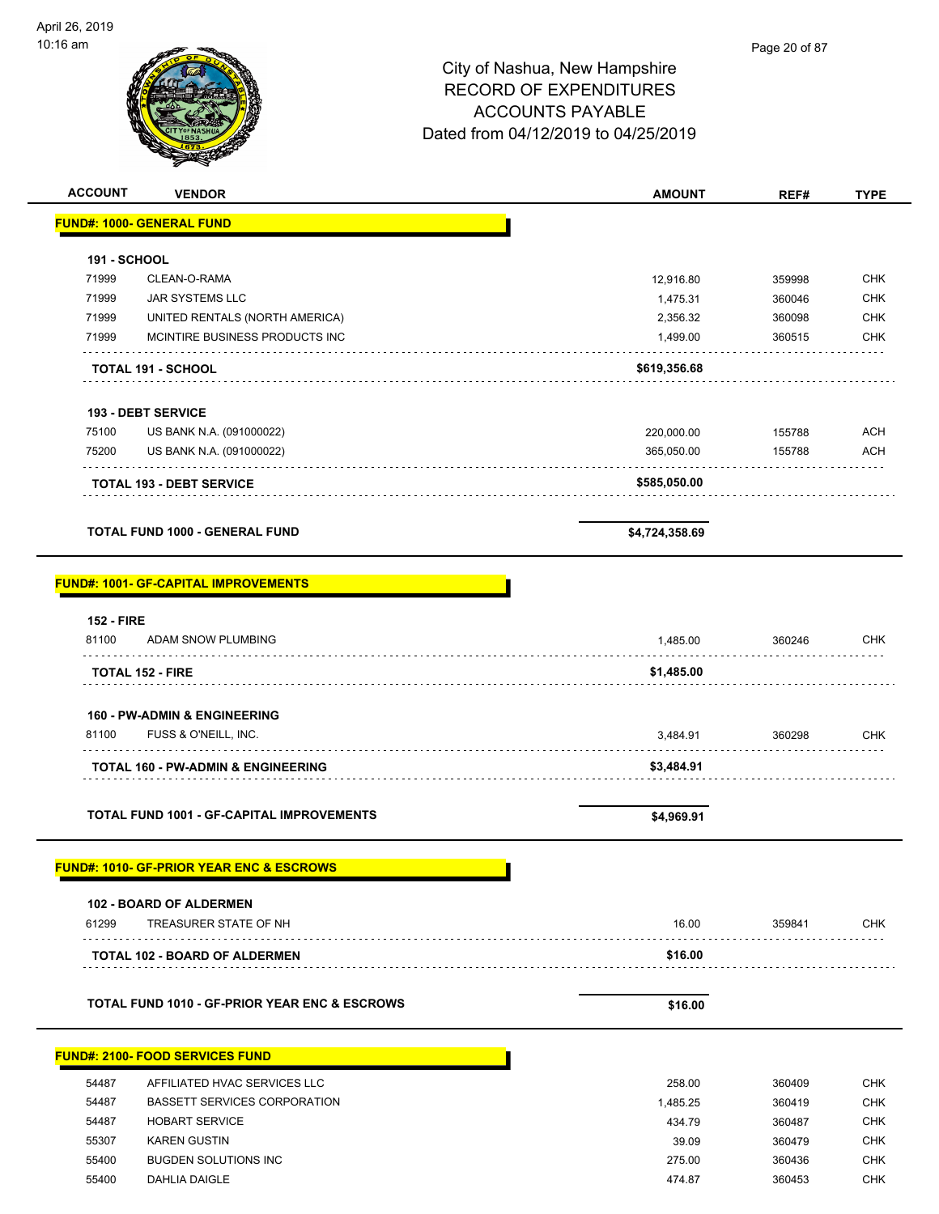

| <b>ACCOUNT</b>      | <b>VENDOR</b>                                            | <b>AMOUNT</b>  | REF#   | <b>TYPE</b> |
|---------------------|----------------------------------------------------------|----------------|--------|-------------|
|                     | <b>FUND#: 1000- GENERAL FUND</b>                         |                |        |             |
|                     |                                                          |                |        |             |
| <b>191 - SCHOOL</b> |                                                          |                |        |             |
| 71999               | CLEAN-O-RAMA                                             | 12,916.80      | 359998 | <b>CHK</b>  |
| 71999               | <b>JAR SYSTEMS LLC</b>                                   | 1,475.31       | 360046 | <b>CHK</b>  |
| 71999               | UNITED RENTALS (NORTH AMERICA)                           | 2,356.32       | 360098 | <b>CHK</b>  |
| 71999               | MCINTIRE BUSINESS PRODUCTS INC                           | 1,499.00       | 360515 | CHK         |
|                     | <b>TOTAL 191 - SCHOOL</b>                                | \$619,356.68   |        |             |
|                     |                                                          |                |        |             |
|                     | 193 - DEBT SERVICE                                       |                |        |             |
| 75100               | US BANK N.A. (091000022)                                 | 220,000.00     | 155788 | <b>ACH</b>  |
| 75200               | US BANK N.A. (091000022)                                 | 365,050.00     | 155788 | <b>ACH</b>  |
|                     |                                                          |                |        |             |
|                     | <b>TOTAL 193 - DEBT SERVICE</b>                          | \$585,050.00   |        |             |
|                     |                                                          |                |        |             |
|                     | <b>TOTAL FUND 1000 - GENERAL FUND</b>                    | \$4,724,358.69 |        |             |
|                     |                                                          |                |        |             |
|                     | <b>FUND#: 1001- GF-CAPITAL IMPROVEMENTS</b>              |                |        |             |
| <b>152 - FIRE</b>   |                                                          |                |        |             |
| 81100               | ADAM SNOW PLUMBING                                       | 1,485.00       | 360246 | CHK         |
|                     |                                                          |                |        |             |
|                     | <b>TOTAL 152 - FIRE</b>                                  | \$1,485.00     |        |             |
|                     |                                                          |                |        |             |
|                     | 160 - PW-ADMIN & ENGINEERING                             |                |        |             |
| 81100               | FUSS & O'NEILL, INC.                                     | 3,484.91       | 360298 | <b>CHK</b>  |
|                     | <b>TOTAL 160 - PW-ADMIN &amp; ENGINEERING</b>            | \$3,484.91     |        |             |
|                     |                                                          |                |        |             |
|                     | <b>TOTAL FUND 1001 - GF-CAPITAL IMPROVEMENTS</b>         |                |        |             |
|                     |                                                          | \$4,969.91     |        |             |
|                     |                                                          |                |        |             |
|                     | <u>FUND#: 1010- GF-PRIOR YEAR ENC &amp; ESCROWS</u>      |                |        |             |
|                     | 102 - BOARD OF ALDERMEN                                  |                |        |             |
| 61299               | TREASURER STATE OF NH                                    | 16.00          | 359841 | CHK         |
|                     |                                                          |                |        |             |
|                     | <b>TOTAL 102 - BOARD OF ALDERMEN</b>                     | \$16.00        |        |             |
|                     |                                                          |                |        |             |
|                     | <b>TOTAL FUND 1010 - GF-PRIOR YEAR ENC &amp; ESCROWS</b> | \$16.00        |        |             |
|                     |                                                          |                |        |             |
|                     | <u> FUND#: 2100- FOOD SERVICES FUND</u>                  |                |        |             |
| 54487               | AFFILIATED HVAC SERVICES LLC                             | 258.00         | 360409 | <b>CHK</b>  |
| 54487               | <b>BASSETT SERVICES CORPORATION</b>                      | 1,485.25       | 360419 | <b>CHK</b>  |
| 54487               | <b>HOBART SERVICE</b>                                    | 434.79         | 360487 | <b>CHK</b>  |
| 55307               | <b>KAREN GUSTIN</b>                                      | 39.09          | 360479 | <b>CHK</b>  |
| 55400               | <b>BUGDEN SOLUTIONS INC</b>                              | 275.00         | 360436 | <b>CHK</b>  |
| 55400               | DAHLIA DAIGLE                                            | 474.87         | 360453 | <b>CHK</b>  |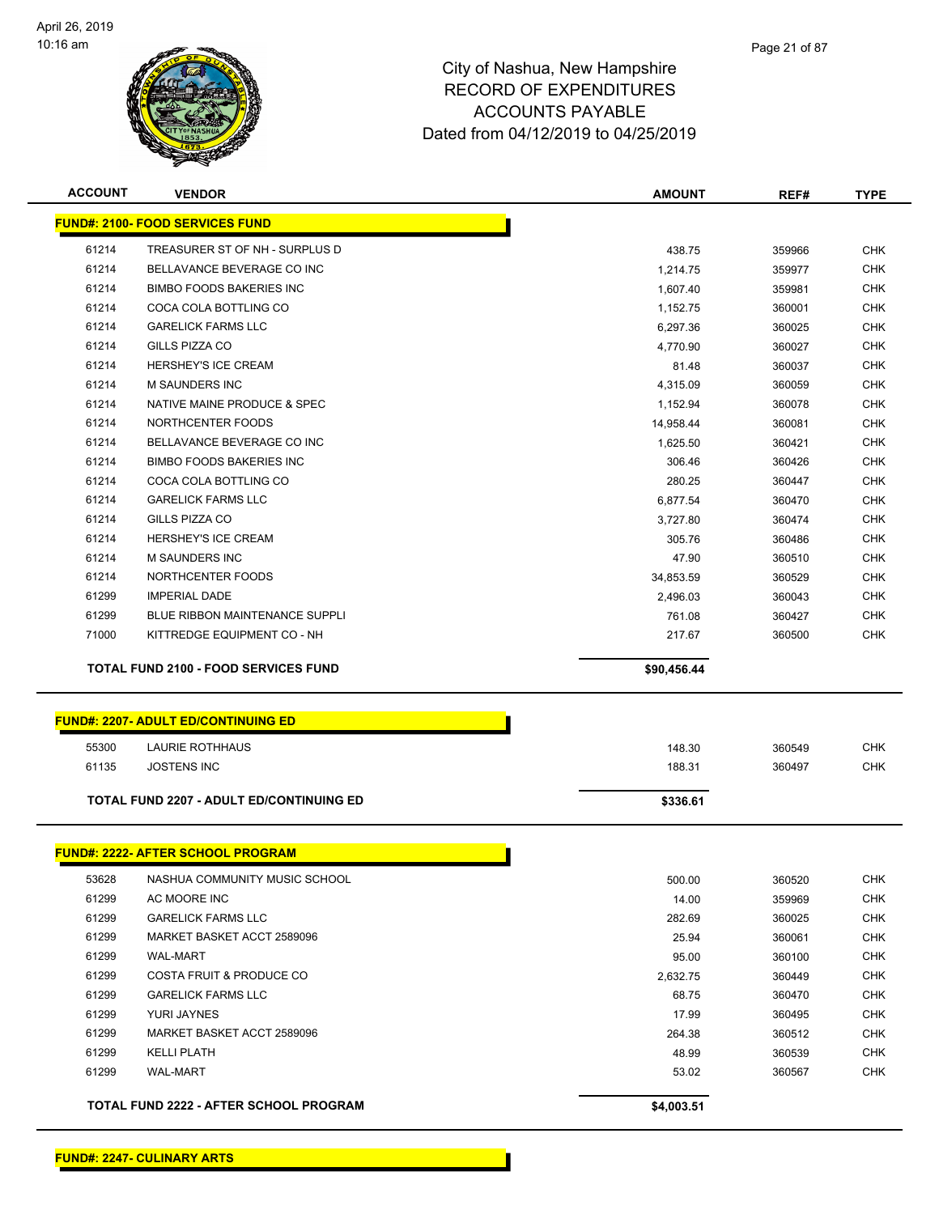

| <b>ACCOUNT</b> | <b>VENDOR</b>                               | <b>AMOUNT</b> | REF#   | <b>TYPE</b> |
|----------------|---------------------------------------------|---------------|--------|-------------|
|                | <b>FUND#: 2100- FOOD SERVICES FUND</b>      |               |        |             |
| 61214          | TREASURER ST OF NH - SURPLUS D              | 438.75        | 359966 | <b>CHK</b>  |
| 61214          | BELLAVANCE BEVERAGE CO INC                  | 1,214.75      | 359977 | <b>CHK</b>  |
| 61214          | <b>BIMBO FOODS BAKERIES INC</b>             | 1,607.40      | 359981 | <b>CHK</b>  |
| 61214          | COCA COLA BOTTLING CO                       | 1,152.75      | 360001 | <b>CHK</b>  |
| 61214          | <b>GARELICK FARMS LLC</b>                   | 6,297.36      | 360025 | <b>CHK</b>  |
| 61214          | GILLS PIZZA CO                              | 4,770.90      | 360027 | <b>CHK</b>  |
| 61214          | <b>HERSHEY'S ICE CREAM</b>                  | 81.48         | 360037 | <b>CHK</b>  |
| 61214          | M SAUNDERS INC                              | 4,315.09      | 360059 | <b>CHK</b>  |
| 61214          | NATIVE MAINE PRODUCE & SPEC                 | 1,152.94      | 360078 | <b>CHK</b>  |
| 61214          | NORTHCENTER FOODS                           | 14,958.44     | 360081 | <b>CHK</b>  |
| 61214          | BELLAVANCE BEVERAGE CO INC                  | 1,625.50      | 360421 | <b>CHK</b>  |
| 61214          | <b>BIMBO FOODS BAKERIES INC</b>             | 306.46        | 360426 | <b>CHK</b>  |
| 61214          | COCA COLA BOTTLING CO                       | 280.25        | 360447 | <b>CHK</b>  |
| 61214          | <b>GARELICK FARMS LLC</b>                   | 6,877.54      | 360470 | <b>CHK</b>  |
| 61214          | GILLS PIZZA CO                              | 3,727.80      | 360474 | <b>CHK</b>  |
| 61214          | HERSHEY'S ICE CREAM                         | 305.76        | 360486 | <b>CHK</b>  |
| 61214          | <b>M SAUNDERS INC</b>                       | 47.90         | 360510 | <b>CHK</b>  |
| 61214          | NORTHCENTER FOODS                           | 34,853.59     | 360529 | <b>CHK</b>  |
| 61299          | <b>IMPERIAL DADE</b>                        | 2,496.03      | 360043 | <b>CHK</b>  |
| 61299          | <b>BLUE RIBBON MAINTENANCE SUPPLI</b>       | 761.08        | 360427 | <b>CHK</b>  |
| 71000          | KITTREDGE EQUIPMENT CO - NH                 | 217.67        | 360500 | <b>CHK</b>  |
|                |                                             |               |        |             |
|                | <b>TOTAL FUND 2100 - FOOD SERVICES FUND</b> | \$90,456.44   |        |             |
|                |                                             |               |        |             |
|                | <b>FUND#: 2207- ADULT ED/CONTINUING ED</b>  |               |        |             |
| 55300          | LAURIE ROTHHAUS                             | 148.30        | 360549 | <b>CHK</b>  |
| 61135          | <b>JOSTENS INC</b>                          | 188.31        | 360497 | <b>CHK</b>  |
|                | TOTAL FUND 2207 - ADULT ED/CONTINUING ED    | \$336.61      |        |             |
|                |                                             |               |        |             |
|                | <b>FUND#: 2222- AFTER SCHOOL PROGRAM</b>    |               |        |             |
| 53628          | NASHUA COMMUNITY MUSIC SCHOOL               | 500.00        | 360520 | CHK         |
| 61299          | AC MOORE INC                                | 14.00         | 359969 | <b>CHK</b>  |
| 61299          | <b>GARELICK FARMS LLC</b>                   | 282.69        | 360025 | <b>CHK</b>  |
| 61299          | MARKET BASKET ACCT 2589096                  | 25.94         | 360061 | <b>CHK</b>  |
| 61299          | WAL-MART                                    | 95.00         | 360100 | <b>CHK</b>  |
| 61299          | <b>COSTA FRUIT &amp; PRODUCE CO</b>         | 2,632.75      | 360449 | <b>CHK</b>  |
| 61299          | <b>GARELICK FARMS LLC</b>                   | 68.75         | 360470 | <b>CHK</b>  |
| 61299          | YURI JAYNES                                 | 17.99         | 360495 | <b>CHK</b>  |
| 61299          | MARKET BASKET ACCT 2589096                  | 264.38        | 360512 | <b>CHK</b>  |
| 61299          | <b>KELLI PLATH</b>                          | 48.99         | 360539 | <b>CHK</b>  |
| 61299          | WAL-MART                                    | 53.02         | 360567 | <b>CHK</b>  |

Page 21 of 87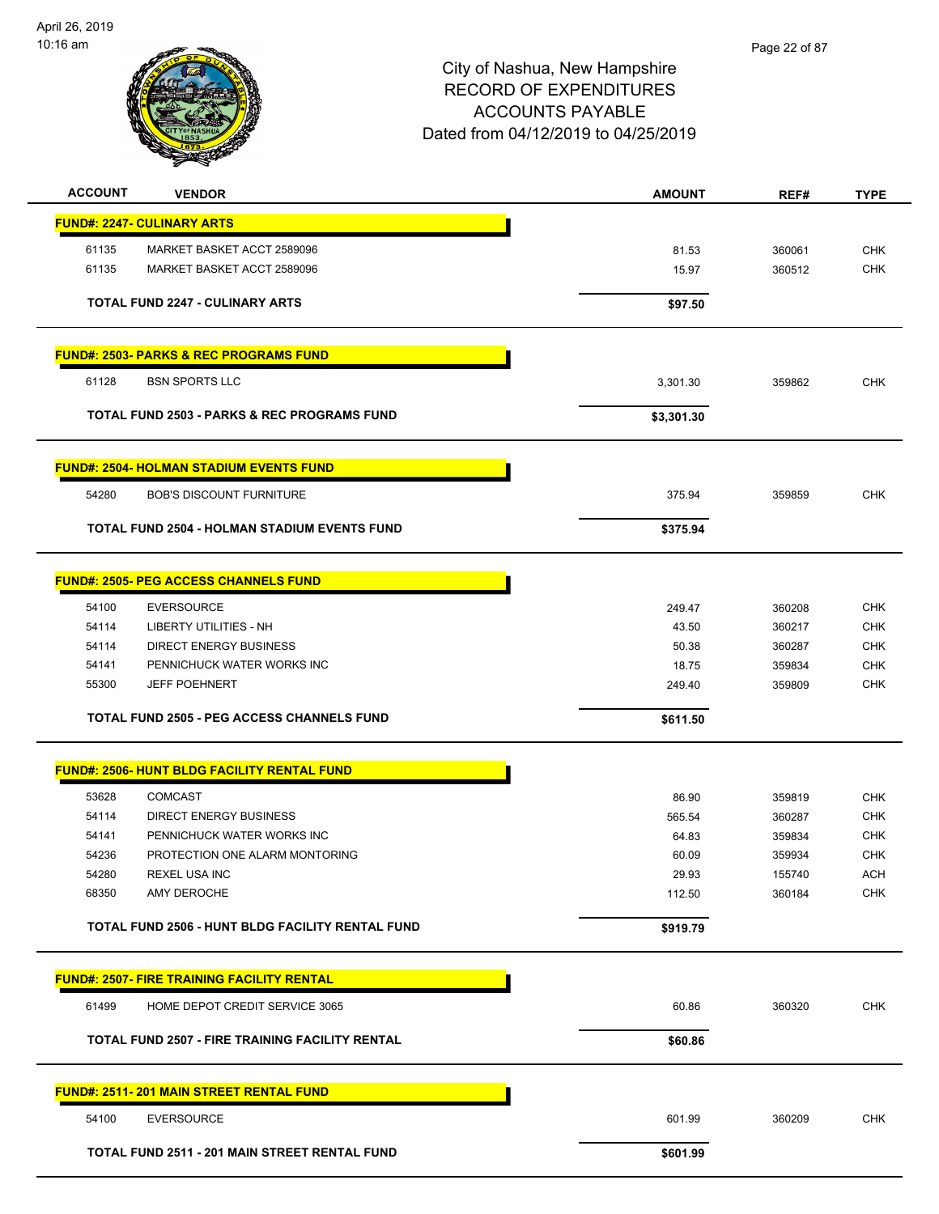

| <b>ACCOUNT</b><br><b>VENDOR</b>                        | <b>AMOUNT</b> | REF#   | <b>TYPE</b> |
|--------------------------------------------------------|---------------|--------|-------------|
| <b>FUND#: 2247- CULINARY ARTS</b>                      |               |        |             |
| 61135<br>MARKET BASKET ACCT 2589096                    | 81.53         | 360061 | <b>CHK</b>  |
| 61135<br>MARKET BASKET ACCT 2589096                    | 15.97         | 360512 | <b>CHK</b>  |
|                                                        |               |        |             |
| <b>TOTAL FUND 2247 - CULINARY ARTS</b>                 | \$97.50       |        |             |
|                                                        |               |        |             |
| <b>FUND#: 2503- PARKS &amp; REC PROGRAMS FUND</b>      |               |        |             |
| <b>BSN SPORTS LLC</b><br>61128                         | 3,301.30      | 359862 | <b>CHK</b>  |
| <b>TOTAL FUND 2503 - PARKS &amp; REC PROGRAMS FUND</b> | \$3,301.30    |        |             |
| <b>FUND#: 2504- HOLMAN STADIUM EVENTS FUND</b>         |               |        |             |
| 54280<br><b>BOB'S DISCOUNT FURNITURE</b>               | 375.94        | 359859 | <b>CHK</b>  |
| <b>TOTAL FUND 2504 - HOLMAN STADIUM EVENTS FUND</b>    | \$375.94      |        |             |
|                                                        |               |        |             |
| <b>FUND#: 2505- PEG ACCESS CHANNELS FUND</b>           |               |        |             |
| 54100<br><b>EVERSOURCE</b>                             | 249.47        | 360208 | <b>CHK</b>  |
| 54114<br>LIBERTY UTILITIES - NH                        | 43.50         | 360217 | <b>CHK</b>  |
| 54114<br><b>DIRECT ENERGY BUSINESS</b>                 | 50.38         | 360287 | <b>CHK</b>  |
| PENNICHUCK WATER WORKS INC<br>54141                    | 18.75         | 359834 | <b>CHK</b>  |
| 55300<br><b>JEFF POEHNERT</b>                          | 249.40        | 359809 | <b>CHK</b>  |
| <b>TOTAL FUND 2505 - PEG ACCESS CHANNELS FUND</b>      | \$611.50      |        |             |
|                                                        |               |        |             |
| <b>FUND#: 2506- HUNT BLDG FACILITY RENTAL FUND</b>     |               |        |             |
| 53628<br><b>COMCAST</b>                                | 86.90         | 359819 | <b>CHK</b>  |
| 54114<br><b>DIRECT ENERGY BUSINESS</b>                 | 565.54        | 360287 | <b>CHK</b>  |
| 54141<br>PENNICHUCK WATER WORKS INC                    | 64.83         | 359834 | <b>CHK</b>  |
| 54236<br>PROTECTION ONE ALARM MONTORING                | 60.09         | 359934 | <b>CHK</b>  |
| 54280<br>REXEL USA INC                                 | 29.93         | 155740 | <b>ACH</b>  |
| AMY DEROCHE<br>68350                                   | 112.50        | 360184 | <b>CHK</b>  |
| TOTAL FUND 2506 - HUNT BLDG FACILITY RENTAL FUND       | \$919.79      |        |             |
| <b>FUND#: 2507- FIRE TRAINING FACILITY RENTAL</b>      |               |        |             |
| HOME DEPOT CREDIT SERVICE 3065<br>61499                | 60.86         | 360320 | <b>CHK</b>  |
| <b>TOTAL FUND 2507 - FIRE TRAINING FACILITY RENTAL</b> | \$60.86       |        |             |
| FUND#: 2511-201 MAIN STREET RENTAL FUND                |               |        |             |
| 54100<br><b>EVERSOURCE</b>                             | 601.99        | 360209 | <b>CHK</b>  |
| TOTAL FUND 2511 - 201 MAIN STREET RENTAL FUND          |               |        |             |
|                                                        | \$601.99      |        |             |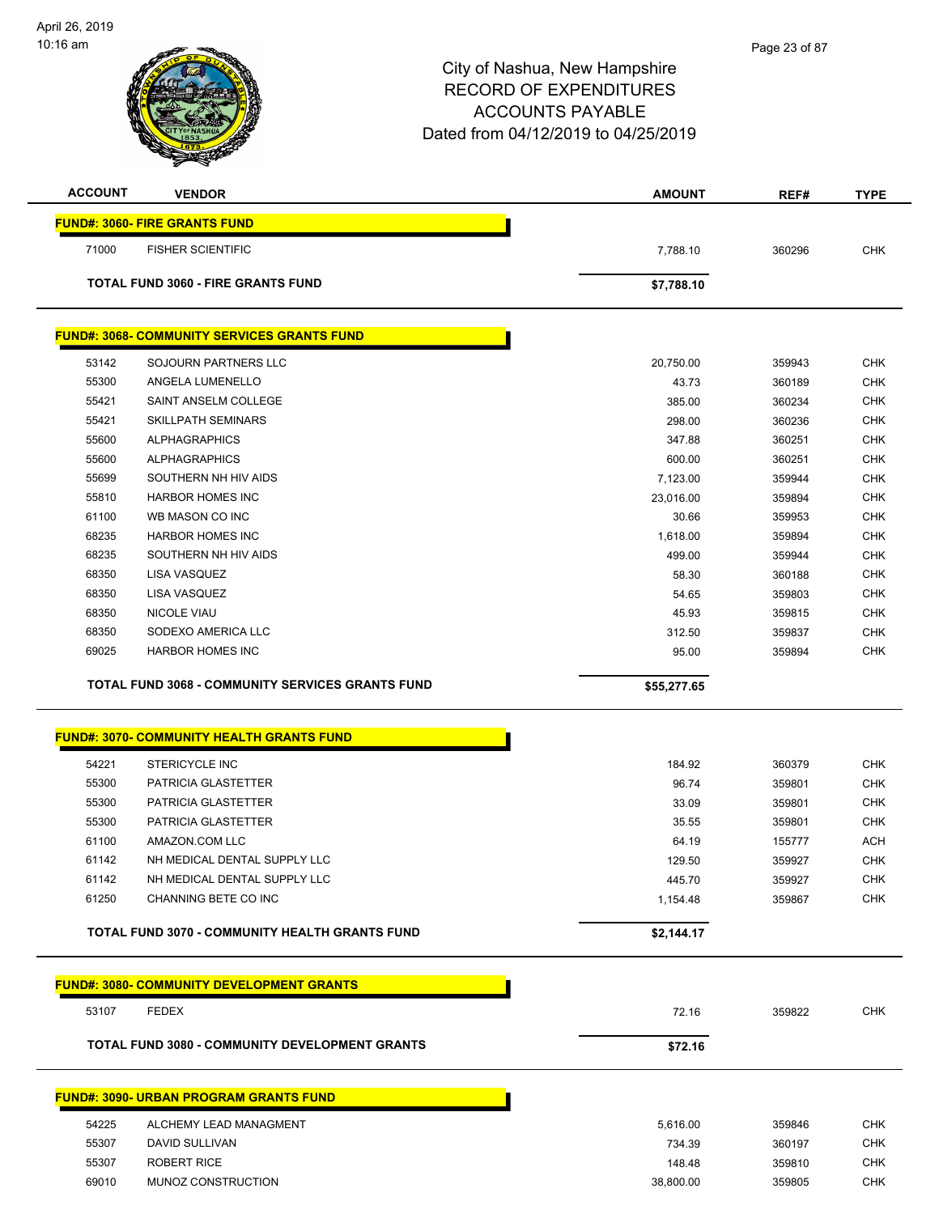| <b>ACCOUNT</b> | <b>VENDOR</b>                                           | <b>AMOUNT</b>      | REF#             | <b>TYPE</b> |
|----------------|---------------------------------------------------------|--------------------|------------------|-------------|
|                | <b>FUND#: 3060- FIRE GRANTS FUND</b>                    |                    |                  |             |
| 71000          | <b>FISHER SCIENTIFIC</b>                                | 7,788.10           | 360296           | <b>CHK</b>  |
|                | <b>TOTAL FUND 3060 - FIRE GRANTS FUND</b>               | \$7,788.10         |                  |             |
|                |                                                         |                    |                  |             |
|                | <u>FUND#: 3068- COMMUNITY SERVICES GRANTS FUND</u>      |                    |                  |             |
| 53142          | SOJOURN PARTNERS LLC                                    | 20,750.00          | 359943           | <b>CHK</b>  |
| 55300          | ANGELA LUMENELLO                                        | 43.73              | 360189           | <b>CHK</b>  |
| 55421          | SAINT ANSELM COLLEGE                                    | 385.00             | 360234           | <b>CHK</b>  |
| 55421          | <b>SKILLPATH SEMINARS</b>                               | 298.00             | 360236           | <b>CHK</b>  |
| 55600          | <b>ALPHAGRAPHICS</b>                                    | 347.88             | 360251           | <b>CHK</b>  |
| 55600          | <b>ALPHAGRAPHICS</b>                                    | 600.00             | 360251           | <b>CHK</b>  |
| 55699          | SOUTHERN NH HIV AIDS                                    | 7,123.00           | 359944           | <b>CHK</b>  |
| 55810          | <b>HARBOR HOMES INC</b>                                 | 23,016.00          | 359894           | <b>CHK</b>  |
| 61100          | WB MASON CO INC                                         | 30.66              | 359953           | <b>CHK</b>  |
| 68235          | <b>HARBOR HOMES INC</b>                                 | 1,618.00           | 359894           | <b>CHK</b>  |
| 68235          | SOUTHERN NH HIV AIDS                                    | 499.00             | 359944           | <b>CHK</b>  |
| 68350          | <b>LISA VASQUEZ</b>                                     | 58.30              | 360188           | <b>CHK</b>  |
| 68350          | LISA VASQUEZ                                            | 54.65              | 359803           | <b>CHK</b>  |
| 68350          | NICOLE VIAU                                             | 45.93              | 359815           | <b>CHK</b>  |
| 68350          | SODEXO AMERICA LLC                                      | 312.50             | 359837           | <b>CHK</b>  |
| 69025          | <b>HARBOR HOMES INC</b>                                 | 95.00              | 359894           | <b>CHK</b>  |
|                | <b>TOTAL FUND 3068 - COMMUNITY SERVICES GRANTS FUND</b> | \$55,277.65        |                  |             |
|                | <b>FUND#: 3070- COMMUNITY HEALTH GRANTS FUND</b>        |                    |                  |             |
| 54221          | <b>STERICYCLE INC</b>                                   | 184.92             | 360379           | <b>CHK</b>  |
| 55300          | PATRICIA GLASTETTER                                     | 96.74              | 359801           | <b>CHK</b>  |
| 55300          | PATRICIA GLASTETTER                                     | 33.09              | 359801           | <b>CHK</b>  |
| 55300          | <b>PATRICIA GLASTETTER</b>                              | 35.55              | 359801           | <b>CHK</b>  |
| 61100          | AMAZON.COM LLC                                          | 64.19              | 155777           | ACH         |
| 61142          | NH MEDICAL DENTAL SUPPLY LLC                            | 129.50             | 359927           | <b>CHK</b>  |
| 61142          | NH MEDICAL DENTAL SUPPLY LLC                            |                    |                  | <b>CHK</b>  |
| 61250          | CHANNING BETE CO INC                                    | 445.70<br>1,154.48 | 359927<br>359867 | <b>CHK</b>  |
|                |                                                         |                    |                  |             |
|                | TOTAL FUND 3070 - COMMUNITY HEALTH GRANTS FUND          | \$2,144.17         |                  |             |
|                | <b>FUND#: 3080- COMMUNITY DEVELOPMENT GRANTS</b>        |                    |                  |             |
|                |                                                         |                    |                  |             |
| 53107          | <b>FEDEX</b>                                            | 72.16              | 359822           | <b>CHK</b>  |
|                | <b>TOTAL FUND 3080 - COMMUNITY DEVELOPMENT GRANTS</b>   | \$72.16            |                  |             |
|                | <b>FUND#: 3090- URBAN PROGRAM GRANTS FUND</b>           |                    |                  |             |
|                |                                                         |                    |                  |             |
| 54225          | ALCHEMY LEAD MANAGMENT                                  | 5,616.00           | 359846           | <b>CHK</b>  |
| 55307          | DAVID SULLIVAN                                          | 734.39             | 360197           | CHK         |
| 55307          | <b>ROBERT RICE</b>                                      | 148.48             | 359810           | <b>CHK</b>  |
| 69010          | MUNOZ CONSTRUCTION                                      | 38,800.00          | 359805           | <b>CHK</b>  |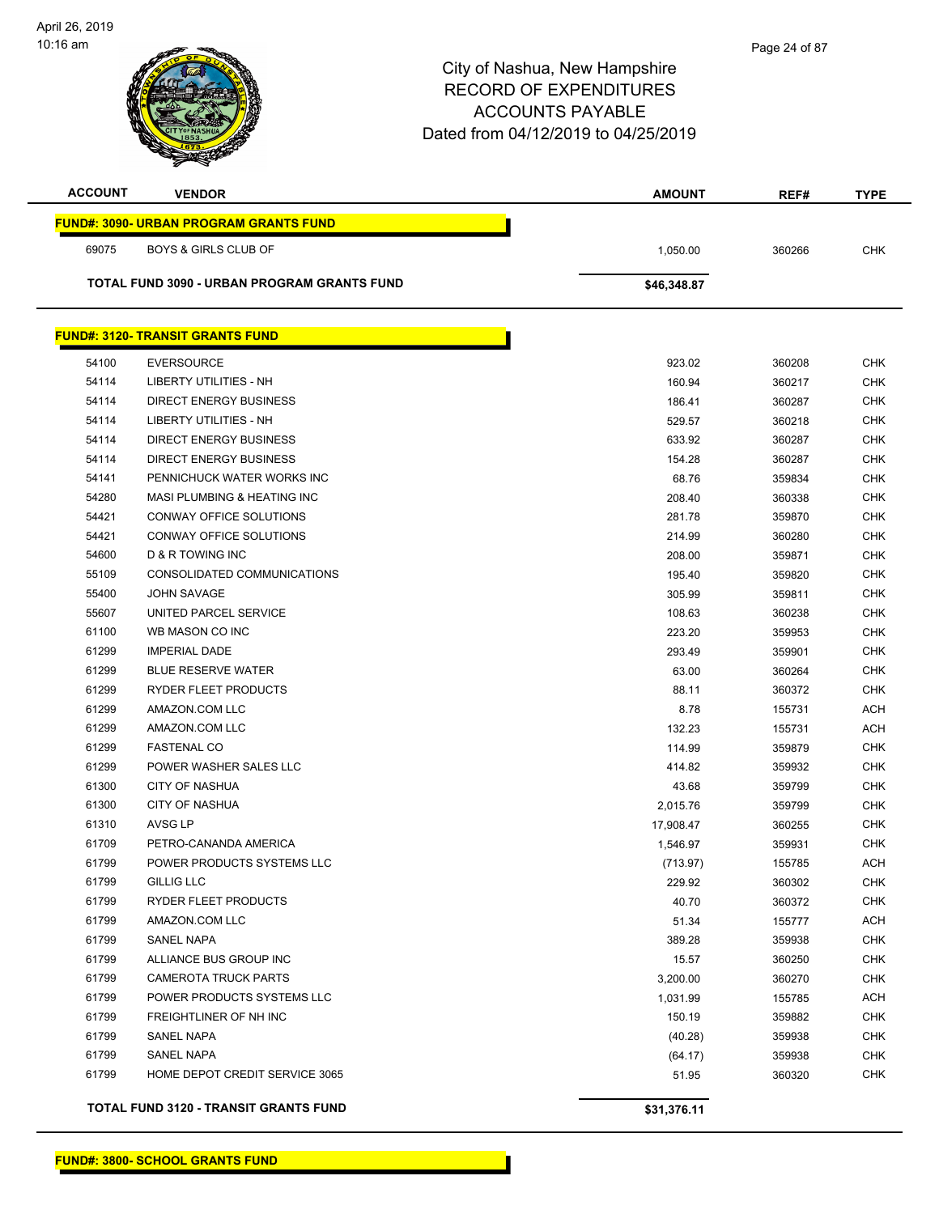| <b>ACCOUNT</b> | <b>VENDOR</b>                                          | <b>AMOUNT</b>    | REF#             | <b>TYPE</b>              |
|----------------|--------------------------------------------------------|------------------|------------------|--------------------------|
|                | <b>FUND#: 3090- URBAN PROGRAM GRANTS FUND</b>          |                  |                  |                          |
| 69075          | <b>BOYS &amp; GIRLS CLUB OF</b>                        | 1,050.00         | 360266           | <b>CHK</b>               |
|                | TOTAL FUND 3090 - URBAN PROGRAM GRANTS FUND            | \$46,348.87      |                  |                          |
|                | <b>FUND#: 3120- TRANSIT GRANTS FUND</b>                |                  |                  |                          |
|                |                                                        |                  |                  |                          |
| 54100          | <b>EVERSOURCE</b>                                      | 923.02           | 360208           | <b>CHK</b>               |
| 54114          | LIBERTY UTILITIES - NH                                 | 160.94           | 360217           | <b>CHK</b>               |
| 54114          | <b>DIRECT ENERGY BUSINESS</b>                          | 186.41           | 360287           | <b>CHK</b>               |
| 54114          | LIBERTY UTILITIES - NH                                 | 529.57           | 360218           | <b>CHK</b>               |
| 54114          | DIRECT ENERGY BUSINESS                                 | 633.92           | 360287           | <b>CHK</b>               |
| 54114          | <b>DIRECT ENERGY BUSINESS</b>                          | 154.28           | 360287           | <b>CHK</b>               |
| 54141          | PENNICHUCK WATER WORKS INC                             | 68.76            | 359834           | <b>CHK</b>               |
| 54280          | MASI PLUMBING & HEATING INC<br>CONWAY OFFICE SOLUTIONS | 208.40           | 360338           | <b>CHK</b>               |
| 54421<br>54421 | CONWAY OFFICE SOLUTIONS                                | 281.78           | 359870           | <b>CHK</b>               |
|                | <b>D &amp; R TOWING INC</b>                            | 214.99           | 360280           | <b>CHK</b><br><b>CHK</b> |
| 54600<br>55109 | CONSOLIDATED COMMUNICATIONS                            | 208.00<br>195.40 | 359871<br>359820 | <b>CHK</b>               |
| 55400          | <b>JOHN SAVAGE</b>                                     | 305.99           | 359811           | <b>CHK</b>               |
| 55607          | UNITED PARCEL SERVICE                                  | 108.63           | 360238           | <b>CHK</b>               |
| 61100          | WB MASON CO INC                                        | 223.20           | 359953           | <b>CHK</b>               |
| 61299          | <b>IMPERIAL DADE</b>                                   | 293.49           | 359901           | <b>CHK</b>               |
| 61299          | <b>BLUE RESERVE WATER</b>                              | 63.00            | 360264           | <b>CHK</b>               |
| 61299          | RYDER FLEET PRODUCTS                                   | 88.11            | 360372           | <b>CHK</b>               |
| 61299          | AMAZON.COM LLC                                         | 8.78             | 155731           | ACH                      |
| 61299          | AMAZON.COM LLC                                         | 132.23           | 155731           | <b>ACH</b>               |
| 61299          | <b>FASTENAL CO</b>                                     | 114.99           | 359879           | <b>CHK</b>               |
| 61299          | POWER WASHER SALES LLC                                 | 414.82           | 359932           | <b>CHK</b>               |
| 61300          | <b>CITY OF NASHUA</b>                                  | 43.68            | 359799           | <b>CHK</b>               |
| 61300          | <b>CITY OF NASHUA</b>                                  | 2,015.76         | 359799           | CHK                      |
| 61310          | AVSG LP                                                | 17,908.47        | 360255           | <b>CHK</b>               |
| 61709          | PETRO-CANANDA AMERICA                                  | 1,546.97         | 359931           | <b>CHK</b>               |
| 61799          | POWER PRODUCTS SYSTEMS LLC                             | (713.97)         | 155785           | ACH                      |
| 61799          | <b>GILLIG LLC</b>                                      | 229.92           | 360302           | <b>CHK</b>               |
| 61799          | RYDER FLEET PRODUCTS                                   | 40.70            | 360372           | <b>CHK</b>               |
| 61799          | AMAZON.COM LLC                                         | 51.34            | 155777           | <b>ACH</b>               |
| 61799          | SANEL NAPA                                             | 389.28           | 359938           | <b>CHK</b>               |
| 61799          | ALLIANCE BUS GROUP INC                                 | 15.57            | 360250           | <b>CHK</b>               |
| 61799          | <b>CAMEROTA TRUCK PARTS</b>                            | 3,200.00         | 360270           | <b>CHK</b>               |
| 61799          | POWER PRODUCTS SYSTEMS LLC                             | 1,031.99         | 155785           | ACH                      |
| 61799          | FREIGHTLINER OF NH INC                                 | 150.19           | 359882           | <b>CHK</b>               |
| 61799          | SANEL NAPA                                             | (40.28)          | 359938           | <b>CHK</b>               |
| 61799          | SANEL NAPA                                             | (64.17)          | 359938           | <b>CHK</b>               |
| 61799          | HOME DEPOT CREDIT SERVICE 3065                         | 51.95            | 360320           | <b>CHK</b>               |
|                | <b>TOTAL FUND 3120 - TRANSIT GRANTS FUND</b>           | \$31,376.11      |                  |                          |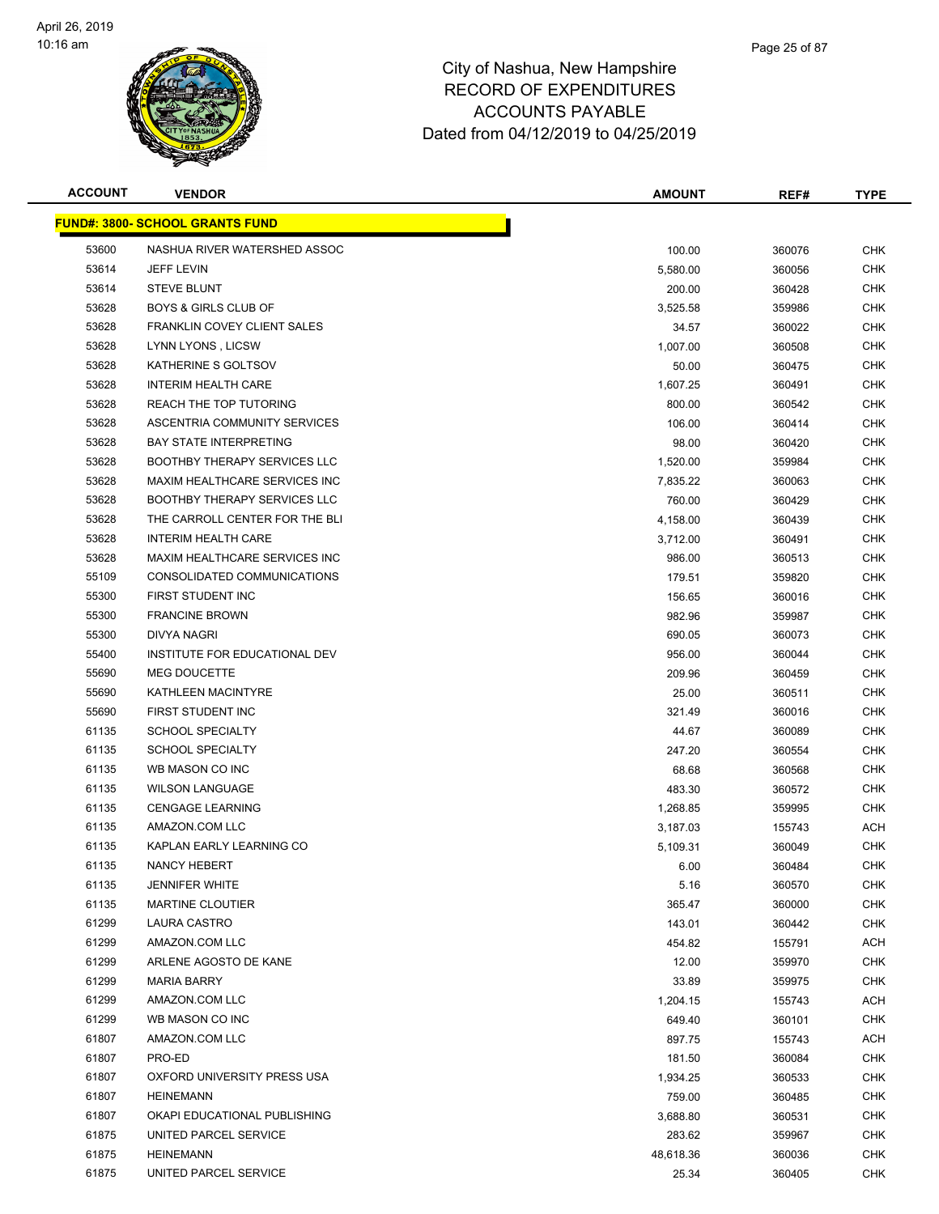

| <b>ACCOUNT</b> | <b>VENDOR</b>                          | <b>AMOUNT</b> | REF#   | <b>TYPE</b> |
|----------------|----------------------------------------|---------------|--------|-------------|
|                | <b>FUND#: 3800- SCHOOL GRANTS FUND</b> |               |        |             |
| 53600          | NASHUA RIVER WATERSHED ASSOC           | 100.00        | 360076 | <b>CHK</b>  |
| 53614          | JEFF LEVIN                             | 5,580.00      | 360056 | <b>CHK</b>  |
| 53614          | <b>STEVE BLUNT</b>                     | 200.00        | 360428 | CHK         |
| 53628          | <b>BOYS &amp; GIRLS CLUB OF</b>        | 3,525.58      | 359986 | <b>CHK</b>  |
| 53628          | FRANKLIN COVEY CLIENT SALES            | 34.57         | 360022 | <b>CHK</b>  |
| 53628          | LYNN LYONS, LICSW                      | 1,007.00      | 360508 | CHK         |
| 53628          | KATHERINE S GOLTSOV                    | 50.00         | 360475 | <b>CHK</b>  |
| 53628          | <b>INTERIM HEALTH CARE</b>             | 1,607.25      | 360491 | CHK         |
| 53628          | REACH THE TOP TUTORING                 | 800.00        | 360542 | <b>CHK</b>  |
| 53628          | ASCENTRIA COMMUNITY SERVICES           | 106.00        | 360414 | <b>CHK</b>  |
| 53628          | <b>BAY STATE INTERPRETING</b>          | 98.00         | 360420 | CHK         |
| 53628          | <b>BOOTHBY THERAPY SERVICES LLC</b>    | 1,520.00      | 359984 | CHK         |
| 53628          | MAXIM HEALTHCARE SERVICES INC          | 7,835.22      | 360063 | CHK         |
| 53628          | <b>BOOTHBY THERAPY SERVICES LLC</b>    | 760.00        | 360429 | <b>CHK</b>  |
| 53628          | THE CARROLL CENTER FOR THE BLI         | 4,158.00      | 360439 | <b>CHK</b>  |
| 53628          | <b>INTERIM HEALTH CARE</b>             | 3,712.00      | 360491 | CHK         |
| 53628          | MAXIM HEALTHCARE SERVICES INC          | 986.00        | 360513 | <b>CHK</b>  |
| 55109          | CONSOLIDATED COMMUNICATIONS            | 179.51        | 359820 | <b>CHK</b>  |
| 55300          | FIRST STUDENT INC                      | 156.65        | 360016 | CHK         |
| 55300          | <b>FRANCINE BROWN</b>                  | 982.96        | 359987 | <b>CHK</b>  |
| 55300          | <b>DIVYA NAGRI</b>                     | 690.05        | 360073 | <b>CHK</b>  |
| 55400          | INSTITUTE FOR EDUCATIONAL DEV          | 956.00        | 360044 | CHK         |
| 55690          | <b>MEG DOUCETTE</b>                    | 209.96        | 360459 | <b>CHK</b>  |
| 55690          | KATHLEEN MACINTYRE                     | 25.00         | 360511 | CHK         |
| 55690          | FIRST STUDENT INC                      | 321.49        | 360016 | <b>CHK</b>  |
| 61135          | <b>SCHOOL SPECIALTY</b>                | 44.67         | 360089 | <b>CHK</b>  |
| 61135          | <b>SCHOOL SPECIALTY</b>                | 247.20        | 360554 | <b>CHK</b>  |
| 61135          | WB MASON CO INC                        | 68.68         | 360568 | CHK         |
| 61135          | <b>WILSON LANGUAGE</b>                 | 483.30        | 360572 | <b>CHK</b>  |
| 61135          | <b>CENGAGE LEARNING</b>                | 1,268.85      | 359995 | CHK         |
| 61135          | AMAZON.COM LLC                         | 3,187.03      | 155743 | ACH         |
| 61135          | KAPLAN EARLY LEARNING CO               | 5,109.31      | 360049 | CHK         |
| 61135          | NANCY HEBERT                           | 6.00          | 360484 | <b>CHK</b>  |
| 61135          | <b>JENNIFER WHITE</b>                  | 5.16          | 360570 | <b>CHK</b>  |
| 61135          | <b>MARTINE CLOUTIER</b>                | 365.47        | 360000 | <b>CHK</b>  |
| 61299          | LAURA CASTRO                           | 143.01        | 360442 | <b>CHK</b>  |
| 61299          | AMAZON.COM LLC                         | 454.82        | 155791 | <b>ACH</b>  |
| 61299          | ARLENE AGOSTO DE KANE                  | 12.00         | 359970 | <b>CHK</b>  |
| 61299          | <b>MARIA BARRY</b>                     | 33.89         | 359975 | <b>CHK</b>  |
| 61299          | AMAZON.COM LLC                         | 1,204.15      | 155743 | <b>ACH</b>  |
| 61299          | WB MASON CO INC                        | 649.40        | 360101 | <b>CHK</b>  |
| 61807          | AMAZON.COM LLC                         | 897.75        | 155743 | <b>ACH</b>  |
| 61807          | PRO-ED                                 | 181.50        | 360084 | CHK         |
| 61807          | OXFORD UNIVERSITY PRESS USA            | 1,934.25      | 360533 | <b>CHK</b>  |
| 61807          | <b>HEINEMANN</b>                       | 759.00        | 360485 | <b>CHK</b>  |
| 61807          | OKAPI EDUCATIONAL PUBLISHING           | 3,688.80      | 360531 | CHK         |
| 61875          | UNITED PARCEL SERVICE                  | 283.62        | 359967 | <b>CHK</b>  |
| 61875          | <b>HEINEMANN</b>                       | 48,618.36     | 360036 | <b>CHK</b>  |
| 61875          | UNITED PARCEL SERVICE                  | 25.34         | 360405 | <b>CHK</b>  |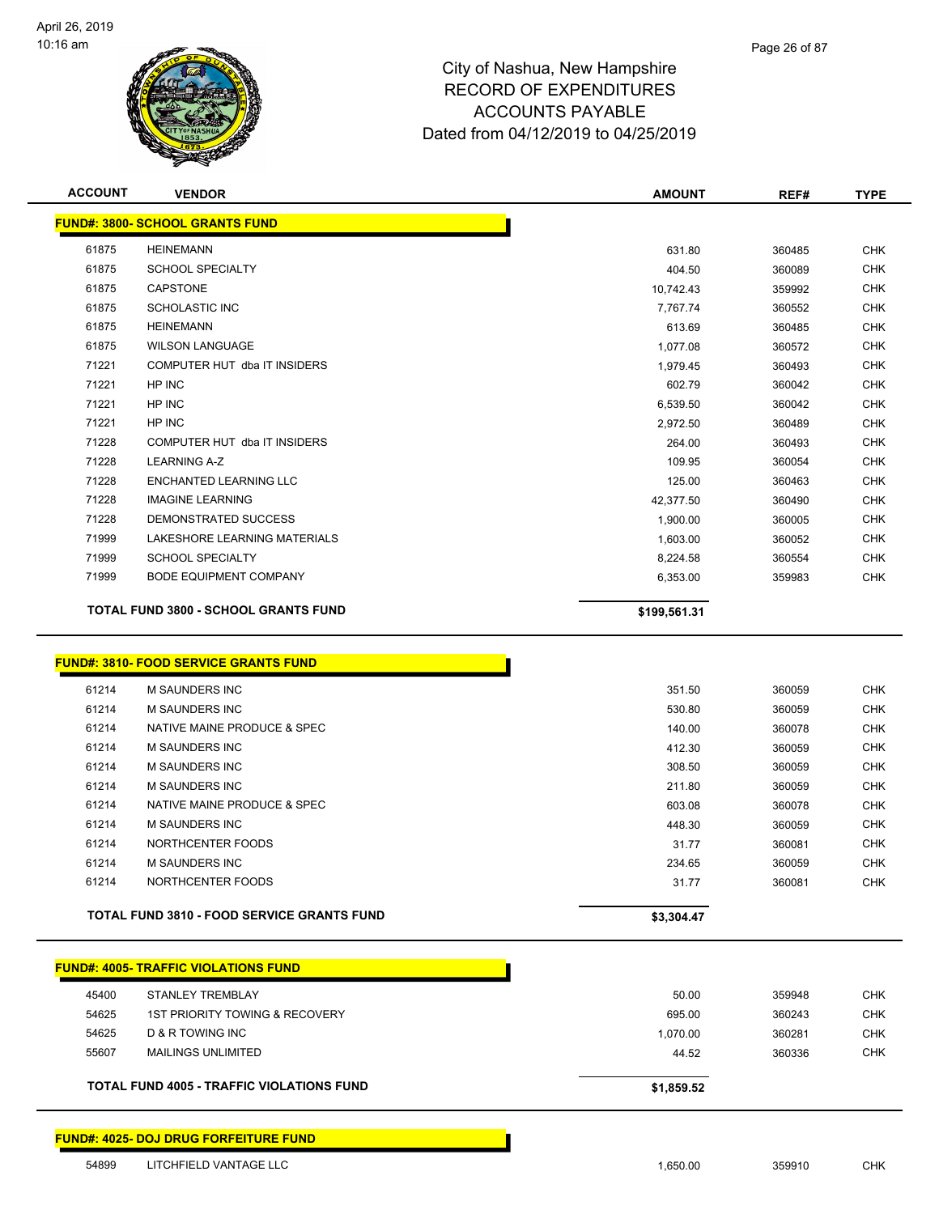

| <b>ACCOUNT</b> | <b>VENDOR</b>                               | <b>AMOUNT</b> | REF#   | <b>TYPE</b> |
|----------------|---------------------------------------------|---------------|--------|-------------|
|                | <b>FUND#: 3800- SCHOOL GRANTS FUND</b>      |               |        |             |
| 61875          | <b>HEINEMANN</b>                            | 631.80        | 360485 | <b>CHK</b>  |
| 61875          | <b>SCHOOL SPECIALTY</b>                     | 404.50        | 360089 | <b>CHK</b>  |
| 61875          | <b>CAPSTONE</b>                             | 10,742.43     | 359992 | <b>CHK</b>  |
| 61875          | <b>SCHOLASTIC INC</b>                       | 7,767.74      | 360552 | <b>CHK</b>  |
| 61875          | <b>HEINEMANN</b>                            | 613.69        | 360485 | <b>CHK</b>  |
| 61875          | <b>WILSON LANGUAGE</b>                      | 1,077.08      | 360572 | <b>CHK</b>  |
| 71221          | COMPUTER HUT dba IT INSIDERS                | 1,979.45      | 360493 | <b>CHK</b>  |
| 71221          | HP INC                                      | 602.79        | 360042 | <b>CHK</b>  |
| 71221          | HP INC                                      | 6,539.50      | 360042 | <b>CHK</b>  |
| 71221          | HP INC                                      | 2,972.50      | 360489 | <b>CHK</b>  |
| 71228          | COMPUTER HUT dba IT INSIDERS                | 264.00        | 360493 | <b>CHK</b>  |
| 71228          | <b>LEARNING A-Z</b>                         | 109.95        | 360054 | <b>CHK</b>  |
| 71228          | <b>ENCHANTED LEARNING LLC</b>               | 125.00        | 360463 | <b>CHK</b>  |
| 71228          | <b>IMAGINE LEARNING</b>                     | 42,377.50     | 360490 | <b>CHK</b>  |
| 71228          | DEMONSTRATED SUCCESS                        | 1,900.00      | 360005 | <b>CHK</b>  |
| 71999          | LAKESHORE LEARNING MATERIALS                | 1,603.00      | 360052 | <b>CHK</b>  |
| 71999          | <b>SCHOOL SPECIALTY</b>                     | 8,224.58      | 360554 | <b>CHK</b>  |
| 71999          | <b>BODE EQUIPMENT COMPANY</b>               | 6,353.00      | 359983 | <b>CHK</b>  |
|                | <b>TOTAL FUND 3800 - SCHOOL GRANTS FUND</b> | \$199,561.31  |        |             |
|                |                                             |               |        |             |

|  | <u> FUND#: 3810- FOOD SERVICE GRANTS FUND</u> |  |
|--|-----------------------------------------------|--|
|--|-----------------------------------------------|--|

| 61214<br>61214 | M SAUNDERS INC<br>NORTHCENTER FOODS | 234.65<br>31.77 | 360059<br>360081 | <b>CHK</b><br><b>CHK</b> |
|----------------|-------------------------------------|-----------------|------------------|--------------------------|
| 61214          | NORTHCENTER FOODS                   | 31.77           | 360081           | <b>CHK</b>               |
| 61214          | <b>M SAUNDERS INC</b>               | 448.30          | 360059           | <b>CHK</b>               |
| 61214          | NATIVE MAINE PRODUCE & SPEC         | 603.08          | 360078           | <b>CHK</b>               |
| 61214          | <b>M SAUNDERS INC</b>               | 211.80          | 360059           | <b>CHK</b>               |
| 61214          | <b>M SAUNDERS INC</b>               | 308.50          | 360059           | <b>CHK</b>               |
| 61214          | M SAUNDERS INC                      | 412.30          | 360059           | <b>CHK</b>               |
| 61214          | NATIVE MAINE PRODUCE & SPEC         | 140.00          | 360078           | <b>CHK</b>               |
| 61214          | <b>M SAUNDERS INC</b>               | 530.80          | 360059           | <b>CHK</b>               |
| 61214          | <b>M SAUNDERS INC</b>               | 351.50          | 360059           | <b>CHK</b>               |

г

|       | <b>FUND#: 4005- TRAFFIC VIOLATIONS FUND</b>      |            |        |            |
|-------|--------------------------------------------------|------------|--------|------------|
| 45400 | STANLEY TREMBLAY                                 | 50.00      | 359948 | <b>CHK</b> |
| 54625 | 1ST PRIORITY TOWING & RECOVERY                   | 695.00     | 360243 | <b>CHK</b> |
| 54625 | D & R TOWING INC                                 | 1.070.00   | 360281 | <b>CHK</b> |
| 55607 | <b>MAILINGS UNLIMITED</b>                        | 44.52      | 360336 | <b>CHK</b> |
|       | <b>TOTAL FUND 4005 - TRAFFIC VIOLATIONS FUND</b> | \$1,859.52 |        |            |

**FUND#: 4025- DOJ DRUG FORFEITURE FUND**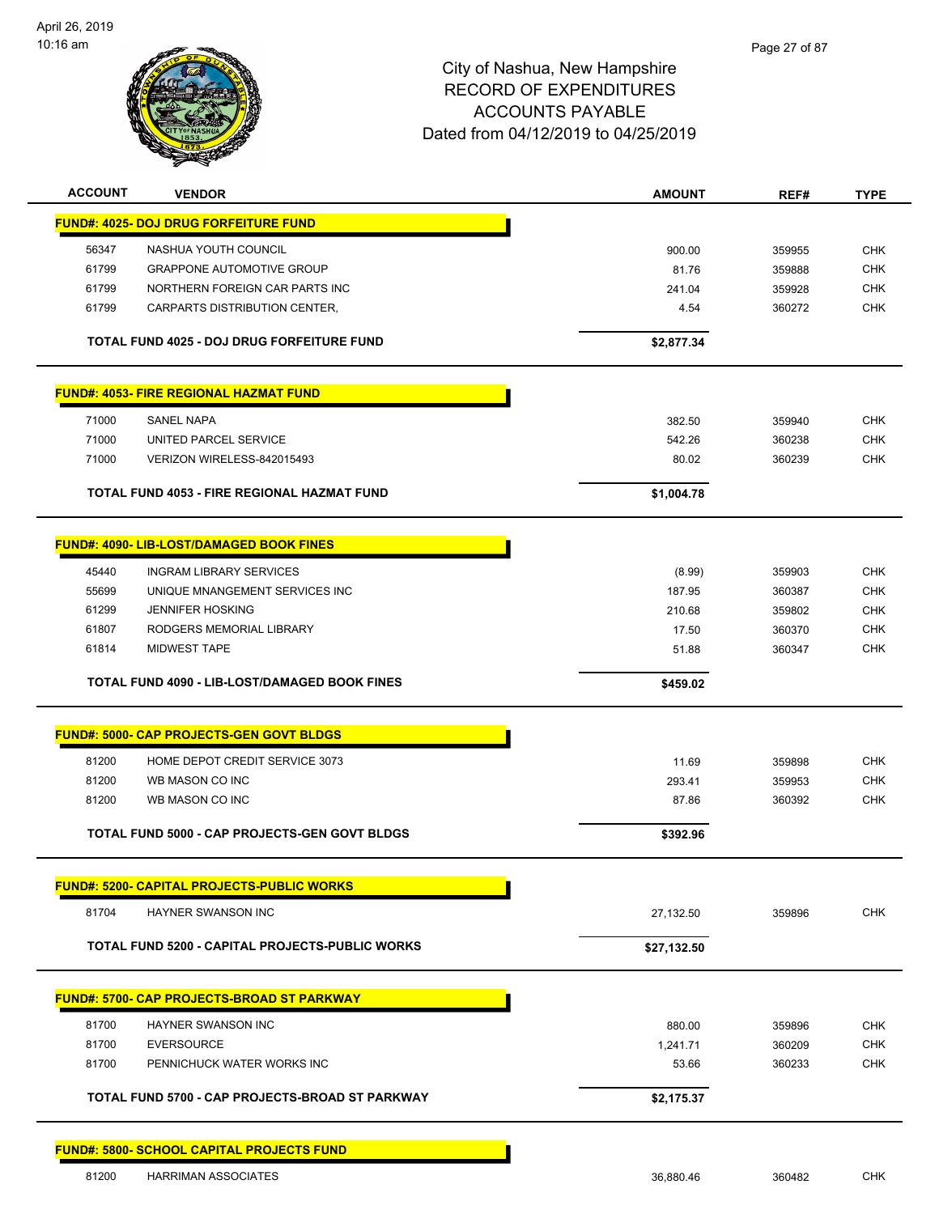

| <b>ACCOUNT</b> | <b>VENDOR</b>                                      | <b>AMOUNT</b> | REF#   | <b>TYPE</b> |
|----------------|----------------------------------------------------|---------------|--------|-------------|
|                | <b>FUND#: 4025- DOJ DRUG FORFEITURE FUND</b>       |               |        |             |
| 56347          | NASHUA YOUTH COUNCIL                               | 900.00        | 359955 | <b>CHK</b>  |
| 61799          | <b>GRAPPONE AUTOMOTIVE GROUP</b>                   | 81.76         | 359888 | <b>CHK</b>  |
| 61799          | NORTHERN FOREIGN CAR PARTS INC                     | 241.04        | 359928 | <b>CHK</b>  |
| 61799          | CARPARTS DISTRIBUTION CENTER,                      | 4.54          | 360272 | <b>CHK</b>  |
|                | <b>TOTAL FUND 4025 - DOJ DRUG FORFEITURE FUND</b>  | \$2,877.34    |        |             |
|                | <b>FUND#: 4053- FIRE REGIONAL HAZMAT FUND</b>      |               |        |             |
| 71000          | SANEL NAPA                                         | 382.50        | 359940 | <b>CHK</b>  |
| 71000          | UNITED PARCEL SERVICE                              | 542.26        | 360238 | <b>CHK</b>  |
| 71000          | VERIZON WIRELESS-842015493                         | 80.02         | 360239 | <b>CHK</b>  |
|                | <b>TOTAL FUND 4053 - FIRE REGIONAL HAZMAT FUND</b> | \$1,004.78    |        |             |
|                | <b>FUND#: 4090- LIB-LOST/DAMAGED BOOK FINES</b>    |               |        |             |
| 45440          | <b>INGRAM LIBRARY SERVICES</b>                     | (8.99)        | 359903 | <b>CHK</b>  |
| 55699          | UNIQUE MNANGEMENT SERVICES INC                     | 187.95        | 360387 | <b>CHK</b>  |
| 61299          | <b>JENNIFER HOSKING</b>                            | 210.68        | 359802 | <b>CHK</b>  |
| 61807          | RODGERS MEMORIAL LIBRARY                           | 17.50         | 360370 | CHK         |
| 61814          | <b>MIDWEST TAPE</b>                                | 51.88         | 360347 | <b>CHK</b>  |
|                | TOTAL FUND 4090 - LIB-LOST/DAMAGED BOOK FINES      | \$459.02      |        |             |
|                | <b>FUND#: 5000- CAP PROJECTS-GEN GOVT BLDGS</b>    |               |        |             |
| 81200          | HOME DEPOT CREDIT SERVICE 3073                     | 11.69         | 359898 | <b>CHK</b>  |
| 81200          | WB MASON CO INC                                    | 293.41        | 359953 | <b>CHK</b>  |
| 81200          | WB MASON CO INC                                    | 87.86         | 360392 | <b>CHK</b>  |
|                | TOTAL FUND 5000 - CAP PROJECTS-GEN GOVT BLDGS      | \$392.96      |        |             |
|                | <b>FUND#: 5200- CAPITAL PROJECTS-PUBLIC WORKS</b>  |               |        |             |
| 81704          | HAYNER SWANSON INC                                 | 27,132.50     | 359896 | <b>CHK</b>  |
|                | TOTAL FUND 5200 - CAPITAL PROJECTS-PUBLIC WORKS    | \$27,132.50   |        |             |
|                | <b>FUND#: 5700- CAP PROJECTS-BROAD ST PARKWAY</b>  |               |        |             |
| 81700          | <b>HAYNER SWANSON INC</b>                          | 880.00        | 359896 | <b>CHK</b>  |
| 81700          | <b>EVERSOURCE</b>                                  | 1,241.71      | 360209 | <b>CHK</b>  |
| 81700          | PENNICHUCK WATER WORKS INC                         | 53.66         | 360233 | <b>CHK</b>  |
|                | TOTAL FUND 5700 - CAP PROJECTS-BROAD ST PARKWAY    | \$2,175.37    |        |             |
|                | <b>FUND#: 5800- SCHOOL CAPITAL PROJECTS FUND</b>   |               |        |             |
| 81200          | HARRIMAN ASSOCIATES                                | 36,880.46     | 360482 | <b>CHK</b>  |
|                |                                                    |               |        |             |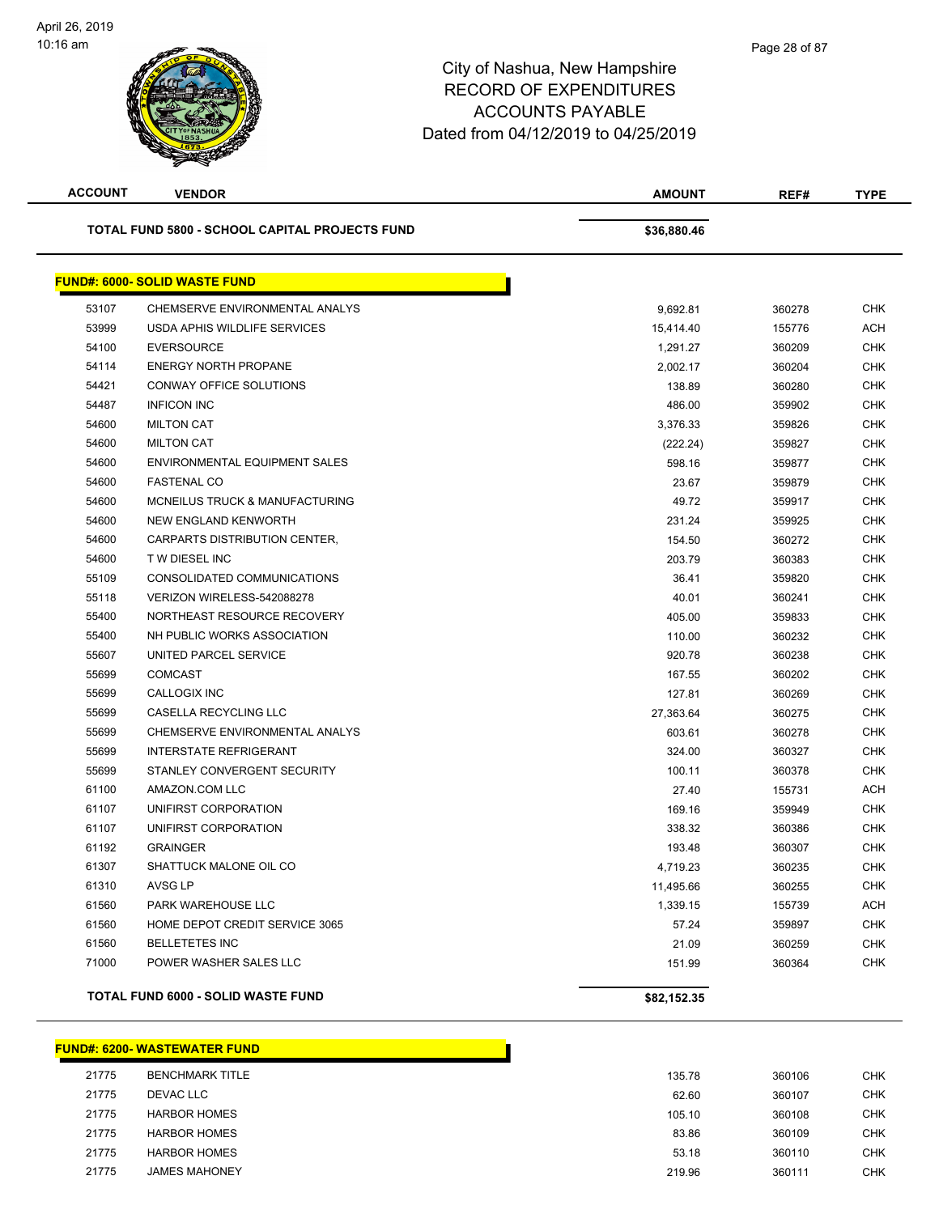

| <b>ACCOUNT</b> | <b>VENDOR</b>                                  | <b>AMOUNT</b> | REF#   | <b>TYPE</b> |
|----------------|------------------------------------------------|---------------|--------|-------------|
|                | TOTAL FUND 5800 - SCHOOL CAPITAL PROJECTS FUND | \$36,880.46   |        |             |
|                | <b>FUND#: 6000- SOLID WASTE FUND</b>           |               |        |             |
| 53107          | CHEMSERVE ENVIRONMENTAL ANALYS                 | 9,692.81      | 360278 | <b>CHK</b>  |
| 53999          | USDA APHIS WILDLIFE SERVICES                   | 15,414.40     | 155776 | <b>ACH</b>  |
| 54100          | <b>EVERSOURCE</b>                              | 1,291.27      | 360209 | <b>CHK</b>  |
| 54114          | <b>ENERGY NORTH PROPANE</b>                    | 2,002.17      | 360204 | <b>CHK</b>  |
| 54421          | CONWAY OFFICE SOLUTIONS                        | 138.89        | 360280 | <b>CHK</b>  |
| 54487          | <b>INFICON INC</b>                             | 486.00        | 359902 | <b>CHK</b>  |
| 54600          | <b>MILTON CAT</b>                              | 3,376.33      | 359826 | <b>CHK</b>  |
| 54600          | <b>MILTON CAT</b>                              | (222.24)      | 359827 | <b>CHK</b>  |
| 54600          | ENVIRONMENTAL EQUIPMENT SALES                  | 598.16        | 359877 | <b>CHK</b>  |
| 54600          | <b>FASTENAL CO</b>                             | 23.67         | 359879 | <b>CHK</b>  |
| 54600          | MCNEILUS TRUCK & MANUFACTURING                 | 49.72         | 359917 | <b>CHK</b>  |
| 54600          | <b>NEW ENGLAND KENWORTH</b>                    | 231.24        | 359925 | <b>CHK</b>  |
| 54600          | CARPARTS DISTRIBUTION CENTER,                  | 154.50        | 360272 | <b>CHK</b>  |
| 54600          | <b>TW DIESEL INC</b>                           | 203.79        | 360383 | <b>CHK</b>  |
| 55109          | CONSOLIDATED COMMUNICATIONS                    | 36.41         | 359820 | <b>CHK</b>  |
| 55118          | VERIZON WIRELESS-542088278                     | 40.01         | 360241 | <b>CHK</b>  |
| 55400          | NORTHEAST RESOURCE RECOVERY                    | 405.00        | 359833 | <b>CHK</b>  |
| 55400          | NH PUBLIC WORKS ASSOCIATION                    | 110.00        | 360232 | <b>CHK</b>  |
| 55607          | UNITED PARCEL SERVICE                          | 920.78        | 360238 | <b>CHK</b>  |
| 55699          | <b>COMCAST</b>                                 | 167.55        | 360202 | <b>CHK</b>  |
| 55699          | CALLOGIX INC                                   | 127.81        | 360269 | <b>CHK</b>  |
| 55699          | CASELLA RECYCLING LLC                          | 27,363.64     | 360275 | <b>CHK</b>  |
| 55699          | CHEMSERVE ENVIRONMENTAL ANALYS                 | 603.61        | 360278 | <b>CHK</b>  |
| 55699          | <b>INTERSTATE REFRIGERANT</b>                  | 324.00        | 360327 | <b>CHK</b>  |
| 55699          | STANLEY CONVERGENT SECURITY                    | 100.11        | 360378 | <b>CHK</b>  |
| 61100          | AMAZON.COM LLC                                 | 27.40         | 155731 | <b>ACH</b>  |
| 61107          | UNIFIRST CORPORATION                           | 169.16        | 359949 | <b>CHK</b>  |
| 61107          | UNIFIRST CORPORATION                           | 338.32        | 360386 | <b>CHK</b>  |
| 61192          | <b>GRAINGER</b>                                | 193.48        | 360307 | <b>CHK</b>  |
| 61307          | SHATTUCK MALONE OIL CO                         | 4,719.23      | 360235 | <b>CHK</b>  |
| 61310          | AVSG LP                                        | 11,495.66     | 360255 | <b>CHK</b>  |
| 61560          | PARK WAREHOUSE LLC                             | 1,339.15      | 155739 | <b>ACH</b>  |
| 61560          | HOME DEPOT CREDIT SERVICE 3065                 | 57.24         | 359897 | <b>CHK</b>  |
| 61560          | <b>BELLETETES INC</b>                          | 21.09         | 360259 | <b>CHK</b>  |
| 71000          | POWER WASHER SALES LLC                         | 151.99        | 360364 | <b>CHK</b>  |
|                | TOTAL FUND 6000 - SOLID WASTE FUND             | \$82,152.35   |        |             |

#### **FUND#: 6200- WASTEWATER FUND**

| 21775 | <b>BENCHMARK TITLE</b> | 135.78 | 360106 | <b>CHK</b> |
|-------|------------------------|--------|--------|------------|
| 21775 | <b>DEVAC LLC</b>       | 62.60  | 360107 | <b>CHK</b> |
| 21775 | <b>HARBOR HOMES</b>    | 105.10 | 360108 | <b>CHK</b> |
| 21775 | <b>HARBOR HOMES</b>    | 83.86  | 360109 | <b>CHK</b> |
| 21775 | <b>HARBOR HOMES</b>    | 53.18  | 360110 | <b>CHK</b> |
| 21775 | <b>JAMES MAHONEY</b>   | 219.96 | 360111 | <b>CHK</b> |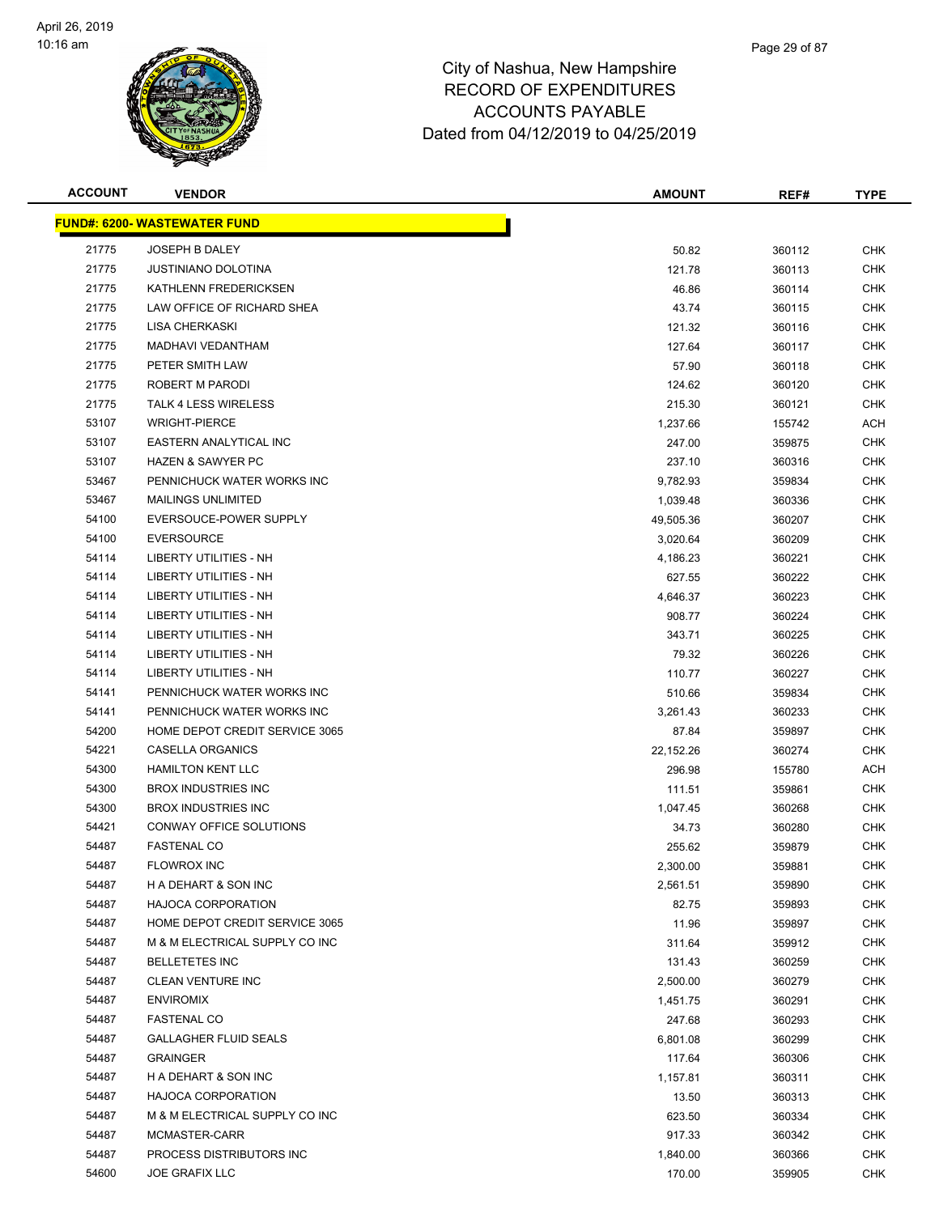

| <b>ACCOUNT</b> | <b>VENDOR</b>                       | <b>AMOUNT</b> | REF#   | <b>TYPE</b> |
|----------------|-------------------------------------|---------------|--------|-------------|
|                | <b>FUND#: 6200- WASTEWATER FUND</b> |               |        |             |
| 21775          | JOSEPH B DALEY                      | 50.82         | 360112 | <b>CHK</b>  |
| 21775          | <b>JUSTINIANO DOLOTINA</b>          | 121.78        | 360113 | <b>CHK</b>  |
| 21775          | KATHLENN FREDERICKSEN               | 46.86         | 360114 | CHK         |
| 21775          | LAW OFFICE OF RICHARD SHEA          | 43.74         | 360115 | <b>CHK</b>  |
| 21775          | <b>LISA CHERKASKI</b>               | 121.32        | 360116 | <b>CHK</b>  |
| 21775          | <b>MADHAVI VEDANTHAM</b>            | 127.64        | 360117 | <b>CHK</b>  |
| 21775          | PETER SMITH LAW                     | 57.90         | 360118 | <b>CHK</b>  |
| 21775          | ROBERT M PARODI                     | 124.62        | 360120 | <b>CHK</b>  |
| 21775          | <b>TALK 4 LESS WIRELESS</b>         | 215.30        | 360121 | CHK         |
| 53107          | <b>WRIGHT-PIERCE</b>                | 1,237.66      | 155742 | <b>ACH</b>  |
| 53107          | EASTERN ANALYTICAL INC              | 247.00        | 359875 | <b>CHK</b>  |
| 53107          | <b>HAZEN &amp; SAWYER PC</b>        | 237.10        | 360316 | <b>CHK</b>  |
| 53467          | PENNICHUCK WATER WORKS INC          | 9,782.93      | 359834 | <b>CHK</b>  |
| 53467          | MAILINGS UNLIMITED                  | 1,039.48      | 360336 | CHK         |
| 54100          | EVERSOUCE-POWER SUPPLY              | 49,505.36     | 360207 | <b>CHK</b>  |
| 54100          | <b>EVERSOURCE</b>                   | 3,020.64      | 360209 | <b>CHK</b>  |
| 54114          | LIBERTY UTILITIES - NH              | 4,186.23      | 360221 | <b>CHK</b>  |
| 54114          | <b>LIBERTY UTILITIES - NH</b>       | 627.55        | 360222 | <b>CHK</b>  |
| 54114          | LIBERTY UTILITIES - NH              | 4,646.37      | 360223 | <b>CHK</b>  |
| 54114          | LIBERTY UTILITIES - NH              | 908.77        | 360224 | CHK         |
| 54114          | LIBERTY UTILITIES - NH              | 343.71        | 360225 | <b>CHK</b>  |
| 54114          | LIBERTY UTILITIES - NH              | 79.32         | 360226 | <b>CHK</b>  |
| 54114          | LIBERTY UTILITIES - NH              | 110.77        | 360227 | <b>CHK</b>  |
| 54141          | PENNICHUCK WATER WORKS INC          | 510.66        | 359834 | <b>CHK</b>  |
| 54141          | PENNICHUCK WATER WORKS INC          | 3,261.43      | 360233 | <b>CHK</b>  |
| 54200          | HOME DEPOT CREDIT SERVICE 3065      | 87.84         | 359897 | <b>CHK</b>  |
| 54221          | CASELLA ORGANICS                    | 22,152.26     | 360274 | <b>CHK</b>  |
| 54300          | <b>HAMILTON KENT LLC</b>            | 296.98        | 155780 | ACH         |
| 54300          | <b>BROX INDUSTRIES INC</b>          | 111.51        | 359861 | <b>CHK</b>  |
| 54300          | <b>BROX INDUSTRIES INC</b>          | 1,047.45      | 360268 | <b>CHK</b>  |
| 54421          | CONWAY OFFICE SOLUTIONS             | 34.73         | 360280 | CHK         |
| 54487          | <b>FASTENAL CO</b>                  | 255.62        | 359879 | <b>CHK</b>  |
| 54487          | <b>FLOWROX INC</b>                  | 2,300.00      | 359881 | <b>CHK</b>  |
| 54487          | H A DEHART & SON INC                | 2,561.51      | 359890 | <b>CHK</b>  |
| 54487          | <b>HAJOCA CORPORATION</b>           | 82.75         | 359893 | <b>CHK</b>  |
| 54487          | HOME DEPOT CREDIT SERVICE 3065      | 11.96         | 359897 | <b>CHK</b>  |
| 54487          | M & M ELECTRICAL SUPPLY CO INC      | 311.64        | 359912 | <b>CHK</b>  |
| 54487          | <b>BELLETETES INC</b>               | 131.43        | 360259 | <b>CHK</b>  |
| 54487          | CLEAN VENTURE INC                   | 2,500.00      | 360279 | <b>CHK</b>  |
| 54487          | <b>ENVIROMIX</b>                    | 1,451.75      | 360291 | <b>CHK</b>  |
| 54487          | <b>FASTENAL CO</b>                  | 247.68        | 360293 | <b>CHK</b>  |
| 54487          | <b>GALLAGHER FLUID SEALS</b>        | 6,801.08      | 360299 | <b>CHK</b>  |
| 54487          | <b>GRAINGER</b>                     | 117.64        | 360306 | <b>CHK</b>  |
| 54487          | H A DEHART & SON INC                | 1,157.81      | 360311 | <b>CHK</b>  |
| 54487          | HAJOCA CORPORATION                  | 13.50         | 360313 | CHK         |
| 54487          | M & M ELECTRICAL SUPPLY CO INC      | 623.50        | 360334 | <b>CHK</b>  |
| 54487          | MCMASTER-CARR                       | 917.33        | 360342 | CHK         |
| 54487          | PROCESS DISTRIBUTORS INC            | 1,840.00      | 360366 | <b>CHK</b>  |
| 54600          | <b>JOE GRAFIX LLC</b>               | 170.00        | 359905 | <b>CHK</b>  |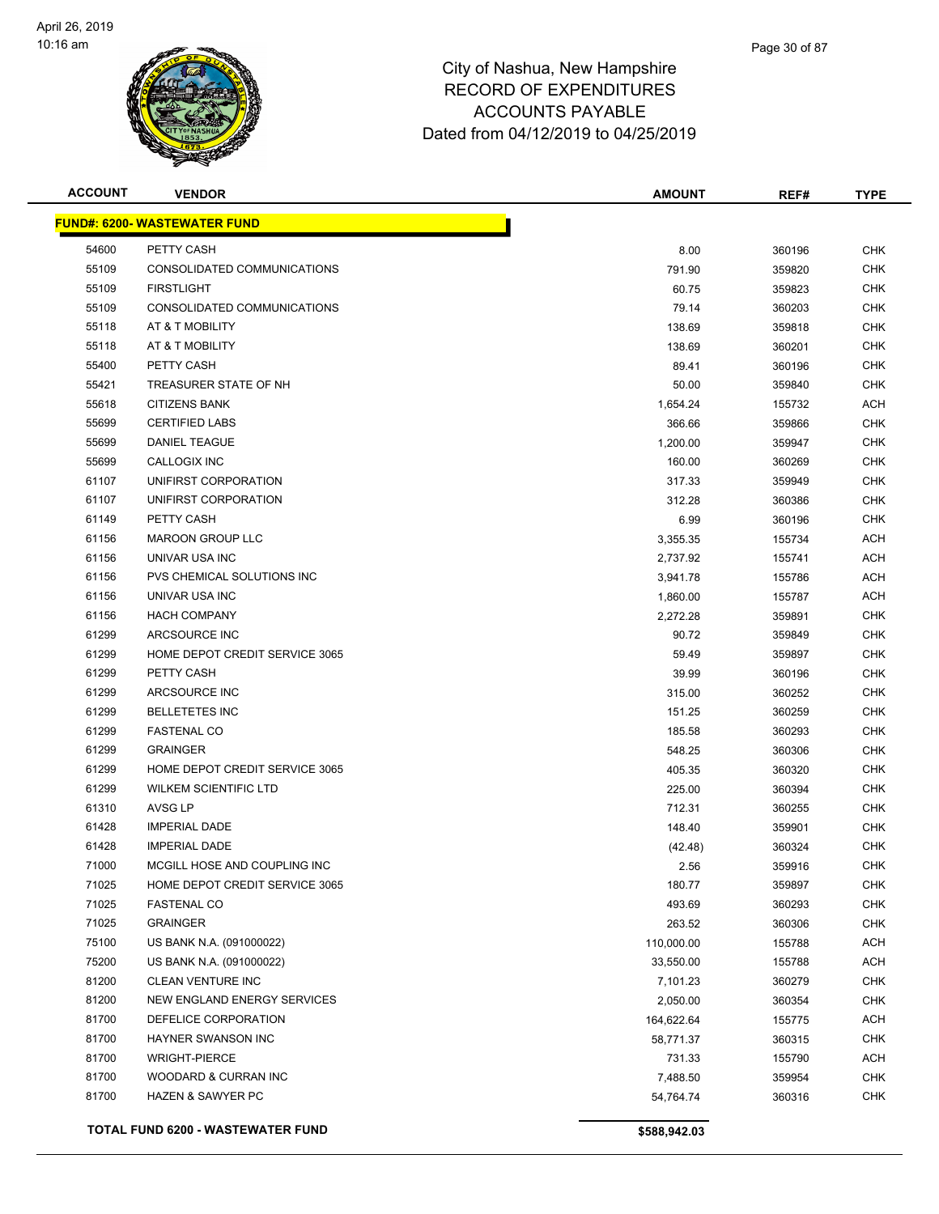

| <b>ACCOUNT</b> | <b>VENDOR</b>                       | <b>AMOUNT</b> | REF#   | <b>TYPE</b> |
|----------------|-------------------------------------|---------------|--------|-------------|
|                | <b>FUND#: 6200- WASTEWATER FUND</b> |               |        |             |
| 54600          | PETTY CASH                          | 8.00          | 360196 | <b>CHK</b>  |
| 55109          | CONSOLIDATED COMMUNICATIONS         | 791.90        | 359820 | <b>CHK</b>  |
| 55109          | <b>FIRSTLIGHT</b>                   | 60.75         | 359823 | <b>CHK</b>  |
| 55109          | CONSOLIDATED COMMUNICATIONS         | 79.14         | 360203 | <b>CHK</b>  |
| 55118          | AT & T MOBILITY                     | 138.69        | 359818 | <b>CHK</b>  |
| 55118          | AT & T MOBILITY                     | 138.69        | 360201 | <b>CHK</b>  |
| 55400          | PETTY CASH                          | 89.41         | 360196 | <b>CHK</b>  |
| 55421          | TREASURER STATE OF NH               | 50.00         | 359840 | <b>CHK</b>  |
| 55618          | <b>CITIZENS BANK</b>                | 1,654.24      | 155732 | ACH         |
| 55699          | <b>CERTIFIED LABS</b>               | 366.66        | 359866 | CHK         |
| 55699          | DANIEL TEAGUE                       | 1,200.00      | 359947 | <b>CHK</b>  |
| 55699          | CALLOGIX INC                        | 160.00        | 360269 | <b>CHK</b>  |
| 61107          | UNIFIRST CORPORATION                | 317.33        | 359949 | <b>CHK</b>  |
| 61107          | UNIFIRST CORPORATION                | 312.28        | 360386 | <b>CHK</b>  |
| 61149          | PETTY CASH                          | 6.99          | 360196 | CHK         |
| 61156          | <b>MAROON GROUP LLC</b>             | 3,355.35      | 155734 | <b>ACH</b>  |
| 61156          | UNIVAR USA INC                      | 2,737.92      | 155741 | <b>ACH</b>  |
| 61156          | PVS CHEMICAL SOLUTIONS INC          | 3,941.78      | 155786 | <b>ACH</b>  |
| 61156          | UNIVAR USA INC                      | 1,860.00      | 155787 | <b>ACH</b>  |
| 61156          | <b>HACH COMPANY</b>                 | 2,272.28      | 359891 | CHK         |
| 61299          | ARCSOURCE INC                       | 90.72         | 359849 | <b>CHK</b>  |
| 61299          | HOME DEPOT CREDIT SERVICE 3065      | 59.49         | 359897 | <b>CHK</b>  |
| 61299          | PETTY CASH                          | 39.99         | 360196 | <b>CHK</b>  |
| 61299          | ARCSOURCE INC                       | 315.00        | 360252 | <b>CHK</b>  |
| 61299          | <b>BELLETETES INC</b>               | 151.25        | 360259 | <b>CHK</b>  |
| 61299          | <b>FASTENAL CO</b>                  | 185.58        | 360293 | CHK         |
| 61299          | <b>GRAINGER</b>                     | 548.25        | 360306 | <b>CHK</b>  |
| 61299          | HOME DEPOT CREDIT SERVICE 3065      | 405.35        | 360320 | <b>CHK</b>  |
| 61299          | <b>WILKEM SCIENTIFIC LTD</b>        | 225.00        | 360394 | <b>CHK</b>  |
| 61310          | AVSG LP                             | 712.31        | 360255 | <b>CHK</b>  |
| 61428          | <b>IMPERIAL DADE</b>                | 148.40        | 359901 | CHK         |
| 61428          | <b>IMPERIAL DADE</b>                | (42.48)       | 360324 | <b>CHK</b>  |
| 71000          | MCGILL HOSE AND COUPLING INC        | 2.56          | 359916 | <b>CHK</b>  |
| 71025          | HOME DEPOT CREDIT SERVICE 3065      | 180.77        | 359897 | <b>CHK</b>  |
| 71025          | <b>FASTENAL CO</b>                  | 493.69        | 360293 | <b>CHK</b>  |
| 71025          | <b>GRAINGER</b>                     | 263.52        | 360306 | <b>CHK</b>  |
| 75100          | US BANK N.A. (091000022)            | 110,000.00    | 155788 | <b>ACH</b>  |
| 75200          | US BANK N.A. (091000022)            | 33,550.00     | 155788 | <b>ACH</b>  |
| 81200          | CLEAN VENTURE INC                   | 7,101.23      | 360279 | <b>CHK</b>  |
| 81200          | NEW ENGLAND ENERGY SERVICES         | 2,050.00      | 360354 | <b>CHK</b>  |
| 81700          | DEFELICE CORPORATION                | 164,622.64    | 155775 | <b>ACH</b>  |
| 81700          | HAYNER SWANSON INC                  | 58,771.37     | 360315 | <b>CHK</b>  |
| 81700          | <b>WRIGHT-PIERCE</b>                | 731.33        | 155790 | ACH         |
| 81700          | WOODARD & CURRAN INC                | 7,488.50      | 359954 | <b>CHK</b>  |
| 81700          | <b>HAZEN &amp; SAWYER PC</b>        | 54,764.74     | 360316 | <b>CHK</b>  |
|                | TOTAL FUND 6200 - WASTEWATER FUND   | \$588,942.03  |        |             |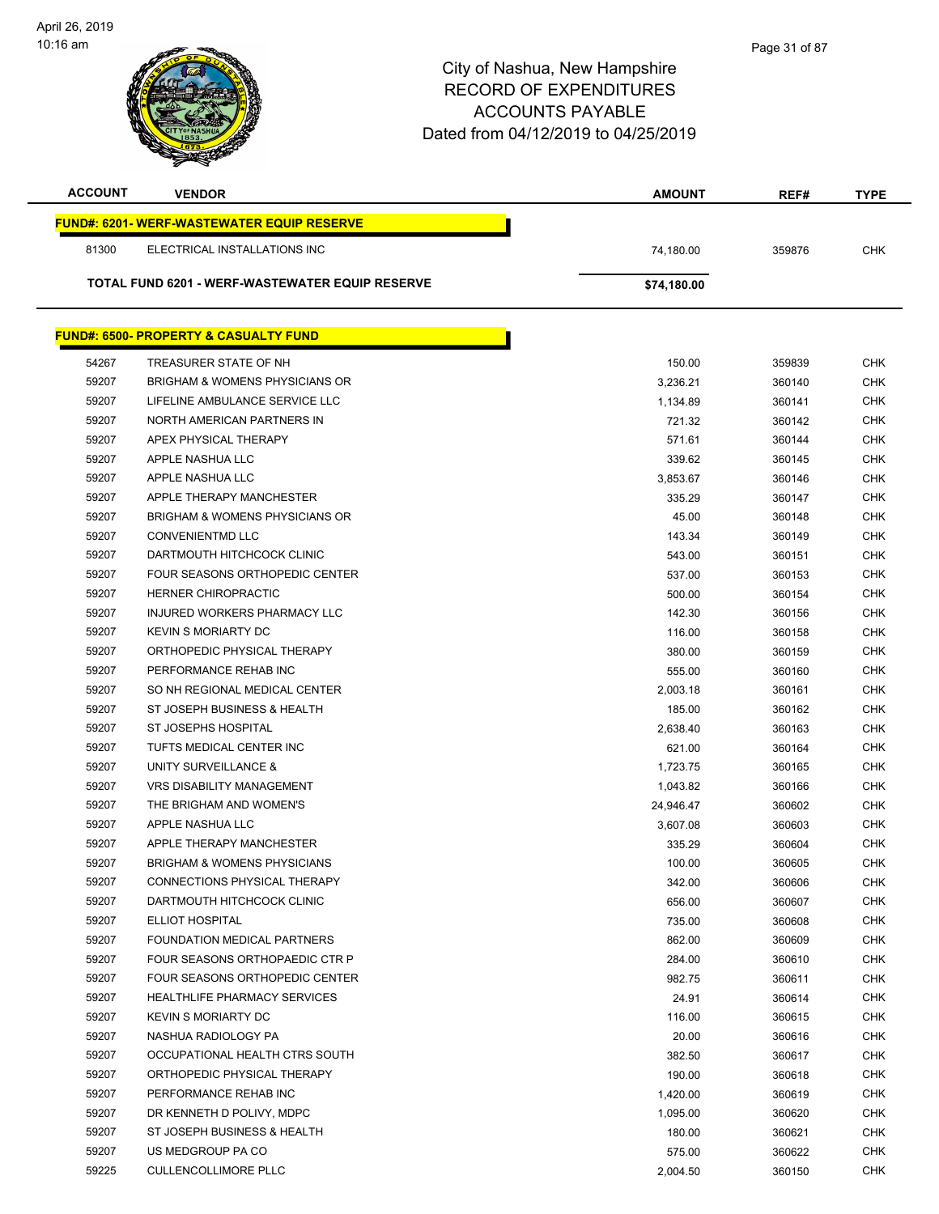

| <b>ACCOUNT</b> | <b>VENDOR</b>                                    | <b>AMOUNT</b> | REF#   | <b>TYPE</b> |
|----------------|--------------------------------------------------|---------------|--------|-------------|
|                | <b>FUND#: 6201-WERF-WASTEWATER EQUIP RESERVE</b> |               |        |             |
| 81300          | ELECTRICAL INSTALLATIONS INC                     | 74,180.00     | 359876 | <b>CHK</b>  |
|                | TOTAL FUND 6201 - WERF-WASTEWATER EQUIP RESERVE  |               |        |             |
|                |                                                  | \$74,180.00   |        |             |
|                | <b>FUND#: 6500- PROPERTY &amp; CASUALTY FUND</b> |               |        |             |
|                |                                                  |               |        |             |
| 54267          | TREASURER STATE OF NH                            | 150.00        | 359839 | <b>CHK</b>  |
| 59207          | <b>BRIGHAM &amp; WOMENS PHYSICIANS OR</b>        | 3,236.21      | 360140 | <b>CHK</b>  |
| 59207          | LIFELINE AMBULANCE SERVICE LLC                   | 1.134.89      | 360141 | <b>CHK</b>  |
| 59207          | NORTH AMERICAN PARTNERS IN                       | 721.32        | 360142 | <b>CHK</b>  |
| 59207          | APEX PHYSICAL THERAPY                            | 571.61        | 360144 | <b>CHK</b>  |
| 59207          | APPLE NASHUA LLC                                 | 339.62        | 360145 | <b>CHK</b>  |
| 59207          | APPLE NASHUA LLC                                 | 3,853.67      | 360146 | <b>CHK</b>  |
| 59207          | APPLE THERAPY MANCHESTER                         | 335.29        | 360147 | <b>CHK</b>  |
| 59207          | <b>BRIGHAM &amp; WOMENS PHYSICIANS OR</b>        | 45.00         | 360148 | <b>CHK</b>  |
| 59207          | <b>CONVENIENTMD LLC</b>                          | 143.34        | 360149 | <b>CHK</b>  |
| 59207          | DARTMOUTH HITCHCOCK CLINIC                       | 543.00        | 360151 | <b>CHK</b>  |
| 59207          | <b>FOUR SEASONS ORTHOPEDIC CENTER</b>            | 537.00        | 360153 | <b>CHK</b>  |
| 59207          | <b>HERNER CHIROPRACTIC</b>                       | 500.00        | 360154 | <b>CHK</b>  |
| 59207          | INJURED WORKERS PHARMACY LLC                     | 142.30        | 360156 | <b>CHK</b>  |
| 59207          | <b>KEVIN S MORIARTY DC</b>                       | 116.00        | 360158 | <b>CHK</b>  |
| 59207          | ORTHOPEDIC PHYSICAL THERAPY                      | 380.00        | 360159 | <b>CHK</b>  |
| 59207          | PERFORMANCE REHAB INC                            | 555.00        | 360160 | <b>CHK</b>  |
| 59207          | SO NH REGIONAL MEDICAL CENTER                    | 2,003.18      | 360161 | <b>CHK</b>  |
| 59207          | ST JOSEPH BUSINESS & HEALTH                      | 185.00        | 360162 | <b>CHK</b>  |
| 59207          | ST JOSEPHS HOSPITAL                              | 2,638.40      | 360163 | <b>CHK</b>  |
| 59207          | TUFTS MEDICAL CENTER INC                         | 621.00        | 360164 | <b>CHK</b>  |
| 59207          | UNITY SURVEILLANCE &                             | 1,723.75      | 360165 | <b>CHK</b>  |
| 59207          | <b>VRS DISABILITY MANAGEMENT</b>                 | 1,043.82      | 360166 | <b>CHK</b>  |
| 59207          | THE BRIGHAM AND WOMEN'S                          | 24,946.47     | 360602 | <b>CHK</b>  |
| 59207          | APPLE NASHUA LLC                                 | 3,607.08      | 360603 | <b>CHK</b>  |
| 59207          | APPLE THERAPY MANCHESTER                         | 335.29        | 360604 | <b>CHK</b>  |
| 59207          | <b>BRIGHAM &amp; WOMENS PHYSICIANS</b>           | 100.00        | 360605 | <b>CHK</b>  |
| 59207          | CONNECTIONS PHYSICAL THERAPY                     | 342.00        | 360606 | <b>CHK</b>  |
| 59207          | DARTMOUTH HITCHCOCK CLINIC                       | 656.00        | 360607 | <b>CHK</b>  |
| 59207          | ELLIOT HOSPITAL                                  | 735.00        | 360608 | <b>CHK</b>  |
| 59207          | FOUNDATION MEDICAL PARTNERS                      | 862.00        | 360609 | <b>CHK</b>  |
| 59207          | FOUR SEASONS ORTHOPAEDIC CTR P                   | 284.00        | 360610 | <b>CHK</b>  |
| 59207          | FOUR SEASONS ORTHOPEDIC CENTER                   | 982.75        | 360611 | <b>CHK</b>  |
| 59207          | <b>HEALTHLIFE PHARMACY SERVICES</b>              | 24.91         | 360614 | <b>CHK</b>  |
| 59207          | <b>KEVIN S MORIARTY DC</b>                       | 116.00        | 360615 | <b>CHK</b>  |
| 59207          | NASHUA RADIOLOGY PA                              | 20.00         | 360616 | <b>CHK</b>  |
| 59207          | OCCUPATIONAL HEALTH CTRS SOUTH                   | 382.50        | 360617 | <b>CHK</b>  |
| 59207          | ORTHOPEDIC PHYSICAL THERAPY                      | 190.00        | 360618 | <b>CHK</b>  |
| 59207          | PERFORMANCE REHAB INC                            | 1,420.00      | 360619 | <b>CHK</b>  |
| 59207          | DR KENNETH D POLIVY, MDPC                        | 1,095.00      | 360620 | CHK         |
| 59207          | ST JOSEPH BUSINESS & HEALTH                      | 180.00        | 360621 | CHK         |
| 59207          | US MEDGROUP PA CO                                | 575.00        | 360622 | <b>CHK</b>  |
| 59225          | <b>CULLENCOLLIMORE PLLC</b>                      | 2,004.50      | 360150 | <b>CHK</b>  |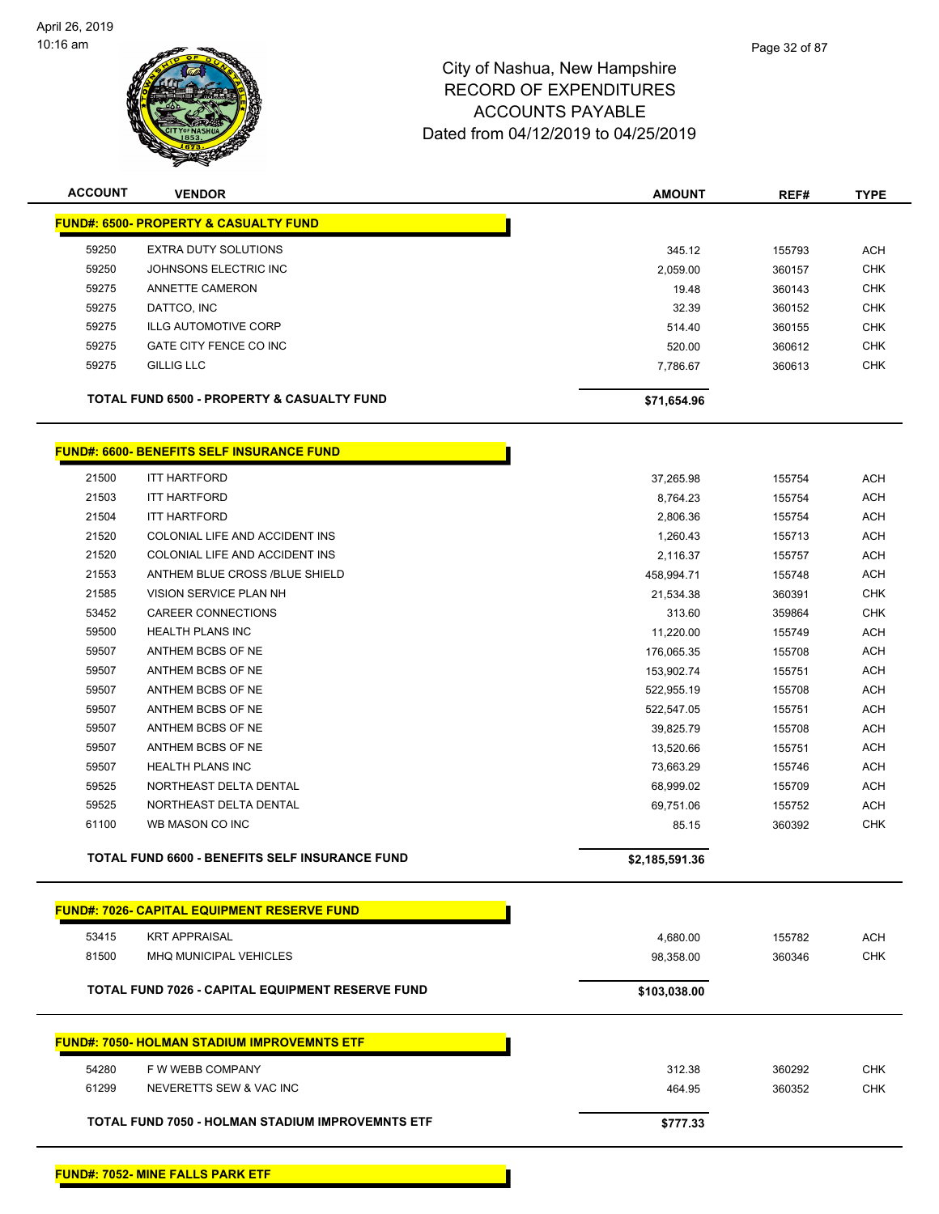

| <b>ACCOUNT</b> | <b>VENDOR</b>                                         | <b>AMOUNT</b> | REF#   | <b>TYPE</b> |
|----------------|-------------------------------------------------------|---------------|--------|-------------|
|                | <b>FUND#: 6500- PROPERTY &amp; CASUALTY FUND</b>      |               |        |             |
| 59250          | <b>EXTRA DUTY SOLUTIONS</b>                           | 345.12        | 155793 | ACH         |
| 59250          | JOHNSONS ELECTRIC INC                                 | 2,059.00      | 360157 | <b>CHK</b>  |
| 59275          | ANNETTE CAMERON                                       | 19.48         | 360143 | <b>CHK</b>  |
| 59275          | DATTCO, INC                                           | 32.39         | 360152 | <b>CHK</b>  |
| 59275          | <b>ILLG AUTOMOTIVE CORP</b>                           | 514.40        | 360155 | <b>CHK</b>  |
| 59275          | GATE CITY FENCE CO INC                                | 520.00        | 360612 | <b>CHK</b>  |
| 59275          | <b>GILLIG LLC</b>                                     | 7,786.67      | 360613 | <b>CHK</b>  |
|                | <b>TOTAL FUND 6500 - PROPERTY &amp; CASUALTY FUND</b> | \$71,654.96   |        |             |

Г

# **FUND#: 6600- BENEFITS SELF INSURANCE FUND**

|       | <b>TOTAL FUND 6600 - BENEFITS SELF INSURANCE FUND</b> | \$2,185,591.36 |        |            |
|-------|-------------------------------------------------------|----------------|--------|------------|
| 61100 | WB MASON CO INC                                       | 85.15          | 360392 | <b>CHK</b> |
| 59525 | NORTHEAST DELTA DENTAL                                | 69,751.06      | 155752 | <b>ACH</b> |
| 59525 | NORTHEAST DELTA DENTAL                                | 68,999.02      | 155709 | <b>ACH</b> |
| 59507 | <b>HEALTH PLANS INC</b>                               | 73,663.29      | 155746 | <b>ACH</b> |
| 59507 | ANTHEM BCBS OF NE                                     | 13,520.66      | 155751 | <b>ACH</b> |
| 59507 | ANTHEM BCBS OF NE                                     | 39.825.79      | 155708 | <b>ACH</b> |
| 59507 | ANTHEM BCBS OF NE                                     | 522,547.05     | 155751 | <b>ACH</b> |
| 59507 | ANTHEM BCBS OF NE                                     | 522,955.19     | 155708 | ACH        |
| 59507 | ANTHEM BCBS OF NE                                     | 153,902.74     | 155751 | <b>ACH</b> |
| 59507 | ANTHEM BCBS OF NE                                     | 176,065.35     | 155708 | <b>ACH</b> |
| 59500 | <b>HEALTH PLANS INC</b>                               | 11,220.00      | 155749 | <b>ACH</b> |
| 53452 | <b>CAREER CONNECTIONS</b>                             | 313.60         | 359864 | <b>CHK</b> |
| 21585 | VISION SERVICE PLAN NH                                | 21,534.38      | 360391 | <b>CHK</b> |
| 21553 | ANTHEM BLUE CROSS /BLUE SHIELD                        | 458,994.71     | 155748 | <b>ACH</b> |
| 21520 | COLONIAL LIFE AND ACCIDENT INS                        | 2,116.37       | 155757 | <b>ACH</b> |
| 21520 | COLONIAL LIFE AND ACCIDENT INS                        | 1,260.43       | 155713 | <b>ACH</b> |
| 21504 | <b>ITT HARTFORD</b>                                   | 2,806.36       | 155754 | <b>ACH</b> |
| 21503 | <b>ITT HARTFORD</b>                                   | 8,764.23       | 155754 | <b>ACH</b> |
| 21500 | <b>ITT HARTFORD</b>                                   | 37,265.98      | 155754 | <b>ACH</b> |
|       |                                                       |                |        |            |

|                                                         | <b>FUND#: 7026- CAPITAL EQUIPMENT RESERVE FUND</b> |              |        |            |
|---------------------------------------------------------|----------------------------------------------------|--------------|--------|------------|
| 53415                                                   | <b>KRT APPRAISAL</b>                               | 4,680.00     | 155782 | <b>ACH</b> |
| 81500                                                   | <b>MHQ MUNICIPAL VEHICLES</b>                      | 98,358.00    | 360346 | <b>CHK</b> |
| <b>TOTAL FUND 7026 - CAPITAL EQUIPMENT RESERVE FUND</b> |                                                    | \$103,038.00 |        |            |
|                                                         |                                                    |              |        |            |
|                                                         | <b>FUND#: 7050- HOLMAN STADIUM IMPROVEMNTS ETF</b> |              |        |            |
| 54280                                                   | F W WEBB COMPANY                                   | 312.38       | 360292 | <b>CHK</b> |
| 61299                                                   | NEVERETTS SEW & VAC INC                            | 464.95       | 360352 | <b>CHK</b> |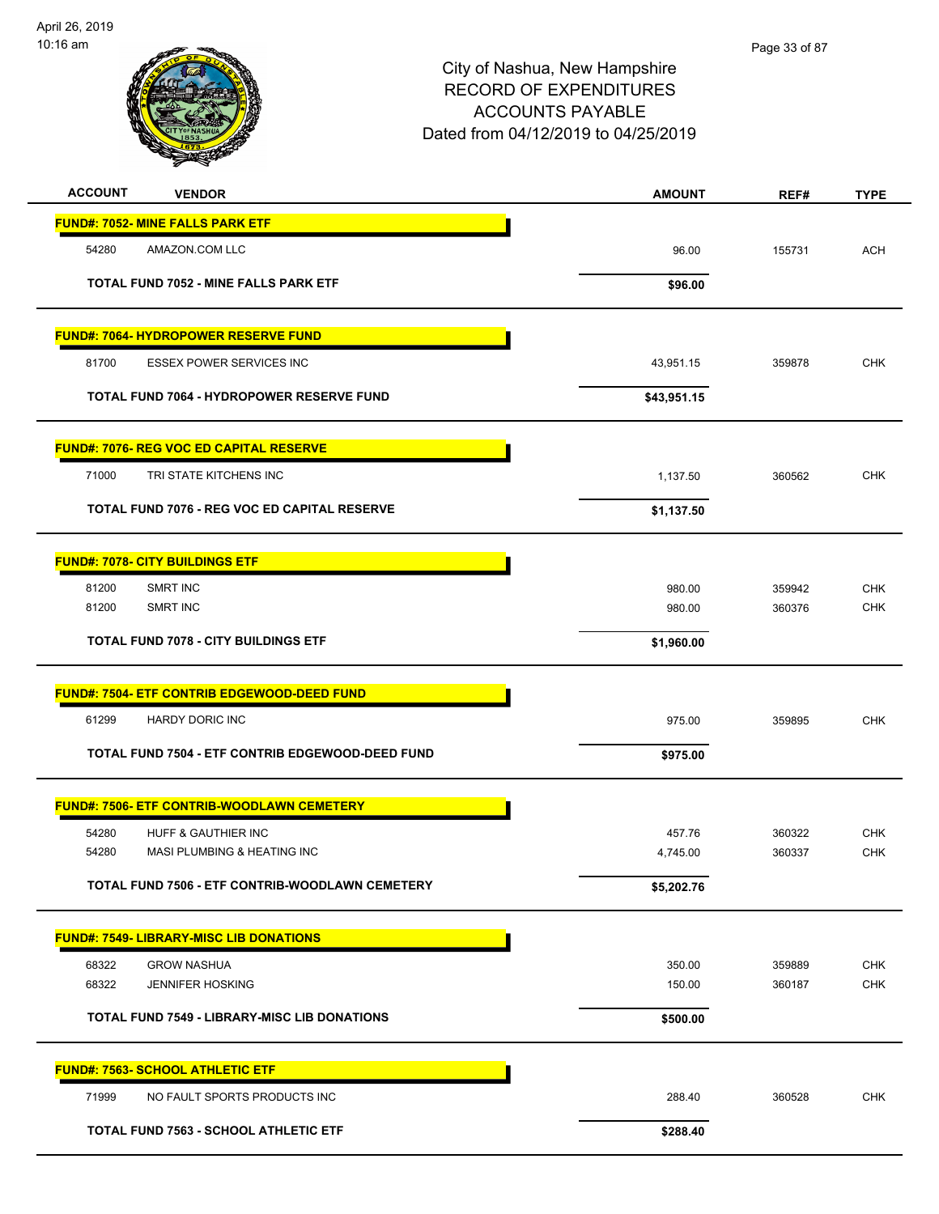

| <b>ACCOUNT</b><br><b>VENDOR</b>                                      | <b>AMOUNT</b>      | REF#             | <b>TYPE</b>              |
|----------------------------------------------------------------------|--------------------|------------------|--------------------------|
| <b>FUND#: 7052- MINE FALLS PARK ETF</b>                              |                    |                  |                          |
| 54280<br>AMAZON.COM LLC                                              | 96.00              | 155731           | <b>ACH</b>               |
| <b>TOTAL FUND 7052 - MINE FALLS PARK ETF</b>                         | \$96.00            |                  |                          |
|                                                                      |                    |                  |                          |
| <b>FUND#: 7064- HYDROPOWER RESERVE FUND</b>                          |                    |                  |                          |
| 81700<br><b>ESSEX POWER SERVICES INC</b>                             | 43,951.15          | 359878           | <b>CHK</b>               |
| TOTAL FUND 7064 - HYDROPOWER RESERVE FUND                            | \$43,951.15        |                  |                          |
|                                                                      |                    |                  |                          |
| <b>FUND#: 7076- REG VOC ED CAPITAL RESERVE</b>                       |                    |                  |                          |
| 71000<br>TRI STATE KITCHENS INC                                      | 1,137.50           | 360562           | <b>CHK</b>               |
| TOTAL FUND 7076 - REG VOC ED CAPITAL RESERVE                         | \$1,137.50         |                  |                          |
|                                                                      |                    |                  |                          |
| <b>FUND#: 7078- CITY BUILDINGS ETF</b>                               |                    |                  |                          |
| 81200<br>SMRT INC<br>81200<br>SMRT INC                               | 980.00<br>980.00   | 359942<br>360376 | <b>CHK</b><br><b>CHK</b> |
|                                                                      |                    |                  |                          |
| <b>TOTAL FUND 7078 - CITY BUILDINGS ETF</b>                          | \$1,960.00         |                  |                          |
| <b>FUND#: 7504- ETF CONTRIB EDGEWOOD-DEED FUND</b>                   |                    |                  |                          |
| 61299<br>HARDY DORIC INC                                             | 975.00             | 359895           | <b>CHK</b>               |
| TOTAL FUND 7504 - ETF CONTRIB EDGEWOOD-DEED FUND                     | \$975.00           |                  |                          |
|                                                                      |                    |                  |                          |
| FUND#: 7506- ETF CONTRIB-WOODLAWN CEMETERY                           |                    |                  |                          |
| 54280<br>HUFF & GAUTHIER INC<br>54280<br>MASI PLUMBING & HEATING INC | 457.76<br>4,745.00 | 360322<br>360337 | <b>CHK</b><br><b>CHK</b> |
|                                                                      |                    |                  |                          |
| TOTAL FUND 7506 - ETF CONTRIB-WOODLAWN CEMETERY                      | \$5,202.76         |                  |                          |
| <b>FUND#: 7549- LIBRARY-MISC LIB DONATIONS</b>                       |                    |                  |                          |
| <b>GROW NASHUA</b><br>68322                                          | 350.00             | 359889           | <b>CHK</b>               |
| 68322<br><b>JENNIFER HOSKING</b>                                     | 150.00             | 360187           | <b>CHK</b>               |
| <b>TOTAL FUND 7549 - LIBRARY-MISC LIB DONATIONS</b>                  | \$500.00           |                  |                          |
|                                                                      |                    |                  |                          |
| <b>FUND#: 7563- SCHOOL ATHLETIC ETF</b>                              |                    |                  |                          |
| 71999<br>NO FAULT SPORTS PRODUCTS INC                                | 288.40             | 360528           | <b>CHK</b>               |
| <b>TOTAL FUND 7563 - SCHOOL ATHLETIC ETF</b>                         | \$288.40           |                  |                          |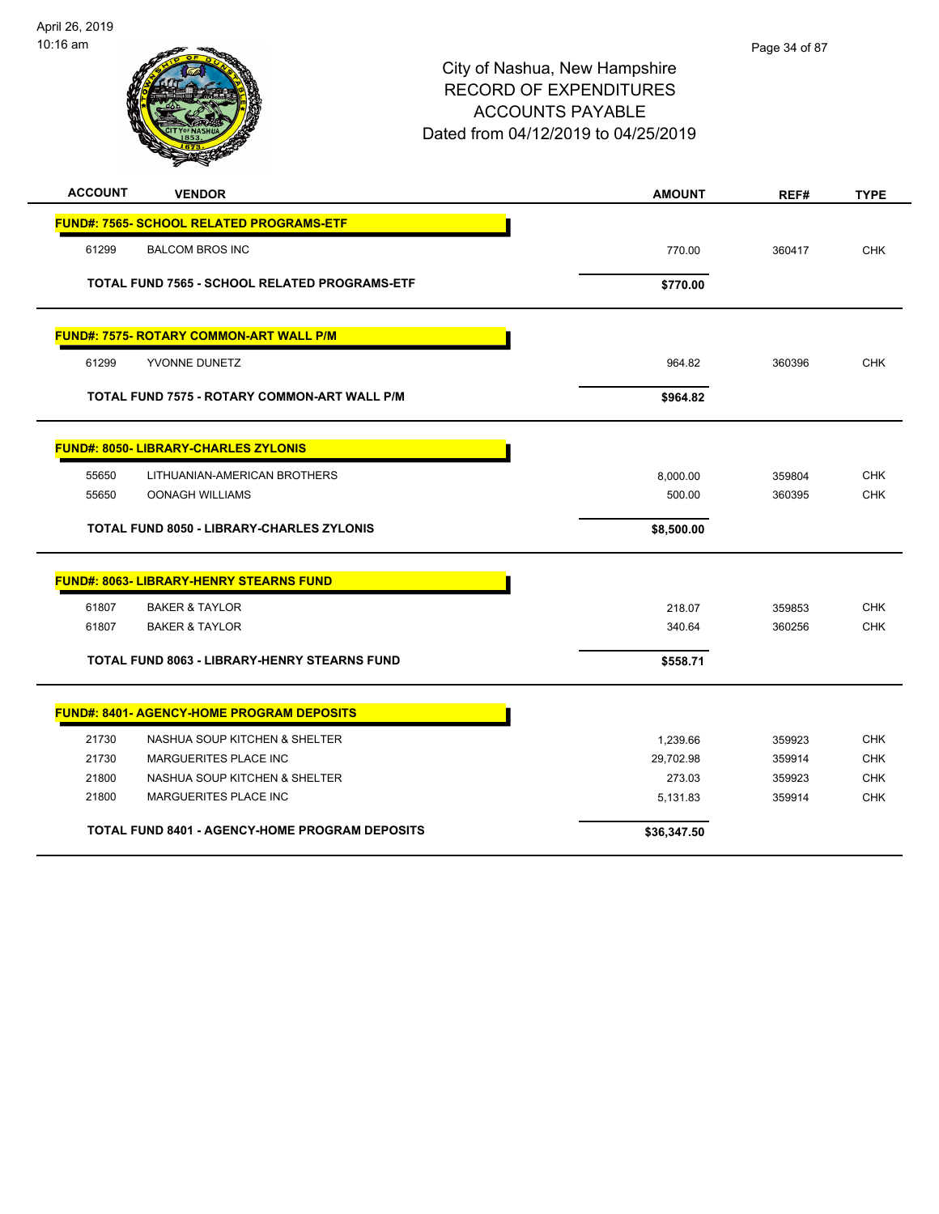

| <b>ACCOUNT</b> | <b>VENDOR</b>                                         | <b>AMOUNT</b> | REF#   | <b>TYPE</b> |
|----------------|-------------------------------------------------------|---------------|--------|-------------|
|                | <b>FUND#: 7565- SCHOOL RELATED PROGRAMS-ETF</b>       |               |        |             |
| 61299          | <b>BALCOM BROS INC</b>                                | 770.00        | 360417 | <b>CHK</b>  |
|                | TOTAL FUND 7565 - SCHOOL RELATED PROGRAMS-ETF         | \$770.00      |        |             |
|                | FUND#: 7575- ROTARY COMMON-ART WALL P/M               |               |        |             |
| 61299          | YVONNE DUNETZ                                         | 964.82        | 360396 | <b>CHK</b>  |
|                | TOTAL FUND 7575 - ROTARY COMMON-ART WALL P/M          | \$964.82      |        |             |
|                | <b>FUND#: 8050- LIBRARY-CHARLES ZYLONIS</b>           |               |        |             |
| 55650          | LITHUANIAN-AMERICAN BROTHERS                          | 8,000.00      | 359804 | <b>CHK</b>  |
| 55650          | <b>OONAGH WILLIAMS</b>                                | 500.00        | 360395 | <b>CHK</b>  |
|                | <b>TOTAL FUND 8050 - LIBRARY-CHARLES ZYLONIS</b>      | \$8,500.00    |        |             |
|                | <b>FUND#: 8063- LIBRARY-HENRY STEARNS FUND</b>        |               |        |             |
| 61807          | <b>BAKER &amp; TAYLOR</b>                             | 218.07        | 359853 | <b>CHK</b>  |
| 61807          | <b>BAKER &amp; TAYLOR</b>                             | 340.64        | 360256 | <b>CHK</b>  |
|                | TOTAL FUND 8063 - LIBRARY-HENRY STEARNS FUND          | \$558.71      |        |             |
|                | <b>FUND#: 8401- AGENCY-HOME PROGRAM DEPOSITS</b>      |               |        |             |
| 21730          | NASHUA SOUP KITCHEN & SHELTER                         | 1,239.66      | 359923 | <b>CHK</b>  |
| 21730          | <b>MARGUERITES PLACE INC</b>                          | 29,702.98     | 359914 | <b>CHK</b>  |
| 21800          | NASHUA SOUP KITCHEN & SHELTER                         | 273.03        | 359923 | <b>CHK</b>  |
| 21800          | MARGUERITES PLACE INC                                 | 5,131.83      | 359914 | <b>CHK</b>  |
|                | <b>TOTAL FUND 8401 - AGENCY-HOME PROGRAM DEPOSITS</b> | \$36,347.50   |        |             |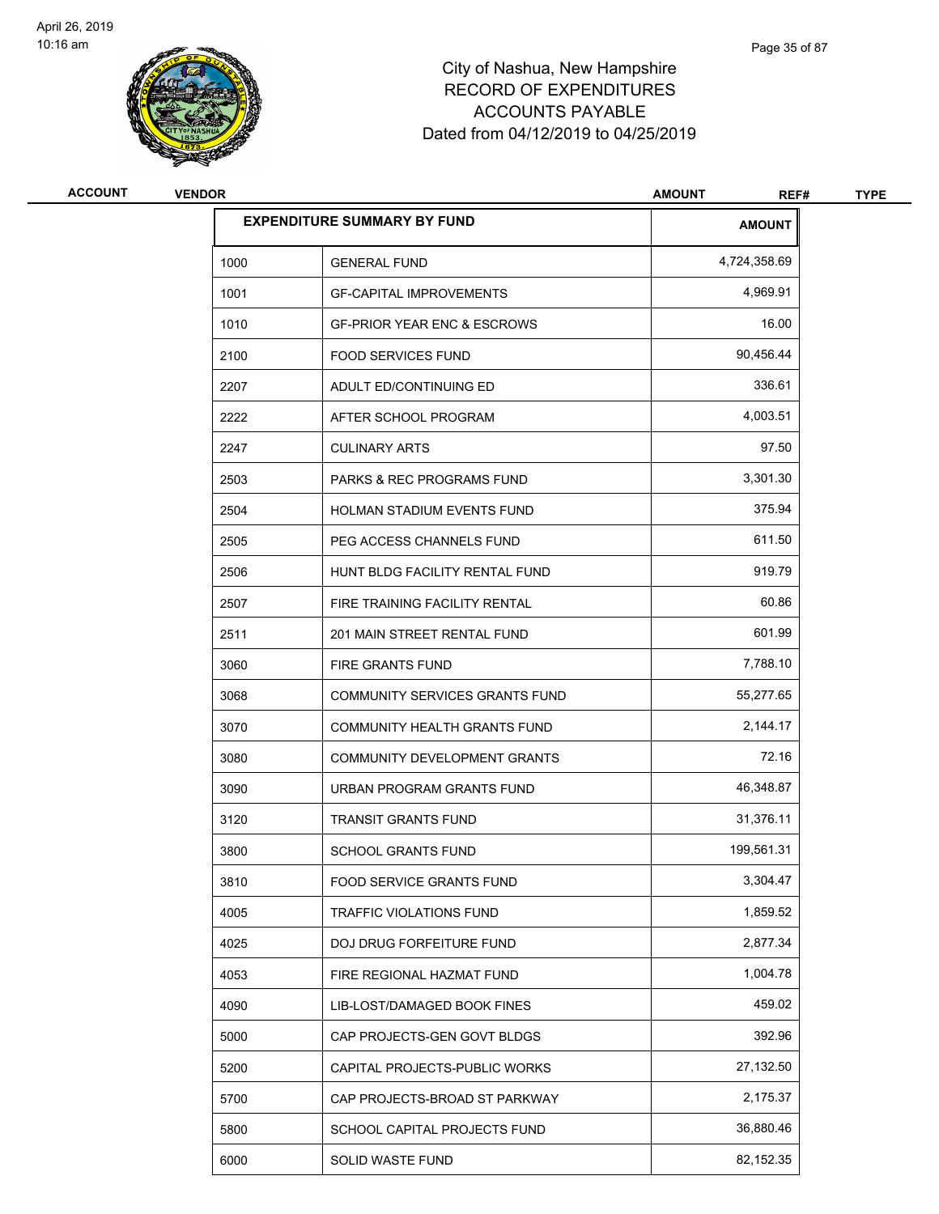

| <b>VENDOR</b> |                                        | <b>AMOUNT</b><br>REF#              | <b>TYPE</b> |
|---------------|----------------------------------------|------------------------------------|-------------|
|               |                                        | <b>AMOUNT</b>                      |             |
| 1000          | <b>GENERAL FUND</b>                    | 4,724,358.69                       |             |
| 1001          | <b>GF-CAPITAL IMPROVEMENTS</b>         | 4,969.91                           |             |
| 1010          | <b>GF-PRIOR YEAR ENC &amp; ESCROWS</b> | 16.00                              |             |
| 2100          | <b>FOOD SERVICES FUND</b>              | 90,456.44                          |             |
| 2207          | ADULT ED/CONTINUING ED                 | 336.61                             |             |
| 2222          | AFTER SCHOOL PROGRAM                   | 4,003.51                           |             |
| 2247          | <b>CULINARY ARTS</b>                   | 97.50                              |             |
| 2503          | <b>PARKS &amp; REC PROGRAMS FUND</b>   | 3,301.30                           |             |
| 2504          | <b>HOLMAN STADIUM EVENTS FUND</b>      | 375.94                             |             |
| 2505          | PEG ACCESS CHANNELS FUND               | 611.50                             |             |
| 2506          | HUNT BLDG FACILITY RENTAL FUND         | 919.79                             |             |
| 2507          | FIRE TRAINING FACILITY RENTAL          | 60.86                              |             |
| 2511          | 201 MAIN STREET RENTAL FUND            | 601.99                             |             |
| 3060          | <b>FIRE GRANTS FUND</b>                | 7,788.10                           |             |
| 3068          | COMMUNITY SERVICES GRANTS FUND         | 55,277.65                          |             |
| 3070          | COMMUNITY HEALTH GRANTS FUND           | 2,144.17                           |             |
| 3080          | COMMUNITY DEVELOPMENT GRANTS           | 72.16                              |             |
| 3090          | URBAN PROGRAM GRANTS FUND              | 46,348.87                          |             |
| 3120          | <b>TRANSIT GRANTS FUND</b>             | 31,376.11                          |             |
| 3800          | <b>SCHOOL GRANTS FUND</b>              | 199,561.31                         |             |
| 3810          | FOOD SERVICE GRANTS FUND               | 3,304.47                           |             |
| 4005          | TRAFFIC VIOLATIONS FUND                | 1,859.52                           |             |
| 4025          | DOJ DRUG FORFEITURE FUND               | 2,877.34                           |             |
| 4053          | FIRE REGIONAL HAZMAT FUND              | 1,004.78                           |             |
| 4090          | LIB-LOST/DAMAGED BOOK FINES            | 459.02                             |             |
| 5000          | CAP PROJECTS-GEN GOVT BLDGS            | 392.96                             |             |
| 5200          | CAPITAL PROJECTS-PUBLIC WORKS          | 27,132.50                          |             |
| 5700          | CAP PROJECTS-BROAD ST PARKWAY          | 2,175.37                           |             |
| 5800          | SCHOOL CAPITAL PROJECTS FUND           | 36,880.46                          |             |
| 6000          | SOLID WASTE FUND                       | 82,152.35                          |             |
|               |                                        | <b>EXPENDITURE SUMMARY BY FUND</b> |             |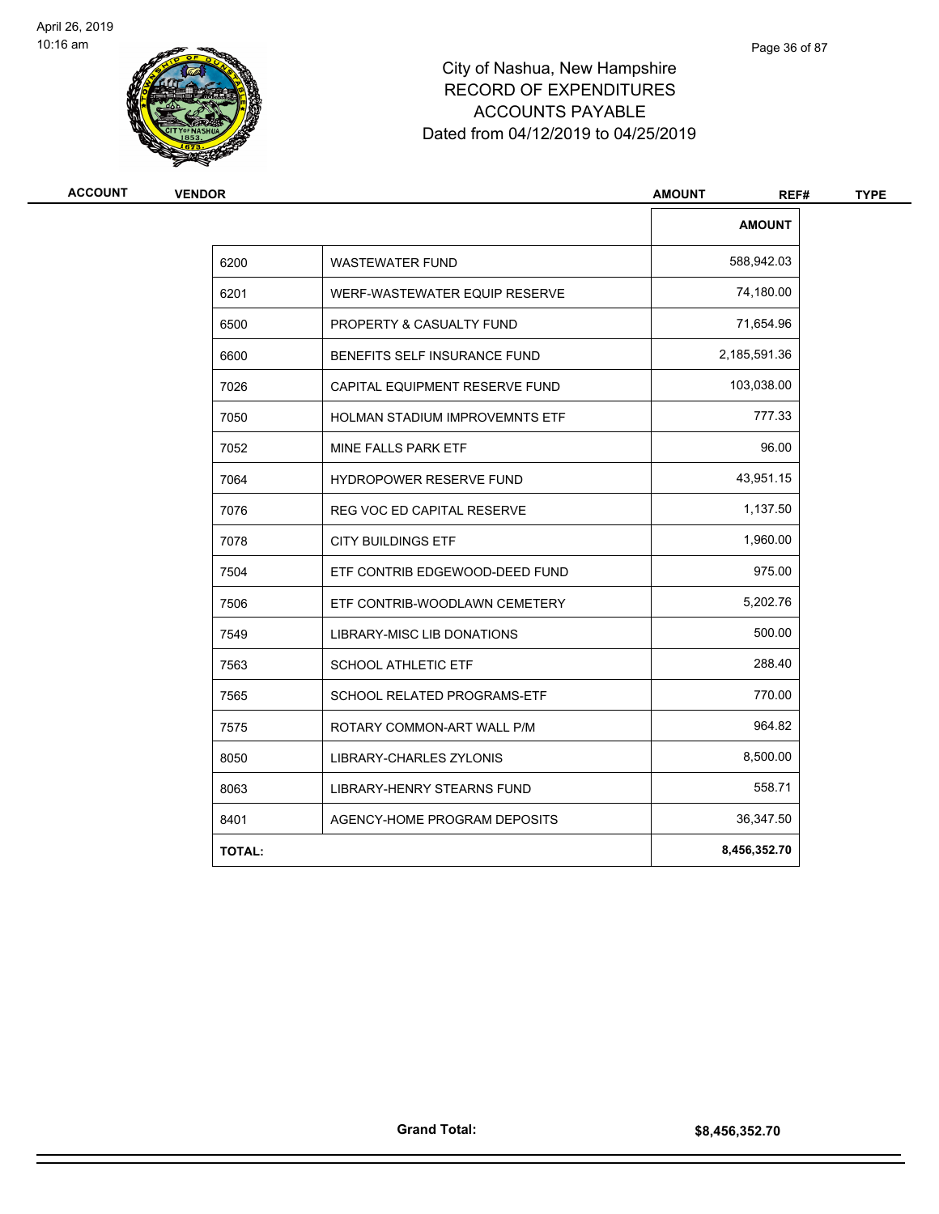

| <b>ACCOUNT</b><br><b>VENDOR</b> |               |                                    | <b>AMOUNT</b><br>REF# | <b>TYPE</b> |
|---------------------------------|---------------|------------------------------------|-----------------------|-------------|
|                                 |               |                                    | <b>AMOUNT</b>         |             |
|                                 | 6200          | <b>WASTEWATER FUND</b>             | 588,942.03            |             |
|                                 | 6201          | WERF-WASTEWATER EQUIP RESERVE      | 74,180.00             |             |
|                                 | 6500          | PROPERTY & CASUALTY FUND           | 71,654.96             |             |
|                                 | 6600          | BENEFITS SELF INSURANCE FUND       | 2,185,591.36          |             |
|                                 | 7026          | CAPITAL EQUIPMENT RESERVE FUND     | 103,038.00            |             |
|                                 | 7050          | HOLMAN STADIUM IMPROVEMNTS ETF     | 777.33                |             |
|                                 | 7052          | MINE FALLS PARK ETF                | 96.00                 |             |
|                                 | 7064          | HYDROPOWER RESERVE FUND            | 43,951.15             |             |
|                                 | 7076          | <b>REG VOC ED CAPITAL RESERVE</b>  | 1,137.50              |             |
|                                 | 7078          | <b>CITY BUILDINGS ETF</b>          | 1,960.00              |             |
|                                 | 7504          | ETF CONTRIB EDGEWOOD-DEED FUND     | 975.00                |             |
|                                 | 7506          | ETF CONTRIB-WOODLAWN CEMETERY      | 5,202.76              |             |
|                                 | 7549          | LIBRARY-MISC LIB DONATIONS         | 500.00                |             |
|                                 | 7563          | <b>SCHOOL ATHLETIC ETF</b>         | 288.40                |             |
|                                 | 7565          | <b>SCHOOL RELATED PROGRAMS-ETF</b> | 770.00                |             |
|                                 | 7575          | ROTARY COMMON-ART WALL P/M         | 964.82                |             |
|                                 | 8050          | LIBRARY-CHARLES ZYLONIS            | 8,500.00              |             |
|                                 | 8063          | LIBRARY-HENRY STEARNS FUND         | 558.71                |             |
|                                 | 8401          | AGENCY-HOME PROGRAM DEPOSITS       | 36,347.50             |             |
|                                 | <b>TOTAL:</b> |                                    | 8,456,352.70          |             |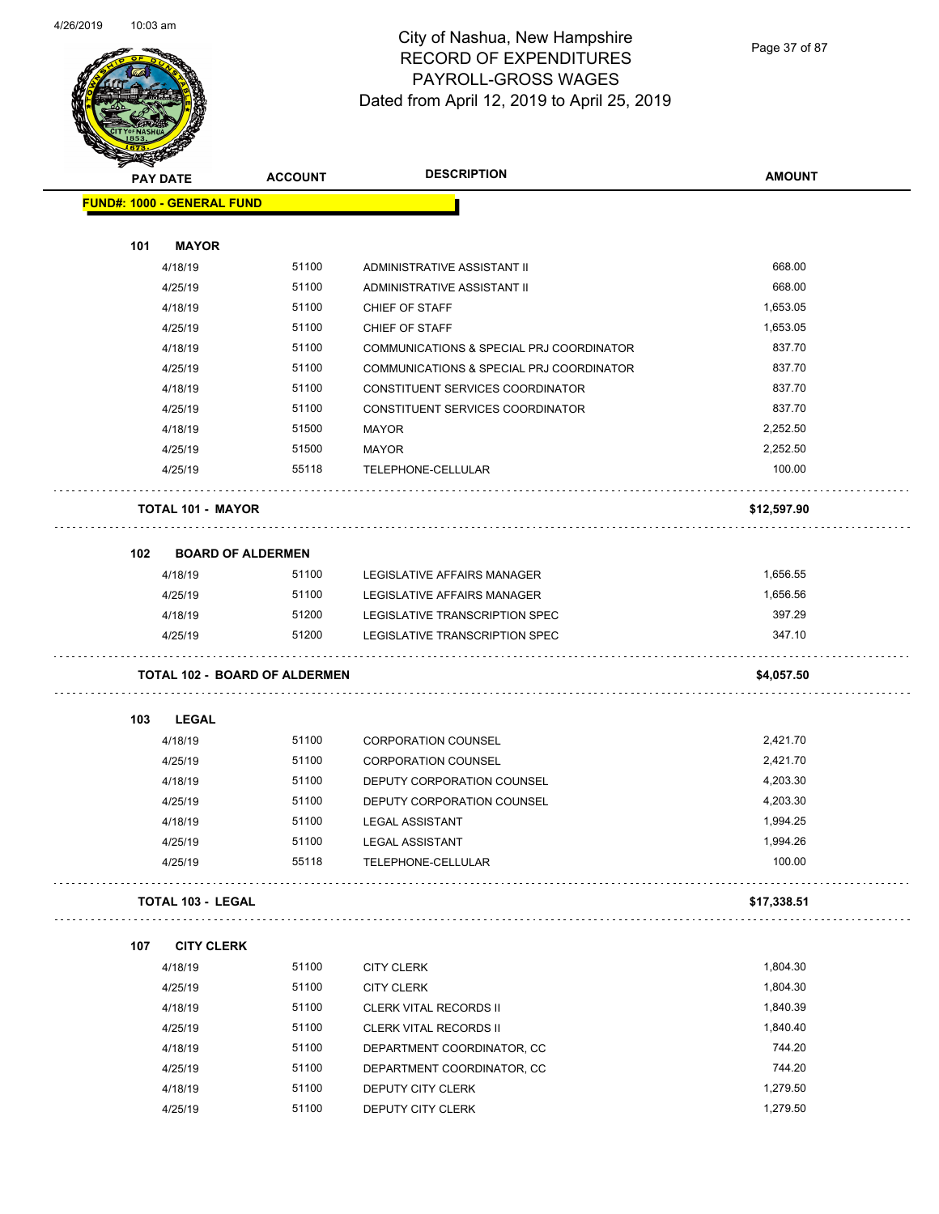

Page 37 of 87

|     | <b>PAY DATE</b>            | <b>ACCOUNT</b>                       | <b>DESCRIPTION</b>                       | <b>AMOUNT</b> |
|-----|----------------------------|--------------------------------------|------------------------------------------|---------------|
|     | FUND#: 1000 - GENERAL FUND |                                      |                                          |               |
| 101 | <b>MAYOR</b>               |                                      |                                          |               |
|     | 4/18/19                    | 51100                                | ADMINISTRATIVE ASSISTANT II              | 668.00        |
|     | 4/25/19                    | 51100                                | ADMINISTRATIVE ASSISTANT II              | 668.00        |
|     | 4/18/19                    | 51100                                | CHIEF OF STAFF                           | 1,653.05      |
|     | 4/25/19                    | 51100                                | <b>CHIEF OF STAFF</b>                    | 1,653.05      |
|     | 4/18/19                    | 51100                                | COMMUNICATIONS & SPECIAL PRJ COORDINATOR | 837.70        |
|     | 4/25/19                    | 51100                                | COMMUNICATIONS & SPECIAL PRJ COORDINATOR | 837.70        |
|     | 4/18/19                    | 51100                                | CONSTITUENT SERVICES COORDINATOR         | 837.70        |
|     | 4/25/19                    | 51100                                | CONSTITUENT SERVICES COORDINATOR         | 837.70        |
|     | 4/18/19                    | 51500                                | <b>MAYOR</b>                             | 2,252.50      |
|     | 4/25/19                    | 51500                                | <b>MAYOR</b>                             | 2,252.50      |
|     | 4/25/19                    | 55118                                | TELEPHONE-CELLULAR                       | 100.00        |
|     | <b>TOTAL 101 - MAYOR</b>   |                                      |                                          | \$12,597.90   |
| 102 |                            | <b>BOARD OF ALDERMEN</b>             |                                          |               |
|     | 4/18/19                    | 51100                                | LEGISLATIVE AFFAIRS MANAGER              | 1,656.55      |
|     | 4/25/19                    | 51100                                | LEGISLATIVE AFFAIRS MANAGER              | 1,656.56      |
|     | 4/18/19                    | 51200                                | LEGISLATIVE TRANSCRIPTION SPEC           | 397.29        |
|     | 4/25/19                    | 51200                                | LEGISLATIVE TRANSCRIPTION SPEC           | 347.10        |
|     |                            | <b>TOTAL 102 - BOARD OF ALDERMEN</b> |                                          | \$4,057.50    |
| 103 | <b>LEGAL</b>               |                                      |                                          |               |
|     | 4/18/19                    | 51100                                | <b>CORPORATION COUNSEL</b>               | 2,421.70      |
|     | 4/25/19                    | 51100                                | <b>CORPORATION COUNSEL</b>               | 2,421.70      |
|     | 4/18/19                    | 51100                                | DEPUTY CORPORATION COUNSEL               | 4,203.30      |
|     | 4/25/19                    | 51100                                | DEPUTY CORPORATION COUNSEL               | 4,203.30      |
|     | 4/18/19                    | 51100                                | <b>LEGAL ASSISTANT</b>                   | 1,994.25      |
|     | 4/25/19                    | 51100                                | <b>LEGAL ASSISTANT</b>                   | 1,994.26      |
|     | 4/25/19                    | 55118                                | TELEPHONE-CELLULAR                       | 100.00        |
|     | <b>TOTAL 103 - LEGAL</b>   |                                      |                                          | \$17,338.51   |
| 107 | <b>CITY CLERK</b>          |                                      |                                          |               |
|     | 4/18/19                    | 51100                                | <b>CITY CLERK</b>                        | 1,804.30      |
|     | 4/25/19                    | 51100                                | <b>CITY CLERK</b>                        | 1,804.30      |
|     |                            | 51100                                | <b>CLERK VITAL RECORDS II</b>            | 1,840.39      |
|     | 4/18/19                    |                                      |                                          |               |
|     | 4/25/19                    | 51100                                | <b>CLERK VITAL RECORDS II</b>            | 1,840.40      |
|     | 4/18/19                    | 51100                                | DEPARTMENT COORDINATOR, CC               | 744.20        |
|     | 4/25/19                    | 51100                                | DEPARTMENT COORDINATOR, CC               | 744.20        |
|     | 4/18/19                    | 51100                                | DEPUTY CITY CLERK                        | 1,279.50      |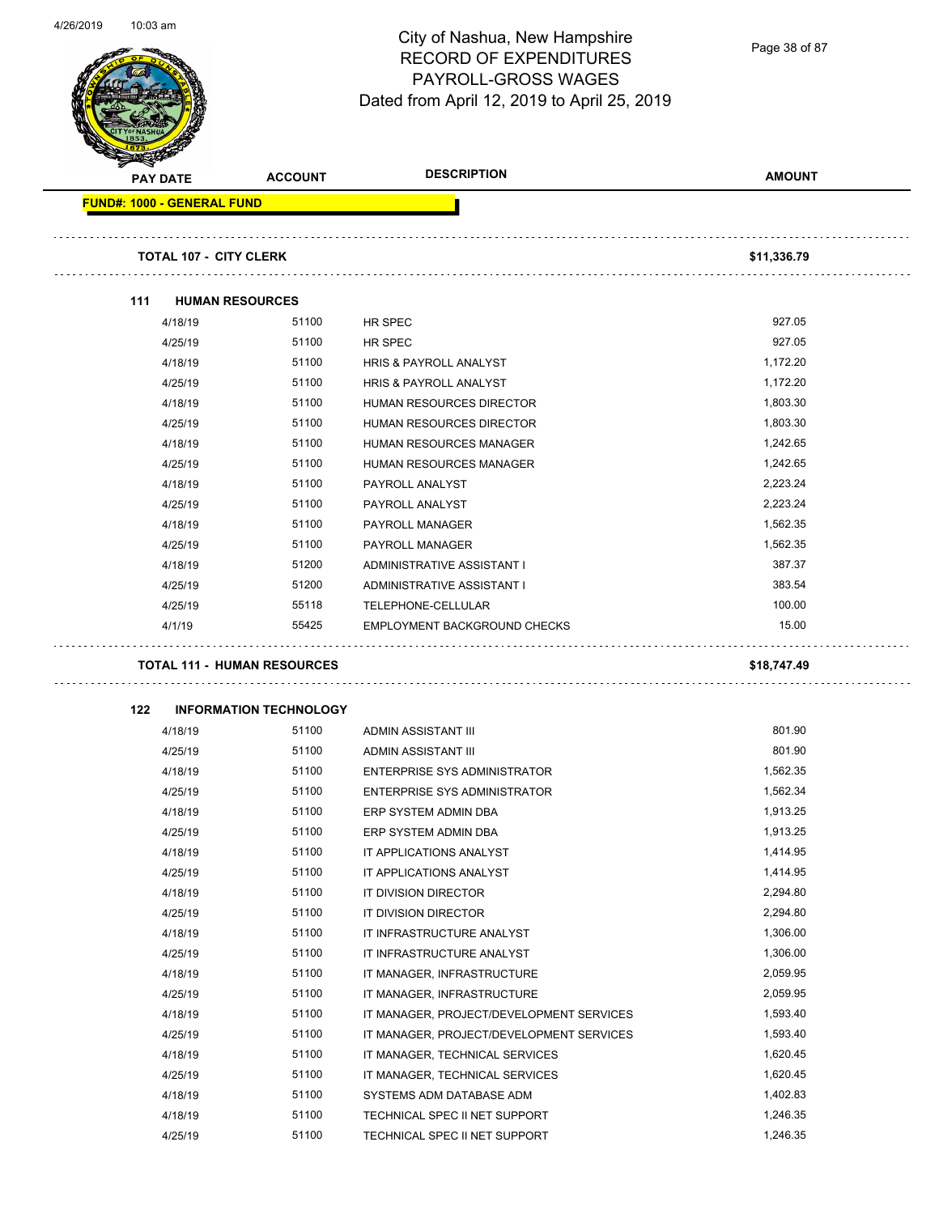Page 38 of 87

|     | <b>PAY DATE</b>                   | <b>ACCOUNT</b>                              | <b>DESCRIPTION</b>                                        | <b>AMOUNT</b>        |
|-----|-----------------------------------|---------------------------------------------|-----------------------------------------------------------|----------------------|
|     | <b>FUND#: 1000 - GENERAL FUND</b> |                                             |                                                           |                      |
|     |                                   | <b>TOTAL 107 - CITY CLERK</b>               |                                                           | \$11,336.79          |
| 111 |                                   | <b>HUMAN RESOURCES</b>                      |                                                           |                      |
|     | 4/18/19                           | 51100                                       | HR SPEC                                                   | 927.05               |
|     | 4/25/19                           | 51100                                       | <b>HR SPEC</b>                                            | 927.05               |
|     | 4/18/19                           | 51100                                       | HRIS & PAYROLL ANALYST                                    | 1,172.20             |
|     | 4/25/19                           | 51100                                       | HRIS & PAYROLL ANALYST                                    | 1,172.20             |
|     | 4/18/19                           | 51100                                       | HUMAN RESOURCES DIRECTOR                                  | 1,803.30             |
|     | 4/25/19                           | 51100                                       | HUMAN RESOURCES DIRECTOR                                  | 1,803.30             |
|     | 4/18/19                           | 51100                                       | HUMAN RESOURCES MANAGER                                   | 1,242.65             |
|     | 4/25/19                           | 51100                                       | <b>HUMAN RESOURCES MANAGER</b>                            | 1,242.65             |
|     | 4/18/19                           | 51100                                       | PAYROLL ANALYST                                           | 2,223.24             |
|     | 4/25/19                           | 51100                                       | PAYROLL ANALYST                                           | 2,223.24             |
|     | 4/18/19                           | 51100                                       | PAYROLL MANAGER                                           | 1,562.35             |
|     | 4/25/19                           | 51100                                       | PAYROLL MANAGER                                           | 1,562.35             |
|     | 4/18/19                           | 51200                                       | ADMINISTRATIVE ASSISTANT I                                | 387.37               |
|     | 4/25/19                           | 51200                                       | ADMINISTRATIVE ASSISTANT I                                | 383.54               |
|     | 4/25/19                           | 55118                                       |                                                           | 100.00               |
|     |                                   |                                             |                                                           |                      |
|     | 4/1/19                            | 55425<br><b>TOTAL 111 - HUMAN RESOURCES</b> | TELEPHONE-CELLULAR<br>EMPLOYMENT BACKGROUND CHECKS        | 15.00<br>\$18,747.49 |
|     |                                   |                                             |                                                           |                      |
| 122 |                                   | <b>INFORMATION TECHNOLOGY</b>               |                                                           |                      |
|     | 4/18/19                           | 51100                                       | ADMIN ASSISTANT III                                       | 801.90               |
|     | 4/25/19                           | 51100                                       | ADMIN ASSISTANT III                                       | 801.90               |
|     | 4/18/19                           | 51100                                       | <b>ENTERPRISE SYS ADMINISTRATOR</b>                       | 1,562.35             |
|     | 4/25/19                           | 51100                                       | ENTERPRISE SYS ADMINISTRATOR                              | 1,562.34             |
|     | 4/18/19                           | 51100                                       | ERP SYSTEM ADMIN DBA                                      | 1,913.25             |
|     | 4/25/19                           | 51100                                       | ERP SYSTEM ADMIN DBA                                      | 1,913.25             |
|     | 4/18/19                           | 51100                                       | IT APPLICATIONS ANALYST                                   | 1,414.95             |
|     | 4/25/19                           | 51100                                       | IT APPLICATIONS ANALYST                                   | 1,414.95             |
|     | 4/18/19                           | 51100                                       | IT DIVISION DIRECTOR                                      | 2,294.80             |
|     | 4/25/19                           | 51100                                       | IT DIVISION DIRECTOR                                      | 2,294.80             |
|     | 4/18/19                           | 51100                                       | IT INFRASTRUCTURE ANALYST                                 | 1,306.00             |
|     | 4/25/19                           | 51100                                       | IT INFRASTRUCTURE ANALYST                                 | 1,306.00             |
|     | 4/18/19                           | 51100                                       | IT MANAGER, INFRASTRUCTURE                                | 2,059.95             |
|     | 4/25/19                           | 51100                                       | IT MANAGER, INFRASTRUCTURE                                | 2,059.95             |
|     | 4/18/19                           | 51100                                       | IT MANAGER, PROJECT/DEVELOPMENT SERVICES                  | 1,593.40             |
|     | 4/25/19                           | 51100                                       | IT MANAGER, PROJECT/DEVELOPMENT SERVICES                  | 1,593.40             |
|     | 4/18/19                           | 51100                                       | IT MANAGER, TECHNICAL SERVICES                            | 1,620.45             |
|     | 4/25/19                           | 51100                                       | IT MANAGER, TECHNICAL SERVICES                            | 1,620.45             |
|     | 4/18/19<br>4/18/19                | 51100<br>51100                              | SYSTEMS ADM DATABASE ADM<br>TECHNICAL SPEC II NET SUPPORT | 1,402.83<br>1,246.35 |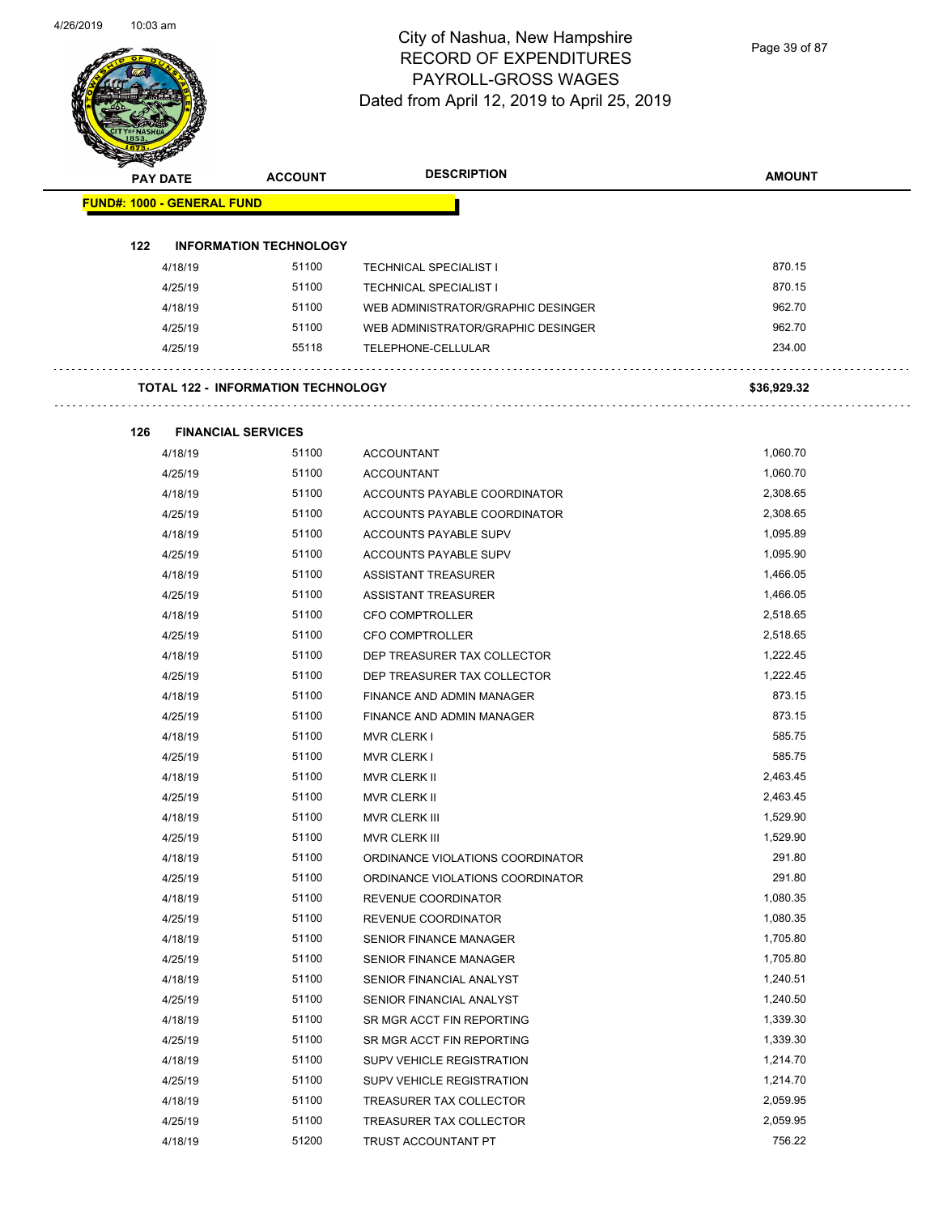Page 39 of 87

|     | <b>PAY DATE</b>                   | <b>ACCOUNT</b>                            | <b>DESCRIPTION</b>                 | <b>AMOUNT</b> |
|-----|-----------------------------------|-------------------------------------------|------------------------------------|---------------|
|     | <b>FUND#: 1000 - GENERAL FUND</b> |                                           |                                    |               |
| 122 |                                   | <b>INFORMATION TECHNOLOGY</b>             |                                    |               |
|     | 4/18/19                           | 51100                                     | <b>TECHNICAL SPECIALIST I</b>      | 870.15        |
|     | 4/25/19                           | 51100                                     | <b>TECHNICAL SPECIALIST I</b>      | 870.15        |
|     | 4/18/19                           | 51100                                     | WEB ADMINISTRATOR/GRAPHIC DESINGER | 962.70        |
|     | 4/25/19                           | 51100                                     | WEB ADMINISTRATOR/GRAPHIC DESINGER | 962.70        |
|     | 4/25/19                           | 55118                                     | TELEPHONE-CELLULAR                 | 234.00        |
|     |                                   | <b>TOTAL 122 - INFORMATION TECHNOLOGY</b> |                                    | \$36,929.32   |
| 126 |                                   | <b>FINANCIAL SERVICES</b>                 |                                    |               |
|     | 4/18/19                           | 51100                                     | <b>ACCOUNTANT</b>                  | 1,060.70      |
|     | 4/25/19                           | 51100                                     | <b>ACCOUNTANT</b>                  | 1,060.70      |
|     | 4/18/19                           | 51100                                     | ACCOUNTS PAYABLE COORDINATOR       | 2,308.65      |
|     | 4/25/19                           | 51100                                     | ACCOUNTS PAYABLE COORDINATOR       | 2,308.65      |
|     | 4/18/19                           | 51100                                     | ACCOUNTS PAYABLE SUPV              | 1,095.89      |
|     | 4/25/19                           | 51100                                     | <b>ACCOUNTS PAYABLE SUPV</b>       | 1,095.90      |
|     | 4/18/19                           | 51100                                     | <b>ASSISTANT TREASURER</b>         | 1,466.05      |
|     | 4/25/19                           | 51100                                     | <b>ASSISTANT TREASURER</b>         | 1,466.05      |
|     | 4/18/19                           | 51100                                     | <b>CFO COMPTROLLER</b>             | 2,518.65      |
|     | 4/25/19                           | 51100                                     | <b>CFO COMPTROLLER</b>             | 2,518.65      |
|     | 4/18/19                           | 51100                                     | DEP TREASURER TAX COLLECTOR        | 1,222.45      |
|     | 4/25/19                           | 51100                                     | DEP TREASURER TAX COLLECTOR        | 1,222.45      |
|     | 4/18/19                           | 51100                                     | FINANCE AND ADMIN MANAGER          | 873.15        |
|     | 4/25/19                           | 51100                                     | FINANCE AND ADMIN MANAGER          | 873.15        |
|     | 4/18/19                           | 51100                                     | <b>MVR CLERK I</b>                 | 585.75        |
|     | 4/25/19                           | 51100                                     | <b>MVR CLERK I</b>                 | 585.75        |
|     | 4/18/19                           | 51100                                     | <b>MVR CLERK II</b>                | 2,463.45      |
|     | 4/25/19                           | 51100                                     | <b>MVR CLERK II</b>                | 2,463.45      |
|     | 4/18/19                           | 51100                                     | MVR CLERK III                      | 1,529.90      |
|     | 4/25/19                           | 51100                                     | MVR CLERK III                      | 1,529.90      |
|     | 4/18/19                           | 51100                                     | ORDINANCE VIOLATIONS COORDINATOR   | 291.80        |
|     | 4/25/19                           | 51100                                     | ORDINANCE VIOLATIONS COORDINATOR   | 291.80        |
|     | 4/18/19                           | 51100                                     | REVENUE COORDINATOR                | 1,080.35      |
|     | 4/25/19                           | 51100                                     | REVENUE COORDINATOR                | 1,080.35      |
|     | 4/18/19                           | 51100                                     | <b>SENIOR FINANCE MANAGER</b>      | 1,705.80      |
|     | 4/25/19                           | 51100                                     | <b>SENIOR FINANCE MANAGER</b>      | 1,705.80      |
|     | 4/18/19                           | 51100                                     | SENIOR FINANCIAL ANALYST           | 1,240.51      |
|     | 4/25/19                           | 51100                                     | SENIOR FINANCIAL ANALYST           | 1,240.50      |
|     | 4/18/19                           | 51100                                     | SR MGR ACCT FIN REPORTING          | 1,339.30      |
|     | 4/25/19                           | 51100                                     | SR MGR ACCT FIN REPORTING          | 1,339.30      |
|     | 4/18/19                           | 51100                                     | SUPV VEHICLE REGISTRATION          | 1,214.70      |
|     | 4/25/19                           | 51100                                     | SUPV VEHICLE REGISTRATION          | 1,214.70      |
|     | 4/18/19                           | 51100                                     | TREASURER TAX COLLECTOR            | 2,059.95      |
|     | 4/25/19                           | 51100                                     | TREASURER TAX COLLECTOR            | 2,059.95      |
|     | 4/18/19                           | 51200                                     | TRUST ACCOUNTANT PT                | 756.22        |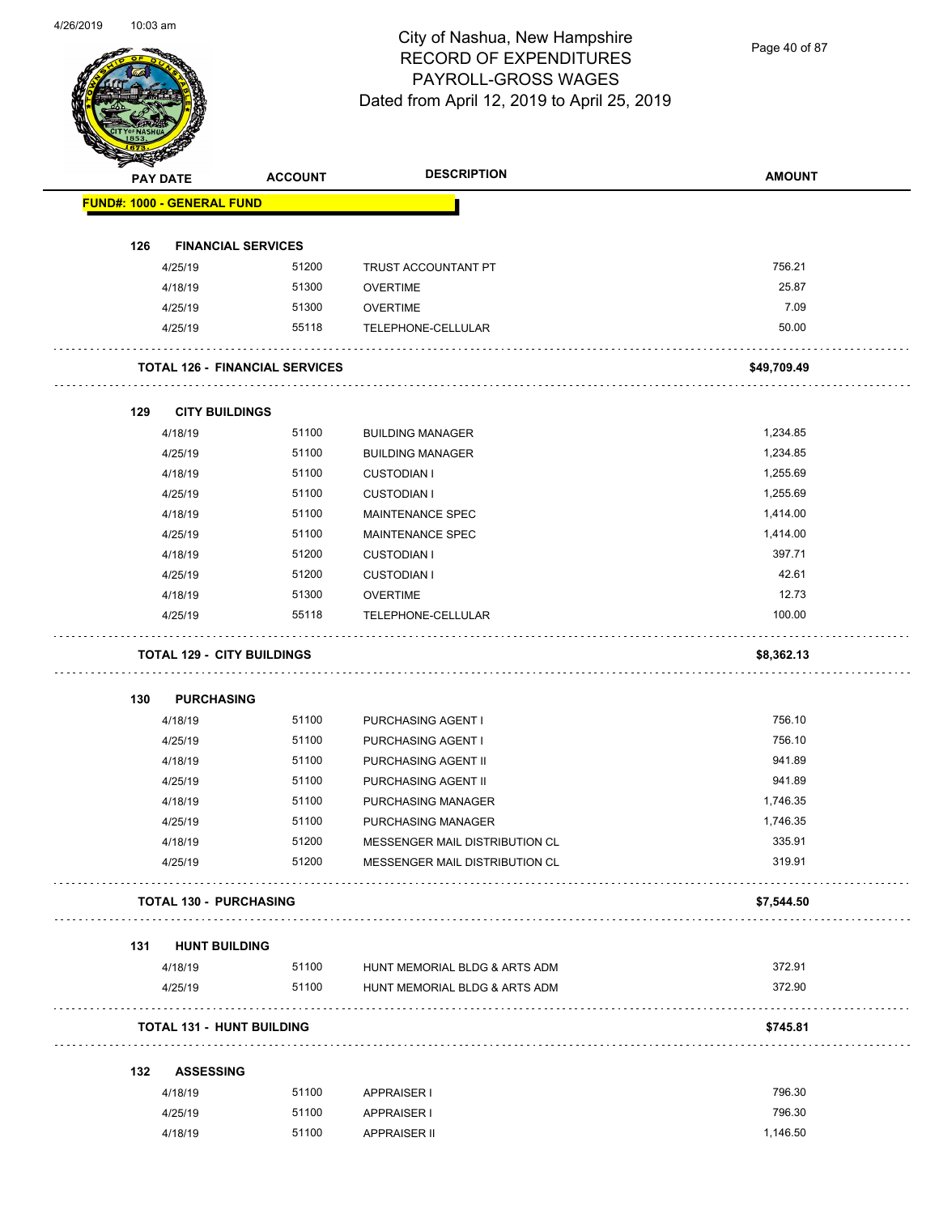Page 40 of 87

|     | <b>PAY DATE</b>                       | <b>ACCOUNT</b> | <b>DESCRIPTION</b>             | <b>AMOUNT</b> |
|-----|---------------------------------------|----------------|--------------------------------|---------------|
|     | <b>FUND#: 1000 - GENERAL FUND</b>     |                |                                |               |
| 126 | <b>FINANCIAL SERVICES</b>             |                |                                |               |
|     | 4/25/19                               | 51200          | TRUST ACCOUNTANT PT            | 756.21        |
|     | 4/18/19                               | 51300          | <b>OVERTIME</b>                | 25.87         |
|     | 4/25/19                               | 51300          | <b>OVERTIME</b>                | 7.09          |
|     | 4/25/19                               | 55118          | TELEPHONE-CELLULAR             | 50.00         |
|     | <b>TOTAL 126 - FINANCIAL SERVICES</b> |                |                                | \$49,709.49   |
| 129 | <b>CITY BUILDINGS</b>                 |                |                                |               |
|     | 4/18/19                               | 51100          | <b>BUILDING MANAGER</b>        | 1,234.85      |
|     | 4/25/19                               | 51100          | <b>BUILDING MANAGER</b>        | 1,234.85      |
|     | 4/18/19                               | 51100          | <b>CUSTODIAN I</b>             | 1,255.69      |
|     | 4/25/19                               | 51100          | <b>CUSTODIAN I</b>             | 1,255.69      |
|     | 4/18/19                               | 51100          | MAINTENANCE SPEC               | 1,414.00      |
|     | 4/25/19                               | 51100          | <b>MAINTENANCE SPEC</b>        | 1,414.00      |
|     | 4/18/19                               | 51200          | <b>CUSTODIAN I</b>             | 397.71        |
|     | 4/25/19                               | 51200          | <b>CUSTODIAN I</b>             | 42.61         |
|     | 4/18/19                               | 51300          | <b>OVERTIME</b>                | 12.73         |
|     | 4/25/19                               | 55118          | TELEPHONE-CELLULAR             | 100.00        |
|     | <b>TOTAL 129 - CITY BUILDINGS</b>     |                |                                | \$8,362.13    |
| 130 | <b>PURCHASING</b>                     |                |                                |               |
|     | 4/18/19                               | 51100          | PURCHASING AGENT I             | 756.10        |
|     | 4/25/19                               | 51100          | PURCHASING AGENT I             | 756.10        |
|     | 4/18/19                               | 51100          | PURCHASING AGENT II            | 941.89        |
|     | 4/25/19                               | 51100          | PURCHASING AGENT II            | 941.89        |
|     | 4/18/19                               | 51100          | PURCHASING MANAGER             | 1,746.35      |
|     | 4/25/19                               | 51100          | PURCHASING MANAGER             | 1,746.35      |
|     | 4/18/19                               | 51200          | MESSENGER MAIL DISTRIBUTION CL | 335.91        |
|     | 4/25/19                               | 51200          | MESSENGER MAIL DISTRIBUTION CL | 319.91        |
|     | <b>TOTAL 130 - PURCHASING</b>         |                |                                | \$7,544.50    |
| 131 | <b>HUNT BUILDING</b>                  |                |                                |               |
|     | 4/18/19                               | 51100          | HUNT MEMORIAL BLDG & ARTS ADM  | 372.91        |
|     | 4/25/19                               | 51100          | HUNT MEMORIAL BLDG & ARTS ADM  | 372.90        |
|     | <b>TOTAL 131 - HUNT BUILDING</b>      |                |                                | \$745.81      |
| 132 | <b>ASSESSING</b>                      |                |                                |               |
|     | 4/18/19                               | 51100          | APPRAISER I                    | 796.30        |
|     | 4/25/19                               | 51100          | <b>APPRAISER I</b>             | 796.30        |
|     |                                       |                |                                |               |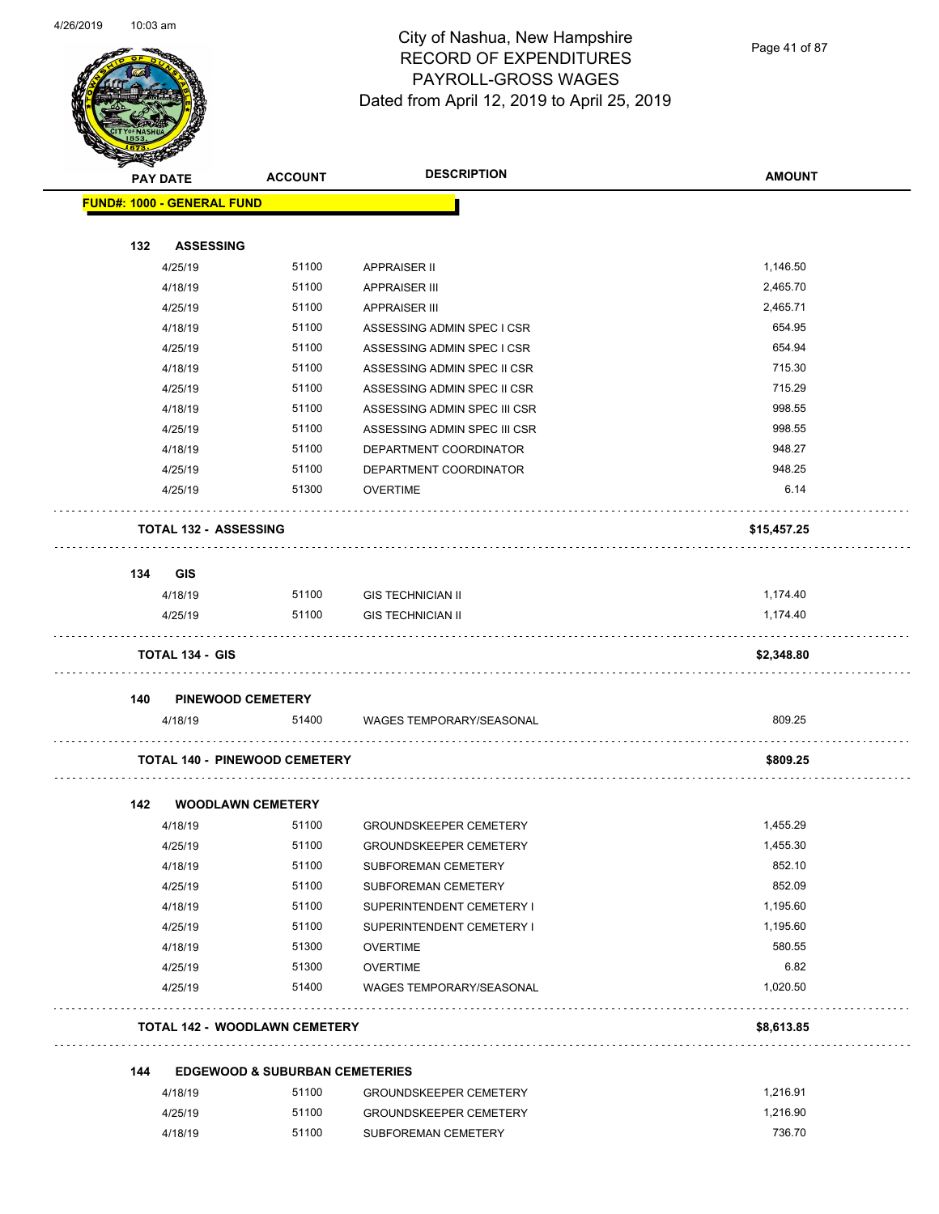

Page 41 of 87

|     | <b>PAY DATE</b>                   | <b>ACCOUNT</b>                            | <b>DESCRIPTION</b>              | <b>AMOUNT</b> |
|-----|-----------------------------------|-------------------------------------------|---------------------------------|---------------|
|     | <b>FUND#: 1000 - GENERAL FUND</b> |                                           |                                 |               |
|     |                                   |                                           |                                 |               |
| 132 | <b>ASSESSING</b>                  |                                           |                                 |               |
|     | 4/25/19                           | 51100                                     | APPRAISER II                    | 1,146.50      |
|     | 4/18/19                           | 51100                                     | <b>APPRAISER III</b>            | 2,465.70      |
|     | 4/25/19                           | 51100                                     | <b>APPRAISER III</b>            | 2,465.71      |
|     | 4/18/19                           | 51100                                     | ASSESSING ADMIN SPEC I CSR      | 654.95        |
|     | 4/25/19                           | 51100                                     | ASSESSING ADMIN SPEC I CSR      | 654.94        |
|     | 4/18/19                           | 51100                                     | ASSESSING ADMIN SPEC II CSR     | 715.30        |
|     | 4/25/19                           | 51100                                     | ASSESSING ADMIN SPEC II CSR     | 715.29        |
|     | 4/18/19                           | 51100                                     | ASSESSING ADMIN SPEC III CSR    | 998.55        |
|     | 4/25/19                           | 51100                                     | ASSESSING ADMIN SPEC III CSR    | 998.55        |
|     | 4/18/19                           | 51100                                     | DEPARTMENT COORDINATOR          | 948.27        |
|     | 4/25/19                           | 51100                                     | DEPARTMENT COORDINATOR          | 948.25        |
|     | 4/25/19                           | 51300                                     | <b>OVERTIME</b>                 | 6.14          |
|     | <b>TOTAL 132 - ASSESSING</b>      |                                           |                                 | \$15,457.25   |
| 134 | GIS                               |                                           |                                 |               |
|     | 4/18/19                           | 51100                                     | <b>GIS TECHNICIAN II</b>        | 1,174.40      |
|     | 4/25/19                           | 51100                                     | <b>GIS TECHNICIAN II</b>        | 1,174.40      |
|     |                                   |                                           |                                 |               |
|     | <b>TOTAL 134 - GIS</b>            |                                           |                                 | \$2,348.80    |
| 140 |                                   | <b>PINEWOOD CEMETERY</b>                  |                                 |               |
|     | 4/18/19                           | 51400                                     | <b>WAGES TEMPORARY/SEASONAL</b> | 809.25        |
|     |                                   | <b>TOTAL 140 - PINEWOOD CEMETERY</b>      |                                 | \$809.25      |
| 142 |                                   | <b>WOODLAWN CEMETERY</b>                  |                                 |               |
|     | 4/18/19                           | 51100                                     | <b>GROUNDSKEEPER CEMETERY</b>   | 1,455.29      |
|     | 4/25/19                           | 51100                                     | <b>GROUNDSKEEPER CEMETERY</b>   | 1,455.30      |
|     | 4/18/19                           | 51100                                     | SUBFOREMAN CEMETERY             | 852.10        |
|     | 4/25/19                           | 51100                                     | SUBFOREMAN CEMETERY             | 852.09        |
|     | 4/18/19                           | 51100                                     | SUPERINTENDENT CEMETERY I       | 1,195.60      |
|     | 4/25/19                           | 51100                                     | SUPERINTENDENT CEMETERY I       | 1,195.60      |
|     | 4/18/19                           | 51300                                     | <b>OVERTIME</b>                 | 580.55        |
|     | 4/25/19                           | 51300                                     | <b>OVERTIME</b>                 | 6.82          |
|     | 4/25/19                           | 51400                                     | WAGES TEMPORARY/SEASONAL        | 1,020.50      |
|     |                                   |                                           |                                 |               |
|     |                                   | <b>TOTAL 142 - WOODLAWN CEMETERY</b>      |                                 | \$8,613.85    |
| 144 |                                   | <b>EDGEWOOD &amp; SUBURBAN CEMETERIES</b> |                                 |               |
|     | 4/18/19                           | 51100                                     | <b>GROUNDSKEEPER CEMETERY</b>   | 1,216.91      |
|     | 4/25/19                           | 51100                                     | <b>GROUNDSKEEPER CEMETERY</b>   | 1,216.90      |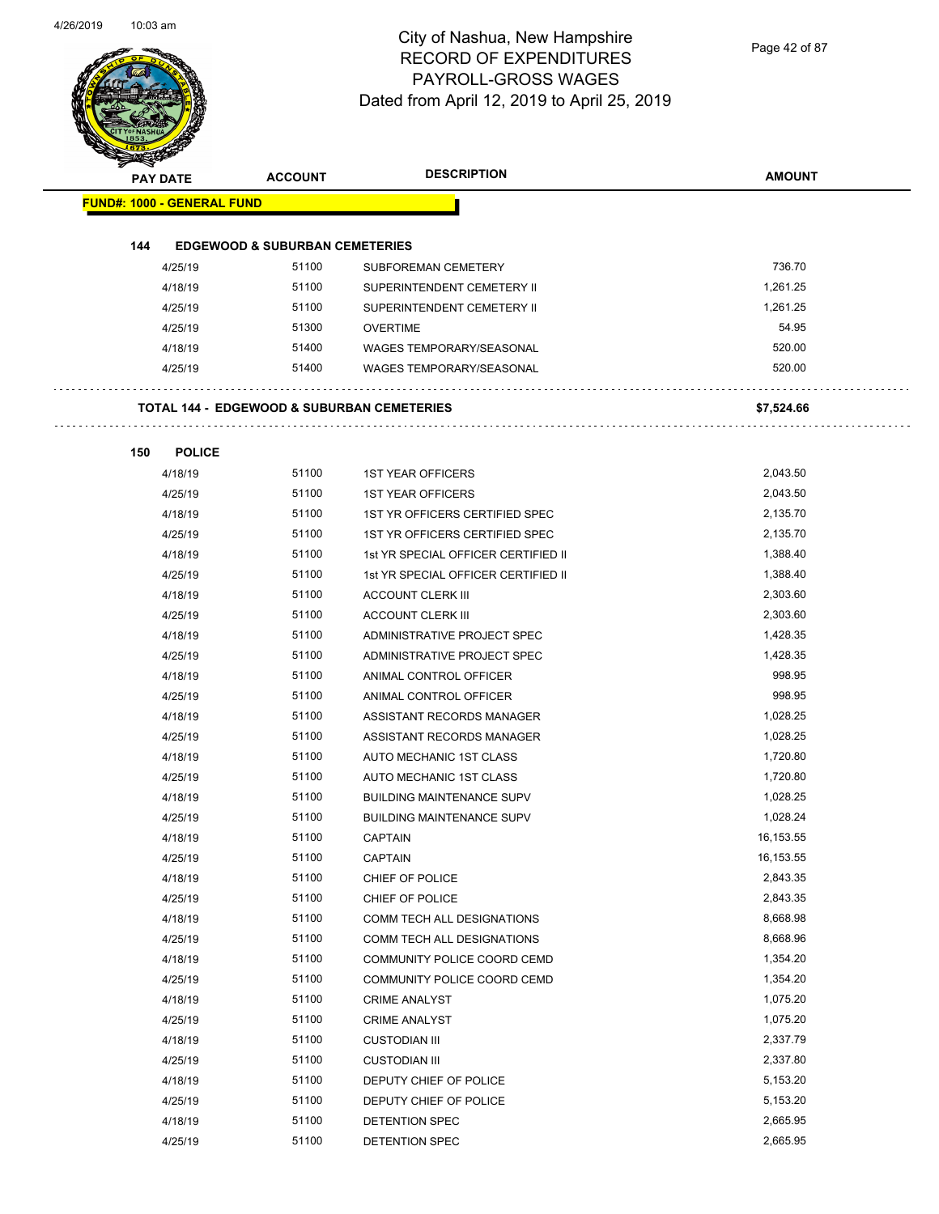Page 42 of 87

| <b>PAY DATE</b>                   | <b>ACCOUNT</b>                                        | <b>DESCRIPTION</b>                                       | <b>AMOUNT</b> |
|-----------------------------------|-------------------------------------------------------|----------------------------------------------------------|---------------|
| <b>FUND#: 1000 - GENERAL FUND</b> |                                                       |                                                          |               |
|                                   |                                                       |                                                          |               |
| 144                               | <b>EDGEWOOD &amp; SUBURBAN CEMETERIES</b><br>51100    |                                                          | 736.70        |
| 4/25/19                           | 51100                                                 | <b>SUBFOREMAN CEMETERY</b>                               | 1.261.25      |
| 4/18/19                           |                                                       | SUPERINTENDENT CEMETERY II<br>SUPERINTENDENT CEMETERY II | 1.261.25      |
| 4/25/19                           | 51100                                                 |                                                          |               |
| 4/25/19                           | 51300                                                 | <b>OVERTIME</b>                                          | 54.95         |
| 4/18/19                           | 51400                                                 | WAGES TEMPORARY/SEASONAL                                 | 520.00        |
| 4/25/19                           | 51400                                                 | <b>WAGES TEMPORARY/SEASONAL</b>                          | 520.00        |
|                                   | <b>TOTAL 144 - EDGEWOOD &amp; SUBURBAN CEMETERIES</b> |                                                          | \$7,524.66    |
| 150<br><b>POLICE</b>              |                                                       |                                                          |               |
| 4/18/19                           | 51100                                                 | <b>1ST YEAR OFFICERS</b>                                 | 2,043.50      |
| 4/25/19                           | 51100                                                 | <b>1ST YEAR OFFICERS</b>                                 | 2,043.50      |
| 4/18/19                           | 51100                                                 | 1ST YR OFFICERS CERTIFIED SPEC                           | 2,135.70      |
| 4/25/19                           | 51100                                                 | 1ST YR OFFICERS CERTIFIED SPEC                           | 2,135.70      |
| 4/18/19                           | 51100                                                 | 1st YR SPECIAL OFFICER CERTIFIED II                      | 1,388.40      |
| 4/25/19                           | 51100                                                 | 1st YR SPECIAL OFFICER CERTIFIED II                      | 1,388.40      |
| 4/18/19                           | 51100                                                 | <b>ACCOUNT CLERK III</b>                                 | 2,303.60      |
| 4/25/19                           | 51100                                                 | <b>ACCOUNT CLERK III</b>                                 | 2,303.60      |
| 4/18/19                           | 51100                                                 | ADMINISTRATIVE PROJECT SPEC                              | 1,428.35      |
| 4/25/19                           | 51100                                                 | ADMINISTRATIVE PROJECT SPEC                              | 1,428.35      |
| 4/18/19                           | 51100                                                 | ANIMAL CONTROL OFFICER                                   | 998.95        |
| 4/25/19                           | 51100                                                 | ANIMAL CONTROL OFFICER                                   | 998.95        |
| 4/18/19                           | 51100                                                 | ASSISTANT RECORDS MANAGER                                | 1,028.25      |
| 4/25/19                           | 51100                                                 | ASSISTANT RECORDS MANAGER                                | 1,028.25      |
| 4/18/19                           | 51100                                                 | AUTO MECHANIC 1ST CLASS                                  | 1,720.80      |
| 4/25/19                           | 51100                                                 | AUTO MECHANIC 1ST CLASS                                  | 1,720.80      |
| 4/18/19                           | 51100                                                 | <b>BUILDING MAINTENANCE SUPV</b>                         | 1,028.25      |
| 4/25/19                           | 51100                                                 | <b>BUILDING MAINTENANCE SUPV</b>                         | 1,028.24      |
| 4/18/19                           | 51100                                                 | <b>CAPTAIN</b>                                           | 16,153.55     |
| 4/25/19                           | 51100                                                 | <b>CAPTAIN</b>                                           | 16,153.55     |
| 4/18/19                           | 51100                                                 | CHIEF OF POLICE                                          | 2,843.35      |
| 4/25/19                           | 51100                                                 | CHIEF OF POLICE                                          | 2,843.35      |
| 4/18/19                           | 51100                                                 | COMM TECH ALL DESIGNATIONS                               | 8,668.98      |
| 4/25/19                           | 51100                                                 | COMM TECH ALL DESIGNATIONS                               | 8,668.96      |
| 4/18/19                           | 51100                                                 | COMMUNITY POLICE COORD CEMD                              | 1,354.20      |
| 4/25/19                           | 51100                                                 | COMMUNITY POLICE COORD CEMD                              | 1,354.20      |
| 4/18/19                           | 51100                                                 | <b>CRIME ANALYST</b>                                     | 1,075.20      |
| 4/25/19                           | 51100                                                 | <b>CRIME ANALYST</b>                                     | 1,075.20      |
| 4/18/19                           | 51100                                                 | <b>CUSTODIAN III</b>                                     | 2,337.79      |
| 4/25/19                           | 51100                                                 | <b>CUSTODIAN III</b>                                     | 2,337.80      |
| 4/18/19                           | 51100                                                 | DEPUTY CHIEF OF POLICE                                   | 5,153.20      |
| 4/25/19                           | 51100                                                 | DEPUTY CHIEF OF POLICE                                   | 5,153.20      |
| 4/18/19                           | 51100                                                 | DETENTION SPEC                                           | 2,665.95      |
|                                   |                                                       |                                                          |               |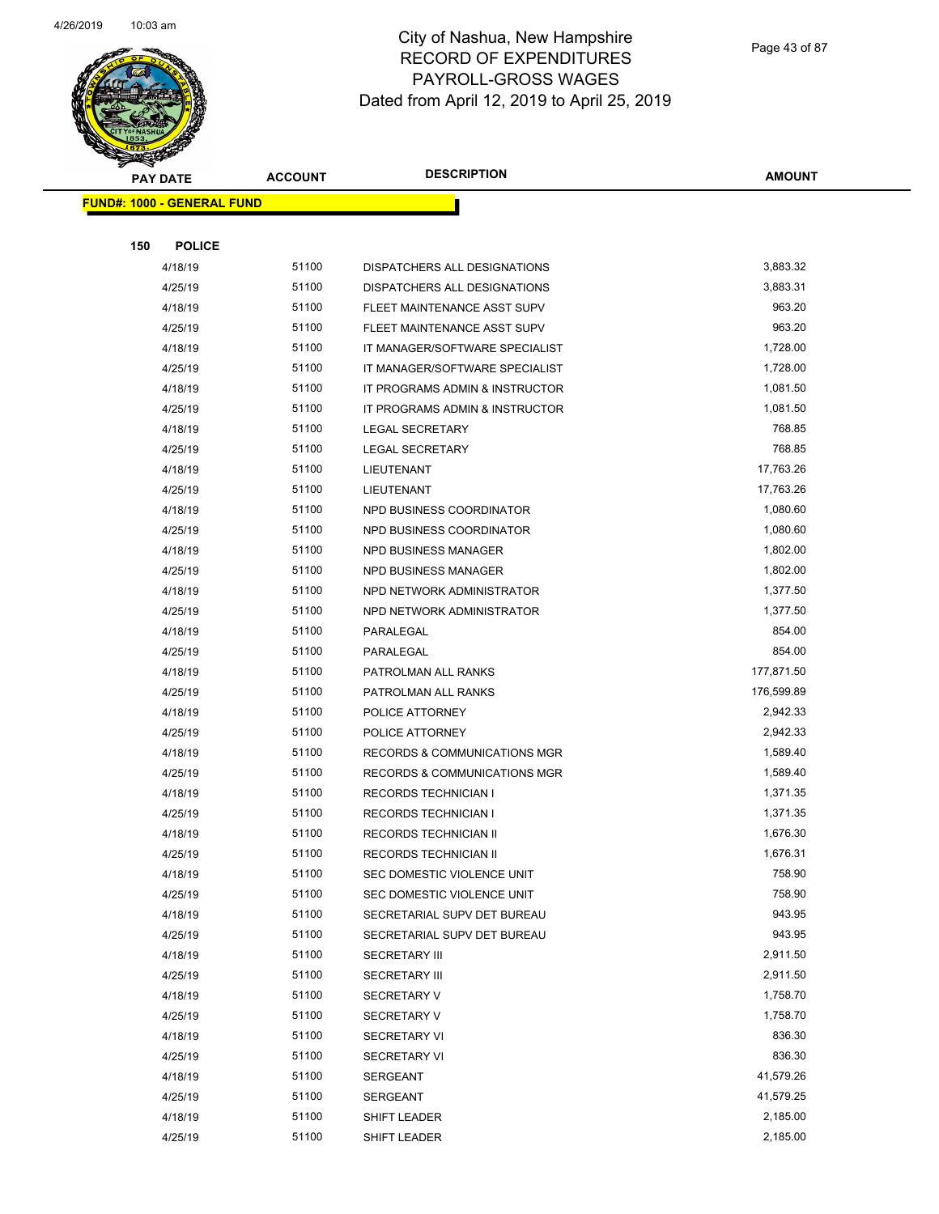

Page 43 of 87

| <b>Contraction</b><br><b>PAY DATE</b> | <b>ACCOUNT</b> | <b>DESCRIPTION</b>             | <b>AMOUNT</b> |
|---------------------------------------|----------------|--------------------------------|---------------|
| <b>FUND#: 1000 - GENERAL FUND</b>     |                |                                |               |
|                                       |                |                                |               |
| 150<br><b>POLICE</b>                  |                |                                |               |
| 4/18/19                               | 51100          | DISPATCHERS ALL DESIGNATIONS   | 3,883.32      |
| 4/25/19                               | 51100          | DISPATCHERS ALL DESIGNATIONS   | 3,883.31      |
| 4/18/19                               | 51100          | FLEET MAINTENANCE ASST SUPV    | 963.20        |
| 4/25/19                               | 51100          | FLEET MAINTENANCE ASST SUPV    | 963.20        |
| 4/18/19                               | 51100          | IT MANAGER/SOFTWARE SPECIALIST | 1,728.00      |
| 4/25/19                               | 51100          | IT MANAGER/SOFTWARE SPECIALIST | 1,728.00      |
| 4/18/19                               | 51100          | IT PROGRAMS ADMIN & INSTRUCTOR | 1,081.50      |
| 4/25/19                               | 51100          | IT PROGRAMS ADMIN & INSTRUCTOR | 1,081.50      |
| 4/18/19                               | 51100          | LEGAL SECRETARY                | 768.85        |
| 4/25/19                               | 51100          | LEGAL SECRETARY                | 768.85        |
| 4/18/19                               | 51100          | LIEUTENANT                     | 17,763.26     |
| 4/25/19                               | 51100          | LIEUTENANT                     | 17,763.26     |
| 4/18/19                               | 51100          | NPD BUSINESS COORDINATOR       | 1,080.60      |
| 4/25/19                               | 51100          | NPD BUSINESS COORDINATOR       | 1,080.60      |
| 4/18/19                               | 51100          | NPD BUSINESS MANAGER           | 1,802.00      |
| 4/25/19                               | 51100          | NPD BUSINESS MANAGER           | 1,802.00      |
| 4/18/19                               | 51100          | NPD NETWORK ADMINISTRATOR      | 1,377.50      |
| 4/25/19                               | 51100          | NPD NETWORK ADMINISTRATOR      | 1,377.50      |
| 4/18/19                               | 51100          | PARALEGAL                      | 854.00        |
| 4/25/19                               | 51100          | PARALEGAL                      | 854.00        |
| 4/18/19                               | 51100          | PATROLMAN ALL RANKS            | 177,871.50    |
| 4/25/19                               | 51100          | PATROLMAN ALL RANKS            | 176,599.89    |
| 4/18/19                               | 51100          | POLICE ATTORNEY                | 2,942.33      |
| 4/25/19                               | 51100          | POLICE ATTORNEY                | 2,942.33      |
| 4/18/19                               | 51100          | RECORDS & COMMUNICATIONS MGR   | 1,589.40      |
| 4/25/19                               | 51100          | RECORDS & COMMUNICATIONS MGR   | 1,589.40      |
| 4/18/19                               | 51100          | <b>RECORDS TECHNICIAN I</b>    | 1,371.35      |
| 4/25/19                               | 51100          | <b>RECORDS TECHNICIAN I</b>    | 1,371.35      |
| 4/18/19                               | 51100          | <b>RECORDS TECHNICIAN II</b>   | 1,676.30      |
| 4/25/19                               | 51100          | RECORDS TECHNICIAN II          | 1,676.31      |
| 4/18/19                               | 51100          | SEC DOMESTIC VIOLENCE UNIT     | 758.90        |
| 4/25/19                               | 51100          | SEC DOMESTIC VIOLENCE UNIT     | 758.90        |
| 4/18/19                               | 51100          | SECRETARIAL SUPV DET BUREAU    | 943.95        |
| 4/25/19                               | 51100          | SECRETARIAL SUPV DET BUREAU    | 943.95        |
| 4/18/19                               | 51100          | <b>SECRETARY III</b>           | 2,911.50      |
| 4/25/19                               | 51100          | <b>SECRETARY III</b>           | 2,911.50      |
| 4/18/19                               | 51100          | <b>SECRETARY V</b>             | 1,758.70      |
| 4/25/19                               | 51100          | <b>SECRETARY V</b>             | 1,758.70      |
| 4/18/19                               | 51100          | <b>SECRETARY VI</b>            | 836.30        |
| 4/25/19                               | 51100          | <b>SECRETARY VI</b>            | 836.30        |
| 4/18/19                               | 51100          | <b>SERGEANT</b>                | 41,579.26     |
| 4/25/19                               | 51100          | <b>SERGEANT</b>                | 41,579.25     |
| 4/18/19                               | 51100          | SHIFT LEADER                   | 2,185.00      |
| 4/25/19                               | 51100          | SHIFT LEADER                   | 2,185.00      |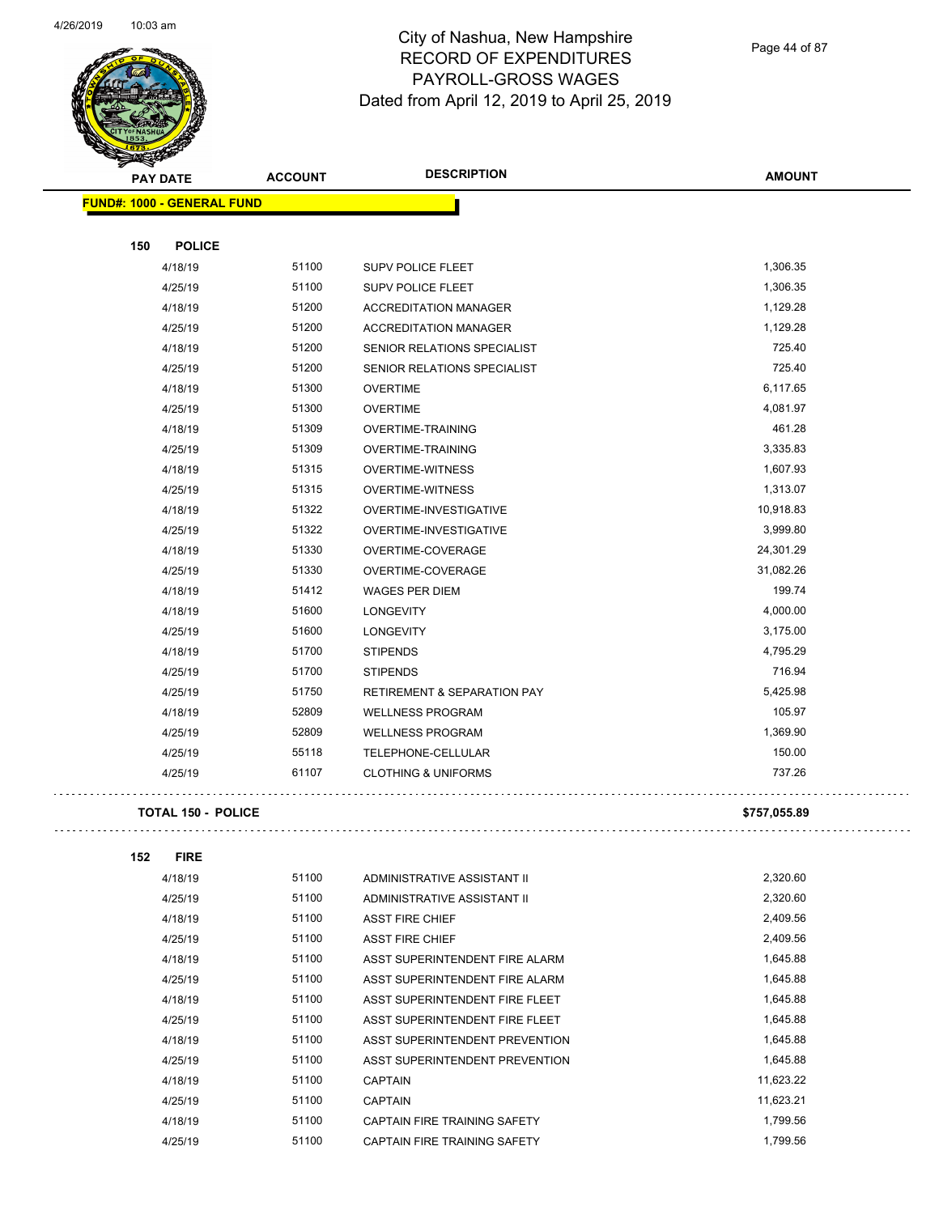

Page 44 of 87

|     | PAY DATE                          | <b>ACCOUNT</b> | <b>DESCRIPTION</b>                     | <b>AMOUNT</b> |
|-----|-----------------------------------|----------------|----------------------------------------|---------------|
|     | <b>FUND#: 1000 - GENERAL FUND</b> |                |                                        |               |
|     |                                   |                |                                        |               |
| 150 | <b>POLICE</b>                     |                |                                        |               |
|     | 4/18/19                           | 51100          | SUPV POLICE FLEET                      | 1,306.35      |
|     | 4/25/19                           | 51100          | <b>SUPV POLICE FLEET</b>               | 1,306.35      |
|     | 4/18/19                           | 51200          | <b>ACCREDITATION MANAGER</b>           | 1,129.28      |
|     | 4/25/19                           | 51200          | <b>ACCREDITATION MANAGER</b>           | 1,129.28      |
|     | 4/18/19                           | 51200          | SENIOR RELATIONS SPECIALIST            | 725.40        |
|     | 4/25/19                           | 51200          | SENIOR RELATIONS SPECIALIST            | 725.40        |
|     | 4/18/19                           | 51300          | <b>OVERTIME</b>                        | 6,117.65      |
|     | 4/25/19                           | 51300          | <b>OVERTIME</b>                        | 4,081.97      |
|     | 4/18/19                           | 51309          | OVERTIME-TRAINING                      | 461.28        |
|     | 4/25/19                           | 51309          | OVERTIME-TRAINING                      | 3,335.83      |
|     | 4/18/19                           | 51315          | <b>OVERTIME-WITNESS</b>                | 1,607.93      |
|     | 4/25/19                           | 51315          | <b>OVERTIME-WITNESS</b>                | 1,313.07      |
|     | 4/18/19                           | 51322          | OVERTIME-INVESTIGATIVE                 | 10,918.83     |
|     | 4/25/19                           | 51322          | OVERTIME-INVESTIGATIVE                 | 3,999.80      |
|     | 4/18/19                           | 51330          | OVERTIME-COVERAGE                      | 24,301.29     |
|     | 4/25/19                           | 51330          | OVERTIME-COVERAGE                      | 31,082.26     |
|     | 4/18/19                           | 51412          | <b>WAGES PER DIEM</b>                  | 199.74        |
|     | 4/18/19                           | 51600          | <b>LONGEVITY</b>                       | 4,000.00      |
|     | 4/25/19                           | 51600          | <b>LONGEVITY</b>                       | 3,175.00      |
|     | 4/18/19                           | 51700          | <b>STIPENDS</b>                        | 4,795.29      |
|     | 4/25/19                           | 51700          | <b>STIPENDS</b>                        | 716.94        |
|     | 4/25/19                           | 51750          | <b>RETIREMENT &amp; SEPARATION PAY</b> | 5,425.98      |
|     | 4/18/19                           | 52809          | <b>WELLNESS PROGRAM</b>                | 105.97        |
|     | 4/25/19                           | 52809          | <b>WELLNESS PROGRAM</b>                | 1,369.90      |
|     | 4/25/19                           | 55118          | TELEPHONE-CELLULAR                     | 150.00        |
|     | 4/25/19                           | 61107          | <b>CLOTHING &amp; UNIFORMS</b>         | 737.26        |
|     | <b>TOTAL 150 - POLICE</b>         |                |                                        | \$757,055.89  |
|     |                                   |                |                                        |               |
| 152 | <b>FIRE</b>                       |                |                                        |               |
|     | 4/18/19                           | 51100          | ADMINISTRATIVE ASSISTANT II            | 2,320.60      |
|     | 4/25/19                           | 51100          | ADMINISTRATIVE ASSISTANT II            | 2,320.60      |
|     | 4/18/19                           | 51100          | <b>ASST FIRE CHIEF</b>                 | 2,409.56      |
|     | 4/25/19                           | 51100          | <b>ASST FIRE CHIEF</b>                 | 2,409.56      |
|     | 4/18/19                           | 51100          | ASST SUPERINTENDENT FIRE ALARM         | 1,645.88      |
|     | 4/25/19                           | 51100          | ASST SUPERINTENDENT FIRE ALARM         | 1,645.88      |
|     | 4/18/19                           | 51100          | ASST SUPERINTENDENT FIRE FLEET         | 1,645.88      |
|     | 4/25/19                           | 51100          | ASST SUPERINTENDENT FIRE FLEET         | 1,645.88      |
|     | 4/18/19                           | 51100          | ASST SUPERINTENDENT PREVENTION         | 1,645.88      |
|     | 4/25/19                           | 51100          | ASST SUPERINTENDENT PREVENTION         | 1,645.88      |
|     | 4/18/19                           | 51100          | <b>CAPTAIN</b>                         | 11,623.22     |
|     | 4/25/19                           | 51100          | <b>CAPTAIN</b>                         | 11,623.21     |
|     | 4/18/19                           | 51100          | CAPTAIN FIRE TRAINING SAFETY           | 1,799.56      |

4/25/19 51100 CAPTAIN FIRE TRAINING SAFETY 1,799.56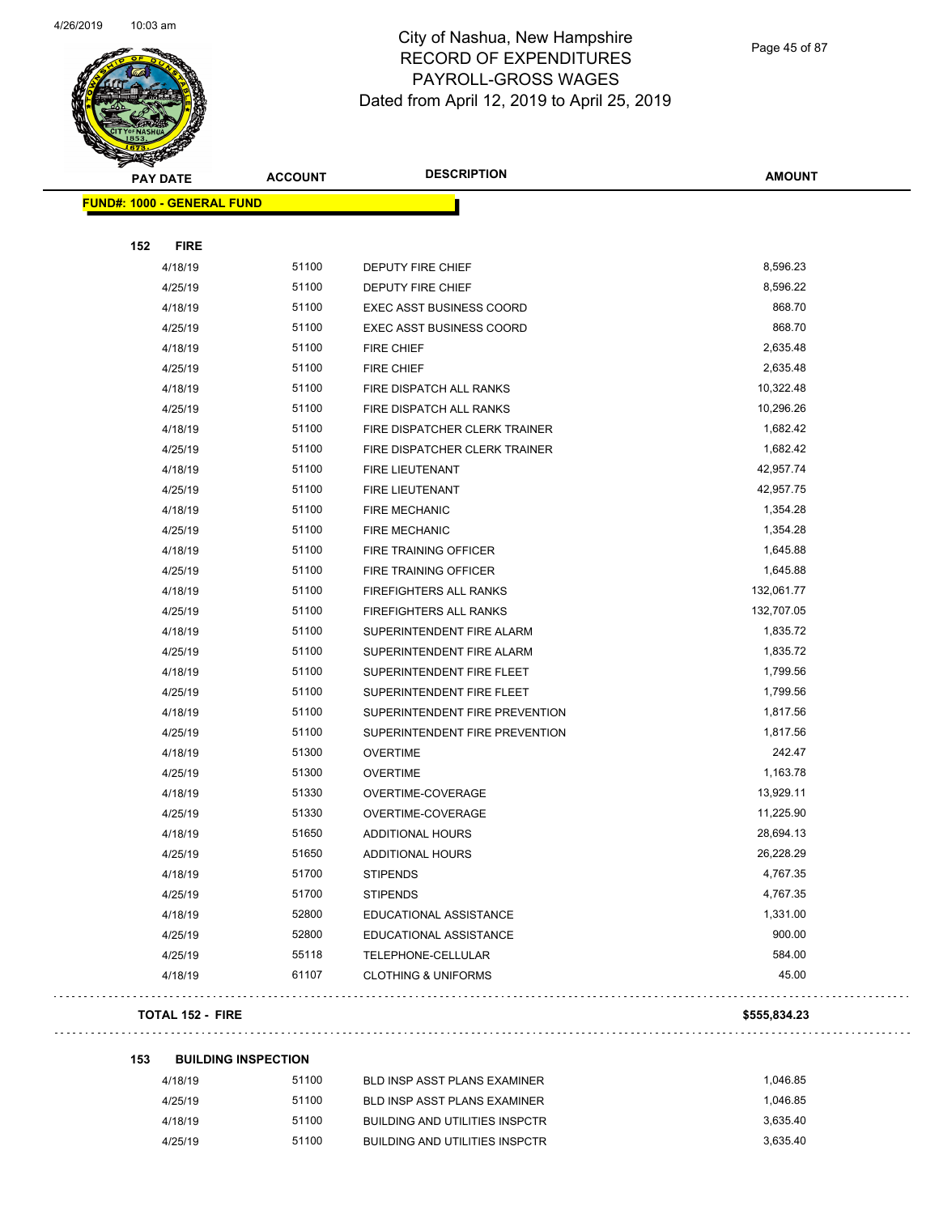

Page 45 of 87

| <b>SANGRA</b>                     | <b>ACCOUNT</b> | <b>DESCRIPTION</b>              | <b>AMOUNT</b> |
|-----------------------------------|----------------|---------------------------------|---------------|
| <b>PAY DATE</b>                   |                |                                 |               |
| <b>FUND#: 1000 - GENERAL FUND</b> |                |                                 |               |
| <b>FIRE</b><br>152                |                |                                 |               |
|                                   | 51100          |                                 | 8,596.23      |
| 4/18/19                           | 51100          | <b>DEPUTY FIRE CHIEF</b>        | 8,596.22      |
| 4/25/19                           |                | DEPUTY FIRE CHIEF               | 868.70        |
| 4/18/19                           | 51100          | <b>EXEC ASST BUSINESS COORD</b> |               |
| 4/25/19                           | 51100          | <b>EXEC ASST BUSINESS COORD</b> | 868.70        |
| 4/18/19                           | 51100          | <b>FIRE CHIEF</b>               | 2,635.48      |
| 4/25/19                           | 51100          | <b>FIRE CHIEF</b>               | 2,635.48      |
| 4/18/19                           | 51100          | FIRE DISPATCH ALL RANKS         | 10,322.48     |
| 4/25/19                           | 51100          | FIRE DISPATCH ALL RANKS         | 10,296.26     |
| 4/18/19                           | 51100          | FIRE DISPATCHER CLERK TRAINER   | 1,682.42      |
| 4/25/19                           | 51100          | FIRE DISPATCHER CLERK TRAINER   | 1,682.42      |
| 4/18/19                           | 51100          | <b>FIRE LIEUTENANT</b>          | 42,957.74     |
| 4/25/19                           | 51100          | FIRE LIEUTENANT                 | 42,957.75     |
| 4/18/19                           | 51100          | <b>FIRE MECHANIC</b>            | 1,354.28      |
| 4/25/19                           | 51100          | <b>FIRE MECHANIC</b>            | 1,354.28      |
| 4/18/19                           | 51100          | FIRE TRAINING OFFICER           | 1,645.88      |
| 4/25/19                           | 51100          | FIRE TRAINING OFFICER           | 1,645.88      |
| 4/18/19                           | 51100          | FIREFIGHTERS ALL RANKS          | 132,061.77    |
| 4/25/19                           | 51100          | FIREFIGHTERS ALL RANKS          | 132,707.05    |
| 4/18/19                           | 51100          | SUPERINTENDENT FIRE ALARM       | 1,835.72      |
| 4/25/19                           | 51100          | SUPERINTENDENT FIRE ALARM       | 1,835.72      |
| 4/18/19                           | 51100          | SUPERINTENDENT FIRE FLEET       | 1,799.56      |
| 4/25/19                           | 51100          | SUPERINTENDENT FIRE FLEET       | 1,799.56      |
| 4/18/19                           | 51100          | SUPERINTENDENT FIRE PREVENTION  | 1,817.56      |
| 4/25/19                           | 51100          | SUPERINTENDENT FIRE PREVENTION  | 1,817.56      |
| 4/18/19                           | 51300          | <b>OVERTIME</b>                 | 242.47        |
| 4/25/19                           | 51300          | <b>OVERTIME</b>                 | 1,163.78      |
| 4/18/19                           | 51330          | OVERTIME-COVERAGE               | 13,929.11     |
| 4/25/19                           | 51330          | OVERTIME-COVERAGE               | 11,225.90     |
| 4/18/19                           | 51650          | <b>ADDITIONAL HOURS</b>         | 28,694.13     |
| 4/25/19                           | 51650          | ADDITIONAL HOURS                | 26,228.29     |
| 4/18/19                           | 51700          | <b>STIPENDS</b>                 | 4,767.35      |
| 4/25/19                           | 51700          | <b>STIPENDS</b>                 | 4,767.35      |
| 4/18/19                           | 52800          | EDUCATIONAL ASSISTANCE          | 1,331.00      |
| 4/25/19                           | 52800          | EDUCATIONAL ASSISTANCE          | 900.00        |
| 4/25/19                           | 55118          | TELEPHONE-CELLULAR              | 584.00        |
| 4/18/19                           | 61107          | <b>CLOTHING &amp; UNIFORMS</b>  | 45.00         |
|                                   |                |                                 |               |
| <b>TOTAL 152 - FIRE</b>           |                |                                 | \$555,834.23  |

# **153 BUILDING INSPECTION**

| 4/18/19 | 51100 | BLD INSP ASST PLANS EXAMINER   | 1.046.85 |
|---------|-------|--------------------------------|----------|
| 4/25/19 | 51100 | BLD INSP ASST PLANS EXAMINER   | 1.046.85 |
| 4/18/19 | 51100 | BUILDING AND UTILITIES INSPCTR | 3.635.40 |
| 4/25/19 | 51100 | BUILDING AND UTILITIES INSPCTR | 3.635.40 |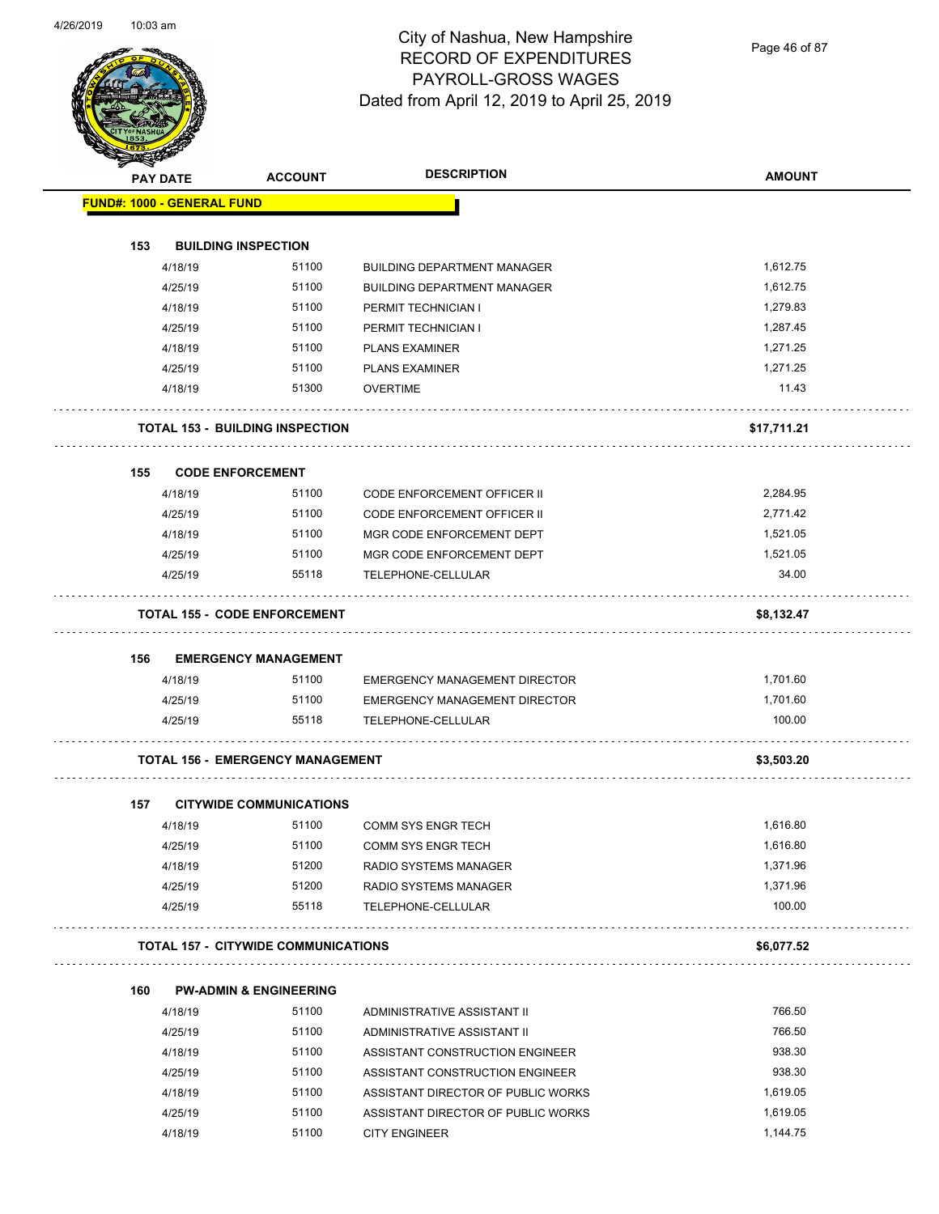Page 46 of 87

|     | <b>PAY DATE</b>                   | <b>ACCOUNT</b>                             | <b>DESCRIPTION</b>                   | <b>AMOUNT</b> |
|-----|-----------------------------------|--------------------------------------------|--------------------------------------|---------------|
|     | <b>FUND#: 1000 - GENERAL FUND</b> |                                            |                                      |               |
|     |                                   |                                            |                                      |               |
| 153 |                                   | <b>BUILDING INSPECTION</b>                 |                                      |               |
|     | 4/18/19                           | 51100                                      | <b>BUILDING DEPARTMENT MANAGER</b>   | 1,612.75      |
|     | 4/25/19                           | 51100                                      | <b>BUILDING DEPARTMENT MANAGER</b>   | 1,612.75      |
|     | 4/18/19                           | 51100                                      | PERMIT TECHNICIAN I                  | 1,279.83      |
|     | 4/25/19                           | 51100                                      | PERMIT TECHNICIAN I                  | 1,287.45      |
|     | 4/18/19                           | 51100                                      | <b>PLANS EXAMINER</b>                | 1,271.25      |
|     | 4/25/19                           | 51100                                      | <b>PLANS EXAMINER</b>                | 1,271.25      |
|     | 4/18/19                           | 51300                                      | <b>OVERTIME</b>                      | 11.43         |
|     |                                   | <b>TOTAL 153 - BUILDING INSPECTION</b>     |                                      | \$17,711.21   |
| 155 |                                   | <b>CODE ENFORCEMENT</b>                    |                                      |               |
|     | 4/18/19                           | 51100                                      | <b>CODE ENFORCEMENT OFFICER II</b>   | 2,284.95      |
|     | 4/25/19                           | 51100                                      | <b>CODE ENFORCEMENT OFFICER II</b>   | 2,771.42      |
|     | 4/18/19                           | 51100                                      | MGR CODE ENFORCEMENT DEPT            | 1,521.05      |
|     | 4/25/19                           | 51100                                      | MGR CODE ENFORCEMENT DEPT            | 1,521.05      |
|     | 4/25/19                           | 55118                                      | TELEPHONE-CELLULAR                   | 34.00         |
|     |                                   | <b>TOTAL 155 - CODE ENFORCEMENT</b>        |                                      | \$8,132.47    |
|     |                                   |                                            |                                      |               |
| 156 | 4/18/19                           | <b>EMERGENCY MANAGEMENT</b><br>51100       | <b>EMERGENCY MANAGEMENT DIRECTOR</b> | 1,701.60      |
|     | 4/25/19                           | 51100                                      | EMERGENCY MANAGEMENT DIRECTOR        | 1,701.60      |
|     | 4/25/19                           | 55118                                      | TELEPHONE-CELLULAR                   | 100.00        |
|     |                                   |                                            |                                      |               |
|     |                                   | <b>TOTAL 156 - EMERGENCY MANAGEMENT</b>    |                                      | \$3,503.20    |
| 157 |                                   | <b>CITYWIDE COMMUNICATIONS</b>             |                                      |               |
|     | 4/18/19                           | 51100                                      | <b>COMM SYS ENGR TECH</b>            | 1,616.80      |
|     | 4/25/19                           | 51100                                      | <b>COMM SYS ENGR TECH</b>            | 1,616.80      |
|     | 4/18/19                           | 51200                                      | RADIO SYSTEMS MANAGER                | 1,371.96      |
|     | 4/25/19                           | 51200                                      | RADIO SYSTEMS MANAGER                | 1,371.96      |
|     | 4/25/19                           | 55118                                      | TELEPHONE-CELLULAR                   | 100.00        |
|     |                                   | <b>TOTAL 157 - CITYWIDE COMMUNICATIONS</b> |                                      | \$6,077.52    |
| 160 |                                   | <b>PW-ADMIN &amp; ENGINEERING</b>          |                                      |               |
|     | 4/18/19                           | 51100                                      | ADMINISTRATIVE ASSISTANT II          | 766.50        |
|     | 4/25/19                           | 51100                                      | ADMINISTRATIVE ASSISTANT II          | 766.50        |
|     | 4/18/19                           | 51100                                      | ASSISTANT CONSTRUCTION ENGINEER      | 938.30        |
|     | 4/25/19                           | 51100                                      | ASSISTANT CONSTRUCTION ENGINEER      | 938.30        |
|     | 4/18/19                           | 51100                                      | ASSISTANT DIRECTOR OF PUBLIC WORKS   | 1,619.05      |
|     | 4/25/19                           | 51100                                      | ASSISTANT DIRECTOR OF PUBLIC WORKS   | 1,619.05      |
|     |                                   |                                            |                                      |               |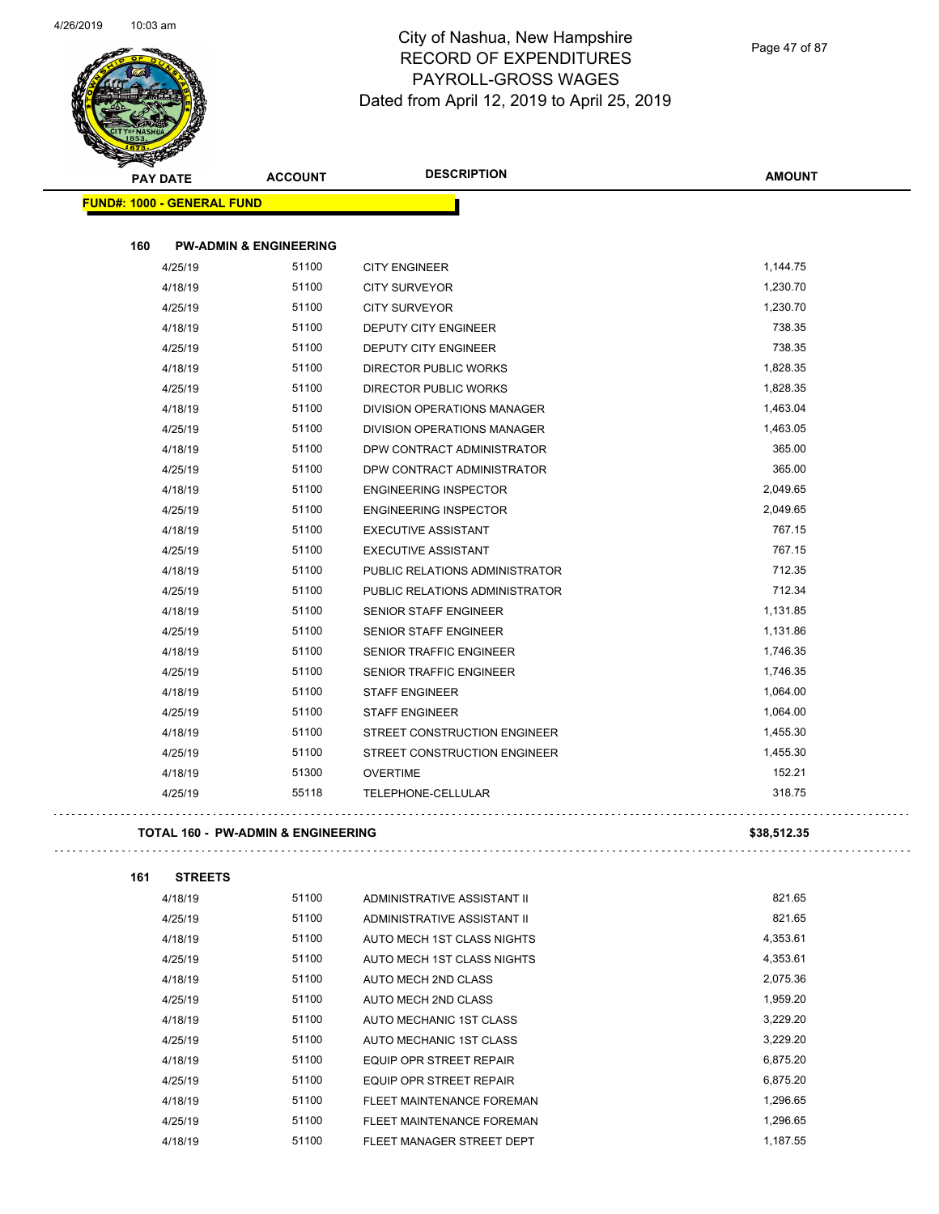

Page 47 of 87

| <b>PAY DATE</b>                   | <b>ACCOUNT</b>                    | <b>DESCRIPTION</b>                 | <b>AMOUNT</b> |
|-----------------------------------|-----------------------------------|------------------------------------|---------------|
| <b>FUND#: 1000 - GENERAL FUND</b> |                                   |                                    |               |
| 160                               | <b>PW-ADMIN &amp; ENGINEERING</b> |                                    |               |
| 4/25/19                           | 51100                             | <b>CITY ENGINEER</b>               | 1,144.75      |
| 4/18/19                           | 51100                             | <b>CITY SURVEYOR</b>               | 1,230.70      |
| 4/25/19                           | 51100                             | <b>CITY SURVEYOR</b>               | 1,230.70      |
| 4/18/19                           | 51100                             | <b>DEPUTY CITY ENGINEER</b>        | 738.35        |
| 4/25/19                           | 51100                             | DEPUTY CITY ENGINEER               | 738.35        |
| 4/18/19                           | 51100                             | <b>DIRECTOR PUBLIC WORKS</b>       | 1,828.35      |
| 4/25/19                           | 51100                             | <b>DIRECTOR PUBLIC WORKS</b>       | 1,828.35      |
| 4/18/19                           | 51100                             | <b>DIVISION OPERATIONS MANAGER</b> | 1,463.04      |
| 4/25/19                           | 51100                             | DIVISION OPERATIONS MANAGER        | 1,463.05      |
| 4/18/19                           | 51100                             | DPW CONTRACT ADMINISTRATOR         | 365.00        |
| 4/25/19                           | 51100                             | DPW CONTRACT ADMINISTRATOR         | 365.00        |
| 4/18/19                           | 51100                             | <b>ENGINEERING INSPECTOR</b>       | 2,049.65      |
| 4/25/19                           | 51100                             | <b>ENGINEERING INSPECTOR</b>       | 2,049.65      |
| 4/18/19                           | 51100                             | <b>EXECUTIVE ASSISTANT</b>         | 767.15        |
| 4/25/19                           | 51100                             | <b>EXECUTIVE ASSISTANT</b>         | 767.15        |
| 4/18/19                           | 51100                             | PUBLIC RELATIONS ADMINISTRATOR     | 712.35        |
| 4/25/19                           | 51100                             | PUBLIC RELATIONS ADMINISTRATOR     | 712.34        |
| 4/18/19                           | 51100                             | <b>SENIOR STAFF ENGINEER</b>       | 1,131.85      |
| 4/25/19                           | 51100                             | <b>SENIOR STAFF ENGINEER</b>       | 1,131.86      |
| 4/18/19                           | 51100                             | <b>SENIOR TRAFFIC ENGINEER</b>     | 1,746.35      |
| 4/25/19                           | 51100                             | <b>SENIOR TRAFFIC ENGINEER</b>     | 1,746.35      |
| 4/18/19                           | 51100                             | <b>STAFF ENGINEER</b>              | 1,064.00      |
| 4/25/19                           | 51100                             | <b>STAFF ENGINEER</b>              | 1,064.00      |
| 4/18/19                           | 51100                             | STREET CONSTRUCTION ENGINEER       | 1,455.30      |
| 4/25/19                           | 51100                             | STREET CONSTRUCTION ENGINEER       | 1,455.30      |
| 4/18/19                           | 51300                             | <b>OVERTIME</b>                    | 152.21        |
| 4/25/19                           | 55118                             | TELEPHONE-CELLULAR                 | 318.75        |
|                                   |                                   |                                    |               |

| 161 | <b>STREETS</b> |  |
|-----|----------------|--|
|     |                |  |

| 4/18/19 | 51100 | ADMINISTRATIVE ASSISTANT II | 821.65   |
|---------|-------|-----------------------------|----------|
| 4/25/19 | 51100 | ADMINISTRATIVE ASSISTANT II | 821.65   |
| 4/18/19 | 51100 | AUTO MECH 1ST CLASS NIGHTS  | 4,353.61 |
| 4/25/19 | 51100 | AUTO MECH 1ST CLASS NIGHTS  | 4.353.61 |
| 4/18/19 | 51100 | AUTO MECH 2ND CLASS         | 2.075.36 |
| 4/25/19 | 51100 | AUTO MECH 2ND CLASS         | 1,959.20 |
| 4/18/19 | 51100 | AUTO MECHANIC 1ST CLASS     | 3,229.20 |
| 4/25/19 | 51100 | AUTO MECHANIC 1ST CLASS     | 3.229.20 |
| 4/18/19 | 51100 | EQUIP OPR STREET REPAIR     | 6.875.20 |
| 4/25/19 | 51100 | EQUIP OPR STREET REPAIR     | 6.875.20 |
| 4/18/19 | 51100 | FLEET MAINTENANCE FOREMAN   | 1.296.65 |
| 4/25/19 | 51100 | FLEET MAINTENANCE FOREMAN   | 1.296.65 |
| 4/18/19 | 51100 | FLEET MANAGER STREET DEPT   | 1.187.55 |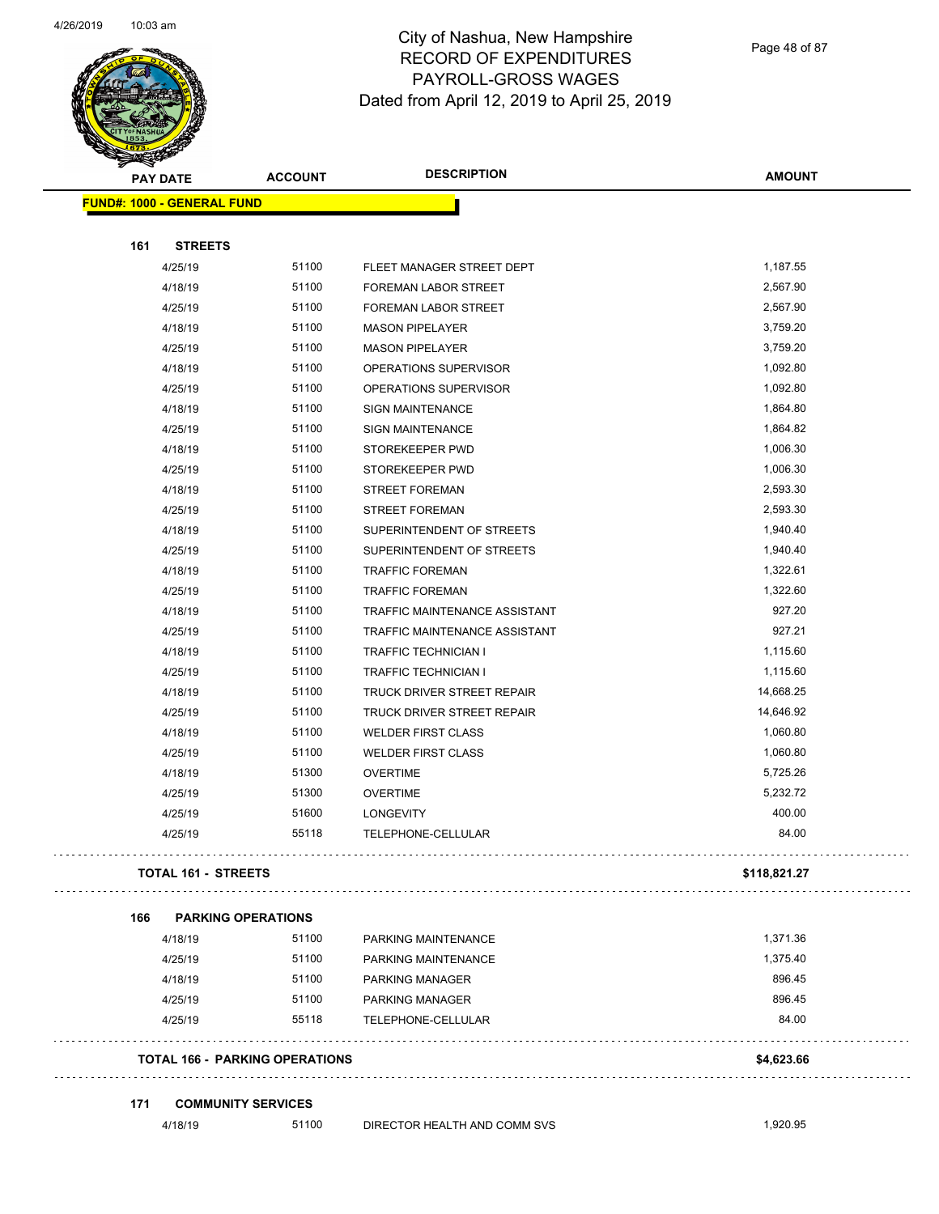$\overline{\phantom{0}}$ 



# City of Nashua, New Hampshire RECORD OF EXPENDITURES PAYROLL-GROSS WAGES Dated from April 12, 2019 to April 25, 2019

Page 48 of 87

| <b>REAL AND STATE</b> |                                       |                |                               |               |
|-----------------------|---------------------------------------|----------------|-------------------------------|---------------|
| <b>PAY DATE</b>       |                                       | <b>ACCOUNT</b> | <b>DESCRIPTION</b>            | <b>AMOUNT</b> |
|                       | <b>FUND#: 1000 - GENERAL FUND</b>     |                |                               |               |
|                       |                                       |                |                               |               |
| 161                   | <b>STREETS</b>                        |                |                               |               |
|                       | 4/25/19                               | 51100          | FLEET MANAGER STREET DEPT     | 1,187.55      |
|                       | 4/18/19                               | 51100          | FOREMAN LABOR STREET          | 2,567.90      |
|                       | 4/25/19                               | 51100          | <b>FOREMAN LABOR STREET</b>   | 2,567.90      |
|                       | 4/18/19                               | 51100          | <b>MASON PIPELAYER</b>        | 3,759.20      |
|                       | 4/25/19                               | 51100          | <b>MASON PIPELAYER</b>        | 3,759.20      |
|                       | 4/18/19                               | 51100          | OPERATIONS SUPERVISOR         | 1,092.80      |
|                       | 4/25/19                               | 51100          | OPERATIONS SUPERVISOR         | 1,092.80      |
|                       | 4/18/19                               | 51100          | <b>SIGN MAINTENANCE</b>       | 1,864.80      |
|                       | 4/25/19                               | 51100          | <b>SIGN MAINTENANCE</b>       | 1,864.82      |
|                       | 4/18/19                               | 51100          | STOREKEEPER PWD               | 1,006.30      |
|                       | 4/25/19                               | 51100          | STOREKEEPER PWD               | 1,006.30      |
|                       | 4/18/19                               | 51100          | <b>STREET FOREMAN</b>         | 2,593.30      |
|                       | 4/25/19                               | 51100          | <b>STREET FOREMAN</b>         | 2,593.30      |
|                       | 4/18/19                               | 51100          | SUPERINTENDENT OF STREETS     | 1,940.40      |
|                       | 4/25/19                               | 51100          | SUPERINTENDENT OF STREETS     | 1,940.40      |
|                       | 4/18/19                               | 51100          | <b>TRAFFIC FOREMAN</b>        | 1,322.61      |
|                       | 4/25/19                               | 51100          | <b>TRAFFIC FOREMAN</b>        | 1,322.60      |
|                       | 4/18/19                               | 51100          | TRAFFIC MAINTENANCE ASSISTANT | 927.20        |
|                       | 4/25/19                               | 51100          | TRAFFIC MAINTENANCE ASSISTANT | 927.21        |
|                       | 4/18/19                               | 51100          | <b>TRAFFIC TECHNICIAN I</b>   | 1,115.60      |
|                       | 4/25/19                               | 51100          | <b>TRAFFIC TECHNICIAN I</b>   | 1,115.60      |
|                       | 4/18/19                               | 51100          | TRUCK DRIVER STREET REPAIR    | 14,668.25     |
|                       | 4/25/19                               | 51100          | TRUCK DRIVER STREET REPAIR    | 14,646.92     |
|                       | 4/18/19                               | 51100          | <b>WELDER FIRST CLASS</b>     | 1,060.80      |
|                       | 4/25/19                               | 51100          | <b>WELDER FIRST CLASS</b>     | 1,060.80      |
|                       | 4/18/19                               | 51300          | <b>OVERTIME</b>               | 5,725.26      |
|                       | 4/25/19                               | 51300          | <b>OVERTIME</b>               | 5,232.72      |
|                       | 4/25/19                               | 51600          | <b>LONGEVITY</b>              | 400.00        |
|                       | 4/25/19                               | 55118          | TELEPHONE-CELLULAR            | 84.00         |
|                       |                                       |                |                               |               |
|                       | TOTAL 161 - STREETS                   |                |                               | \$118,821.27  |
|                       |                                       |                |                               |               |
| 166                   | <b>PARKING OPERATIONS</b>             |                |                               |               |
|                       | 4/18/19                               | 51100          | PARKING MAINTENANCE           | 1,371.36      |
|                       | 4/25/19                               | 51100          | PARKING MAINTENANCE           | 1,375.40      |
|                       | 4/18/19                               | 51100          | <b>PARKING MANAGER</b>        | 896.45        |
|                       | 4/25/19                               | 51100          | PARKING MANAGER               | 896.45        |
|                       | 4/25/19                               | 55118          | TELEPHONE-CELLULAR            | 84.00         |
|                       |                                       |                |                               |               |
|                       | <b>TOTAL 166 - PARKING OPERATIONS</b> |                |                               | \$4,623.66    |
| 171                   |                                       |                |                               |               |
|                       | <b>COMMUNITY SERVICES</b><br>4/18/19  | 51100          | DIRECTOR HEALTH AND COMM SVS  | 1,920.95      |
|                       |                                       |                |                               |               |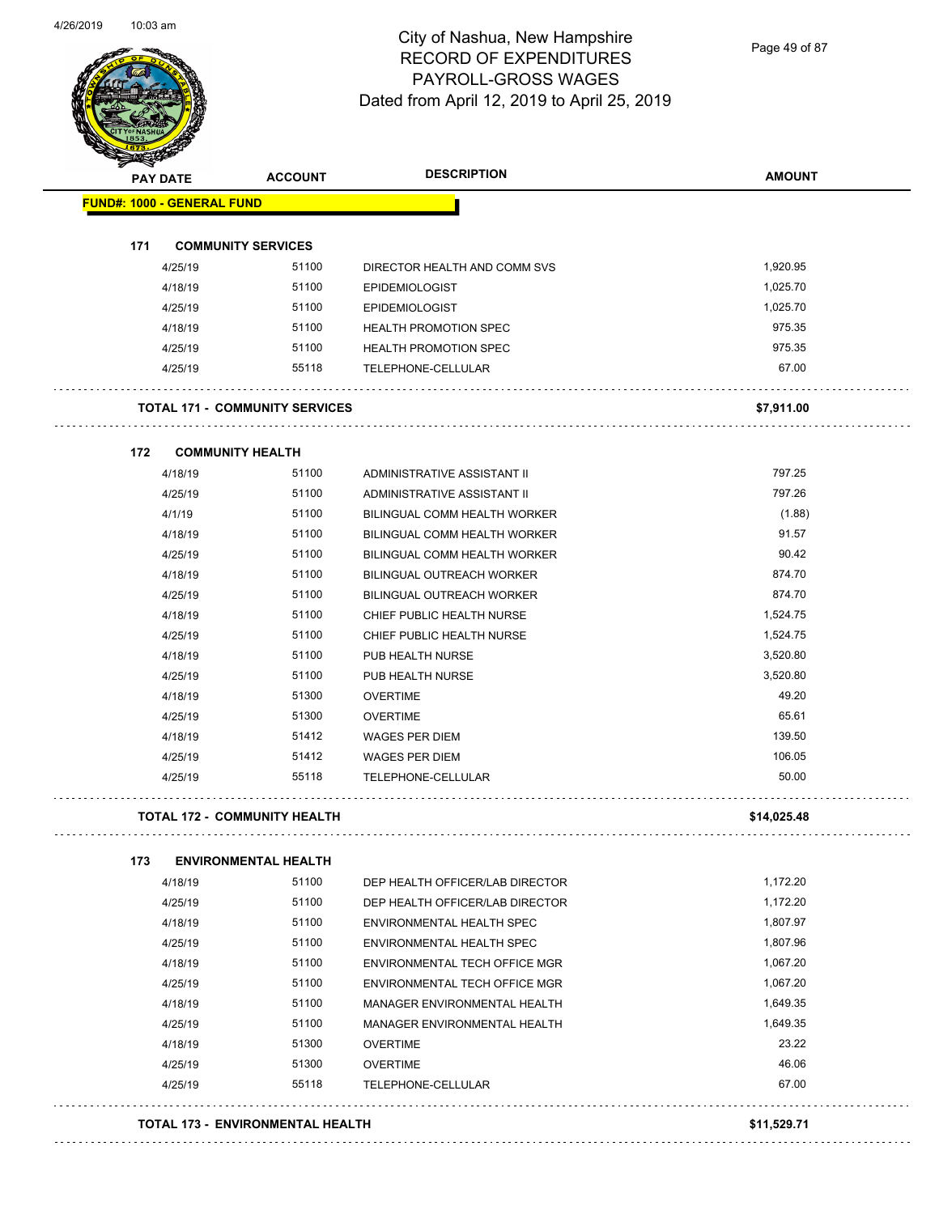

Page 49 of 87

| <b>PAY DATE</b>                   |                         | <b>ACCOUNT</b>                        | <b>DESCRIPTION</b>               | <b>AMOUNT</b> |
|-----------------------------------|-------------------------|---------------------------------------|----------------------------------|---------------|
| <b>FUND#: 1000 - GENERAL FUND</b> |                         |                                       |                                  |               |
| 171                               |                         | <b>COMMUNITY SERVICES</b>             |                                  |               |
|                                   | 4/25/19                 | 51100                                 | DIRECTOR HEALTH AND COMM SVS     | 1,920.95      |
|                                   | 4/18/19                 | 51100                                 | <b>EPIDEMIOLOGIST</b>            | 1,025.70      |
|                                   | 4/25/19                 | 51100                                 | <b>EPIDEMIOLOGIST</b>            | 1,025.70      |
|                                   | 4/18/19                 | 51100                                 | <b>HEALTH PROMOTION SPEC</b>     | 975.35        |
|                                   | 4/25/19                 | 51100                                 | <b>HEALTH PROMOTION SPEC</b>     | 975.35        |
|                                   | 4/25/19                 | 55118                                 | TELEPHONE-CELLULAR               | 67.00         |
|                                   |                         |                                       |                                  |               |
|                                   |                         | <b>TOTAL 171 - COMMUNITY SERVICES</b> |                                  | \$7,911.00    |
| 172                               | <b>COMMUNITY HEALTH</b> |                                       |                                  |               |
|                                   | 4/18/19                 | 51100                                 | ADMINISTRATIVE ASSISTANT II      | 797.25        |
|                                   | 4/25/19                 | 51100                                 | ADMINISTRATIVE ASSISTANT II      | 797.26        |
|                                   | 4/1/19                  | 51100                                 | BILINGUAL COMM HEALTH WORKER     | (1.88)        |
|                                   | 4/18/19                 | 51100                                 | BILINGUAL COMM HEALTH WORKER     | 91.57         |
|                                   | 4/25/19                 | 51100                                 | BILINGUAL COMM HEALTH WORKER     | 90.42         |
|                                   | 4/18/19                 | 51100                                 | <b>BILINGUAL OUTREACH WORKER</b> | 874.70        |
|                                   | 4/25/19                 | 51100                                 | <b>BILINGUAL OUTREACH WORKER</b> | 874.70        |
|                                   | 4/18/19                 | 51100                                 | CHIEF PUBLIC HEALTH NURSE        | 1,524.75      |
|                                   | 4/25/19                 | 51100                                 | CHIEF PUBLIC HEALTH NURSE        | 1,524.75      |
|                                   | 4/18/19                 | 51100                                 | PUB HEALTH NURSE                 | 3,520.80      |
|                                   | 4/25/19                 | 51100                                 | PUB HEALTH NURSE                 | 3,520.80      |
|                                   | 4/18/19                 | 51300                                 | <b>OVERTIME</b>                  | 49.20         |
|                                   | 4/25/19                 | 51300                                 | <b>OVERTIME</b>                  | 65.61         |
|                                   | 4/18/19                 | 51412                                 | <b>WAGES PER DIEM</b>            | 139.50        |
|                                   | 4/25/19                 | 51412                                 | <b>WAGES PER DIEM</b>            | 106.05        |
|                                   | 4/25/19                 | 55118                                 | TELEPHONE-CELLULAR               | 50.00         |
|                                   |                         | <b>TOTAL 172 - COMMUNITY HEALTH</b>   |                                  | \$14,025.48   |
| 173                               |                         | <b>ENVIRONMENTAL HEALTH</b>           |                                  |               |
|                                   | 4/18/19                 | 51100                                 | DEP HEALTH OFFICER/LAB DIRECTOR  | 1,172.20      |
|                                   | 4/25/19                 | 51100                                 | DEP HEALTH OFFICER/LAB DIRECTOR  | 1,172.20      |
|                                   | 4/18/19                 | 51100                                 | <b>ENVIRONMENTAL HEALTH SPEC</b> | 1,807.97      |
|                                   | 4/25/19                 | 51100                                 | ENVIRONMENTAL HEALTH SPEC        | 1,807.96      |
|                                   | 4/18/19                 | 51100                                 | ENVIRONMENTAL TECH OFFICE MGR    | 1,067.20      |
|                                   | 4/25/19                 | 51100                                 | ENVIRONMENTAL TECH OFFICE MGR    | 1,067.20      |
|                                   | 4/18/19                 | 51100                                 | MANAGER ENVIRONMENTAL HEALTH     | 1,649.35      |
|                                   | 4/25/19                 | 51100                                 | MANAGER ENVIRONMENTAL HEALTH     | 1,649.35      |
|                                   | 4/18/19                 | 51300                                 | <b>OVERTIME</b>                  | 23.22         |
|                                   | 4/25/19                 | 51300                                 | <b>OVERTIME</b>                  | 46.06         |
|                                   | 4/25/19                 | 55118                                 | TELEPHONE-CELLULAR               | 67.00         |

**TOTAL 173 - ENVIRONMENTAL HEALTH \$11,529.71**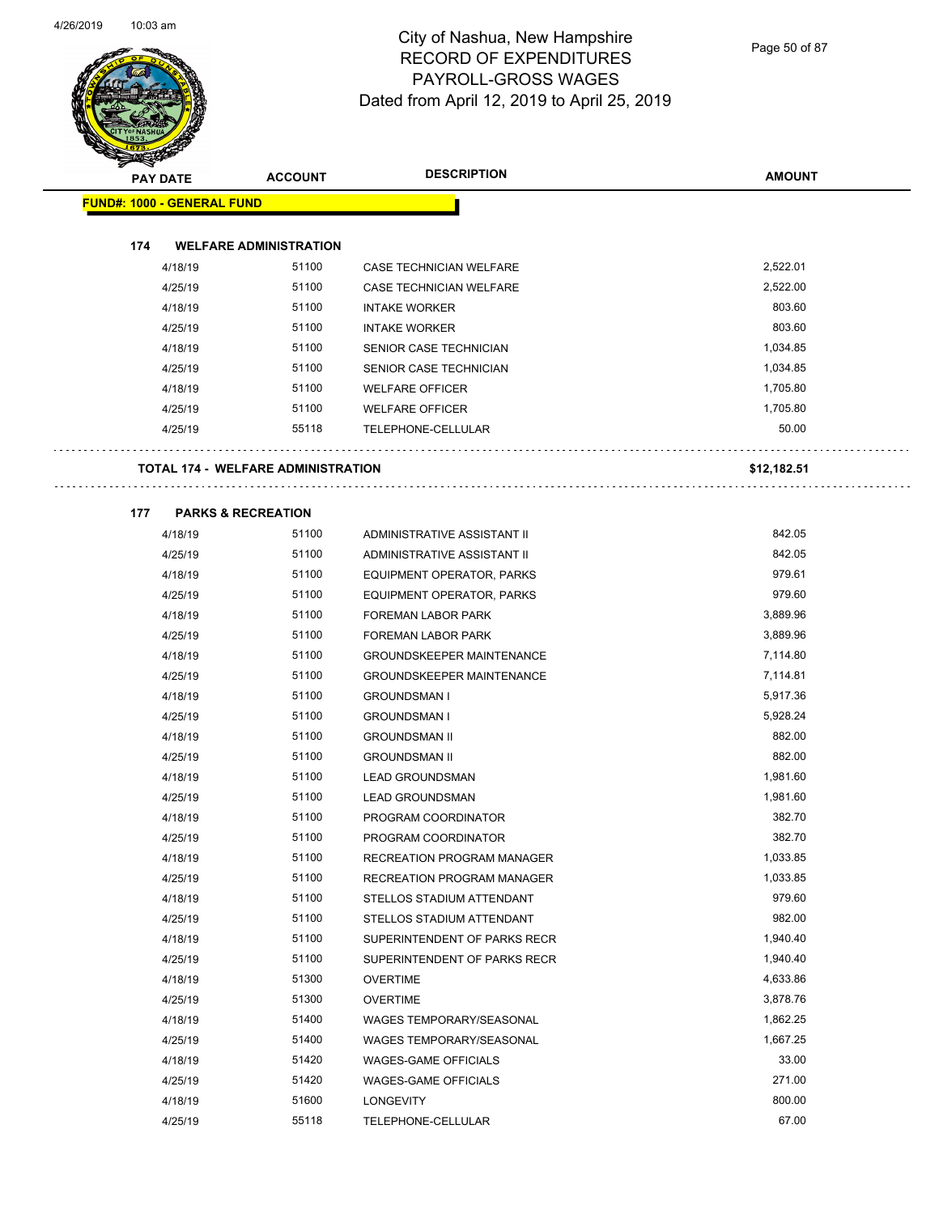

Page 50 of 87

|                                   | <b>PAY DATE</b> | <b>ACCOUNT</b>                            | <b>DESCRIPTION</b>                | <b>AMOUNT</b> |
|-----------------------------------|-----------------|-------------------------------------------|-----------------------------------|---------------|
| <b>FUND#: 1000 - GENERAL FUND</b> |                 |                                           |                                   |               |
|                                   |                 |                                           |                                   |               |
| 174                               |                 | <b>WELFARE ADMINISTRATION</b>             |                                   |               |
|                                   | 4/18/19         | 51100                                     | <b>CASE TECHNICIAN WELFARE</b>    | 2,522.01      |
|                                   | 4/25/19         | 51100                                     | CASE TECHNICIAN WELFARE           | 2,522.00      |
|                                   |                 | 51100                                     |                                   | 803.60        |
|                                   | 4/18/19         | 51100                                     | <b>INTAKE WORKER</b>              | 803.60        |
|                                   | 4/25/19         |                                           | <b>INTAKE WORKER</b>              |               |
|                                   | 4/18/19         | 51100                                     | SENIOR CASE TECHNICIAN            | 1,034.85      |
|                                   | 4/25/19         | 51100                                     | SENIOR CASE TECHNICIAN            | 1,034.85      |
|                                   | 4/18/19         | 51100                                     | <b>WELFARE OFFICER</b>            | 1,705.80      |
|                                   | 4/25/19         | 51100                                     | <b>WELFARE OFFICER</b>            | 1,705.80      |
|                                   | 4/25/19         | 55118                                     | TELEPHONE-CELLULAR                | 50.00         |
|                                   |                 |                                           |                                   |               |
|                                   |                 | <b>TOTAL 174 - WELFARE ADMINISTRATION</b> |                                   | \$12,182.51   |
|                                   |                 |                                           |                                   |               |
| 177                               |                 | <b>PARKS &amp; RECREATION</b>             |                                   |               |
|                                   | 4/18/19         | 51100                                     | ADMINISTRATIVE ASSISTANT II       | 842.05        |
|                                   | 4/25/19         | 51100                                     | ADMINISTRATIVE ASSISTANT II       | 842.05        |
|                                   | 4/18/19         | 51100                                     | EQUIPMENT OPERATOR, PARKS         | 979.61        |
|                                   | 4/25/19         | 51100                                     | <b>EQUIPMENT OPERATOR, PARKS</b>  | 979.60        |
|                                   | 4/18/19         | 51100                                     | FOREMAN LABOR PARK                | 3,889.96      |
|                                   | 4/25/19         | 51100                                     | <b>FOREMAN LABOR PARK</b>         | 3,889.96      |
|                                   | 4/18/19         | 51100                                     | <b>GROUNDSKEEPER MAINTENANCE</b>  | 7,114.80      |
|                                   | 4/25/19         | 51100                                     | <b>GROUNDSKEEPER MAINTENANCE</b>  | 7,114.81      |
|                                   | 4/18/19         | 51100                                     | <b>GROUNDSMAN I</b>               | 5,917.36      |
|                                   | 4/25/19         | 51100                                     | <b>GROUNDSMAN I</b>               | 5,928.24      |
|                                   | 4/18/19         | 51100                                     | <b>GROUNDSMAN II</b>              | 882.00        |
|                                   | 4/25/19         | 51100                                     | <b>GROUNDSMAN II</b>              | 882.00        |
|                                   | 4/18/19         | 51100                                     | <b>LEAD GROUNDSMAN</b>            | 1,981.60      |
|                                   | 4/25/19         | 51100                                     | <b>LEAD GROUNDSMAN</b>            | 1,981.60      |
|                                   | 4/18/19         | 51100                                     | PROGRAM COORDINATOR               | 382.70        |
|                                   | 4/25/19         | 51100                                     | PROGRAM COORDINATOR               | 382.70        |
|                                   | 4/18/19         | 51100                                     | RECREATION PROGRAM MANAGER        | 1,033.85      |
|                                   | 4/25/19         | 51100                                     | <b>RECREATION PROGRAM MANAGER</b> | 1,033.85      |
|                                   | 4/18/19         | 51100                                     | STELLOS STADIUM ATTENDANT         | 979.60        |
|                                   | 4/25/19         | 51100                                     | STELLOS STADIUM ATTENDANT         | 982.00        |
|                                   | 4/18/19         | 51100                                     | SUPERINTENDENT OF PARKS RECR      | 1,940.40      |
|                                   | 4/25/19         | 51100                                     | SUPERINTENDENT OF PARKS RECR      | 1,940.40      |
|                                   | 4/18/19         | 51300                                     | <b>OVERTIME</b>                   | 4,633.86      |
|                                   | 4/25/19         | 51300                                     | <b>OVERTIME</b>                   | 3,878.76      |
|                                   |                 | 51400                                     |                                   | 1,862.25      |
|                                   | 4/18/19         |                                           | WAGES TEMPORARY/SEASONAL          | 1,667.25      |
|                                   | 4/25/19         | 51400                                     | WAGES TEMPORARY/SEASONAL          |               |
|                                   | 4/18/19         | 51420                                     | <b>WAGES-GAME OFFICIALS</b>       | 33.00         |
|                                   | 4/25/19         | 51420                                     | <b>WAGES-GAME OFFICIALS</b>       | 271.00        |
|                                   | 4/18/19         | 51600                                     | LONGEVITY                         | 800.00        |
|                                   | 4/25/19         | 55118                                     | TELEPHONE-CELLULAR                | 67.00         |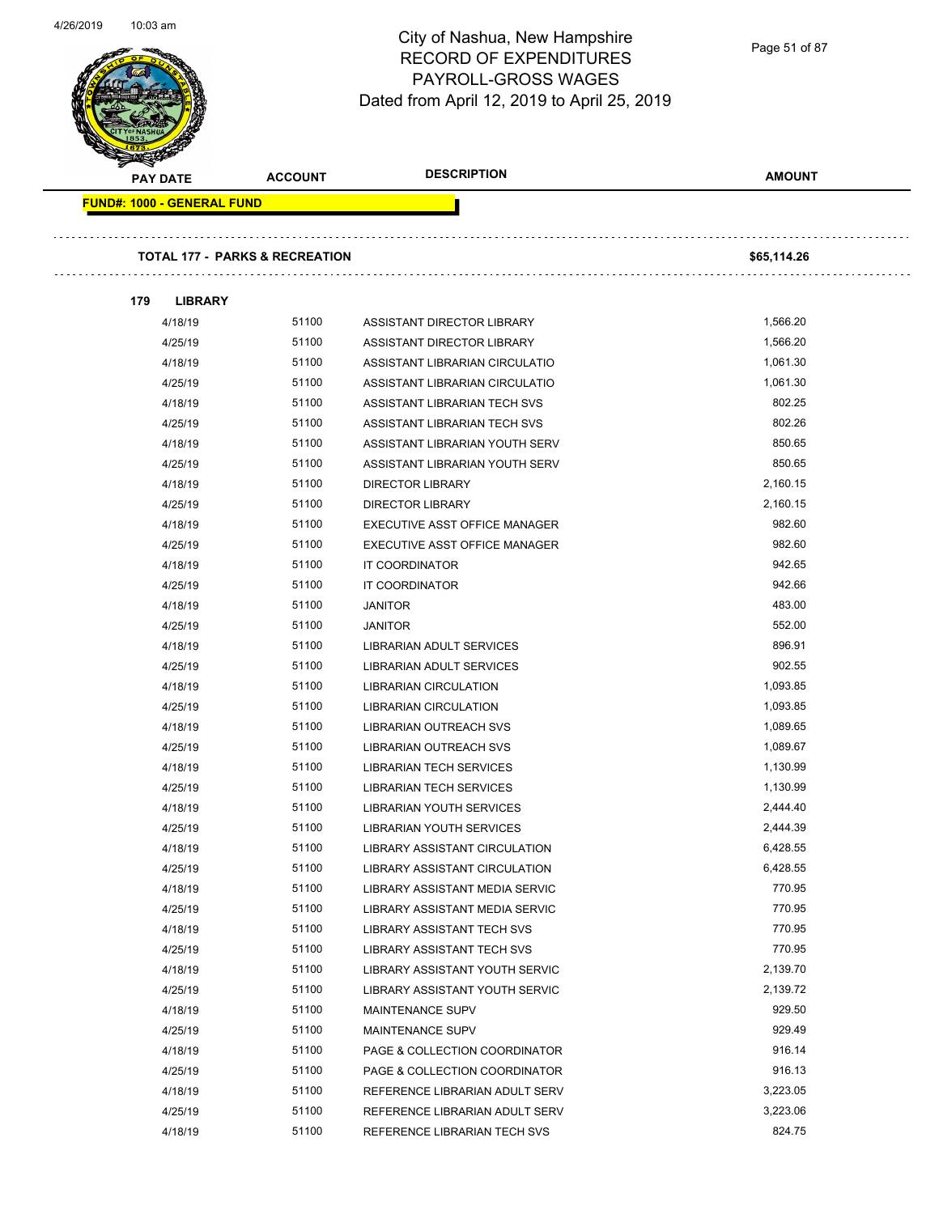Page 51 of 87

| <b>PAY DATE</b>            | <b>ACCOUNT</b>                            | <b>DESCRIPTION</b>                                        | <b>AMOUNT</b> |
|----------------------------|-------------------------------------------|-----------------------------------------------------------|---------------|
| FUND#: 1000 - GENERAL FUND |                                           |                                                           |               |
|                            | <b>TOTAL 177 - PARKS &amp; RECREATION</b> |                                                           | \$65,114.26   |
|                            |                                           |                                                           |               |
| 179<br><b>LIBRARY</b>      |                                           |                                                           |               |
| 4/18/19                    | 51100                                     | ASSISTANT DIRECTOR LIBRARY                                | 1,566.20      |
| 4/25/19                    | 51100                                     | ASSISTANT DIRECTOR LIBRARY                                | 1,566.20      |
| 4/18/19                    | 51100                                     | ASSISTANT LIBRARIAN CIRCULATIO                            | 1,061.30      |
| 4/25/19                    | 51100                                     | ASSISTANT LIBRARIAN CIRCULATIO                            | 1,061.30      |
| 4/18/19                    | 51100                                     | ASSISTANT LIBRARIAN TECH SVS                              | 802.25        |
| 4/25/19                    | 51100                                     | ASSISTANT LIBRARIAN TECH SVS                              | 802.26        |
| 4/18/19                    | 51100                                     | ASSISTANT LIBRARIAN YOUTH SERV                            | 850.65        |
| 4/25/19                    | 51100                                     | ASSISTANT LIBRARIAN YOUTH SERV                            | 850.65        |
| 4/18/19                    | 51100                                     | <b>DIRECTOR LIBRARY</b>                                   | 2,160.15      |
| 4/25/19                    | 51100                                     | <b>DIRECTOR LIBRARY</b>                                   | 2,160.15      |
| 4/18/19                    | 51100                                     | EXECUTIVE ASST OFFICE MANAGER                             | 982.60        |
| 4/25/19                    | 51100                                     | EXECUTIVE ASST OFFICE MANAGER                             | 982.60        |
| 4/18/19                    | 51100                                     | IT COORDINATOR                                            | 942.65        |
| 4/25/19                    | 51100                                     | IT COORDINATOR                                            | 942.66        |
| 4/18/19                    | 51100                                     | <b>JANITOR</b>                                            | 483.00        |
| 4/25/19                    | 51100                                     | <b>JANITOR</b>                                            | 552.00        |
| 4/18/19                    | 51100                                     | LIBRARIAN ADULT SERVICES                                  | 896.91        |
| 4/25/19                    | 51100                                     | LIBRARIAN ADULT SERVICES                                  | 902.55        |
| 4/18/19                    | 51100                                     | <b>LIBRARIAN CIRCULATION</b>                              | 1,093.85      |
| 4/25/19                    | 51100                                     | <b>LIBRARIAN CIRCULATION</b>                              | 1,093.85      |
| 4/18/19                    | 51100                                     | LIBRARIAN OUTREACH SVS                                    | 1,089.65      |
| 4/25/19                    | 51100                                     | LIBRARIAN OUTREACH SVS                                    | 1,089.67      |
| 4/18/19                    | 51100                                     | <b>LIBRARIAN TECH SERVICES</b>                            | 1,130.99      |
| 4/25/19                    | 51100                                     | <b>LIBRARIAN TECH SERVICES</b>                            | 1,130.99      |
| 4/18/19                    | 51100                                     | <b>LIBRARIAN YOUTH SERVICES</b>                           | 2,444.40      |
| 4/25/19                    | 51100                                     | LIBRARIAN YOUTH SERVICES                                  | 2,444.39      |
| 4/18/19                    | 51100                                     | LIBRARY ASSISTANT CIRCULATION                             | 6,428.55      |
| 4/25/19                    | 51100                                     | LIBRARY ASSISTANT CIRCULATION                             | 6,428.55      |
| 4/18/19                    | 51100                                     | LIBRARY ASSISTANT MEDIA SERVIC                            | 770.95        |
| 4/25/19                    | 51100                                     | LIBRARY ASSISTANT MEDIA SERVIC                            | 770.95        |
| 4/18/19                    | 51100                                     | LIBRARY ASSISTANT TECH SVS                                | 770.95        |
| 4/25/19                    | 51100                                     | LIBRARY ASSISTANT TECH SVS                                | 770.95        |
| 4/18/19                    | 51100                                     | LIBRARY ASSISTANT YOUTH SERVIC                            | 2,139.70      |
|                            | 51100                                     |                                                           | 2,139.72      |
| 4/25/19<br>4/18/19         | 51100                                     | LIBRARY ASSISTANT YOUTH SERVIC<br><b>MAINTENANCE SUPV</b> | 929.50        |
|                            | 51100                                     |                                                           | 929.49        |
| 4/25/19                    |                                           | MAINTENANCE SUPV                                          |               |
| 4/18/19                    | 51100                                     | PAGE & COLLECTION COORDINATOR                             | 916.14        |
| 4/25/19                    | 51100                                     | PAGE & COLLECTION COORDINATOR                             | 916.13        |
| 4/18/19                    | 51100                                     | REFERENCE LIBRARIAN ADULT SERV                            | 3,223.05      |
| 4/25/19                    | 51100                                     | REFERENCE LIBRARIAN ADULT SERV                            | 3,223.06      |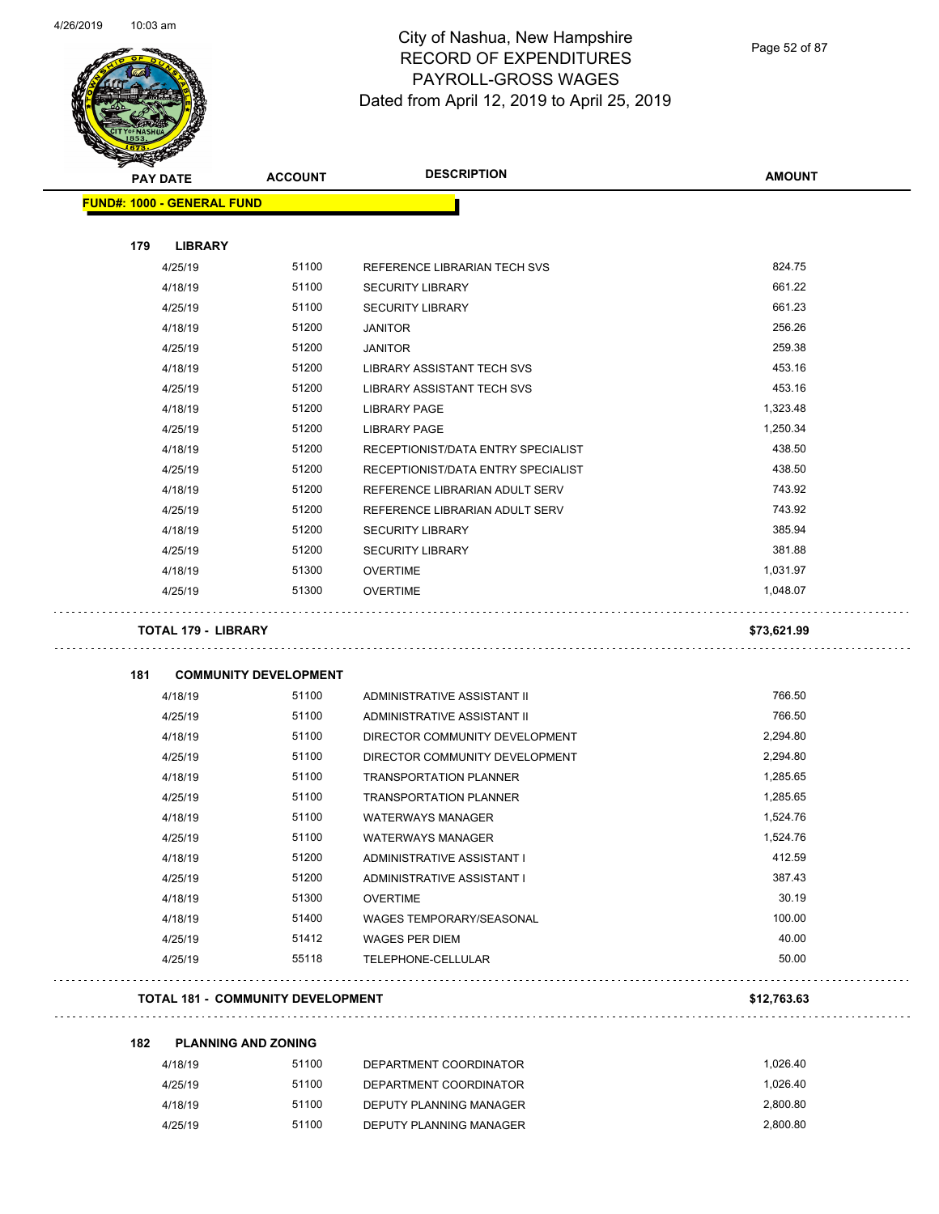

Page 52 of 87

| <b>MERRY</b> |                                   |                                          |                                    |               |
|--------------|-----------------------------------|------------------------------------------|------------------------------------|---------------|
|              | <b>PAY DATE</b>                   | <b>ACCOUNT</b>                           | <b>DESCRIPTION</b>                 | <b>AMOUNT</b> |
|              | <b>FUND#: 1000 - GENERAL FUND</b> |                                          |                                    |               |
|              |                                   |                                          |                                    |               |
| 179          | <b>LIBRARY</b>                    |                                          |                                    |               |
|              | 4/25/19                           | 51100                                    | REFERENCE LIBRARIAN TECH SVS       | 824.75        |
|              | 4/18/19                           | 51100                                    | <b>SECURITY LIBRARY</b>            | 661.22        |
|              | 4/25/19                           | 51100                                    | <b>SECURITY LIBRARY</b>            | 661.23        |
|              | 4/18/19                           | 51200                                    | <b>JANITOR</b>                     | 256.26        |
|              | 4/25/19                           | 51200                                    | <b>JANITOR</b>                     | 259.38        |
|              | 4/18/19                           | 51200                                    | LIBRARY ASSISTANT TECH SVS         | 453.16        |
|              | 4/25/19                           | 51200                                    | LIBRARY ASSISTANT TECH SVS         | 453.16        |
|              | 4/18/19                           | 51200                                    | <b>LIBRARY PAGE</b>                | 1,323.48      |
|              | 4/25/19                           | 51200                                    | <b>LIBRARY PAGE</b>                | 1,250.34      |
|              | 4/18/19                           | 51200                                    | RECEPTIONIST/DATA ENTRY SPECIALIST | 438.50        |
|              | 4/25/19                           | 51200                                    | RECEPTIONIST/DATA ENTRY SPECIALIST | 438.50        |
|              | 4/18/19                           | 51200                                    | REFERENCE LIBRARIAN ADULT SERV     | 743.92        |
|              | 4/25/19                           | 51200                                    | REFERENCE LIBRARIAN ADULT SERV     | 743.92        |
|              | 4/18/19                           | 51200                                    | <b>SECURITY LIBRARY</b>            | 385.94        |
|              | 4/25/19                           | 51200                                    | <b>SECURITY LIBRARY</b>            | 381.88        |
|              | 4/18/19                           | 51300                                    | <b>OVERTIME</b>                    | 1,031.97      |
|              | 4/25/19                           | 51300                                    | <b>OVERTIME</b>                    | 1,048.07      |
|              | <b>TOTAL 179 - LIBRARY</b>        |                                          |                                    | \$73,621.99   |
| 181          |                                   | <b>COMMUNITY DEVELOPMENT</b>             |                                    |               |
|              | 4/18/19                           | 51100                                    | ADMINISTRATIVE ASSISTANT II        | 766.50        |
|              | 4/25/19                           | 51100                                    | ADMINISTRATIVE ASSISTANT II        | 766.50        |
|              | 4/18/19                           | 51100                                    | DIRECTOR COMMUNITY DEVELOPMENT     | 2,294.80      |
|              | 4/25/19                           | 51100                                    | DIRECTOR COMMUNITY DEVELOPMENT     | 2,294.80      |
|              | 4/18/19                           | 51100                                    | <b>TRANSPORTATION PLANNER</b>      | 1,285.65      |
|              | 4/25/19                           | 51100                                    | <b>TRANSPORTATION PLANNER</b>      | 1,285.65      |
|              | 4/18/19                           | 51100                                    | <b>WATERWAYS MANAGER</b>           | 1,524.76      |
|              | 4/25/19                           | 51100                                    | <b>WATERWAYS MANAGER</b>           | 1,524.76      |
|              | 4/18/19                           | 51200                                    | ADMINISTRATIVE ASSISTANT I         | 412.59        |
|              | 4/25/19                           | 51200                                    | ADMINISTRATIVE ASSISTANT I         | 387.43        |
|              |                                   | 51300                                    |                                    | 30.19         |
|              | 4/18/19                           |                                          | <b>OVERTIME</b>                    |               |
|              | 4/18/19                           | 51400                                    | <b>WAGES TEMPORARY/SEASONAL</b>    | 100.00        |
|              | 4/25/19                           | 51412                                    | <b>WAGES PER DIEM</b>              | 40.00         |
|              | 4/25/19                           | 55118                                    | TELEPHONE-CELLULAR                 | 50.00         |
|              |                                   | <b>TOTAL 181 - COMMUNITY DEVELOPMENT</b> |                                    | \$12,763.63   |
| 182          |                                   | <b>PLANNING AND ZONING</b>               |                                    |               |
|              | 4/18/19                           | 51100                                    | DEPARTMENT COORDINATOR             | 1,026.40      |
|              | 4/25/19                           | 51100                                    | DEPARTMENT COORDINATOR             | 1,026.40      |
|              | 4/18/19                           | 51100                                    | DEPUTY PLANNING MANAGER            | 2,800.80      |
|              | 4/25/19                           | 51100                                    | DEPUTY PLANNING MANAGER            | 2,800.80      |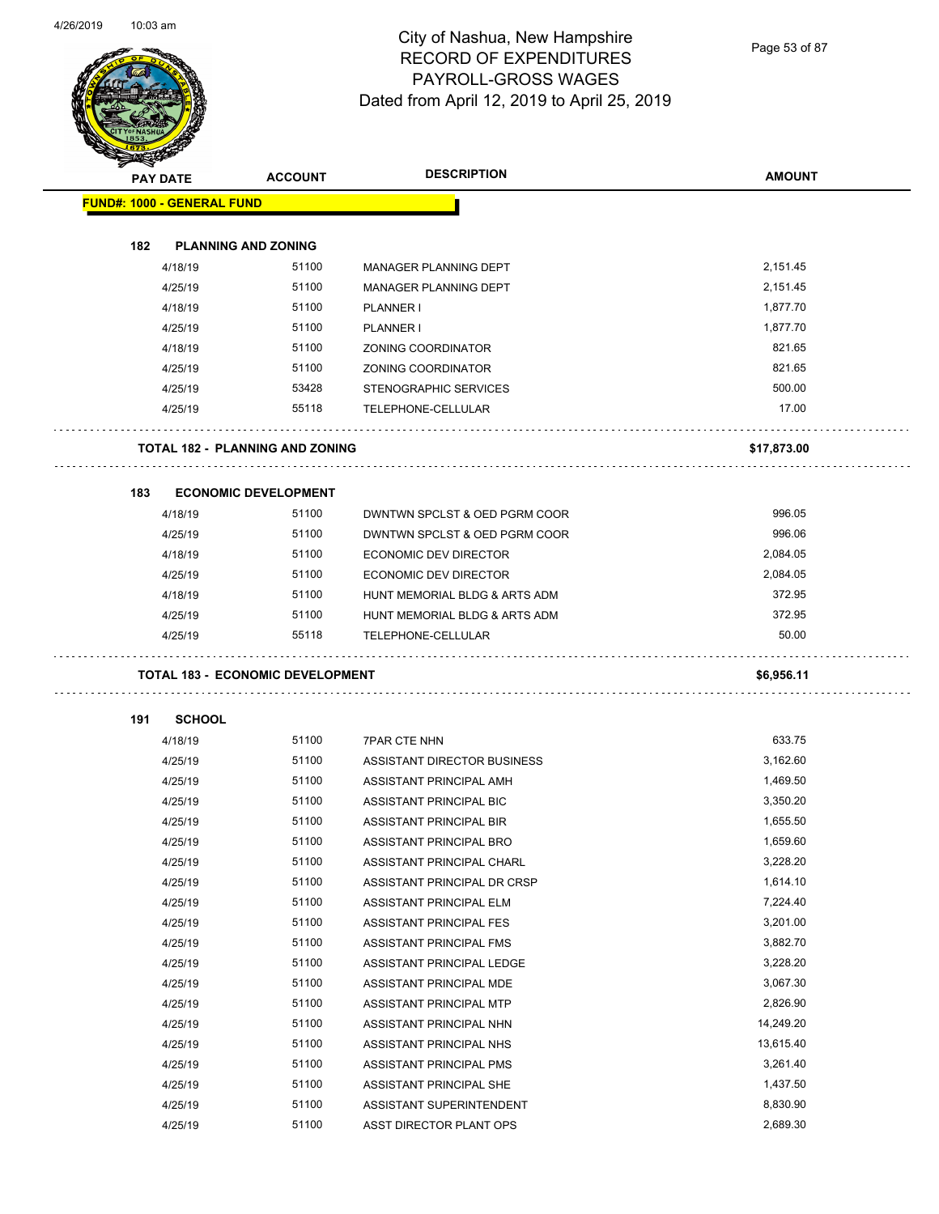

Page 53 of 87

| <b>PAY DATE</b>                   |               | <b>ACCOUNT</b>                          | <b>DESCRIPTION</b>            | <b>AMOUNT</b> |
|-----------------------------------|---------------|-----------------------------------------|-------------------------------|---------------|
| <b>FUND#: 1000 - GENERAL FUND</b> |               |                                         |                               |               |
|                                   |               |                                         |                               |               |
| 182                               |               | <b>PLANNING AND ZONING</b>              |                               |               |
|                                   | 4/18/19       | 51100                                   | MANAGER PLANNING DEPT         | 2,151.45      |
|                                   | 4/25/19       | 51100                                   | MANAGER PLANNING DEPT         | 2,151.45      |
|                                   | 4/18/19       | 51100                                   | <b>PLANNER I</b>              | 1,877.70      |
|                                   | 4/25/19       | 51100                                   | PLANNER I                     | 1,877.70      |
|                                   | 4/18/19       | 51100                                   | ZONING COORDINATOR            | 821.65        |
|                                   | 4/25/19       | 51100                                   | <b>ZONING COORDINATOR</b>     | 821.65        |
|                                   | 4/25/19       | 53428                                   | STENOGRAPHIC SERVICES         | 500.00        |
|                                   | 4/25/19       | 55118                                   | TELEPHONE-CELLULAR            | 17.00         |
|                                   |               | <b>TOTAL 182 - PLANNING AND ZONING</b>  |                               | \$17,873.00   |
|                                   |               |                                         |                               |               |
| 183                               |               | <b>ECONOMIC DEVELOPMENT</b>             |                               |               |
|                                   | 4/18/19       | 51100                                   | DWNTWN SPCLST & OED PGRM COOR | 996.05        |
|                                   | 4/25/19       | 51100                                   | DWNTWN SPCLST & OED PGRM COOR | 996.06        |
|                                   | 4/18/19       | 51100                                   | <b>ECONOMIC DEV DIRECTOR</b>  | 2,084.05      |
|                                   | 4/25/19       | 51100                                   | <b>ECONOMIC DEV DIRECTOR</b>  | 2,084.05      |
|                                   | 4/18/19       | 51100                                   | HUNT MEMORIAL BLDG & ARTS ADM | 372.95        |
|                                   | 4/25/19       | 51100                                   | HUNT MEMORIAL BLDG & ARTS ADM | 372.95        |
|                                   | 4/25/19       | 55118                                   | TELEPHONE-CELLULAR            | 50.00         |
|                                   |               | <b>TOTAL 183 - ECONOMIC DEVELOPMENT</b> |                               | \$6,956.11    |
|                                   |               |                                         |                               |               |
| 191                               | <b>SCHOOL</b> |                                         |                               |               |
|                                   | 4/18/19       | 51100                                   | <b>7PAR CTE NHN</b>           | 633.75        |
|                                   | 4/25/19       | 51100                                   | ASSISTANT DIRECTOR BUSINESS   | 3,162.60      |
|                                   | 4/25/19       | 51100                                   | ASSISTANT PRINCIPAL AMH       | 1,469.50      |
|                                   | 4/25/19       | 51100                                   | ASSISTANT PRINCIPAL BIC       | 3,350.20      |
|                                   | 4/25/19       | 51100                                   | ASSISTANT PRINCIPAL BIR       | 1,655.50      |
|                                   | 4/25/19       | 51100                                   | ASSISTANT PRINCIPAL BRO       | 1,659.60      |
|                                   | 4/25/19       | 51100                                   | ASSISTANT PRINCIPAL CHARL     | 3,228.20      |
|                                   | 4/25/19       | 51100                                   | ASSISTANT PRINCIPAL DR CRSP   | 1,614.10      |
|                                   | 4/25/19       | 51100                                   | ASSISTANT PRINCIPAL ELM       | 7,224.40      |
|                                   | 4/25/19       | 51100                                   | ASSISTANT PRINCIPAL FES       | 3,201.00      |
|                                   | 4/25/19       | 51100                                   | ASSISTANT PRINCIPAL FMS       | 3,882.70      |
|                                   | 4/25/19       | 51100                                   | ASSISTANT PRINCIPAL LEDGE     | 3,228.20      |
|                                   | 4/25/19       | 51100                                   | ASSISTANT PRINCIPAL MDE       | 3,067.30      |
|                                   | 4/25/19       | 51100                                   | ASSISTANT PRINCIPAL MTP       | 2,826.90      |
|                                   | 4/25/19       | 51100                                   | ASSISTANT PRINCIPAL NHN       | 14,249.20     |
|                                   | 4/25/19       | 51100                                   | ASSISTANT PRINCIPAL NHS       | 13,615.40     |
|                                   | 4/25/19       | 51100                                   | ASSISTANT PRINCIPAL PMS       | 3,261.40      |
|                                   | 4/25/19       | 51100                                   | ASSISTANT PRINCIPAL SHE       | 1,437.50      |
|                                   | 4/25/19       | 51100                                   | ASSISTANT SUPERINTENDENT      | 8,830.90      |
|                                   | 4/25/19       | 51100                                   | ASST DIRECTOR PLANT OPS       | 2,689.30      |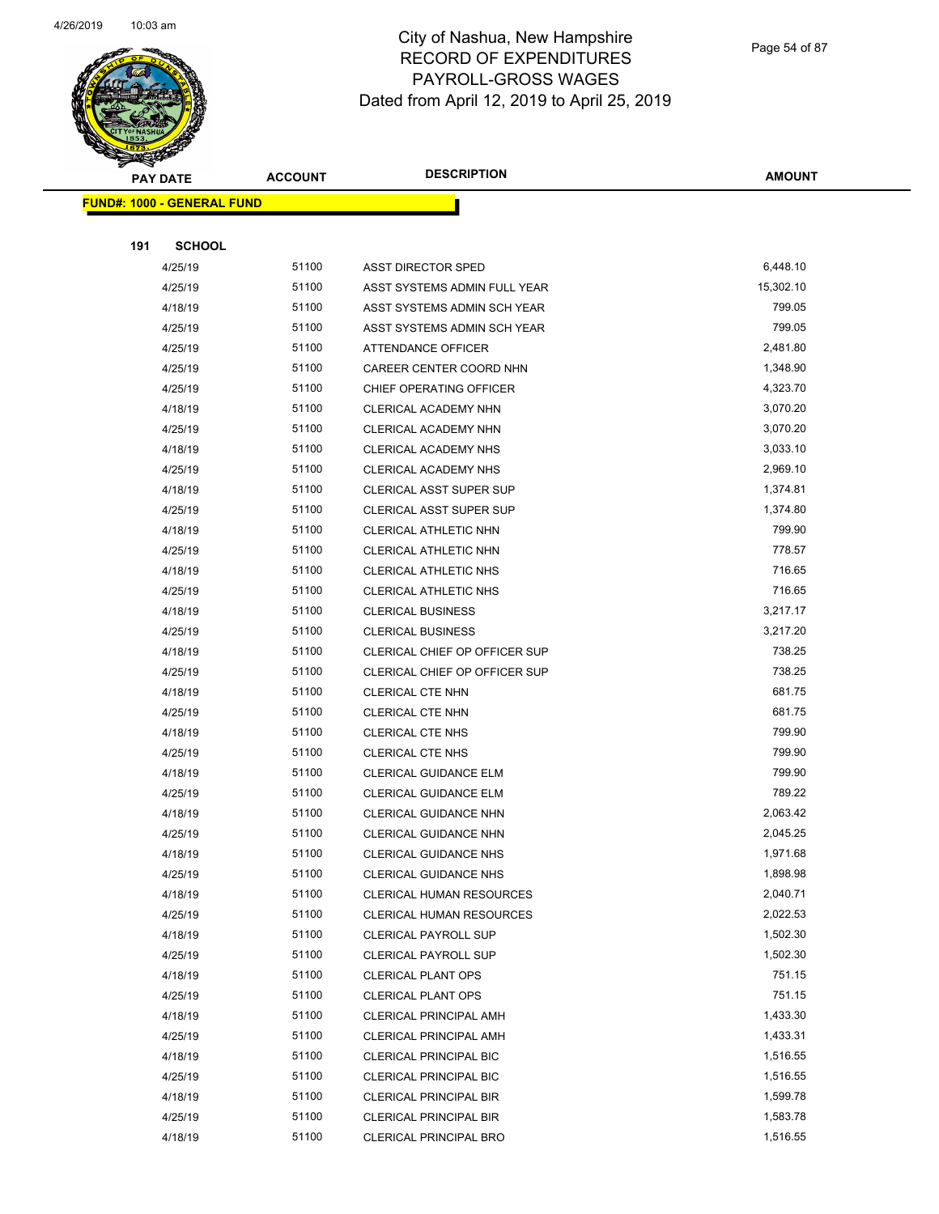

Page 54 of 87

| પ<br><b>PAY DATE</b>              | <b>ACCOUNT</b> | <b>DESCRIPTION</b>              | <b>AMOUNT</b>    |
|-----------------------------------|----------------|---------------------------------|------------------|
| <b>FUND#: 1000 - GENERAL FUND</b> |                |                                 |                  |
|                                   |                |                                 |                  |
| 191<br><b>SCHOOL</b>              |                |                                 |                  |
| 4/25/19                           | 51100          | ASST DIRECTOR SPED              | 6,448.10         |
| 4/25/19                           | 51100          | ASST SYSTEMS ADMIN FULL YEAR    | 15,302.10        |
| 4/18/19                           | 51100          | ASST SYSTEMS ADMIN SCH YEAR     | 799.05           |
| 4/25/19                           | 51100          | ASST SYSTEMS ADMIN SCH YEAR     | 799.05           |
| 4/25/19                           | 51100          | ATTENDANCE OFFICER              | 2,481.80         |
| 4/25/19                           | 51100          | CAREER CENTER COORD NHN         | 1,348.90         |
| 4/25/19                           | 51100          | CHIEF OPERATING OFFICER         | 4,323.70         |
| 4/18/19                           | 51100          | CLERICAL ACADEMY NHN            | 3,070.20         |
| 4/25/19                           | 51100          | CLERICAL ACADEMY NHN            | 3,070.20         |
| 4/18/19                           | 51100          | CLERICAL ACADEMY NHS            | 3,033.10         |
| 4/25/19                           | 51100          | CLERICAL ACADEMY NHS            | 2,969.10         |
| 4/18/19                           | 51100          | <b>CLERICAL ASST SUPER SUP</b>  | 1,374.81         |
| 4/25/19                           | 51100          | CLERICAL ASST SUPER SUP         | 1,374.80         |
| 4/18/19                           | 51100          | CLERICAL ATHLETIC NHN           | 799.90           |
| 4/25/19                           | 51100          | CLERICAL ATHLETIC NHN           | 778.57           |
| 4/18/19                           | 51100          | CLERICAL ATHLETIC NHS           | 716.65           |
| 4/25/19                           | 51100          | CLERICAL ATHLETIC NHS           | 716.65           |
| 4/18/19                           | 51100          | <b>CLERICAL BUSINESS</b>        | 3,217.17         |
| 4/25/19                           | 51100          | <b>CLERICAL BUSINESS</b>        | 3,217.20         |
| 4/18/19                           | 51100          | CLERICAL CHIEF OP OFFICER SUP   | 738.25           |
| 4/25/19                           | 51100          | CLERICAL CHIEF OP OFFICER SUP   | 738.25           |
| 4/18/19                           | 51100          | CLERICAL CTE NHN                | 681.75           |
| 4/25/19                           | 51100          | CLERICAL CTE NHN                | 681.75           |
| 4/18/19                           | 51100          | <b>CLERICAL CTE NHS</b>         | 799.90           |
| 4/25/19                           | 51100          | CLERICAL CTE NHS                | 799.90           |
| 4/18/19                           | 51100          | <b>CLERICAL GUIDANCE ELM</b>    | 799.90           |
| 4/25/19                           | 51100          | CLERICAL GUIDANCE ELM           | 789.22           |
| 4/18/19                           | 51100          | CLERICAL GUIDANCE NHN           | 2,063.42         |
| 4/25/19                           | 51100          | <b>CLERICAL GUIDANCE NHN</b>    | 2,045.25         |
| 4/18/19                           | 51100          | CLERICAL GUIDANCE NHS           | 1,971.68         |
| 4/25/19                           | 51100          | <b>CLERICAL GUIDANCE NHS</b>    | 1,898.98         |
| 4/18/19                           | 51100          | <b>CLERICAL HUMAN RESOURCES</b> | 2,040.71         |
| 4/25/19                           | 51100          | CLERICAL HUMAN RESOURCES        | 2,022.53         |
| 4/18/19                           | 51100          | <b>CLERICAL PAYROLL SUP</b>     | 1,502.30         |
| 4/25/19                           | 51100          | <b>CLERICAL PAYROLL SUP</b>     | 1,502.30         |
| 4/18/19                           | 51100          | <b>CLERICAL PLANT OPS</b>       | 751.15<br>751.15 |
| 4/25/19                           | 51100          | <b>CLERICAL PLANT OPS</b>       |                  |
| 4/18/19                           | 51100          | CLERICAL PRINCIPAL AMH          | 1,433.30         |
| 4/25/19                           | 51100          | CLERICAL PRINCIPAL AMH          | 1,433.31         |
| 4/18/19                           | 51100          | <b>CLERICAL PRINCIPAL BIC</b>   | 1,516.55         |
| 4/25/19                           | 51100          | CLERICAL PRINCIPAL BIC          | 1,516.55         |
| 4/18/19                           | 51100          | <b>CLERICAL PRINCIPAL BIR</b>   | 1,599.78         |
| 4/25/19                           | 51100          | <b>CLERICAL PRINCIPAL BIR</b>   | 1,583.78         |
| 4/18/19                           | 51100          | CLERICAL PRINCIPAL BRO          | 1,516.55         |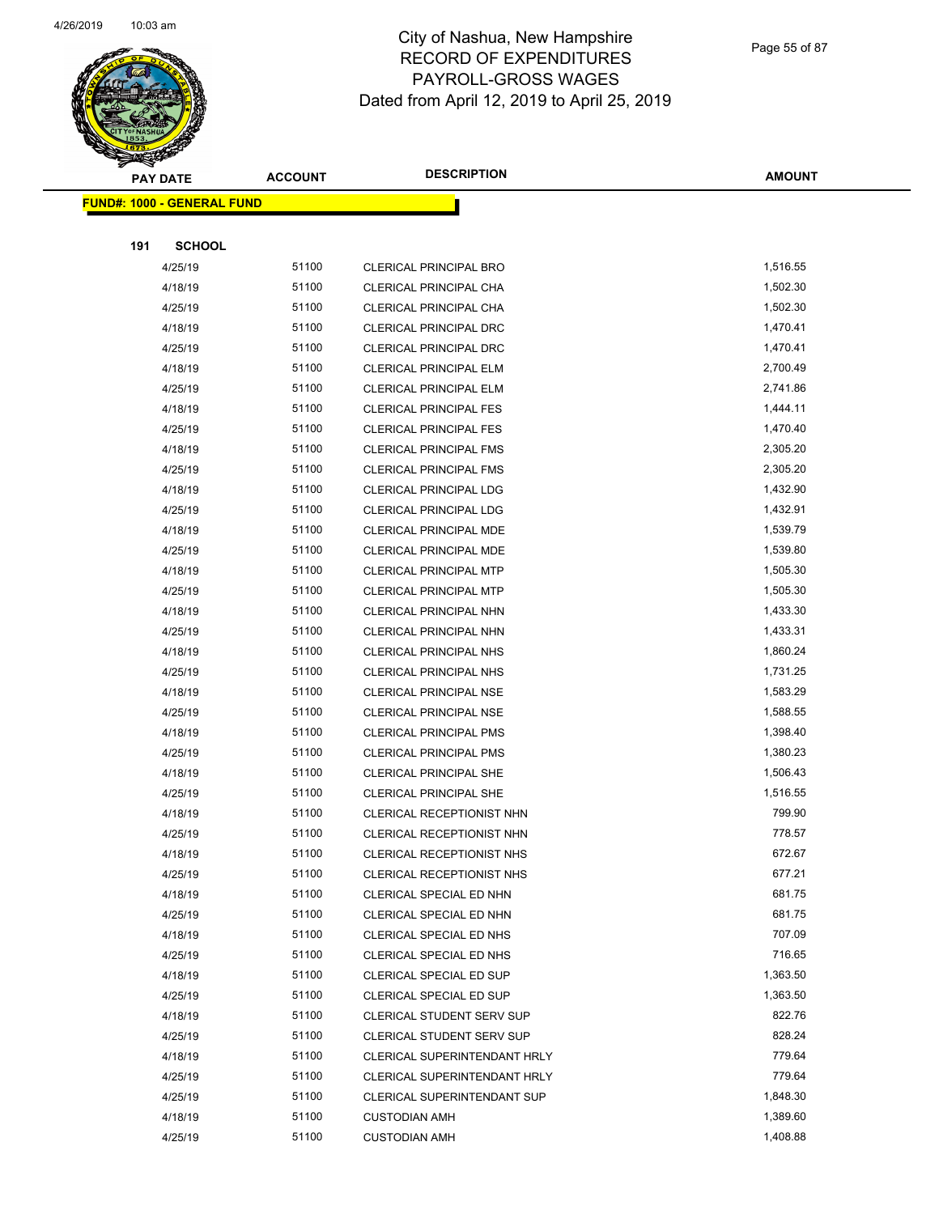

Page 55 of 87

| <b>SANGRAN</b>                    |                | <b>DESCRIPTION</b>            |               |
|-----------------------------------|----------------|-------------------------------|---------------|
| <b>PAY DATE</b>                   | <b>ACCOUNT</b> |                               | <b>AMOUNT</b> |
| <b>FUND#: 1000 - GENERAL FUND</b> |                |                               |               |
|                                   |                |                               |               |
| 191<br><b>SCHOOL</b>              |                |                               |               |
| 4/25/19                           | 51100          | <b>CLERICAL PRINCIPAL BRO</b> | 1,516.55      |
| 4/18/19                           | 51100          | CLERICAL PRINCIPAL CHA        | 1,502.30      |
| 4/25/19                           | 51100          | CLERICAL PRINCIPAL CHA        | 1,502.30      |
| 4/18/19                           | 51100          | CLERICAL PRINCIPAL DRC        | 1,470.41      |
| 4/25/19                           | 51100          | CLERICAL PRINCIPAL DRC        | 1,470.41      |
| 4/18/19                           | 51100          | <b>CLERICAL PRINCIPAL ELM</b> | 2,700.49      |
| 4/25/19                           | 51100          | <b>CLERICAL PRINCIPAL ELM</b> | 2,741.86      |
| 4/18/19                           | 51100          | <b>CLERICAL PRINCIPAL FES</b> | 1,444.11      |
| 4/25/19                           | 51100          | <b>CLERICAL PRINCIPAL FES</b> | 1,470.40      |
| 4/18/19                           | 51100          | <b>CLERICAL PRINCIPAL FMS</b> | 2,305.20      |
| 4/25/19                           | 51100          | <b>CLERICAL PRINCIPAL FMS</b> | 2,305.20      |
| 4/18/19                           | 51100          | <b>CLERICAL PRINCIPAL LDG</b> | 1,432.90      |
| 4/25/19                           | 51100          | <b>CLERICAL PRINCIPAL LDG</b> | 1,432.91      |
| 4/18/19                           | 51100          | CLERICAL PRINCIPAL MDE        | 1,539.79      |
| 4/25/19                           | 51100          | <b>CLERICAL PRINCIPAL MDE</b> | 1,539.80      |
| 4/18/19                           | 51100          | CLERICAL PRINCIPAL MTP        | 1,505.30      |
| 4/25/19                           | 51100          | <b>CLERICAL PRINCIPAL MTP</b> | 1,505.30      |
| 4/18/19                           | 51100          | CLERICAL PRINCIPAL NHN        | 1,433.30      |
| 4/25/19                           | 51100          | <b>CLERICAL PRINCIPAL NHN</b> | 1,433.31      |
| 4/18/19                           | 51100          | <b>CLERICAL PRINCIPAL NHS</b> | 1,860.24      |
| 4/25/19                           | 51100          | <b>CLERICAL PRINCIPAL NHS</b> | 1,731.25      |
| 4/18/19                           | 51100          | <b>CLERICAL PRINCIPAL NSE</b> | 1,583.29      |
| 4/25/19                           | 51100          | <b>CLERICAL PRINCIPAL NSE</b> | 1,588.55      |
| 4/18/19                           | 51100          | <b>CLERICAL PRINCIPAL PMS</b> | 1,398.40      |
| 4/25/19                           | 51100          | <b>CLERICAL PRINCIPAL PMS</b> | 1,380.23      |
| 4/18/19                           | 51100          | <b>CLERICAL PRINCIPAL SHE</b> | 1,506.43      |
| 4/25/19                           | 51100          | <b>CLERICAL PRINCIPAL SHE</b> | 1,516.55      |
| 4/18/19                           | 51100          | CLERICAL RECEPTIONIST NHN     | 799.90        |
| 4/25/19                           | 51100          | CLERICAL RECEPTIONIST NHN     | 778.57        |
| 4/18/19                           | 51100          | CLERICAL RECEPTIONIST NHS     | 672.67        |
| 4/25/19                           | 51100          | CLERICAL RECEPTIONIST NHS     | 677.21        |
| 4/18/19                           | 51100          | CLERICAL SPECIAL ED NHN       | 681.75        |
| 4/25/19                           | 51100          | CLERICAL SPECIAL ED NHN       | 681.75        |
| 4/18/19                           | 51100          | CLERICAL SPECIAL ED NHS       | 707.09        |
| 4/25/19                           | 51100          | CLERICAL SPECIAL ED NHS       | 716.65        |
| 4/18/19                           | 51100          | CLERICAL SPECIAL ED SUP       | 1,363.50      |
| 4/25/19                           | 51100          | CLERICAL SPECIAL ED SUP       | 1,363.50      |
| 4/18/19                           | 51100          | CLERICAL STUDENT SERV SUP     | 822.76        |
| 4/25/19                           | 51100          | CLERICAL STUDENT SERV SUP     | 828.24        |
| 4/18/19                           | 51100          | CLERICAL SUPERINTENDANT HRLY  | 779.64        |
| 4/25/19                           | 51100          | CLERICAL SUPERINTENDANT HRLY  | 779.64        |
| 4/25/19                           | 51100          | CLERICAL SUPERINTENDANT SUP   | 1,848.30      |
| 4/18/19                           | 51100          | <b>CUSTODIAN AMH</b>          | 1,389.60      |
| 4/25/19                           | 51100          | <b>CUSTODIAN AMH</b>          | 1,408.88      |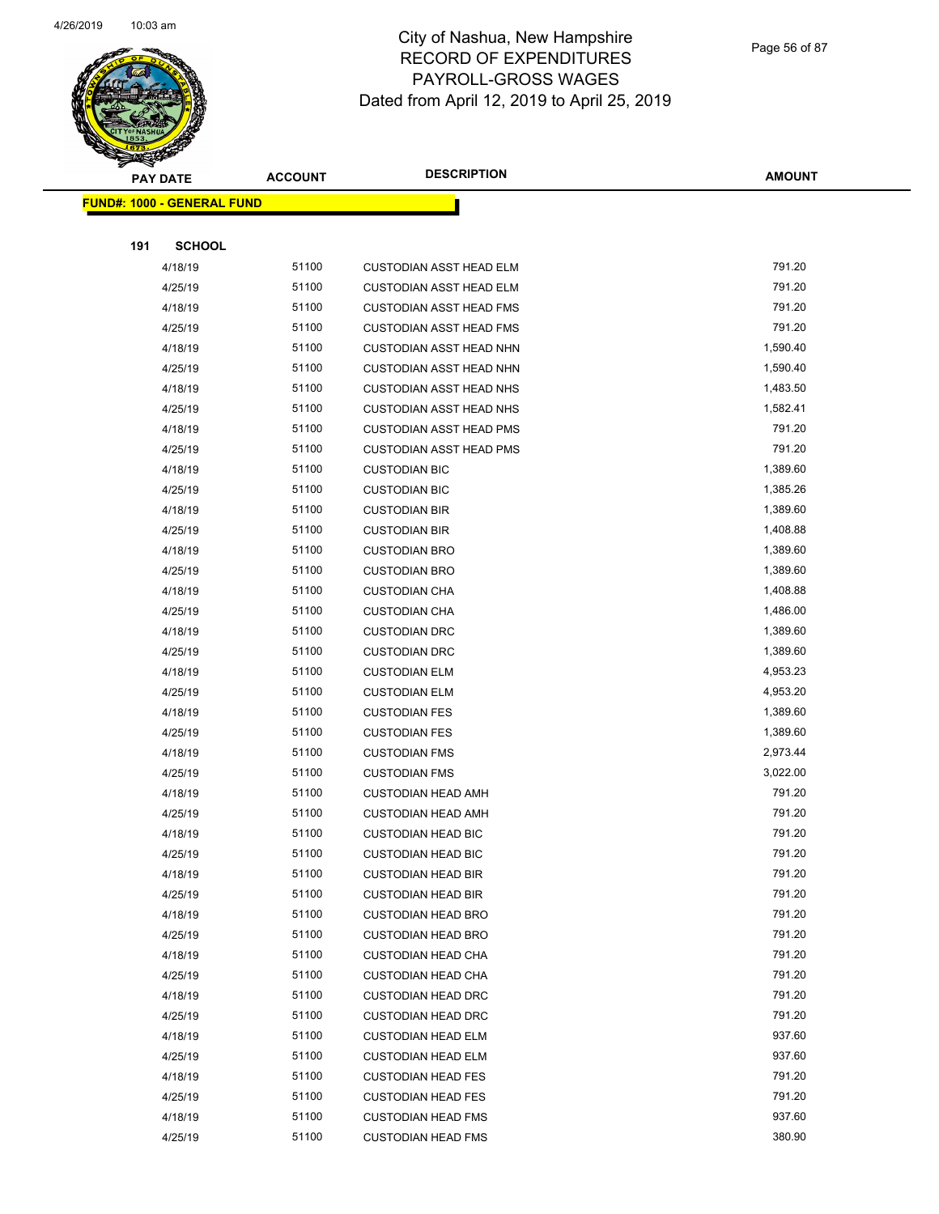

Page 56 of 87

| <b>Contraction</b>                | <b>ACCOUNT</b> | <b>DESCRIPTION</b>             | <b>AMOUNT</b> |
|-----------------------------------|----------------|--------------------------------|---------------|
| <b>PAY DATE</b>                   |                |                                |               |
| <b>FUND#: 1000 - GENERAL FUND</b> |                |                                |               |
|                                   |                |                                |               |
| 191<br><b>SCHOOL</b>              |                |                                |               |
| 4/18/19                           | 51100          | <b>CUSTODIAN ASST HEAD ELM</b> | 791.20        |
| 4/25/19                           | 51100          | <b>CUSTODIAN ASST HEAD ELM</b> | 791.20        |
| 4/18/19                           | 51100          | <b>CUSTODIAN ASST HEAD FMS</b> | 791.20        |
| 4/25/19                           | 51100          | <b>CUSTODIAN ASST HEAD FMS</b> | 791.20        |
| 4/18/19                           | 51100          | <b>CUSTODIAN ASST HEAD NHN</b> | 1,590.40      |
| 4/25/19                           | 51100          | <b>CUSTODIAN ASST HEAD NHN</b> | 1,590.40      |
| 4/18/19                           | 51100          | <b>CUSTODIAN ASST HEAD NHS</b> | 1,483.50      |
| 4/25/19                           | 51100          | <b>CUSTODIAN ASST HEAD NHS</b> | 1,582.41      |
| 4/18/19                           | 51100          | <b>CUSTODIAN ASST HEAD PMS</b> | 791.20        |
| 4/25/19                           | 51100          | CUSTODIAN ASST HEAD PMS        | 791.20        |
| 4/18/19                           | 51100          | <b>CUSTODIAN BIC</b>           | 1,389.60      |
| 4/25/19                           | 51100          | <b>CUSTODIAN BIC</b>           | 1,385.26      |
| 4/18/19                           | 51100          | <b>CUSTODIAN BIR</b>           | 1,389.60      |
| 4/25/19                           | 51100          | <b>CUSTODIAN BIR</b>           | 1,408.88      |
| 4/18/19                           | 51100          | <b>CUSTODIAN BRO</b>           | 1,389.60      |
| 4/25/19                           | 51100          | <b>CUSTODIAN BRO</b>           | 1,389.60      |
| 4/18/19                           | 51100          | <b>CUSTODIAN CHA</b>           | 1,408.88      |
| 4/25/19                           | 51100          | <b>CUSTODIAN CHA</b>           | 1,486.00      |
| 4/18/19                           | 51100          | <b>CUSTODIAN DRC</b>           | 1,389.60      |
| 4/25/19                           | 51100          | <b>CUSTODIAN DRC</b>           | 1,389.60      |
| 4/18/19                           | 51100          | <b>CUSTODIAN ELM</b>           | 4,953.23      |
| 4/25/19                           | 51100          | <b>CUSTODIAN ELM</b>           | 4,953.20      |
| 4/18/19                           | 51100          | <b>CUSTODIAN FES</b>           | 1,389.60      |
| 4/25/19                           | 51100          | <b>CUSTODIAN FES</b>           | 1,389.60      |
| 4/18/19                           | 51100          | <b>CUSTODIAN FMS</b>           | 2,973.44      |
| 4/25/19                           | 51100          | <b>CUSTODIAN FMS</b>           | 3,022.00      |
| 4/18/19                           | 51100          | <b>CUSTODIAN HEAD AMH</b>      | 791.20        |
| 4/25/19                           | 51100          | <b>CUSTODIAN HEAD AMH</b>      | 791.20        |
| 4/18/19                           | 51100          | <b>CUSTODIAN HEAD BIC</b>      | 791.20        |
| 4/25/19                           | 51100          | <b>CUSTODIAN HEAD BIC</b>      | 791.20        |
| 4/18/19                           | 51100          | <b>CUSTODIAN HEAD BIR</b>      | 791.20        |
| 4/25/19                           | 51100          | <b>CUSTODIAN HEAD BIR</b>      | 791.20        |
| 4/18/19                           | 51100          | <b>CUSTODIAN HEAD BRO</b>      | 791.20        |
| 4/25/19                           | 51100          | <b>CUSTODIAN HEAD BRO</b>      | 791.20        |
| 4/18/19                           | 51100          | <b>CUSTODIAN HEAD CHA</b>      | 791.20        |
| 4/25/19                           | 51100          | <b>CUSTODIAN HEAD CHA</b>      | 791.20        |
| 4/18/19                           | 51100          | <b>CUSTODIAN HEAD DRC</b>      | 791.20        |
| 4/25/19                           | 51100          | <b>CUSTODIAN HEAD DRC</b>      | 791.20        |
| 4/18/19                           | 51100          | <b>CUSTODIAN HEAD ELM</b>      | 937.60        |
| 4/25/19                           | 51100          | <b>CUSTODIAN HEAD ELM</b>      | 937.60        |
| 4/18/19                           | 51100          | <b>CUSTODIAN HEAD FES</b>      | 791.20        |
| 4/25/19                           | 51100          | <b>CUSTODIAN HEAD FES</b>      | 791.20        |
| 4/18/19                           | 51100          | <b>CUSTODIAN HEAD FMS</b>      | 937.60        |
| 4/25/19                           | 51100          | <b>CUSTODIAN HEAD FMS</b>      | 380.90        |
|                                   |                |                                |               |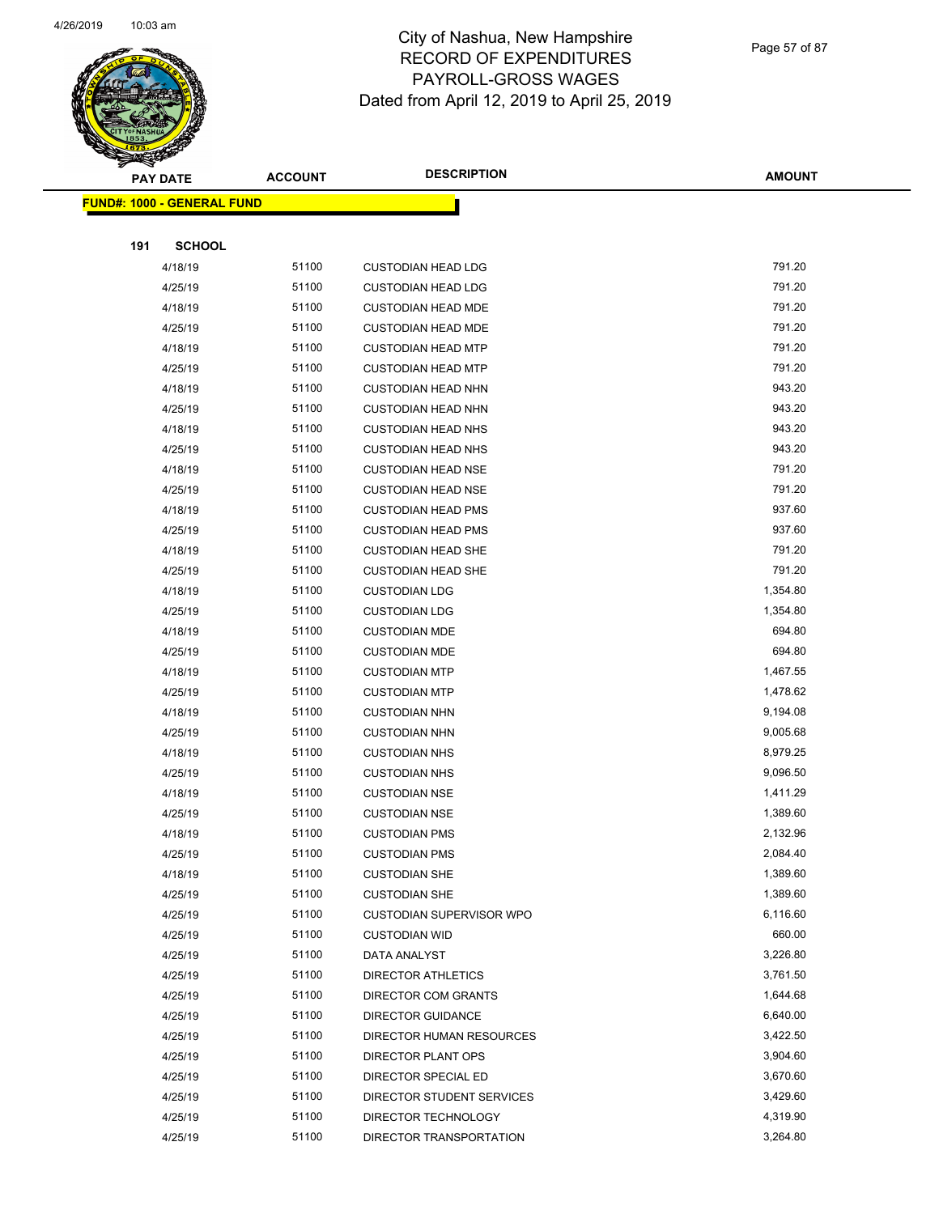

|     | <b>PAY DATE</b>                    | <b>ACCOUNT</b> | <b>DESCRIPTION</b>              | <b>AMOUNT</b> |  |
|-----|------------------------------------|----------------|---------------------------------|---------------|--|
|     | <u> FUND#: 1000 - GENERAL FUND</u> |                |                                 |               |  |
|     |                                    |                |                                 |               |  |
| 191 | <b>SCHOOL</b>                      |                |                                 |               |  |
|     | 4/18/19                            | 51100          | <b>CUSTODIAN HEAD LDG</b>       | 791.20        |  |
|     | 4/25/19                            | 51100          | <b>CUSTODIAN HEAD LDG</b>       | 791.20        |  |
|     | 4/18/19                            | 51100          | <b>CUSTODIAN HEAD MDE</b>       | 791.20        |  |
|     | 4/25/19                            | 51100          | <b>CUSTODIAN HEAD MDE</b>       | 791.20        |  |
|     | 4/18/19                            | 51100          | <b>CUSTODIAN HEAD MTP</b>       | 791.20        |  |
|     | 4/25/19                            | 51100          | <b>CUSTODIAN HEAD MTP</b>       | 791.20        |  |
|     | 4/18/19                            | 51100          | <b>CUSTODIAN HEAD NHN</b>       | 943.20        |  |
|     | 4/25/19                            | 51100          | <b>CUSTODIAN HEAD NHN</b>       | 943.20        |  |
|     | 4/18/19                            | 51100          | <b>CUSTODIAN HEAD NHS</b>       | 943.20        |  |
|     | 4/25/19                            | 51100          | <b>CUSTODIAN HEAD NHS</b>       | 943.20        |  |
|     | 4/18/19                            | 51100          | <b>CUSTODIAN HEAD NSE</b>       | 791.20        |  |
|     | 4/25/19                            | 51100          | <b>CUSTODIAN HEAD NSE</b>       | 791.20        |  |
|     | 4/18/19                            | 51100          | <b>CUSTODIAN HEAD PMS</b>       | 937.60        |  |
|     | 4/25/19                            | 51100          | <b>CUSTODIAN HEAD PMS</b>       | 937.60        |  |
|     | 4/18/19                            | 51100          | <b>CUSTODIAN HEAD SHE</b>       | 791.20        |  |
|     | 4/25/19                            | 51100          | <b>CUSTODIAN HEAD SHE</b>       | 791.20        |  |
|     | 4/18/19                            | 51100          | <b>CUSTODIAN LDG</b>            | 1,354.80      |  |
|     | 4/25/19                            | 51100          | <b>CUSTODIAN LDG</b>            | 1,354.80      |  |
|     | 4/18/19                            | 51100          | <b>CUSTODIAN MDE</b>            | 694.80        |  |
|     | 4/25/19                            | 51100          | <b>CUSTODIAN MDE</b>            | 694.80        |  |
|     | 4/18/19                            | 51100          | <b>CUSTODIAN MTP</b>            | 1,467.55      |  |
|     | 4/25/19                            | 51100          | <b>CUSTODIAN MTP</b>            | 1,478.62      |  |
|     | 4/18/19                            | 51100          | <b>CUSTODIAN NHN</b>            | 9,194.08      |  |
|     | 4/25/19                            | 51100          | <b>CUSTODIAN NHN</b>            | 9,005.68      |  |
|     | 4/18/19                            | 51100          | <b>CUSTODIAN NHS</b>            | 8,979.25      |  |
|     | 4/25/19                            | 51100          | <b>CUSTODIAN NHS</b>            | 9,096.50      |  |
|     | 4/18/19                            | 51100          | <b>CUSTODIAN NSE</b>            | 1,411.29      |  |
|     | 4/25/19                            | 51100          | <b>CUSTODIAN NSE</b>            | 1,389.60      |  |
|     | 4/18/19                            | 51100          | <b>CUSTODIAN PMS</b>            | 2,132.96      |  |
|     | 4/25/19                            | 51100          | <b>CUSTODIAN PMS</b>            | 2,084.40      |  |
|     | 4/18/19                            | 51100          | <b>CUSTODIAN SHE</b>            | 1,389.60      |  |
|     | 4/25/19                            | 51100          | <b>CUSTODIAN SHE</b>            | 1,389.60      |  |
|     | 4/25/19                            | 51100          | <b>CUSTODIAN SUPERVISOR WPO</b> | 6,116.60      |  |
|     | 4/25/19                            | 51100          | <b>CUSTODIAN WID</b>            | 660.00        |  |
|     | 4/25/19                            | 51100          | DATA ANALYST                    | 3,226.80      |  |
|     | 4/25/19                            | 51100          | <b>DIRECTOR ATHLETICS</b>       | 3,761.50      |  |
|     | 4/25/19                            | 51100          | <b>DIRECTOR COM GRANTS</b>      | 1,644.68      |  |
|     | 4/25/19                            | 51100          | <b>DIRECTOR GUIDANCE</b>        | 6,640.00      |  |
|     | 4/25/19                            | 51100          | DIRECTOR HUMAN RESOURCES        | 3,422.50      |  |
|     | 4/25/19                            | 51100          | DIRECTOR PLANT OPS              | 3,904.60      |  |
|     | 4/25/19                            | 51100          | DIRECTOR SPECIAL ED             | 3,670.60      |  |
|     | 4/25/19                            | 51100          | DIRECTOR STUDENT SERVICES       | 3,429.60      |  |
|     | 4/25/19                            | 51100          | DIRECTOR TECHNOLOGY             | 4,319.90      |  |
|     | 4/25/19                            | 51100          | DIRECTOR TRANSPORTATION         | 3,264.80      |  |
|     |                                    |                |                                 |               |  |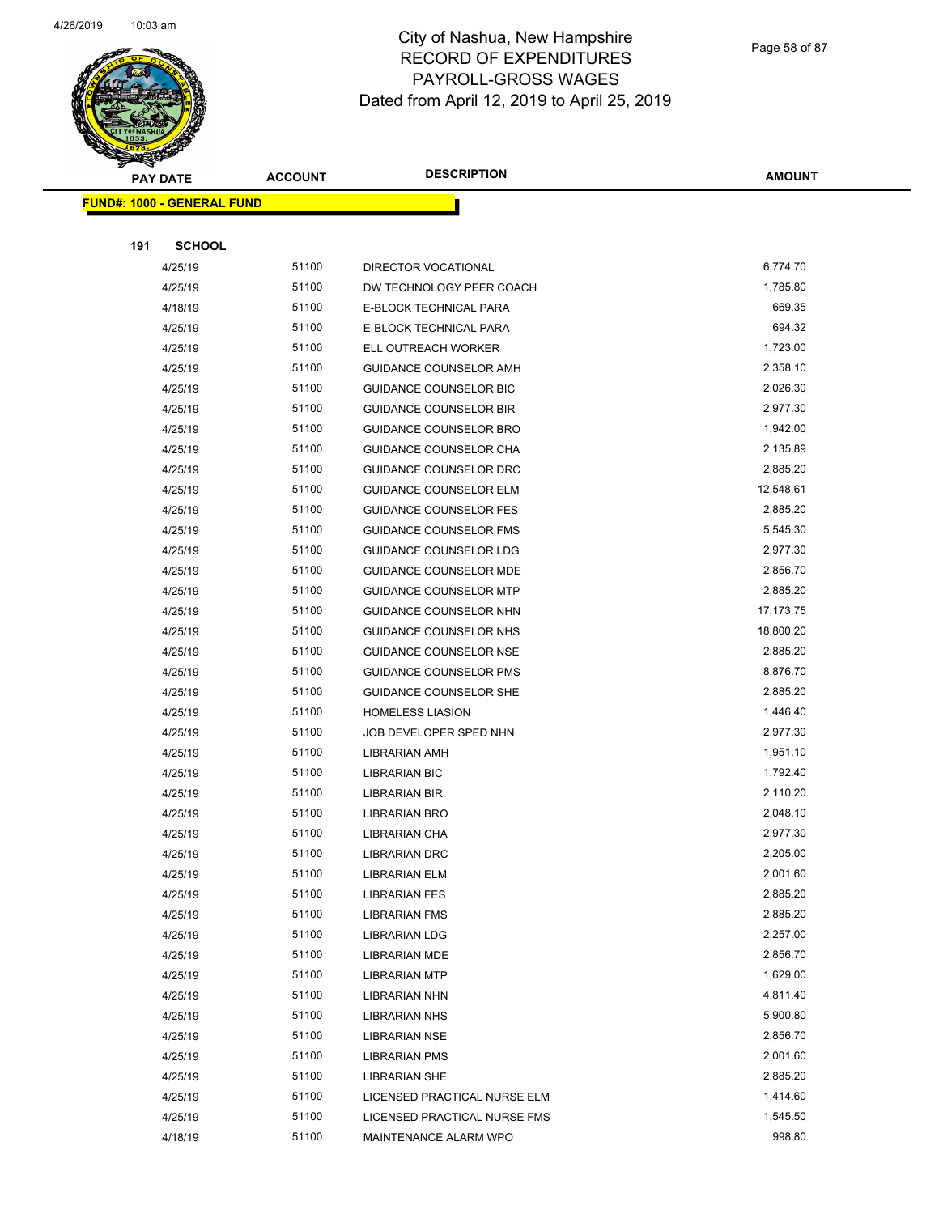

Page 58 of 87

| <b>REAL PROPERTY</b>              |                |                               |               |
|-----------------------------------|----------------|-------------------------------|---------------|
| <b>PAY DATE</b>                   | <b>ACCOUNT</b> | <b>DESCRIPTION</b>            | <b>AMOUNT</b> |
| <b>FUND#: 1000 - GENERAL FUND</b> |                |                               |               |
|                                   |                |                               |               |
| <b>SCHOOL</b><br>191              |                |                               |               |
| 4/25/19                           | 51100          | DIRECTOR VOCATIONAL           | 6,774.70      |
| 4/25/19                           | 51100          | DW TECHNOLOGY PEER COACH      | 1,785.80      |
| 4/18/19                           | 51100          | E-BLOCK TECHNICAL PARA        | 669.35        |
| 4/25/19                           | 51100          | E-BLOCK TECHNICAL PARA        | 694.32        |
| 4/25/19                           | 51100          | ELL OUTREACH WORKER           | 1,723.00      |
| 4/25/19                           | 51100          | GUIDANCE COUNSELOR AMH        | 2,358.10      |
| 4/25/19                           | 51100          | <b>GUIDANCE COUNSELOR BIC</b> | 2,026.30      |
| 4/25/19                           | 51100          | <b>GUIDANCE COUNSELOR BIR</b> | 2,977.30      |
| 4/25/19                           | 51100          | <b>GUIDANCE COUNSELOR BRO</b> | 1,942.00      |
| 4/25/19                           | 51100          | GUIDANCE COUNSELOR CHA        | 2,135.89      |
| 4/25/19                           | 51100          | GUIDANCE COUNSELOR DRC        | 2,885.20      |
| 4/25/19                           | 51100          | <b>GUIDANCE COUNSELOR ELM</b> | 12,548.61     |
| 4/25/19                           | 51100          | <b>GUIDANCE COUNSELOR FES</b> | 2,885.20      |
| 4/25/19                           | 51100          | <b>GUIDANCE COUNSELOR FMS</b> | 5,545.30      |
| 4/25/19                           | 51100          | <b>GUIDANCE COUNSELOR LDG</b> | 2,977.30      |
| 4/25/19                           | 51100          | <b>GUIDANCE COUNSELOR MDE</b> | 2,856.70      |
| 4/25/19                           | 51100          | <b>GUIDANCE COUNSELOR MTP</b> | 2,885.20      |
| 4/25/19                           | 51100          | GUIDANCE COUNSELOR NHN        | 17, 173. 75   |
| 4/25/19                           | 51100          | GUIDANCE COUNSELOR NHS        | 18,800.20     |
| 4/25/19                           | 51100          | <b>GUIDANCE COUNSELOR NSE</b> | 2,885.20      |
| 4/25/19                           | 51100          | GUIDANCE COUNSELOR PMS        | 8,876.70      |
| 4/25/19                           | 51100          | <b>GUIDANCE COUNSELOR SHE</b> | 2,885.20      |
| 4/25/19                           | 51100          | <b>HOMELESS LIASION</b>       | 1,446.40      |
| 4/25/19                           | 51100          | JOB DEVELOPER SPED NHN        | 2,977.30      |
| 4/25/19                           | 51100          | LIBRARIAN AMH                 | 1,951.10      |
| 4/25/19                           | 51100          | <b>LIBRARIAN BIC</b>          | 1,792.40      |
| 4/25/19                           | 51100          | LIBRARIAN BIR                 | 2,110.20      |
| 4/25/19                           | 51100          | <b>LIBRARIAN BRO</b>          | 2,048.10      |
| 4/25/19                           | 51100          | LIBRARIAN CHA                 | 2,977.30      |
| 4/25/19                           | 51100          | <b>LIBRARIAN DRC</b>          | 2,205.00      |
| 4/25/19                           | 51100          | LIBRARIAN ELM                 | 2,001.60      |
| 4/25/19                           | 51100          | <b>LIBRARIAN FES</b>          | 2,885.20      |
| 4/25/19                           | 51100          | <b>LIBRARIAN FMS</b>          | 2,885.20      |
| 4/25/19                           | 51100          | <b>LIBRARIAN LDG</b>          | 2,257.00      |
| 4/25/19                           | 51100          | LIBRARIAN MDE                 | 2,856.70      |
| 4/25/19                           | 51100          | <b>LIBRARIAN MTP</b>          | 1,629.00      |
| 4/25/19                           | 51100          | <b>LIBRARIAN NHN</b>          | 4,811.40      |
| 4/25/19                           | 51100          | <b>LIBRARIAN NHS</b>          | 5,900.80      |
| 4/25/19                           | 51100          | <b>LIBRARIAN NSE</b>          | 2,856.70      |
| 4/25/19                           | 51100          | <b>LIBRARIAN PMS</b>          | 2,001.60      |
| 4/25/19                           | 51100          | LIBRARIAN SHE                 | 2,885.20      |
| 4/25/19                           | 51100          | LICENSED PRACTICAL NURSE ELM  | 1,414.60      |
| 4/25/19                           | 51100          | LICENSED PRACTICAL NURSE FMS  | 1,545.50      |
| 4/18/19                           | 51100          | MAINTENANCE ALARM WPO         | 998.80        |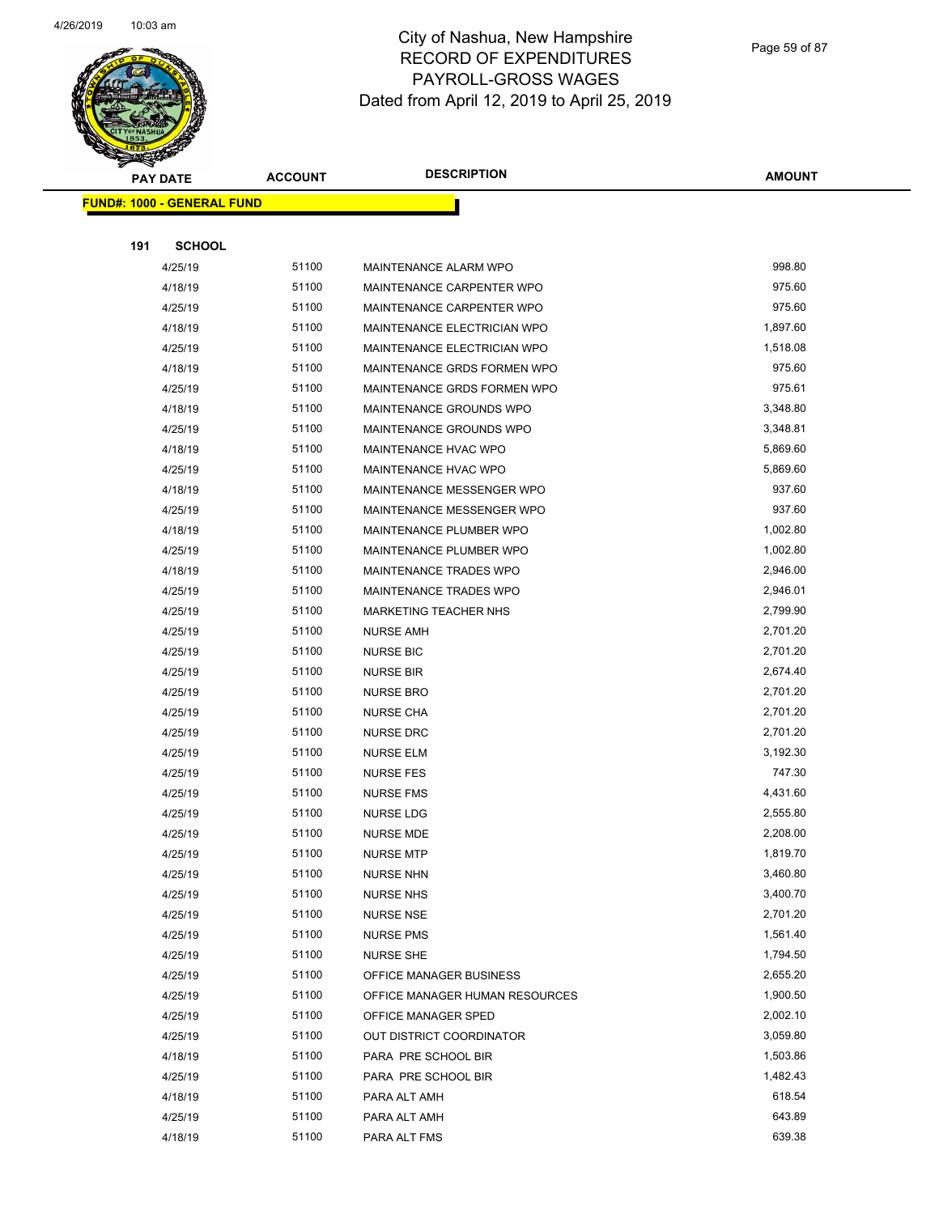

| ទ<br>$\blacktriangleleft$ .<br><b>PAY DATE</b> |                                   | <b>ACCOUNT</b> | <b>DESCRIPTION</b>             | <b>AMOUNT</b> |
|------------------------------------------------|-----------------------------------|----------------|--------------------------------|---------------|
|                                                |                                   |                |                                |               |
|                                                | <b>FUND#: 1000 - GENERAL FUND</b> |                |                                |               |
|                                                |                                   |                |                                |               |
| 191                                            | <b>SCHOOL</b>                     |                |                                |               |
|                                                | 4/25/19                           | 51100          | MAINTENANCE ALARM WPO          | 998.80        |
|                                                | 4/18/19                           | 51100          | MAINTENANCE CARPENTER WPO      | 975.60        |
|                                                | 4/25/19                           | 51100          | MAINTENANCE CARPENTER WPO      | 975.60        |
|                                                | 4/18/19                           | 51100          | MAINTENANCE ELECTRICIAN WPO    | 1,897.60      |
|                                                | 4/25/19                           | 51100          | MAINTENANCE ELECTRICIAN WPO    | 1,518.08      |
|                                                | 4/18/19                           | 51100          | MAINTENANCE GRDS FORMEN WPO    | 975.60        |
|                                                | 4/25/19                           | 51100          | MAINTENANCE GRDS FORMEN WPO    | 975.61        |
|                                                | 4/18/19                           | 51100          | MAINTENANCE GROUNDS WPO        | 3,348.80      |
|                                                | 4/25/19                           | 51100          | MAINTENANCE GROUNDS WPO        | 3,348.81      |
|                                                | 4/18/19                           | 51100          | MAINTENANCE HVAC WPO           | 5,869.60      |
|                                                | 4/25/19                           | 51100          | MAINTENANCE HVAC WPO           | 5,869.60      |
|                                                | 4/18/19                           | 51100          | MAINTENANCE MESSENGER WPO      | 937.60        |
|                                                | 4/25/19                           | 51100          | MAINTENANCE MESSENGER WPO      | 937.60        |
|                                                | 4/18/19                           | 51100          | MAINTENANCE PLUMBER WPO        | 1,002.80      |
|                                                | 4/25/19                           | 51100          | MAINTENANCE PLUMBER WPO        | 1,002.80      |
|                                                | 4/18/19                           | 51100          | MAINTENANCE TRADES WPO         | 2,946.00      |
|                                                | 4/25/19                           | 51100          | MAINTENANCE TRADES WPO         | 2,946.01      |
|                                                | 4/25/19                           | 51100          | MARKETING TEACHER NHS          | 2,799.90      |
|                                                | 4/25/19                           | 51100          | <b>NURSE AMH</b>               | 2,701.20      |
|                                                | 4/25/19                           | 51100          | <b>NURSE BIC</b>               | 2,701.20      |
|                                                | 4/25/19                           | 51100          | <b>NURSE BIR</b>               | 2,674.40      |
|                                                | 4/25/19                           | 51100          | <b>NURSE BRO</b>               | 2,701.20      |
|                                                | 4/25/19                           | 51100          | <b>NURSE CHA</b>               | 2,701.20      |
|                                                | 4/25/19                           | 51100          | <b>NURSE DRC</b>               | 2,701.20      |
|                                                | 4/25/19                           | 51100          | <b>NURSE ELM</b>               | 3,192.30      |
|                                                | 4/25/19                           | 51100          | <b>NURSE FES</b>               | 747.30        |
|                                                | 4/25/19                           | 51100          | <b>NURSE FMS</b>               | 4,431.60      |
|                                                | 4/25/19                           | 51100          | <b>NURSE LDG</b>               | 2,555.80      |
|                                                | 4/25/19                           | 51100          | <b>NURSE MDE</b>               | 2,208.00      |
|                                                | 4/25/19                           | 51100          | <b>NURSE MTP</b>               | 1,819.70      |
|                                                | 4/25/19                           | 51100          | <b>NURSE NHN</b>               | 3,460.80      |
|                                                | 4/25/19                           | 51100          | <b>NURSE NHS</b>               | 3,400.70      |
|                                                | 4/25/19                           | 51100          | <b>NURSE NSE</b>               | 2,701.20      |
|                                                | 4/25/19                           | 51100          | <b>NURSE PMS</b>               | 1,561.40      |
|                                                | 4/25/19                           | 51100          | <b>NURSE SHE</b>               | 1,794.50      |
|                                                | 4/25/19                           | 51100          | OFFICE MANAGER BUSINESS        | 2,655.20      |
|                                                | 4/25/19                           | 51100          | OFFICE MANAGER HUMAN RESOURCES | 1,900.50      |
|                                                | 4/25/19                           | 51100          | OFFICE MANAGER SPED            | 2,002.10      |
|                                                | 4/25/19                           | 51100          | OUT DISTRICT COORDINATOR       | 3,059.80      |
|                                                | 4/18/19                           | 51100          | PARA PRE SCHOOL BIR            | 1,503.86      |
|                                                | 4/25/19                           | 51100          | PARA PRE SCHOOL BIR            | 1,482.43      |
|                                                | 4/18/19                           | 51100          | PARA ALT AMH                   | 618.54        |
|                                                | 4/25/19                           | 51100          | PARA ALT AMH                   | 643.89        |
|                                                | 4/18/19                           | 51100          | PARA ALT FMS                   | 639.38        |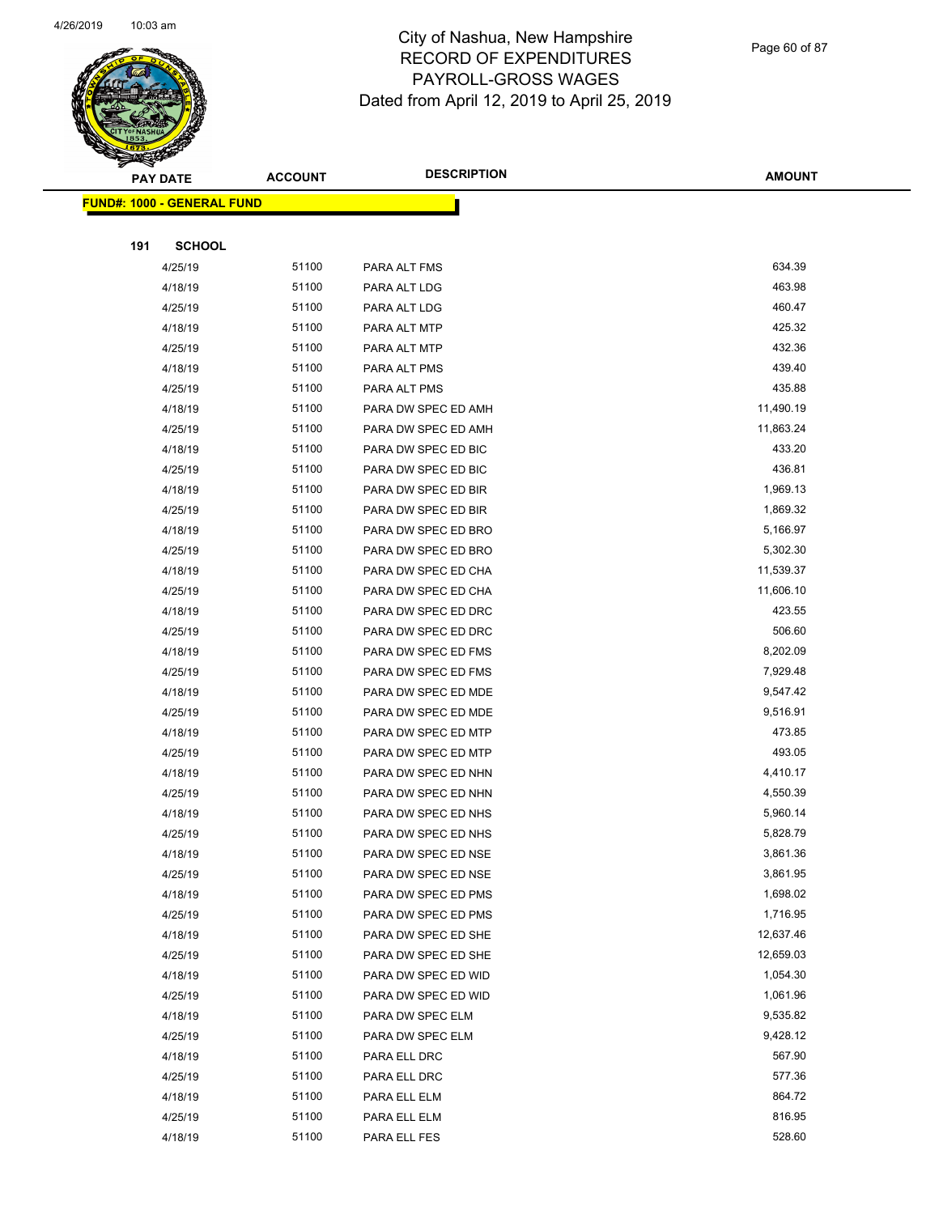

Page 60 of 87

| T<br>$\tilde{\phantom{a}}$<br><b>PAY DATE</b> | <b>ACCOUNT</b> | <b>DESCRIPTION</b>  | <b>AMOUNT</b> |
|-----------------------------------------------|----------------|---------------------|---------------|
| <b>FUND#: 1000 - GENERAL FUND</b>             |                |                     |               |
|                                               |                |                     |               |
| 191<br><b>SCHOOL</b>                          |                |                     |               |
| 4/25/19                                       | 51100          | PARA ALT FMS        | 634.39        |
| 4/18/19                                       | 51100          | PARA ALT LDG        | 463.98        |
| 4/25/19                                       | 51100          | PARA ALT LDG        | 460.47        |
| 4/18/19                                       | 51100          | PARA ALT MTP        | 425.32        |
| 4/25/19                                       | 51100          | PARA ALT MTP        | 432.36        |
| 4/18/19                                       | 51100          | PARA ALT PMS        | 439.40        |
| 4/25/19                                       | 51100          | PARA ALT PMS        | 435.88        |
| 4/18/19                                       | 51100          | PARA DW SPEC ED AMH | 11,490.19     |
| 4/25/19                                       | 51100          | PARA DW SPEC ED AMH | 11,863.24     |
| 4/18/19                                       | 51100          | PARA DW SPEC ED BIC | 433.20        |
| 4/25/19                                       | 51100          | PARA DW SPEC ED BIC | 436.81        |
| 4/18/19                                       | 51100          | PARA DW SPEC ED BIR | 1,969.13      |
| 4/25/19                                       | 51100          | PARA DW SPEC ED BIR | 1,869.32      |
| 4/18/19                                       | 51100          | PARA DW SPEC ED BRO | 5,166.97      |
| 4/25/19                                       | 51100          | PARA DW SPEC ED BRO | 5,302.30      |
| 4/18/19                                       | 51100          | PARA DW SPEC ED CHA | 11,539.37     |
| 4/25/19                                       | 51100          | PARA DW SPEC ED CHA | 11,606.10     |
| 4/18/19                                       | 51100          | PARA DW SPEC ED DRC | 423.55        |
| 4/25/19                                       | 51100          | PARA DW SPEC ED DRC | 506.60        |
| 4/18/19                                       | 51100          | PARA DW SPEC ED FMS | 8,202.09      |
| 4/25/19                                       | 51100          | PARA DW SPEC ED FMS | 7,929.48      |
| 4/18/19                                       | 51100          | PARA DW SPEC ED MDE | 9,547.42      |
| 4/25/19                                       | 51100          | PARA DW SPEC ED MDE | 9,516.91      |
| 4/18/19                                       | 51100          | PARA DW SPEC ED MTP | 473.85        |
| 4/25/19                                       | 51100          | PARA DW SPEC ED MTP | 493.05        |
| 4/18/19                                       | 51100          | PARA DW SPEC ED NHN | 4,410.17      |
| 4/25/19                                       | 51100          | PARA DW SPEC ED NHN | 4,550.39      |
| 4/18/19                                       | 51100          | PARA DW SPEC ED NHS | 5,960.14      |
| 4/25/19                                       | 51100          | PARA DW SPEC ED NHS | 5,828.79      |
| 4/18/19                                       | 51100          | PARA DW SPEC ED NSE | 3,861.36      |
| 4/25/19                                       | 51100          | PARA DW SPEC ED NSE | 3,861.95      |
| 4/18/19                                       | 51100          | PARA DW SPEC ED PMS | 1,698.02      |
| 4/25/19                                       | 51100          | PARA DW SPEC ED PMS | 1,716.95      |
| 4/18/19                                       | 51100          | PARA DW SPEC ED SHE | 12,637.46     |
| 4/25/19                                       | 51100          | PARA DW SPEC ED SHE | 12,659.03     |
| 4/18/19                                       | 51100          | PARA DW SPEC ED WID | 1,054.30      |
| 4/25/19                                       | 51100          | PARA DW SPEC ED WID | 1,061.96      |
| 4/18/19                                       | 51100          | PARA DW SPEC ELM    | 9,535.82      |
| 4/25/19                                       | 51100          | PARA DW SPEC ELM    | 9,428.12      |
| 4/18/19                                       | 51100          | PARA ELL DRC        | 567.90        |
| 4/25/19                                       | 51100          | PARA ELL DRC        | 577.36        |
| 4/18/19                                       | 51100          | PARA ELL ELM        | 864.72        |
| 4/25/19                                       | 51100          | PARA ELL ELM        | 816.95        |
| 4/18/19                                       | 51100          | PARA ELL FES        | 528.60        |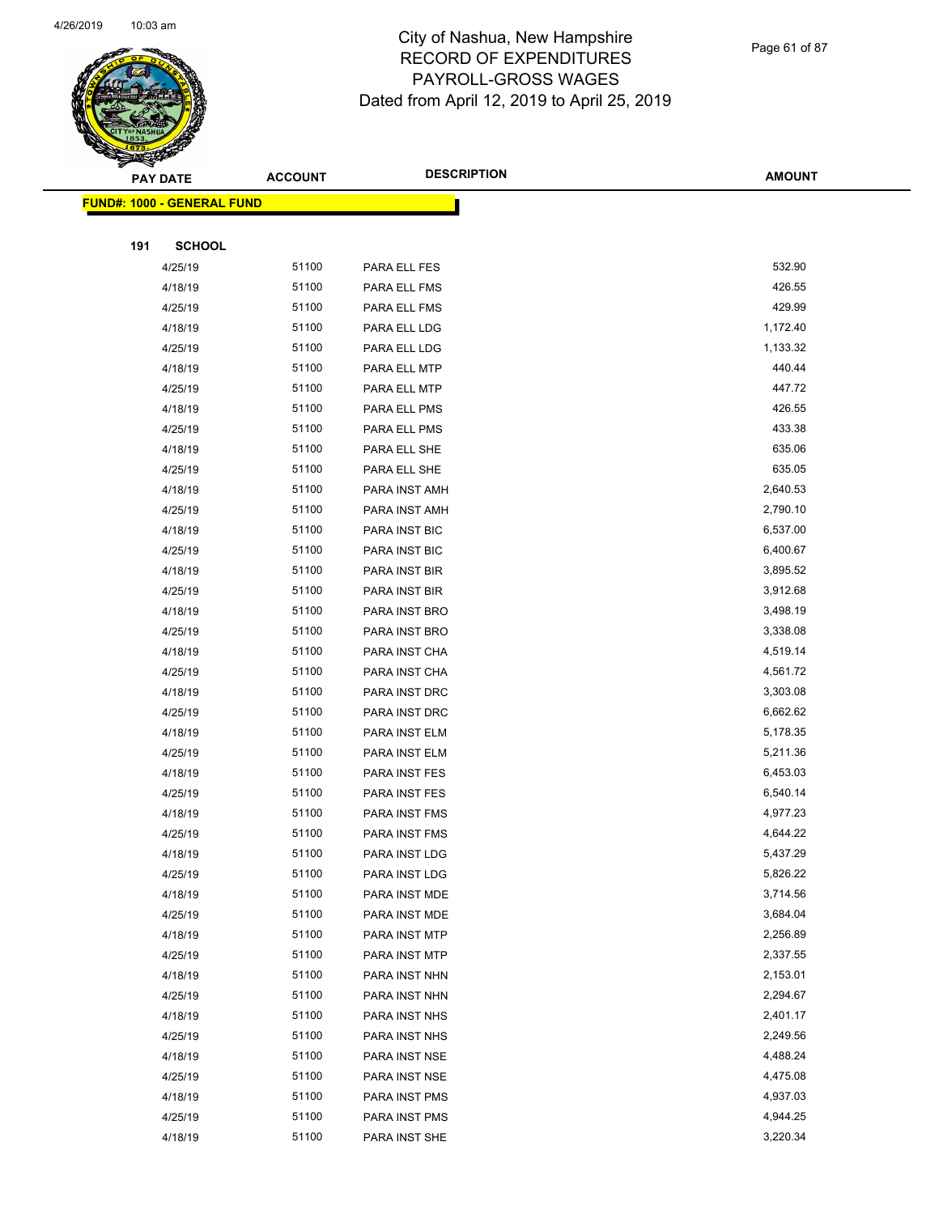

Page 61 of 87

| <b>RANGANGKA</b> |                                   |                |                    |               |
|------------------|-----------------------------------|----------------|--------------------|---------------|
|                  | <b>PAY DATE</b>                   | <b>ACCOUNT</b> | <b>DESCRIPTION</b> | <b>AMOUNT</b> |
|                  | <b>FUND#: 1000 - GENERAL FUND</b> |                |                    |               |
|                  |                                   |                |                    |               |
| 191              | <b>SCHOOL</b>                     |                |                    |               |
|                  | 4/25/19                           | 51100          | PARA ELL FES       | 532.90        |
|                  | 4/18/19                           | 51100          | PARA ELL FMS       | 426.55        |
|                  | 4/25/19                           | 51100          | PARA ELL FMS       | 429.99        |
|                  | 4/18/19                           | 51100          | PARA ELL LDG       | 1,172.40      |
|                  | 4/25/19                           | 51100          | PARA ELL LDG       | 1,133.32      |
|                  | 4/18/19                           | 51100          | PARA ELL MTP       | 440.44        |
|                  | 4/25/19                           | 51100          | PARA ELL MTP       | 447.72        |
|                  | 4/18/19                           | 51100          | PARA ELL PMS       | 426.55        |
|                  | 4/25/19                           | 51100          | PARA ELL PMS       | 433.38        |
|                  | 4/18/19                           | 51100          | PARA ELL SHE       | 635.06        |
|                  | 4/25/19                           | 51100          | PARA ELL SHE       | 635.05        |
|                  | 4/18/19                           | 51100          | PARA INST AMH      | 2,640.53      |
|                  | 4/25/19                           | 51100          | PARA INST AMH      | 2,790.10      |
|                  | 4/18/19                           | 51100          | PARA INST BIC      | 6,537.00      |
|                  | 4/25/19                           | 51100          | PARA INST BIC      | 6,400.67      |
|                  | 4/18/19                           | 51100          | PARA INST BIR      | 3,895.52      |
|                  | 4/25/19                           | 51100          | PARA INST BIR      | 3,912.68      |
|                  | 4/18/19                           | 51100          | PARA INST BRO      | 3,498.19      |
|                  | 4/25/19                           | 51100          | PARA INST BRO      | 3,338.08      |
|                  | 4/18/19                           | 51100          | PARA INST CHA      | 4,519.14      |
|                  | 4/25/19                           | 51100          | PARA INST CHA      | 4,561.72      |
|                  | 4/18/19                           | 51100          | PARA INST DRC      | 3,303.08      |
|                  | 4/25/19                           | 51100          | PARA INST DRC      | 6,662.62      |
|                  | 4/18/19                           | 51100          | PARA INST ELM      | 5,178.35      |
|                  | 4/25/19                           | 51100          | PARA INST ELM      | 5,211.36      |
|                  | 4/18/19                           | 51100          | PARA INST FES      | 6,453.03      |
|                  | 4/25/19                           | 51100          | PARA INST FES      | 6,540.14      |
|                  | 4/18/19                           | 51100          | PARA INST FMS      | 4,977.23      |
|                  | 4/25/19                           | 51100          | PARA INST FMS      | 4,644.22      |
|                  | 4/18/19                           | 51100          | PARA INST LDG      | 5,437.29      |
|                  | 4/25/19                           | 51100          | PARA INST LDG      | 5,826.22      |
|                  | 4/18/19                           | 51100          | PARA INST MDE      | 3,714.56      |
|                  | 4/25/19                           | 51100          | PARA INST MDE      | 3,684.04      |
|                  | 4/18/19                           | 51100          | PARA INST MTP      | 2,256.89      |
|                  | 4/25/19                           | 51100          | PARA INST MTP      | 2,337.55      |
|                  | 4/18/19                           | 51100          | PARA INST NHN      | 2,153.01      |
|                  | 4/25/19                           | 51100          | PARA INST NHN      | 2,294.67      |
|                  | 4/18/19                           | 51100          | PARA INST NHS      | 2,401.17      |
|                  | 4/25/19                           | 51100          | PARA INST NHS      | 2,249.56      |
|                  | 4/18/19                           | 51100          | PARA INST NSE      | 4,488.24      |
|                  | 4/25/19                           | 51100          | PARA INST NSE      | 4,475.08      |
|                  | 4/18/19                           | 51100          | PARA INST PMS      | 4,937.03      |
|                  | 4/25/19                           | 51100          | PARA INST PMS      | 4,944.25      |
|                  | 4/18/19                           | 51100          | PARA INST SHE      | 3,220.34      |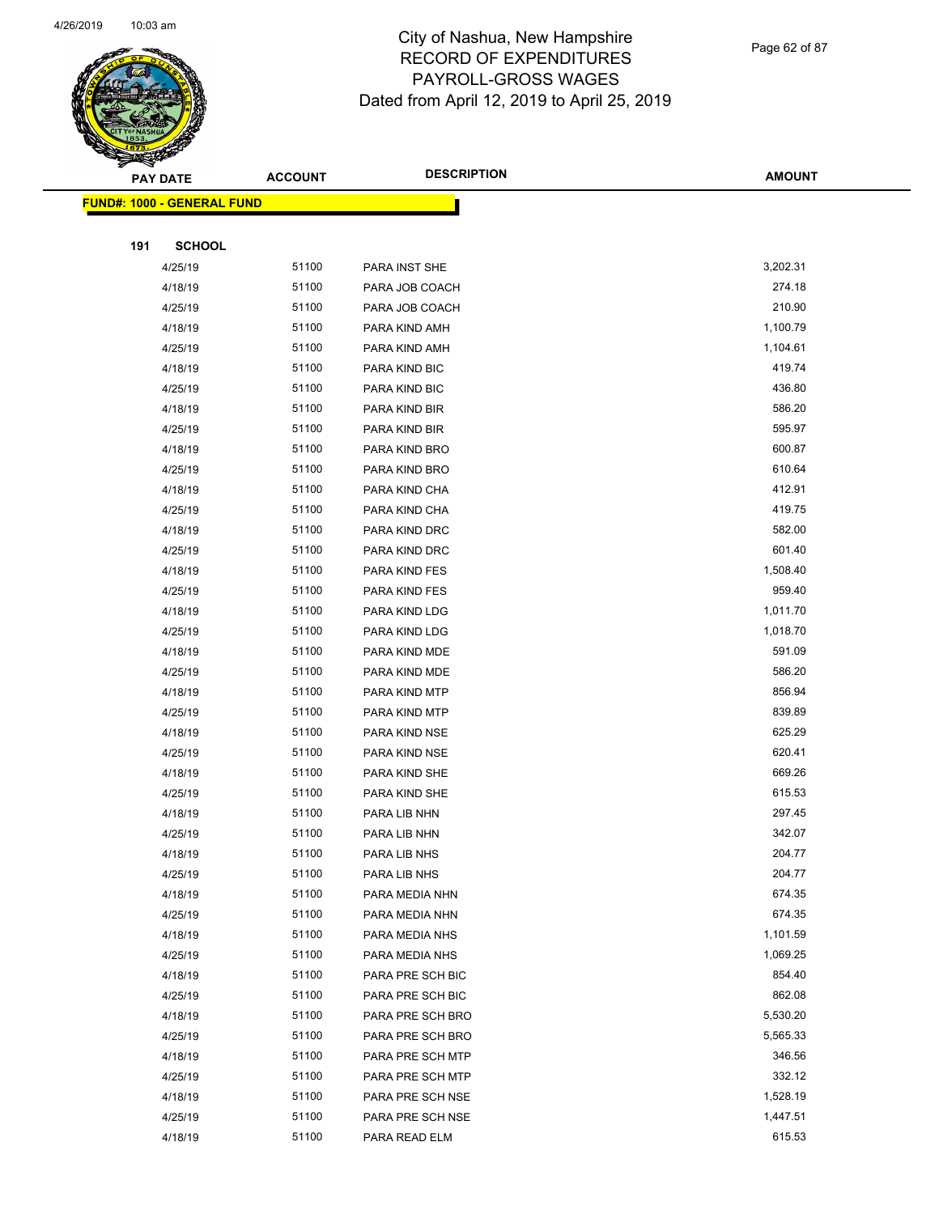

Page 62 of 87

| <b>Experience</b> |                                   |                |                    |               |
|-------------------|-----------------------------------|----------------|--------------------|---------------|
|                   | <b>PAY DATE</b>                   | <b>ACCOUNT</b> | <b>DESCRIPTION</b> | <b>AMOUNT</b> |
|                   | <b>FUND#: 1000 - GENERAL FUND</b> |                |                    |               |
|                   |                                   |                |                    |               |
| 191               | <b>SCHOOL</b>                     |                |                    |               |
|                   | 4/25/19                           | 51100          | PARA INST SHE      | 3,202.31      |
|                   | 4/18/19                           | 51100          | PARA JOB COACH     | 274.18        |
|                   | 4/25/19                           | 51100          | PARA JOB COACH     | 210.90        |
|                   | 4/18/19                           | 51100          | PARA KIND AMH      | 1,100.79      |
|                   | 4/25/19                           | 51100          | PARA KIND AMH      | 1,104.61      |
|                   | 4/18/19                           | 51100          | PARA KIND BIC      | 419.74        |
|                   | 4/25/19                           | 51100          | PARA KIND BIC      | 436.80        |
|                   | 4/18/19                           | 51100          | PARA KIND BIR      | 586.20        |
|                   | 4/25/19                           | 51100          | PARA KIND BIR      | 595.97        |
|                   | 4/18/19                           | 51100          | PARA KIND BRO      | 600.87        |
|                   | 4/25/19                           | 51100          | PARA KIND BRO      | 610.64        |
|                   | 4/18/19                           | 51100          | PARA KIND CHA      | 412.91        |
|                   | 4/25/19                           | 51100          | PARA KIND CHA      | 419.75        |
|                   | 4/18/19                           | 51100          | PARA KIND DRC      | 582.00        |
|                   | 4/25/19                           | 51100          | PARA KIND DRC      | 601.40        |
|                   | 4/18/19                           | 51100          | PARA KIND FES      | 1,508.40      |
|                   | 4/25/19                           | 51100          | PARA KIND FES      | 959.40        |
|                   | 4/18/19                           | 51100          | PARA KIND LDG      | 1,011.70      |
|                   | 4/25/19                           | 51100          | PARA KIND LDG      | 1,018.70      |
|                   | 4/18/19                           | 51100          | PARA KIND MDE      | 591.09        |
|                   | 4/25/19                           | 51100          | PARA KIND MDE      | 586.20        |
|                   | 4/18/19                           | 51100          | PARA KIND MTP      | 856.94        |
|                   | 4/25/19                           | 51100          | PARA KIND MTP      | 839.89        |
|                   | 4/18/19                           | 51100          | PARA KIND NSE      | 625.29        |
|                   | 4/25/19                           | 51100          | PARA KIND NSE      | 620.41        |
|                   | 4/18/19                           | 51100          | PARA KIND SHE      | 669.26        |
|                   | 4/25/19                           | 51100          | PARA KIND SHE      | 615.53        |
|                   | 4/18/19                           | 51100          | PARA LIB NHN       | 297.45        |
|                   | 4/25/19                           | 51100          | PARA LIB NHN       | 342.07        |
|                   | 4/18/19                           | 51100          | PARA LIB NHS       | 204.77        |
|                   | 4/25/19                           | 51100          | PARA LIB NHS       | 204.77        |
|                   | 4/18/19                           | 51100          | PARA MEDIA NHN     | 674.35        |
|                   | 4/25/19                           | 51100          | PARA MEDIA NHN     | 674.35        |
|                   | 4/18/19                           | 51100          | PARA MEDIA NHS     | 1,101.59      |
|                   | 4/25/19                           | 51100          | PARA MEDIA NHS     | 1,069.25      |
|                   | 4/18/19                           | 51100          | PARA PRE SCH BIC   | 854.40        |
|                   | 4/25/19                           | 51100          | PARA PRE SCH BIC   | 862.08        |
|                   | 4/18/19                           | 51100          | PARA PRE SCH BRO   | 5,530.20      |
|                   | 4/25/19                           | 51100          | PARA PRE SCH BRO   | 5,565.33      |
|                   | 4/18/19                           | 51100          | PARA PRE SCH MTP   | 346.56        |
|                   | 4/25/19                           | 51100          | PARA PRE SCH MTP   | 332.12        |
|                   | 4/18/19                           | 51100          | PARA PRE SCH NSE   | 1,528.19      |
|                   | 4/25/19                           | 51100          | PARA PRE SCH NSE   | 1,447.51      |
|                   | 4/18/19                           | 51100          | PARA READ ELM      | 615.53        |
|                   |                                   |                |                    |               |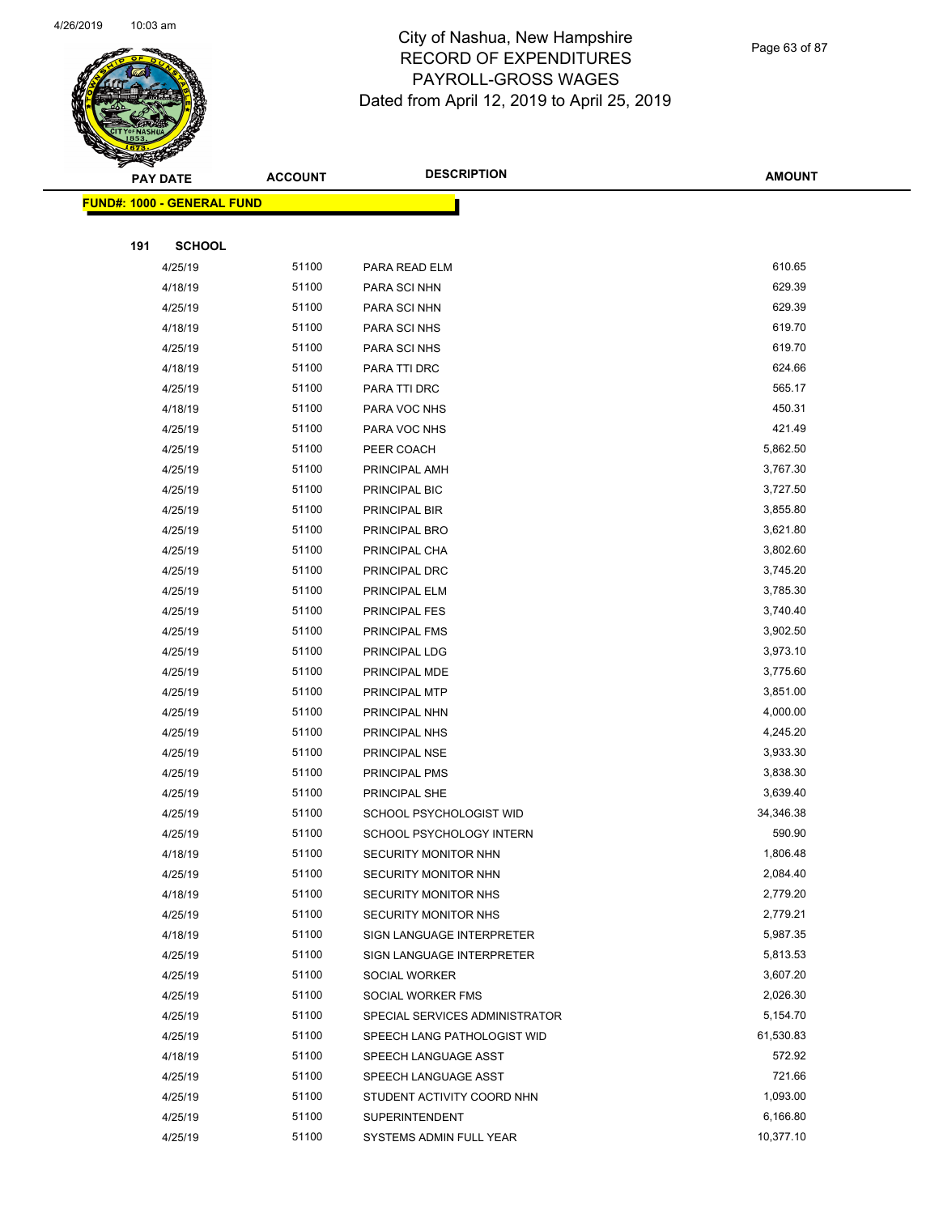

Page 63 of 87

| s<br>$\tilde{\phantom{a}}$ | <b>PAY DATE</b>                   | <b>ACCOUNT</b> | <b>DESCRIPTION</b>             | <b>AMOUNT</b> |
|----------------------------|-----------------------------------|----------------|--------------------------------|---------------|
|                            | <b>FUND#: 1000 - GENERAL FUND</b> |                |                                |               |
|                            |                                   |                |                                |               |
| 191                        | <b>SCHOOL</b>                     |                |                                |               |
|                            | 4/25/19                           | 51100          | PARA READ ELM                  | 610.65        |
|                            | 4/18/19                           | 51100          | PARA SCI NHN                   | 629.39        |
|                            | 4/25/19                           | 51100          | PARA SCI NHN                   | 629.39        |
|                            | 4/18/19                           | 51100          | PARA SCI NHS                   | 619.70        |
|                            | 4/25/19                           | 51100          | PARA SCI NHS                   | 619.70        |
|                            | 4/18/19                           | 51100          | PARA TTI DRC                   | 624.66        |
|                            | 4/25/19                           | 51100          | PARA TTI DRC                   | 565.17        |
|                            | 4/18/19                           | 51100          | PARA VOC NHS                   | 450.31        |
|                            | 4/25/19                           | 51100          | PARA VOC NHS                   | 421.49        |
|                            | 4/25/19                           | 51100          | PEER COACH                     | 5,862.50      |
|                            | 4/25/19                           | 51100          | PRINCIPAL AMH                  | 3,767.30      |
|                            | 4/25/19                           | 51100          | PRINCIPAL BIC                  | 3,727.50      |
|                            | 4/25/19                           | 51100          | PRINCIPAL BIR                  | 3,855.80      |
|                            | 4/25/19                           | 51100          | PRINCIPAL BRO                  | 3,621.80      |
|                            | 4/25/19                           | 51100          | PRINCIPAL CHA                  | 3,802.60      |
|                            | 4/25/19                           | 51100          | PRINCIPAL DRC                  | 3,745.20      |
|                            | 4/25/19                           | 51100          | PRINCIPAL ELM                  | 3,785.30      |
|                            | 4/25/19                           | 51100          | PRINCIPAL FES                  | 3,740.40      |
|                            | 4/25/19                           | 51100          | PRINCIPAL FMS                  | 3,902.50      |
|                            | 4/25/19                           | 51100          | PRINCIPAL LDG                  | 3,973.10      |
|                            | 4/25/19                           | 51100          | PRINCIPAL MDE                  | 3,775.60      |
|                            | 4/25/19                           | 51100          | PRINCIPAL MTP                  | 3,851.00      |
|                            | 4/25/19                           | 51100          | PRINCIPAL NHN                  | 4,000.00      |
|                            | 4/25/19                           | 51100          | PRINCIPAL NHS                  | 4,245.20      |
|                            | 4/25/19                           | 51100          | PRINCIPAL NSE                  | 3,933.30      |
|                            | 4/25/19                           | 51100          | PRINCIPAL PMS                  | 3,838.30      |
|                            | 4/25/19                           | 51100          | PRINCIPAL SHE                  | 3,639.40      |
|                            | 4/25/19                           | 51100          | SCHOOL PSYCHOLOGIST WID        | 34,346.38     |
|                            | 4/25/19                           | 51100          | SCHOOL PSYCHOLOGY INTERN       | 590.90        |
|                            | 4/18/19                           | 51100          | SECURITY MONITOR NHN           | 1,806.48      |
|                            | 4/25/19                           | 51100          | SECURITY MONITOR NHN           | 2,084.40      |
|                            | 4/18/19                           | 51100          | SECURITY MONITOR NHS           | 2,779.20      |
|                            | 4/25/19                           | 51100          | SECURITY MONITOR NHS           | 2,779.21      |
|                            | 4/18/19                           | 51100          | SIGN LANGUAGE INTERPRETER      | 5,987.35      |
|                            | 4/25/19                           | 51100          | SIGN LANGUAGE INTERPRETER      | 5,813.53      |
|                            | 4/25/19                           | 51100          | SOCIAL WORKER                  | 3,607.20      |
|                            | 4/25/19                           | 51100          | SOCIAL WORKER FMS              | 2,026.30      |
|                            | 4/25/19                           | 51100          | SPECIAL SERVICES ADMINISTRATOR | 5,154.70      |
|                            | 4/25/19                           | 51100          | SPEECH LANG PATHOLOGIST WID    | 61,530.83     |
|                            | 4/18/19                           | 51100          | SPEECH LANGUAGE ASST           | 572.92        |
|                            | 4/25/19                           | 51100          | SPEECH LANGUAGE ASST           | 721.66        |
|                            | 4/25/19                           | 51100          | STUDENT ACTIVITY COORD NHN     | 1,093.00      |
|                            | 4/25/19                           | 51100          | SUPERINTENDENT                 | 6,166.80      |
|                            | 4/25/19                           | 51100          | SYSTEMS ADMIN FULL YEAR        | 10,377.10     |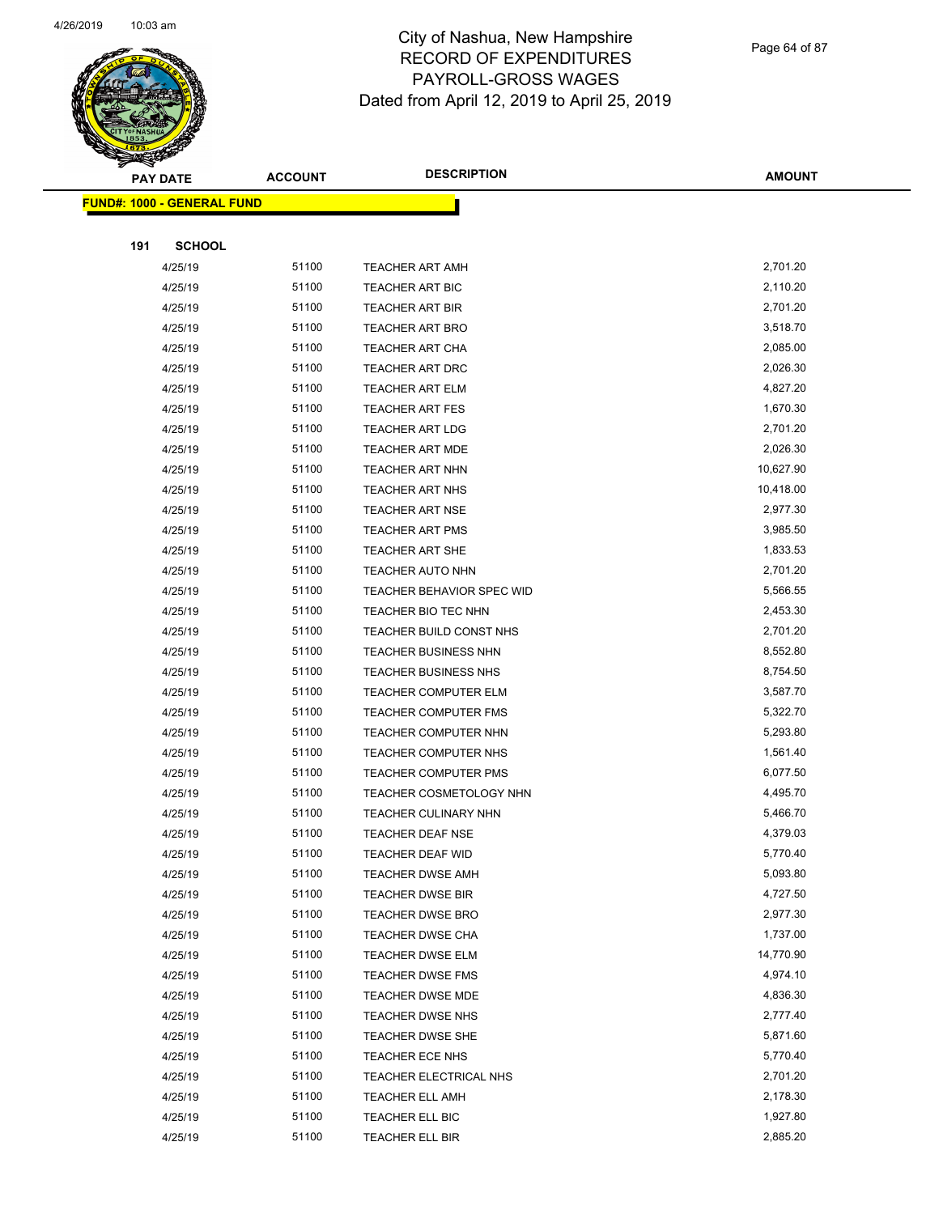

Page 64 of 87

| <b>STATES RAN</b> |                                   |                |                                |               |
|-------------------|-----------------------------------|----------------|--------------------------------|---------------|
|                   | <b>PAY DATE</b>                   | <b>ACCOUNT</b> | <b>DESCRIPTION</b>             | <b>AMOUNT</b> |
|                   | <b>FUND#: 1000 - GENERAL FUND</b> |                |                                |               |
|                   |                                   |                |                                |               |
| 191               | <b>SCHOOL</b>                     |                |                                |               |
|                   | 4/25/19                           | 51100          | <b>TEACHER ART AMH</b>         | 2,701.20      |
|                   | 4/25/19                           | 51100          | <b>TEACHER ART BIC</b>         | 2,110.20      |
|                   | 4/25/19                           | 51100          | TEACHER ART BIR                | 2,701.20      |
|                   | 4/25/19                           | 51100          | <b>TEACHER ART BRO</b>         | 3,518.70      |
|                   | 4/25/19                           | 51100          | <b>TEACHER ART CHA</b>         | 2,085.00      |
|                   | 4/25/19                           | 51100          | <b>TEACHER ART DRC</b>         | 2,026.30      |
|                   | 4/25/19                           | 51100          | <b>TEACHER ART ELM</b>         | 4,827.20      |
|                   | 4/25/19                           | 51100          | <b>TEACHER ART FES</b>         | 1,670.30      |
|                   | 4/25/19                           | 51100          | <b>TEACHER ART LDG</b>         | 2,701.20      |
|                   | 4/25/19                           | 51100          | TEACHER ART MDE                | 2,026.30      |
|                   | 4/25/19                           | 51100          | TEACHER ART NHN                | 10,627.90     |
|                   | 4/25/19                           | 51100          | <b>TEACHER ART NHS</b>         | 10,418.00     |
|                   | 4/25/19                           | 51100          | <b>TEACHER ART NSE</b>         | 2,977.30      |
|                   | 4/25/19                           | 51100          | <b>TEACHER ART PMS</b>         | 3,985.50      |
|                   | 4/25/19                           | 51100          | TEACHER ART SHE                | 1,833.53      |
|                   | 4/25/19                           | 51100          | TEACHER AUTO NHN               | 2,701.20      |
|                   | 4/25/19                           | 51100          | TEACHER BEHAVIOR SPEC WID      | 5,566.55      |
|                   | 4/25/19                           | 51100          | TEACHER BIO TEC NHN            | 2,453.30      |
|                   | 4/25/19                           | 51100          | TEACHER BUILD CONST NHS        | 2,701.20      |
|                   | 4/25/19                           | 51100          | TEACHER BUSINESS NHN           | 8,552.80      |
|                   | 4/25/19                           | 51100          | <b>TEACHER BUSINESS NHS</b>    | 8,754.50      |
|                   | 4/25/19                           | 51100          | TEACHER COMPUTER ELM           | 3,587.70      |
|                   | 4/25/19                           | 51100          | <b>TEACHER COMPUTER FMS</b>    | 5,322.70      |
|                   | 4/25/19                           | 51100          | TEACHER COMPUTER NHN           | 5,293.80      |
|                   | 4/25/19                           | 51100          | TEACHER COMPUTER NHS           | 1,561.40      |
|                   | 4/25/19                           | 51100          | <b>TEACHER COMPUTER PMS</b>    | 6,077.50      |
|                   | 4/25/19                           | 51100          | <b>TEACHER COSMETOLOGY NHN</b> | 4,495.70      |
|                   | 4/25/19                           | 51100          | <b>TEACHER CULINARY NHN</b>    | 5,466.70      |
|                   | 4/25/19                           | 51100          | <b>TEACHER DEAF NSE</b>        | 4,379.03      |
|                   | 4/25/19                           | 51100          | <b>TEACHER DEAF WID</b>        | 5,770.40      |
|                   | 4/25/19                           | 51100          | <b>TEACHER DWSE AMH</b>        | 5,093.80      |
|                   | 4/25/19                           | 51100          | <b>TEACHER DWSE BIR</b>        | 4,727.50      |
|                   | 4/25/19                           | 51100          | <b>TEACHER DWSE BRO</b>        | 2,977.30      |
|                   | 4/25/19                           | 51100          | <b>TEACHER DWSE CHA</b>        | 1,737.00      |
|                   | 4/25/19                           | 51100          | <b>TEACHER DWSE ELM</b>        | 14,770.90     |
|                   | 4/25/19                           | 51100          | <b>TEACHER DWSE FMS</b>        | 4,974.10      |
|                   | 4/25/19                           | 51100          | TEACHER DWSE MDE               | 4,836.30      |
|                   | 4/25/19                           | 51100          | <b>TEACHER DWSE NHS</b>        | 2,777.40      |
|                   | 4/25/19                           | 51100          | <b>TEACHER DWSE SHE</b>        | 5,871.60      |
|                   | 4/25/19                           | 51100          | TEACHER ECE NHS                | 5,770.40      |
|                   | 4/25/19                           | 51100          | TEACHER ELECTRICAL NHS         | 2,701.20      |
|                   | 4/25/19                           | 51100          | <b>TEACHER ELL AMH</b>         | 2,178.30      |
|                   | 4/25/19                           | 51100          | TEACHER ELL BIC                | 1,927.80      |
|                   | 4/25/19                           | 51100          | TEACHER ELL BIR                | 2,885.20      |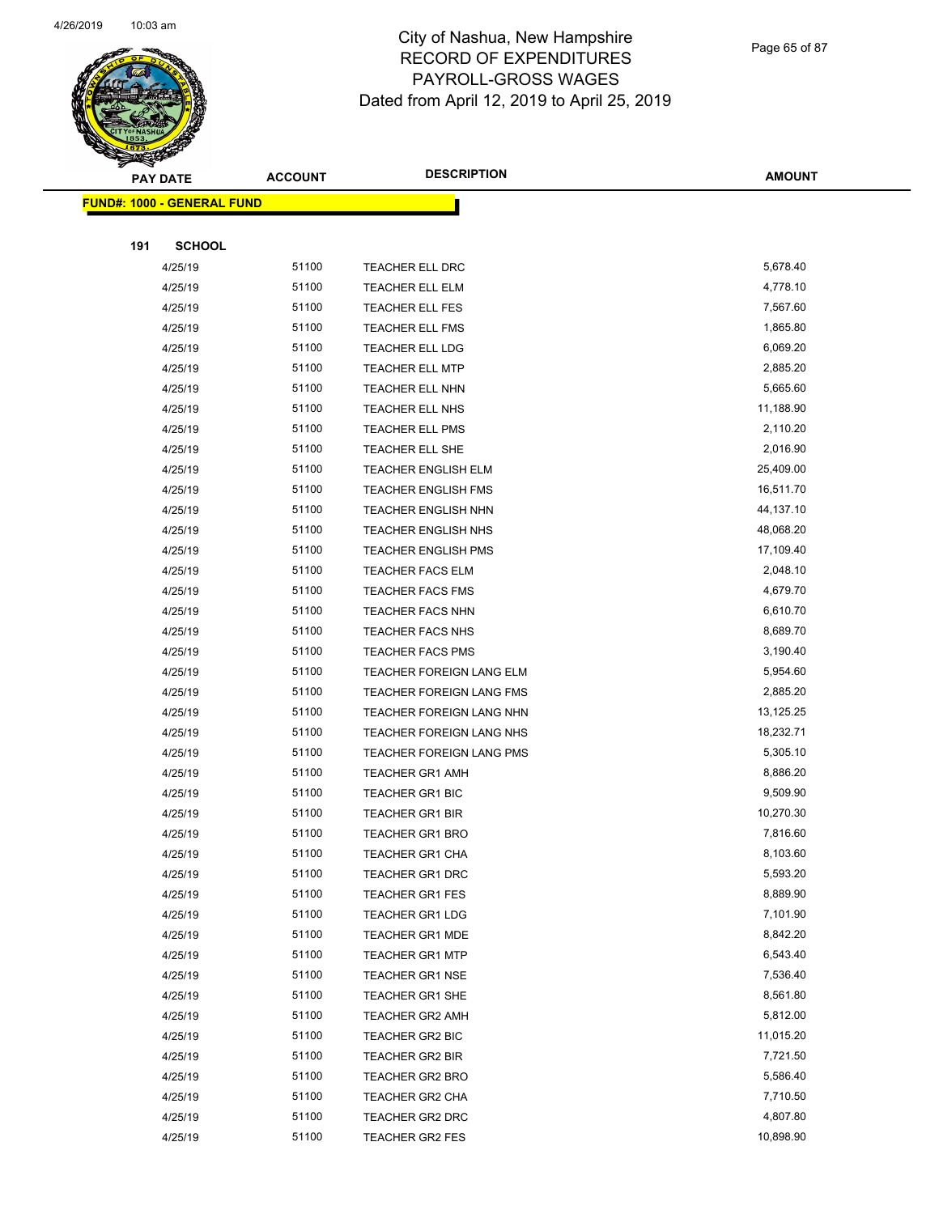

Page 65 of 87

|     | <b>PAY DATE</b>                    | <b>ACCOUNT</b> | <b>DESCRIPTION</b>                               | <b>AMOUNT</b>         |
|-----|------------------------------------|----------------|--------------------------------------------------|-----------------------|
|     | <u> FUND#: 1000 - GENERAL FUND</u> |                |                                                  |                       |
|     |                                    |                |                                                  |                       |
| 191 | <b>SCHOOL</b>                      |                |                                                  |                       |
|     | 4/25/19                            | 51100          | TEACHER ELL DRC                                  | 5,678.40              |
|     | 4/25/19                            | 51100          | <b>TEACHER ELL ELM</b>                           | 4,778.10              |
|     | 4/25/19                            | 51100          | TEACHER ELL FES                                  | 7,567.60              |
|     | 4/25/19                            | 51100          | <b>TEACHER ELL FMS</b>                           | 1,865.80              |
|     | 4/25/19                            | 51100          | TEACHER ELL LDG                                  | 6,069.20              |
|     | 4/25/19                            | 51100          | <b>TEACHER ELL MTP</b>                           | 2,885.20              |
|     | 4/25/19                            | 51100          | TEACHER ELL NHN                                  | 5,665.60              |
|     | 4/25/19                            | 51100          | TEACHER ELL NHS                                  | 11,188.90             |
|     | 4/25/19                            | 51100          | <b>TEACHER ELL PMS</b>                           | 2,110.20              |
|     | 4/25/19                            | 51100          | TEACHER ELL SHE                                  | 2,016.90              |
|     | 4/25/19                            | 51100          | <b>TEACHER ENGLISH ELM</b>                       | 25,409.00             |
|     | 4/25/19                            | 51100          | <b>TEACHER ENGLISH FMS</b>                       | 16,511.70             |
|     | 4/25/19                            | 51100          | <b>TEACHER ENGLISH NHN</b>                       | 44,137.10             |
|     | 4/25/19                            | 51100          | <b>TEACHER ENGLISH NHS</b>                       | 48,068.20             |
|     | 4/25/19                            | 51100          | <b>TEACHER ENGLISH PMS</b>                       | 17,109.40             |
|     | 4/25/19                            | 51100          | <b>TEACHER FACS ELM</b>                          | 2,048.10              |
|     | 4/25/19                            | 51100          | <b>TEACHER FACS FMS</b>                          | 4,679.70              |
|     | 4/25/19                            | 51100          | <b>TEACHER FACS NHN</b>                          | 6,610.70              |
|     | 4/25/19                            | 51100          | <b>TEACHER FACS NHS</b>                          | 8,689.70              |
|     | 4/25/19                            | 51100          | <b>TEACHER FACS PMS</b>                          | 3,190.40              |
|     | 4/25/19                            | 51100          | TEACHER FOREIGN LANG ELM                         | 5,954.60              |
|     | 4/25/19                            | 51100          | TEACHER FOREIGN LANG FMS                         | 2,885.20              |
|     | 4/25/19                            | 51100          | TEACHER FOREIGN LANG NHN                         | 13,125.25             |
|     | 4/25/19                            | 51100          | TEACHER FOREIGN LANG NHS                         | 18,232.71             |
|     | 4/25/19                            | 51100          | TEACHER FOREIGN LANG PMS                         | 5,305.10              |
|     | 4/25/19                            | 51100          | <b>TEACHER GR1 AMH</b>                           | 8,886.20              |
|     | 4/25/19                            | 51100          | TEACHER GR1 BIC                                  | 9,509.90              |
|     | 4/25/19                            | 51100          | <b>TEACHER GR1 BIR</b>                           | 10,270.30             |
|     | 4/25/19                            | 51100          | <b>TEACHER GR1 BRO</b>                           | 7,816.60              |
|     | 4/25/19                            | 51100          | TEACHER GR1 CHA                                  | 8,103.60              |
|     | 4/25/19                            | 51100          | TEACHER GR1 DRC                                  | 5,593.20              |
|     | 4/25/19                            | 51100          | <b>TEACHER GR1 FES</b>                           | 8,889.90              |
|     | 4/25/19                            | 51100          | <b>TEACHER GR1 LDG</b>                           | 7,101.90              |
|     | 4/25/19                            | 51100          | <b>TEACHER GR1 MDE</b>                           | 8,842.20              |
|     | 4/25/19                            | 51100<br>51100 | <b>TEACHER GR1 MTP</b>                           | 6,543.40<br>7,536.40  |
|     | 4/25/19                            | 51100          | <b>TEACHER GR1 NSE</b>                           | 8,561.80              |
|     | 4/25/19                            |                | TEACHER GR1 SHE                                  |                       |
|     | 4/25/19<br>4/25/19                 | 51100<br>51100 | <b>TEACHER GR2 AMH</b><br><b>TEACHER GR2 BIC</b> | 5,812.00<br>11,015.20 |
|     |                                    | 51100          |                                                  | 7,721.50              |
|     | 4/25/19<br>4/25/19                 | 51100          | <b>TEACHER GR2 BIR</b>                           | 5,586.40              |
|     | 4/25/19                            | 51100          | TEACHER GR2 BRO                                  | 7,710.50              |
|     | 4/25/19                            | 51100          | TEACHER GR2 CHA<br>TEACHER GR2 DRC               | 4,807.80              |
|     | 4/25/19                            | 51100          | <b>TEACHER GR2 FES</b>                           | 10,898.90             |
|     |                                    |                |                                                  |                       |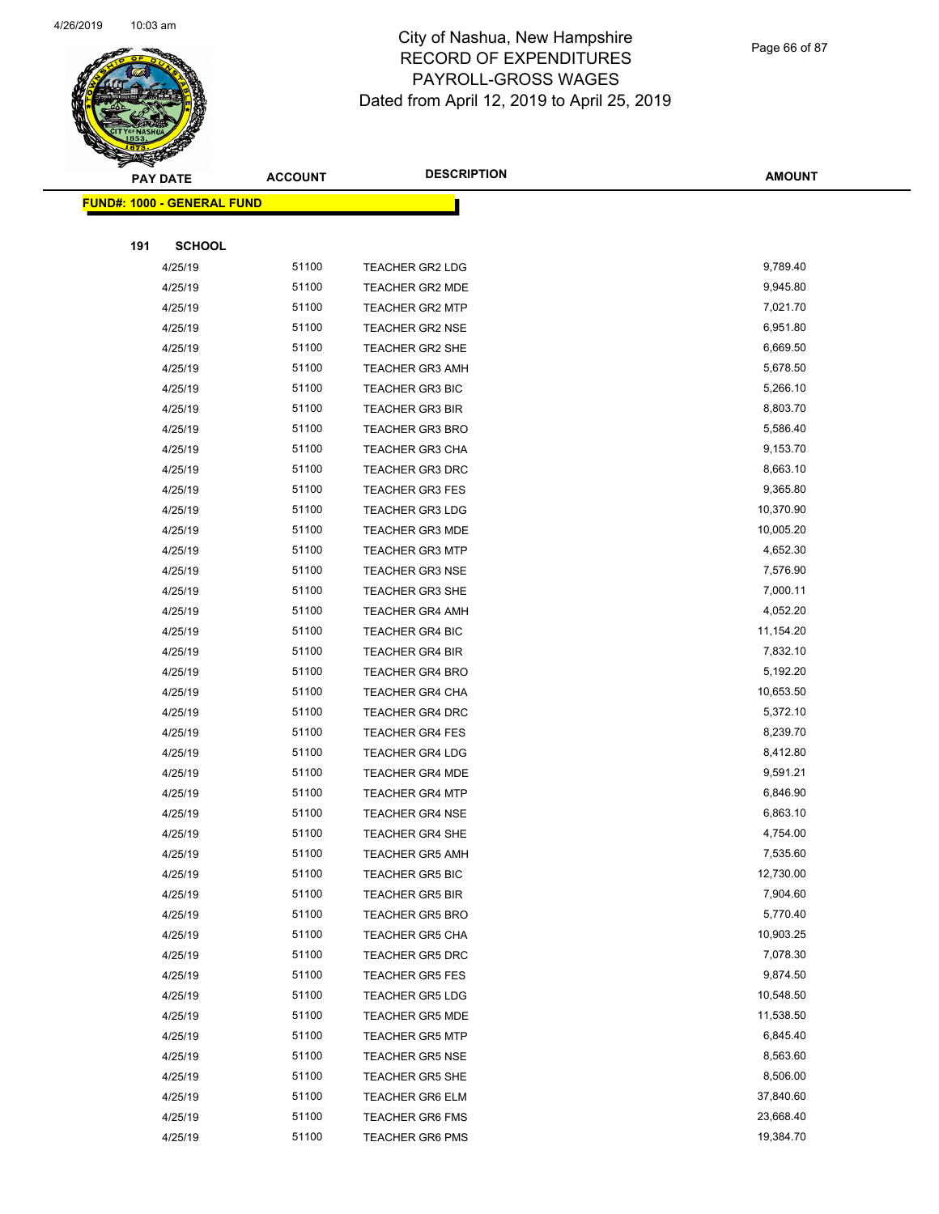

Page 66 of 87

| <b>STARBOOK</b> |                                   |                |                        |               |
|-----------------|-----------------------------------|----------------|------------------------|---------------|
|                 | <b>PAY DATE</b>                   | <b>ACCOUNT</b> | <b>DESCRIPTION</b>     | <b>AMOUNT</b> |
|                 | <b>FUND#: 1000 - GENERAL FUND</b> |                |                        |               |
|                 |                                   |                |                        |               |
| 191             | <b>SCHOOL</b>                     |                |                        |               |
|                 | 4/25/19                           | 51100          | <b>TEACHER GR2 LDG</b> | 9,789.40      |
|                 | 4/25/19                           | 51100          | <b>TEACHER GR2 MDE</b> | 9,945.80      |
|                 | 4/25/19                           | 51100          | <b>TEACHER GR2 MTP</b> | 7,021.70      |
|                 | 4/25/19                           | 51100          | <b>TEACHER GR2 NSE</b> | 6,951.80      |
|                 | 4/25/19                           | 51100          | TEACHER GR2 SHE        | 6,669.50      |
|                 | 4/25/19                           | 51100          | <b>TEACHER GR3 AMH</b> | 5,678.50      |
|                 | 4/25/19                           | 51100          | <b>TEACHER GR3 BIC</b> | 5,266.10      |
|                 | 4/25/19                           | 51100          | <b>TEACHER GR3 BIR</b> | 8,803.70      |
|                 | 4/25/19                           | 51100          | <b>TEACHER GR3 BRO</b> | 5,586.40      |
|                 | 4/25/19                           | 51100          | TEACHER GR3 CHA        | 9,153.70      |
|                 | 4/25/19                           | 51100          | <b>TEACHER GR3 DRC</b> | 8,663.10      |
|                 | 4/25/19                           | 51100          | <b>TEACHER GR3 FES</b> | 9,365.80      |
|                 | 4/25/19                           | 51100          | <b>TEACHER GR3 LDG</b> | 10,370.90     |
|                 | 4/25/19                           | 51100          | <b>TEACHER GR3 MDE</b> | 10,005.20     |
|                 | 4/25/19                           | 51100          | <b>TEACHER GR3 MTP</b> | 4,652.30      |
|                 | 4/25/19                           | 51100          | <b>TEACHER GR3 NSE</b> | 7,576.90      |
|                 | 4/25/19                           | 51100          | TEACHER GR3 SHE        | 7,000.11      |
|                 | 4/25/19                           | 51100          | <b>TEACHER GR4 AMH</b> | 4,052.20      |
|                 | 4/25/19                           | 51100          | <b>TEACHER GR4 BIC</b> | 11,154.20     |
|                 | 4/25/19                           | 51100          | <b>TEACHER GR4 BIR</b> | 7,832.10      |
|                 | 4/25/19                           | 51100          | <b>TEACHER GR4 BRO</b> | 5,192.20      |
|                 | 4/25/19                           | 51100          | <b>TEACHER GR4 CHA</b> | 10,653.50     |
|                 | 4/25/19                           | 51100          | <b>TEACHER GR4 DRC</b> | 5,372.10      |
|                 | 4/25/19                           | 51100          | <b>TEACHER GR4 FES</b> | 8,239.70      |
|                 | 4/25/19                           | 51100          | <b>TEACHER GR4 LDG</b> | 8,412.80      |
|                 | 4/25/19                           | 51100          | <b>TEACHER GR4 MDE</b> | 9,591.21      |
|                 | 4/25/19                           | 51100          | <b>TEACHER GR4 MTP</b> | 6,846.90      |
|                 | 4/25/19                           | 51100          | <b>TEACHER GR4 NSE</b> | 6,863.10      |
|                 | 4/25/19                           | 51100          | <b>TEACHER GR4 SHE</b> | 4,754.00      |
|                 | 4/25/19                           | 51100          | <b>TEACHER GR5 AMH</b> | 7,535.60      |
|                 | 4/25/19                           | 51100          | <b>TEACHER GR5 BIC</b> | 12,730.00     |
|                 | 4/25/19                           | 51100          | <b>TEACHER GR5 BIR</b> | 7,904.60      |
|                 | 4/25/19                           | 51100          | <b>TEACHER GR5 BRO</b> | 5,770.40      |
|                 | 4/25/19                           | 51100          | <b>TEACHER GR5 CHA</b> | 10,903.25     |
|                 | 4/25/19                           | 51100          | TEACHER GR5 DRC        | 7,078.30      |
|                 | 4/25/19                           | 51100          | <b>TEACHER GR5 FES</b> | 9,874.50      |
|                 | 4/25/19                           | 51100          | TEACHER GR5 LDG        | 10,548.50     |
|                 | 4/25/19                           | 51100          | <b>TEACHER GR5 MDE</b> | 11,538.50     |
|                 | 4/25/19                           | 51100          | <b>TEACHER GR5 MTP</b> | 6,845.40      |
|                 | 4/25/19                           | 51100          | TEACHER GR5 NSE        | 8,563.60      |
|                 | 4/25/19                           | 51100          | <b>TEACHER GR5 SHE</b> | 8,506.00      |
|                 | 4/25/19                           | 51100          | <b>TEACHER GR6 ELM</b> | 37,840.60     |
|                 | 4/25/19                           | 51100          | <b>TEACHER GR6 FMS</b> | 23,668.40     |
|                 | 4/25/19                           | 51100          | <b>TEACHER GR6 PMS</b> | 19,384.70     |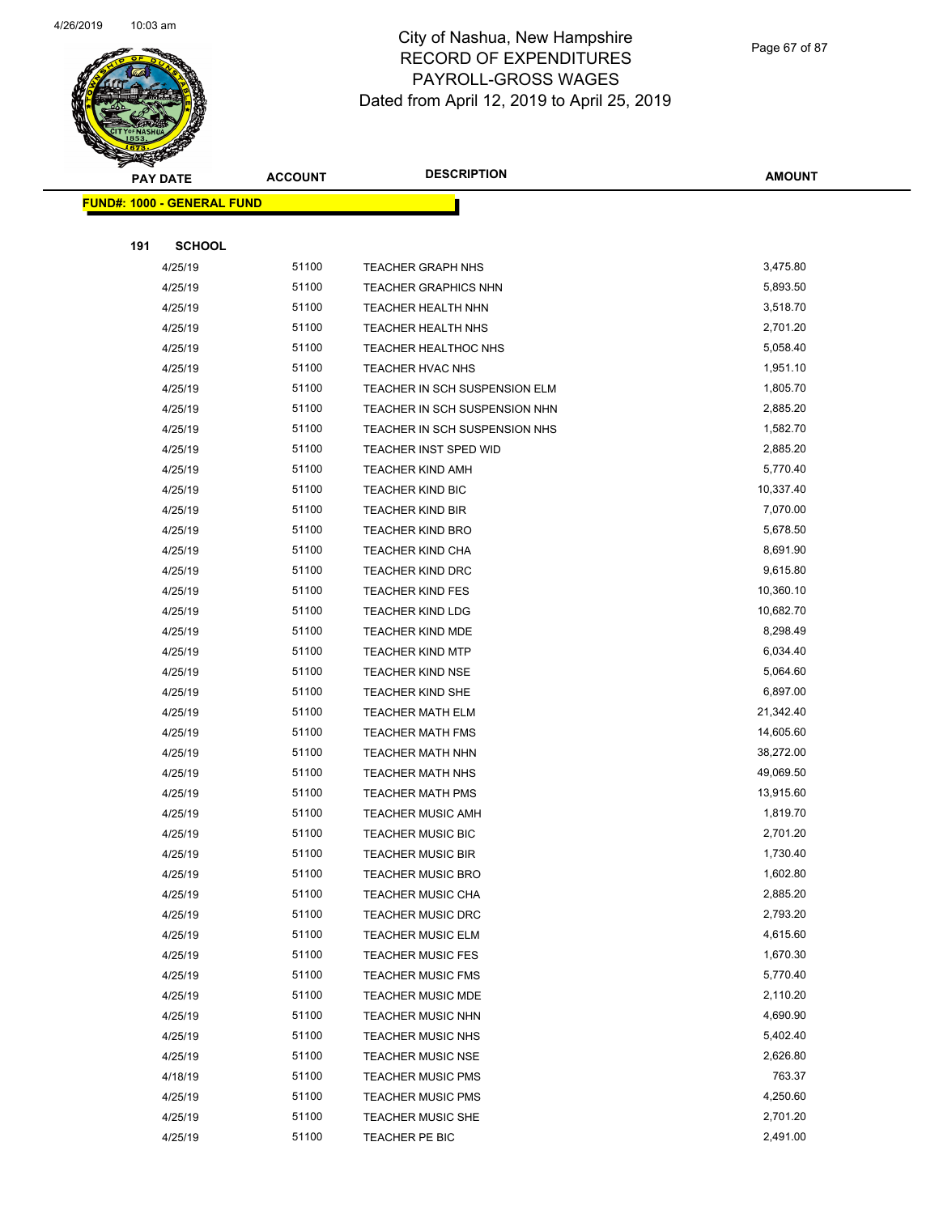

Page 67 of 87

|     | <b>PAY DATE</b>                   | <b>ACCOUNT</b> | <b>DESCRIPTION</b>            | <b>AMOUNT</b> |
|-----|-----------------------------------|----------------|-------------------------------|---------------|
|     | <b>FUND#: 1000 - GENERAL FUND</b> |                |                               |               |
|     |                                   |                |                               |               |
| 191 | <b>SCHOOL</b>                     |                |                               |               |
|     | 4/25/19                           | 51100          | <b>TEACHER GRAPH NHS</b>      | 3,475.80      |
|     | 4/25/19                           | 51100          | <b>TEACHER GRAPHICS NHN</b>   | 5,893.50      |
|     | 4/25/19                           | 51100          | <b>TEACHER HEALTH NHN</b>     | 3,518.70      |
|     | 4/25/19                           | 51100          | <b>TEACHER HEALTH NHS</b>     | 2,701.20      |
|     | 4/25/19                           | 51100          | <b>TEACHER HEALTHOC NHS</b>   | 5,058.40      |
|     | 4/25/19                           | 51100          | TEACHER HVAC NHS              | 1,951.10      |
|     | 4/25/19                           | 51100          | TEACHER IN SCH SUSPENSION ELM | 1,805.70      |
|     | 4/25/19                           | 51100          | TEACHER IN SCH SUSPENSION NHN | 2,885.20      |
|     | 4/25/19                           | 51100          | TEACHER IN SCH SUSPENSION NHS | 1,582.70      |
|     | 4/25/19                           | 51100          | TEACHER INST SPED WID         | 2,885.20      |
|     | 4/25/19                           | 51100          | <b>TEACHER KIND AMH</b>       | 5,770.40      |
|     | 4/25/19                           | 51100          | <b>TEACHER KIND BIC</b>       | 10,337.40     |
|     | 4/25/19                           | 51100          | <b>TEACHER KIND BIR</b>       | 7,070.00      |
|     | 4/25/19                           | 51100          | <b>TEACHER KIND BRO</b>       | 5,678.50      |
|     | 4/25/19                           | 51100          | <b>TEACHER KIND CHA</b>       | 8,691.90      |
|     | 4/25/19                           | 51100          | <b>TEACHER KIND DRC</b>       | 9,615.80      |
|     | 4/25/19                           | 51100          | <b>TEACHER KIND FES</b>       | 10,360.10     |
|     | 4/25/19                           | 51100          | <b>TEACHER KIND LDG</b>       | 10,682.70     |
|     | 4/25/19                           | 51100          | <b>TEACHER KIND MDE</b>       | 8,298.49      |
|     | 4/25/19                           | 51100          | <b>TEACHER KIND MTP</b>       | 6,034.40      |
|     | 4/25/19                           | 51100          | <b>TEACHER KIND NSE</b>       | 5,064.60      |
|     | 4/25/19                           | 51100          | <b>TEACHER KIND SHE</b>       | 6,897.00      |
|     | 4/25/19                           | 51100          | <b>TEACHER MATH ELM</b>       | 21,342.40     |
|     | 4/25/19                           | 51100          | <b>TEACHER MATH FMS</b>       | 14,605.60     |
|     | 4/25/19                           | 51100          | <b>TEACHER MATH NHN</b>       | 38,272.00     |
|     | 4/25/19                           | 51100          | <b>TEACHER MATH NHS</b>       | 49,069.50     |
|     | 4/25/19                           | 51100          | <b>TEACHER MATH PMS</b>       | 13,915.60     |
|     | 4/25/19                           | 51100          | <b>TEACHER MUSIC AMH</b>      | 1,819.70      |
|     | 4/25/19                           | 51100          | <b>TEACHER MUSIC BIC</b>      | 2,701.20      |
|     | 4/25/19                           | 51100          | <b>TEACHER MUSIC BIR</b>      | 1,730.40      |
|     | 4/25/19                           | 51100          | <b>TEACHER MUSIC BRO</b>      | 1,602.80      |
|     | 4/25/19                           | 51100          | <b>TEACHER MUSIC CHA</b>      | 2,885.20      |
|     | 4/25/19                           | 51100          | <b>TEACHER MUSIC DRC</b>      | 2,793.20      |
|     | 4/25/19                           | 51100          | <b>TEACHER MUSIC ELM</b>      | 4,615.60      |
|     | 4/25/19                           | 51100          | <b>TEACHER MUSIC FES</b>      | 1,670.30      |
|     | 4/25/19                           | 51100          | <b>TEACHER MUSIC FMS</b>      | 5,770.40      |
|     | 4/25/19                           | 51100          | <b>TEACHER MUSIC MDE</b>      | 2,110.20      |
|     | 4/25/19                           | 51100          | <b>TEACHER MUSIC NHN</b>      | 4,690.90      |
|     | 4/25/19                           | 51100          | <b>TEACHER MUSIC NHS</b>      | 5,402.40      |
|     | 4/25/19                           | 51100          | <b>TEACHER MUSIC NSE</b>      | 2,626.80      |
|     | 4/18/19                           | 51100          | <b>TEACHER MUSIC PMS</b>      | 763.37        |
|     | 4/25/19                           | 51100          | <b>TEACHER MUSIC PMS</b>      | 4,250.60      |
|     | 4/25/19                           | 51100          | <b>TEACHER MUSIC SHE</b>      | 2,701.20      |
|     | 4/25/19                           | 51100          | TEACHER PE BIC                | 2,491.00      |
|     |                                   |                |                               |               |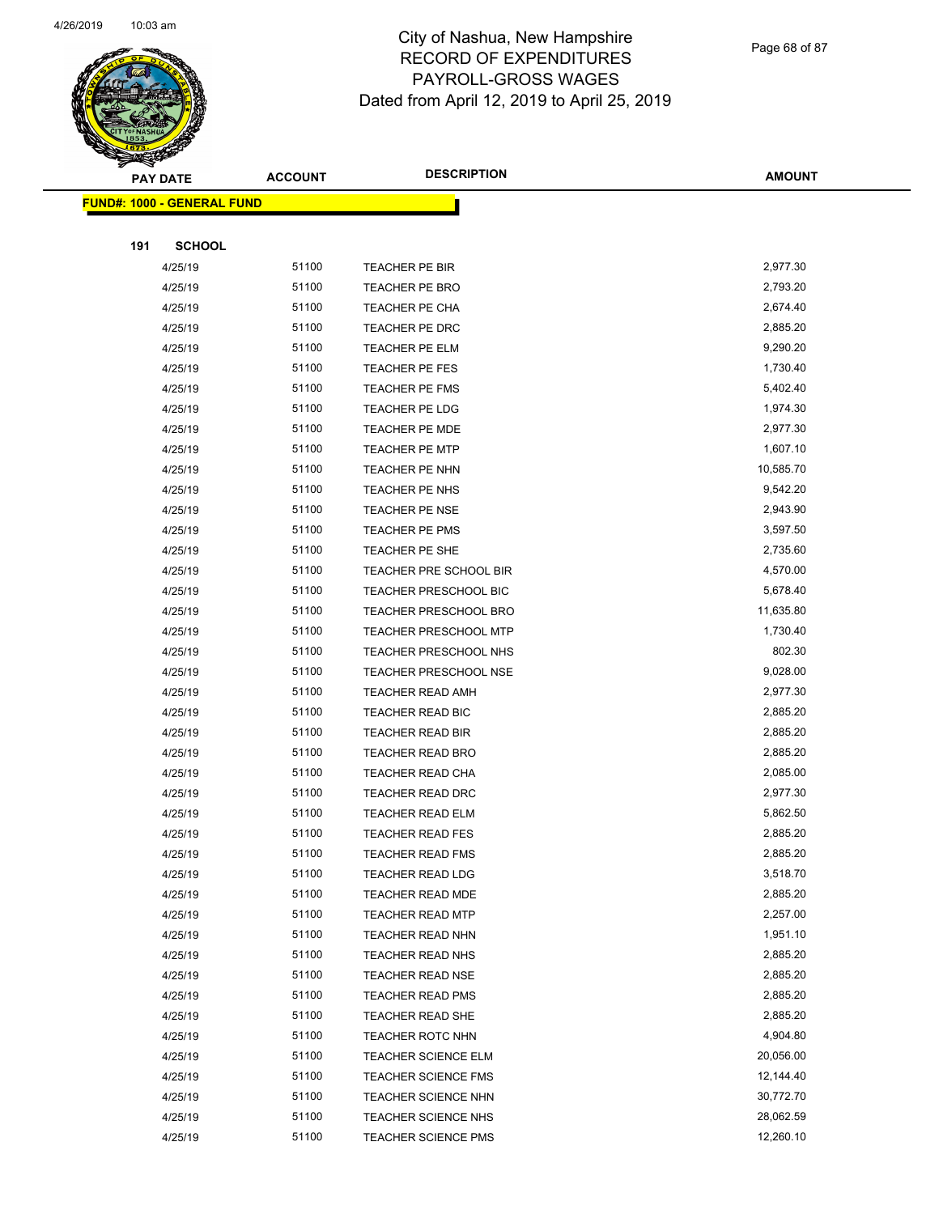

Page 68 of 87

| <b>PAY DATE</b>                   | <b>ACCOUNT</b> | <b>DESCRIPTION</b>           | <b>AMOUNT</b> |
|-----------------------------------|----------------|------------------------------|---------------|
| <b>FUND#: 1000 - GENERAL FUND</b> |                |                              |               |
|                                   |                |                              |               |
| <b>SCHOOL</b><br>191              |                |                              |               |
| 4/25/19                           | 51100          | TEACHER PE BIR               | 2,977.30      |
| 4/25/19                           | 51100          | TEACHER PE BRO               | 2,793.20      |
| 4/25/19                           | 51100          | TEACHER PE CHA               | 2,674.40      |
| 4/25/19                           | 51100          | TEACHER PE DRC               | 2,885.20      |
| 4/25/19                           | 51100          | TEACHER PE ELM               | 9,290.20      |
| 4/25/19                           | 51100          | <b>TEACHER PE FES</b>        | 1,730.40      |
| 4/25/19                           | 51100          | TEACHER PE FMS               | 5,402.40      |
| 4/25/19                           | 51100          | TEACHER PE LDG               | 1,974.30      |
| 4/25/19                           | 51100          | <b>TEACHER PE MDE</b>        | 2,977.30      |
| 4/25/19                           | 51100          | <b>TEACHER PE MTP</b>        | 1,607.10      |
| 4/25/19                           | 51100          | TEACHER PE NHN               | 10,585.70     |
| 4/25/19                           | 51100          | TEACHER PE NHS               | 9,542.20      |
| 4/25/19                           | 51100          | TEACHER PE NSE               | 2,943.90      |
| 4/25/19                           | 51100          | TEACHER PE PMS               | 3,597.50      |
| 4/25/19                           | 51100          | TEACHER PE SHE               | 2,735.60      |
| 4/25/19                           | 51100          | TEACHER PRE SCHOOL BIR       | 4,570.00      |
| 4/25/19                           | 51100          | TEACHER PRESCHOOL BIC        | 5,678.40      |
| 4/25/19                           | 51100          | <b>TEACHER PRESCHOOL BRO</b> | 11,635.80     |
| 4/25/19                           | 51100          | <b>TEACHER PRESCHOOL MTP</b> | 1,730.40      |
| 4/25/19                           | 51100          | TEACHER PRESCHOOL NHS        | 802.30        |
| 4/25/19                           | 51100          | <b>TEACHER PRESCHOOL NSE</b> | 9,028.00      |
| 4/25/19                           | 51100          | <b>TEACHER READ AMH</b>      | 2,977.30      |
| 4/25/19                           | 51100          | TEACHER READ BIC             | 2,885.20      |
| 4/25/19                           | 51100          | <b>TEACHER READ BIR</b>      | 2,885.20      |
| 4/25/19                           | 51100          | <b>TEACHER READ BRO</b>      | 2,885.20      |
| 4/25/19                           | 51100          | TEACHER READ CHA             | 2,085.00      |
| 4/25/19                           | 51100          | <b>TEACHER READ DRC</b>      | 2,977.30      |
| 4/25/19                           | 51100          | <b>TEACHER READ ELM</b>      | 5,862.50      |
| 4/25/19                           | 51100          | <b>TEACHER READ FES</b>      | 2,885.20      |
| 4/25/19                           | 51100          | TEACHER READ FMS             | 2,885.20      |
| 4/25/19                           | 51100          | <b>TEACHER READ LDG</b>      | 3,518.70      |
| 4/25/19                           | 51100          | <b>TEACHER READ MDE</b>      | 2,885.20      |
| 4/25/19                           | 51100          | <b>TEACHER READ MTP</b>      | 2,257.00      |
| 4/25/19                           | 51100          | <b>TEACHER READ NHN</b>      | 1,951.10      |
| 4/25/19                           | 51100          | <b>TEACHER READ NHS</b>      | 2,885.20      |
| 4/25/19                           | 51100          | <b>TEACHER READ NSE</b>      | 2,885.20      |
| 4/25/19                           | 51100          | <b>TEACHER READ PMS</b>      | 2,885.20      |
| 4/25/19                           | 51100          | <b>TEACHER READ SHE</b>      | 2,885.20      |
| 4/25/19                           | 51100          | TEACHER ROTC NHN             | 4,904.80      |
| 4/25/19                           | 51100          | <b>TEACHER SCIENCE ELM</b>   | 20,056.00     |
| 4/25/19                           | 51100          | <b>TEACHER SCIENCE FMS</b>   | 12,144.40     |
| 4/25/19                           | 51100          | <b>TEACHER SCIENCE NHN</b>   | 30,772.70     |
| 4/25/19                           | 51100          | <b>TEACHER SCIENCE NHS</b>   | 28,062.59     |
| 4/25/19                           | 51100          | TEACHER SCIENCE PMS          | 12,260.10     |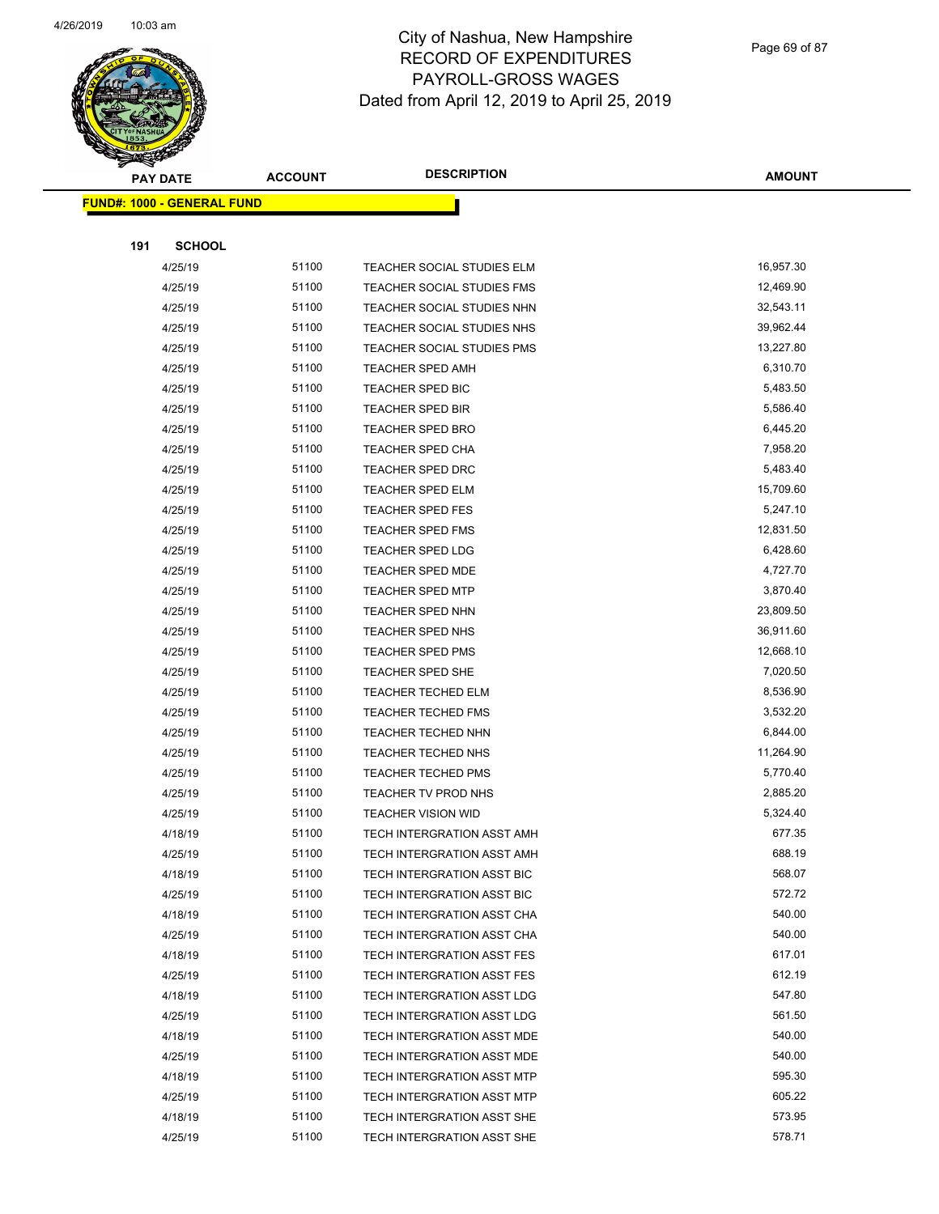

Page 69 of 87

| <b>Andrew</b> | <b>PAY DATE</b>                   | <b>ACCOUNT</b> | <b>DESCRIPTION</b>                | <b>AMOUNT</b> |
|---------------|-----------------------------------|----------------|-----------------------------------|---------------|
|               | <b>FUND#: 1000 - GENERAL FUND</b> |                |                                   |               |
|               |                                   |                |                                   |               |
| 191           | <b>SCHOOL</b>                     |                |                                   |               |
|               | 4/25/19                           | 51100          | TEACHER SOCIAL STUDIES ELM        | 16,957.30     |
|               | 4/25/19                           | 51100          | TEACHER SOCIAL STUDIES FMS        | 12,469.90     |
|               | 4/25/19                           | 51100          | TEACHER SOCIAL STUDIES NHN        | 32,543.11     |
|               | 4/25/19                           | 51100          | TEACHER SOCIAL STUDIES NHS        | 39,962.44     |
|               | 4/25/19                           | 51100          | TEACHER SOCIAL STUDIES PMS        | 13,227.80     |
|               | 4/25/19                           | 51100          | TEACHER SPED AMH                  | 6,310.70      |
|               | 4/25/19                           | 51100          | <b>TEACHER SPED BIC</b>           | 5,483.50      |
|               | 4/25/19                           | 51100          | <b>TEACHER SPED BIR</b>           | 5,586.40      |
|               | 4/25/19                           | 51100          | <b>TEACHER SPED BRO</b>           | 6,445.20      |
|               | 4/25/19                           | 51100          | TEACHER SPED CHA                  | 7,958.20      |
|               | 4/25/19                           | 51100          | <b>TEACHER SPED DRC</b>           | 5,483.40      |
|               | 4/25/19                           | 51100          | <b>TEACHER SPED ELM</b>           | 15,709.60     |
|               | 4/25/19                           | 51100          | <b>TEACHER SPED FES</b>           | 5,247.10      |
|               | 4/25/19                           | 51100          | <b>TEACHER SPED FMS</b>           | 12,831.50     |
|               | 4/25/19                           | 51100          | <b>TEACHER SPED LDG</b>           | 6,428.60      |
|               | 4/25/19                           | 51100          | TEACHER SPED MDE                  | 4,727.70      |
|               | 4/25/19                           | 51100          | <b>TEACHER SPED MTP</b>           | 3,870.40      |
|               | 4/25/19                           | 51100          | <b>TEACHER SPED NHN</b>           | 23,809.50     |
|               | 4/25/19                           | 51100          | <b>TEACHER SPED NHS</b>           | 36,911.60     |
|               | 4/25/19                           | 51100          | <b>TEACHER SPED PMS</b>           | 12,668.10     |
|               | 4/25/19                           | 51100          | TEACHER SPED SHE                  | 7,020.50      |
|               | 4/25/19                           | 51100          | <b>TEACHER TECHED ELM</b>         | 8,536.90      |
|               | 4/25/19                           | 51100          | <b>TEACHER TECHED FMS</b>         | 3,532.20      |
|               | 4/25/19                           | 51100          | TEACHER TECHED NHN                | 6,844.00      |
|               | 4/25/19                           | 51100          | TEACHER TECHED NHS                | 11,264.90     |
|               | 4/25/19                           | 51100          | TEACHER TECHED PMS                | 5,770.40      |
|               | 4/25/19                           | 51100          | TEACHER TV PROD NHS               | 2,885.20      |
|               | 4/25/19                           | 51100          | <b>TEACHER VISION WID</b>         | 5,324.40      |
|               | 4/18/19                           | 51100          | TECH INTERGRATION ASST AMH        | 677.35        |
|               | 4/25/19                           | 51100          | TECH INTERGRATION ASST AMH        | 688.19        |
|               | 4/18/19                           | 51100          | <b>TECH INTERGRATION ASST BIC</b> | 568.07        |
|               | 4/25/19                           | 51100          | TECH INTERGRATION ASST BIC        | 572.72        |
|               | 4/18/19                           | 51100          | TECH INTERGRATION ASST CHA        | 540.00        |
|               | 4/25/19                           | 51100          | TECH INTERGRATION ASST CHA        | 540.00        |
|               | 4/18/19                           | 51100          | TECH INTERGRATION ASST FES        | 617.01        |
|               | 4/25/19                           | 51100          | TECH INTERGRATION ASST FES        | 612.19        |
|               | 4/18/19                           | 51100          | TECH INTERGRATION ASST LDG        | 547.80        |
|               | 4/25/19                           | 51100          | TECH INTERGRATION ASST LDG        | 561.50        |
|               | 4/18/19                           | 51100          | TECH INTERGRATION ASST MDE        | 540.00        |
|               | 4/25/19                           | 51100          | TECH INTERGRATION ASST MDE        | 540.00        |
|               | 4/18/19                           | 51100          | TECH INTERGRATION ASST MTP        | 595.30        |
|               | 4/25/19                           | 51100          | <b>TECH INTERGRATION ASST MTP</b> | 605.22        |
|               | 4/18/19                           | 51100          | TECH INTERGRATION ASST SHE        | 573.95        |
|               | 4/25/19                           | 51100          | TECH INTERGRATION ASST SHE        | 578.71        |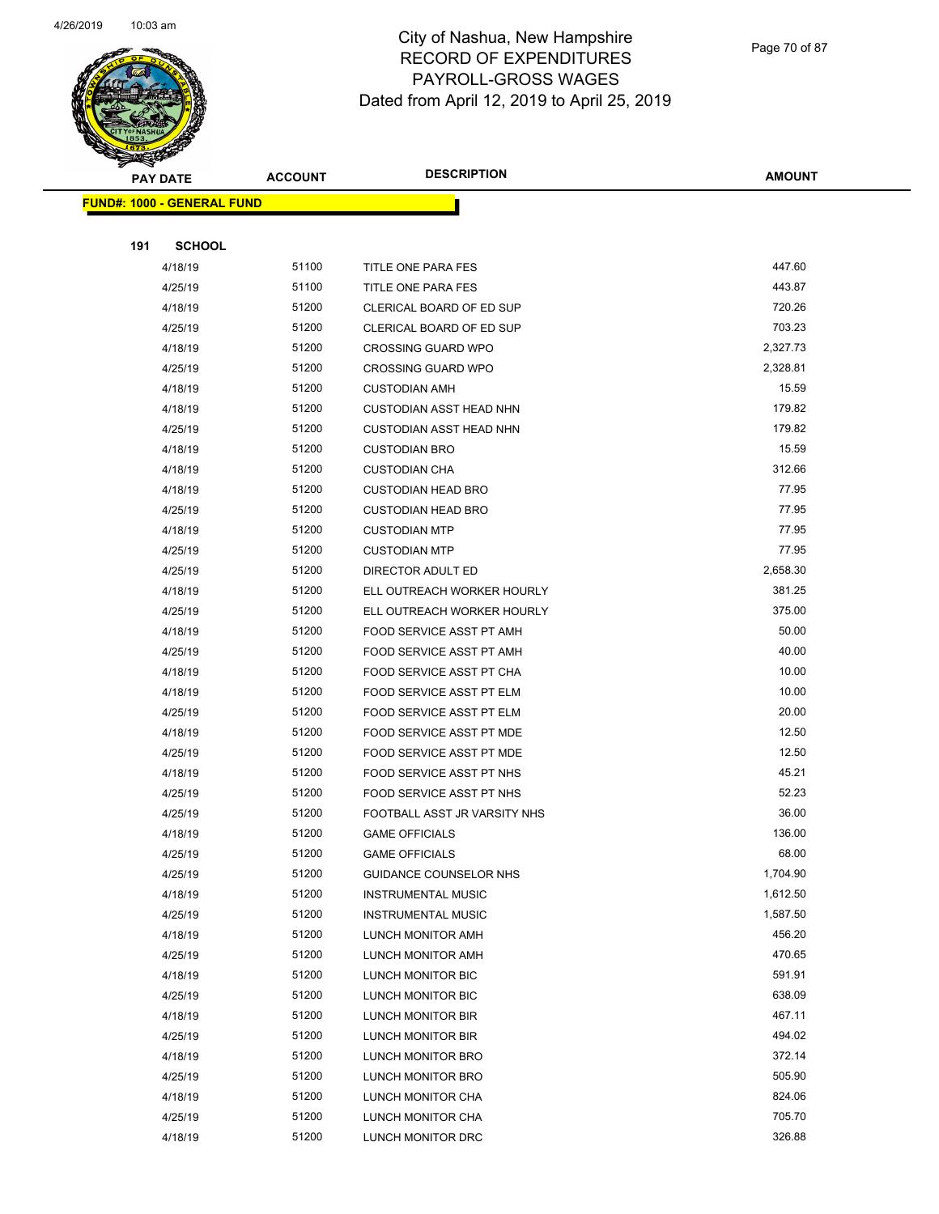

Page 70 of 87

| <b>PAY DATE</b>                   | <b>ACCOUNT</b> | <b>DESCRIPTION</b>                                  | <b>AMOUNT</b>   |
|-----------------------------------|----------------|-----------------------------------------------------|-----------------|
| <b>FUND#: 1000 - GENERAL FUND</b> |                |                                                     |                 |
|                                   |                |                                                     |                 |
| 191<br><b>SCHOOL</b>              |                |                                                     |                 |
| 4/18/19                           | 51100          | TITLE ONE PARA FES                                  | 447.60          |
| 4/25/19                           | 51100          | TITLE ONE PARA FES                                  | 443.87          |
| 4/18/19                           | 51200          | CLERICAL BOARD OF ED SUP                            | 720.26          |
| 4/25/19                           | 51200          | CLERICAL BOARD OF ED SUP                            | 703.23          |
| 4/18/19                           | 51200          | <b>CROSSING GUARD WPO</b>                           | 2,327.73        |
| 4/25/19                           | 51200          | <b>CROSSING GUARD WPO</b>                           | 2,328.81        |
| 4/18/19                           | 51200          | <b>CUSTODIAN AMH</b>                                | 15.59           |
| 4/18/19                           | 51200          | <b>CUSTODIAN ASST HEAD NHN</b>                      | 179.82          |
| 4/25/19                           | 51200          | <b>CUSTODIAN ASST HEAD NHN</b>                      | 179.82          |
| 4/18/19                           | 51200          | <b>CUSTODIAN BRO</b>                                | 15.59           |
| 4/18/19                           | 51200          | <b>CUSTODIAN CHA</b>                                | 312.66          |
| 4/18/19                           | 51200          | <b>CUSTODIAN HEAD BRO</b>                           | 77.95           |
| 4/25/19                           | 51200          | <b>CUSTODIAN HEAD BRO</b>                           | 77.95           |
| 4/18/19                           | 51200          | <b>CUSTODIAN MTP</b>                                | 77.95           |
| 4/25/19                           | 51200          | <b>CUSTODIAN MTP</b>                                | 77.95           |
| 4/25/19                           | 51200          | DIRECTOR ADULT ED                                   | 2,658.30        |
| 4/18/19                           | 51200          | ELL OUTREACH WORKER HOURLY                          | 381.25          |
| 4/25/19                           | 51200          | ELL OUTREACH WORKER HOURLY                          | 375.00          |
| 4/18/19                           | 51200          | FOOD SERVICE ASST PT AMH                            | 50.00           |
| 4/25/19                           | 51200          | FOOD SERVICE ASST PT AMH                            | 40.00           |
| 4/18/19                           | 51200          | FOOD SERVICE ASST PT CHA                            | 10.00           |
| 4/18/19                           | 51200          | FOOD SERVICE ASST PT ELM                            | 10.00           |
| 4/25/19                           | 51200          | FOOD SERVICE ASST PT ELM                            | 20.00           |
| 4/18/19                           | 51200          | FOOD SERVICE ASST PT MDE                            | 12.50           |
| 4/25/19                           | 51200          | FOOD SERVICE ASST PT MDE                            | 12.50           |
| 4/18/19                           | 51200          | FOOD SERVICE ASST PT NHS                            | 45.21           |
| 4/25/19                           | 51200          | FOOD SERVICE ASST PT NHS                            | 52.23           |
| 4/25/19                           | 51200          | FOOTBALL ASST JR VARSITY NHS                        | 36.00<br>136.00 |
| 4/18/19                           | 51200<br>51200 | <b>GAME OFFICIALS</b>                               | 68.00           |
| 4/25/19<br>4/25/19                | 51200          | <b>GAME OFFICIALS</b>                               | 1,704.90        |
| 4/18/19                           | 51200          | GUIDANCE COUNSELOR NHS<br><b>INSTRUMENTAL MUSIC</b> | 1,612.50        |
| 4/25/19                           | 51200          | <b>INSTRUMENTAL MUSIC</b>                           | 1,587.50        |
| 4/18/19                           | 51200          | LUNCH MONITOR AMH                                   | 456.20          |
| 4/25/19                           | 51200          | LUNCH MONITOR AMH                                   | 470.65          |
| 4/18/19                           | 51200          | LUNCH MONITOR BIC                                   | 591.91          |
| 4/25/19                           | 51200          | LUNCH MONITOR BIC                                   | 638.09          |
| 4/18/19                           | 51200          | LUNCH MONITOR BIR                                   | 467.11          |
| 4/25/19                           | 51200          | LUNCH MONITOR BIR                                   | 494.02          |
| 4/18/19                           | 51200          | LUNCH MONITOR BRO                                   | 372.14          |
| 4/25/19                           | 51200          | LUNCH MONITOR BRO                                   | 505.90          |
| 4/18/19                           | 51200          | LUNCH MONITOR CHA                                   | 824.06          |
| 4/25/19                           | 51200          | LUNCH MONITOR CHA                                   | 705.70          |
| 4/18/19                           | 51200          | LUNCH MONITOR DRC                                   | 326.88          |
|                                   |                |                                                     |                 |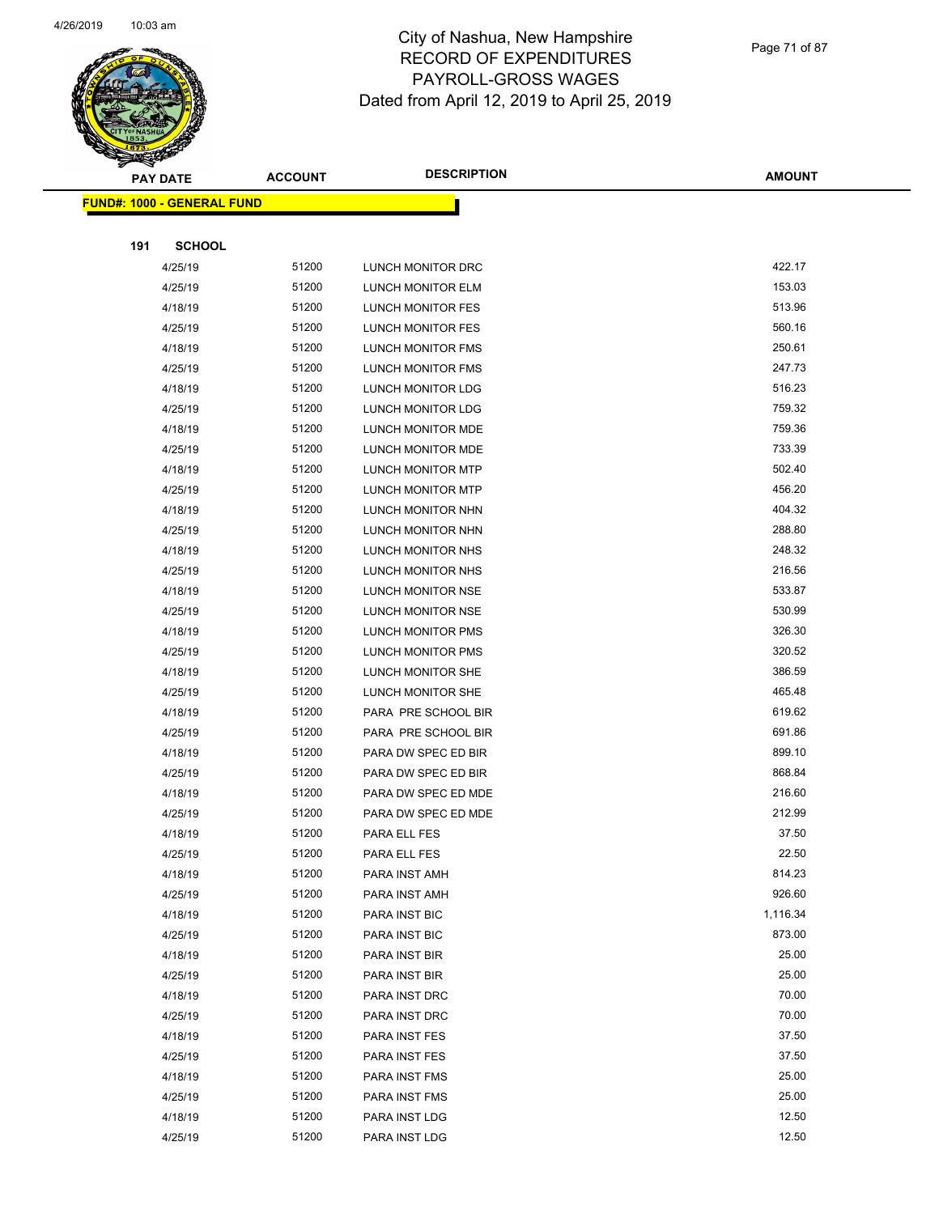

Page 71 of 87

|     | <b>STARBAND</b>                    |                |                          |               |
|-----|------------------------------------|----------------|--------------------------|---------------|
|     | <b>PAY DATE</b>                    | <b>ACCOUNT</b> | <b>DESCRIPTION</b>       | <b>AMOUNT</b> |
|     | <u> FUND#: 1000 - GENERAL FUND</u> |                |                          |               |
|     |                                    |                |                          |               |
| 191 | <b>SCHOOL</b>                      |                |                          |               |
|     | 4/25/19                            | 51200          | LUNCH MONITOR DRC        | 422.17        |
|     | 4/25/19                            | 51200          | LUNCH MONITOR ELM        | 153.03        |
|     | 4/18/19                            | 51200          | LUNCH MONITOR FES        | 513.96        |
|     | 4/25/19                            | 51200          | LUNCH MONITOR FES        | 560.16        |
|     | 4/18/19                            | 51200          | <b>LUNCH MONITOR FMS</b> | 250.61        |
|     | 4/25/19                            | 51200          | <b>LUNCH MONITOR FMS</b> | 247.73        |
|     | 4/18/19                            | 51200          | LUNCH MONITOR LDG        | 516.23        |
|     | 4/25/19                            | 51200          | LUNCH MONITOR LDG        | 759.32        |
|     | 4/18/19                            | 51200          | LUNCH MONITOR MDE        | 759.36        |
|     | 4/25/19                            | 51200          | LUNCH MONITOR MDE        | 733.39        |
|     | 4/18/19                            | 51200          | LUNCH MONITOR MTP        | 502.40        |
|     | 4/25/19                            | 51200          | <b>LUNCH MONITOR MTP</b> | 456.20        |
|     | 4/18/19                            | 51200          | <b>LUNCH MONITOR NHN</b> | 404.32        |
|     | 4/25/19                            | 51200          | LUNCH MONITOR NHN        | 288.80        |
|     | 4/18/19                            | 51200          | LUNCH MONITOR NHS        | 248.32        |
|     | 4/25/19                            | 51200          | <b>LUNCH MONITOR NHS</b> | 216.56        |
|     | 4/18/19                            | 51200          | LUNCH MONITOR NSE        | 533.87        |
|     | 4/25/19                            | 51200          | LUNCH MONITOR NSE        | 530.99        |
|     | 4/18/19                            | 51200          | LUNCH MONITOR PMS        | 326.30        |
|     | 4/25/19                            | 51200          | LUNCH MONITOR PMS        | 320.52        |
|     | 4/18/19                            | 51200          | LUNCH MONITOR SHE        | 386.59        |
|     | 4/25/19                            | 51200          | LUNCH MONITOR SHE        | 465.48        |
|     | 4/18/19                            | 51200          | PARA PRE SCHOOL BIR      | 619.62        |
|     | 4/25/19                            | 51200          | PARA PRE SCHOOL BIR      | 691.86        |
|     | 4/18/19                            | 51200          | PARA DW SPEC ED BIR      | 899.10        |
|     | 4/25/19                            | 51200          | PARA DW SPEC ED BIR      | 868.84        |
|     | 4/18/19                            | 51200          | PARA DW SPEC ED MDE      | 216.60        |
|     | 4/25/19                            | 51200          | PARA DW SPEC ED MDE      | 212.99        |
|     | 4/18/19                            | 51200          | PARA ELL FES             | 37.50         |
|     | 4/25/19                            | 51200          | PARA ELL FES             | 22.50         |
|     | 4/18/19                            | 51200          | PARA INST AMH            | 814.23        |
|     | 4/25/19                            | 51200          | PARA INST AMH            | 926.60        |
|     | 4/18/19                            | 51200          | PARA INST BIC            | 1,116.34      |
|     | 4/25/19                            | 51200          | PARA INST BIC            | 873.00        |
|     | 4/18/19                            | 51200          | PARA INST BIR            | 25.00         |
|     | 4/25/19                            | 51200          | PARA INST BIR            | 25.00         |
|     | 4/18/19                            | 51200          | PARA INST DRC            | 70.00         |
|     | 4/25/19                            | 51200          | PARA INST DRC            | 70.00         |
|     | 4/18/19                            | 51200          | PARA INST FES            | 37.50         |
|     | 4/25/19                            | 51200          | PARA INST FES            | 37.50         |
|     | 4/18/19                            | 51200          | PARA INST FMS            | 25.00         |
|     | 4/25/19                            | 51200          | PARA INST FMS            | 25.00         |
|     | 4/18/19                            | 51200          | PARA INST LDG            | 12.50         |
|     | 4/25/19                            | 51200          | PARA INST LDG            | 12.50         |
|     |                                    |                |                          |               |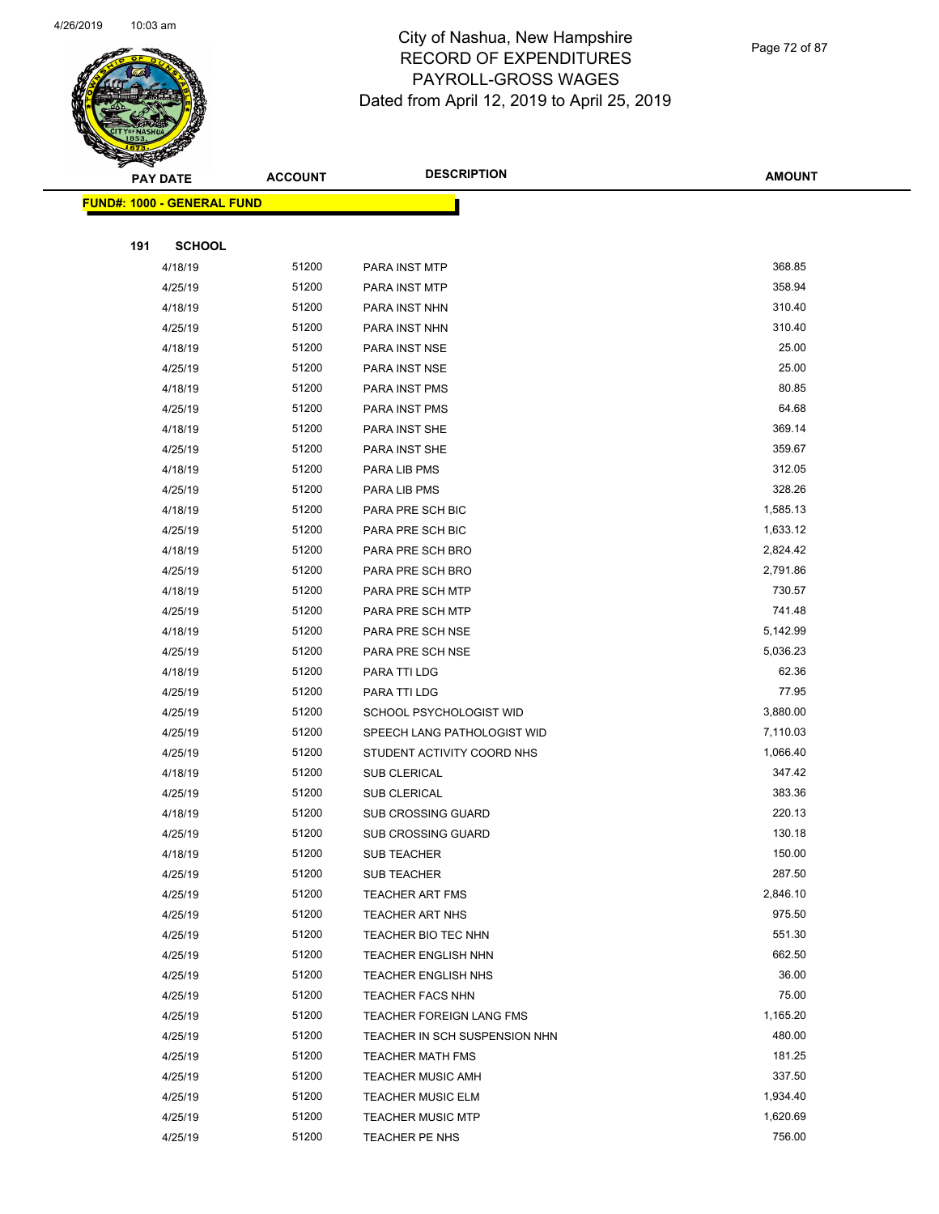

Page 72 of 87

|     | <b>PAY DATE</b>                   | <b>ACCOUNT</b> | <b>DESCRIPTION</b>                        | <b>AMOUNT</b>      |
|-----|-----------------------------------|----------------|-------------------------------------------|--------------------|
|     | <b>FUND#: 1000 - GENERAL FUND</b> |                |                                           |                    |
|     |                                   |                |                                           |                    |
| 191 | <b>SCHOOL</b>                     |                |                                           |                    |
|     | 4/18/19                           | 51200          | PARA INST MTP                             | 368.85             |
|     | 4/25/19                           | 51200          | PARA INST MTP                             | 358.94             |
|     | 4/18/19                           | 51200          | PARA INST NHN                             | 310.40             |
|     | 4/25/19                           | 51200          | PARA INST NHN                             | 310.40             |
|     | 4/18/19                           | 51200          | PARA INST NSE                             | 25.00              |
|     | 4/25/19                           | 51200          | PARA INST NSE                             | 25.00              |
|     | 4/18/19                           | 51200          | PARA INST PMS                             | 80.85              |
|     | 4/25/19                           | 51200          | PARA INST PMS                             | 64.68              |
|     | 4/18/19                           | 51200          | PARA INST SHE                             | 369.14             |
|     | 4/25/19                           | 51200          | PARA INST SHE                             | 359.67             |
|     | 4/18/19                           | 51200          | PARA LIB PMS                              | 312.05             |
|     | 4/25/19                           | 51200          | PARA LIB PMS                              | 328.26             |
|     | 4/18/19                           | 51200          | PARA PRE SCH BIC                          | 1,585.13           |
|     | 4/25/19                           | 51200          | PARA PRE SCH BIC                          | 1,633.12           |
|     | 4/18/19                           | 51200          | PARA PRE SCH BRO                          | 2,824.42           |
|     | 4/25/19                           | 51200          | PARA PRE SCH BRO                          | 2,791.86           |
|     | 4/18/19                           | 51200          | PARA PRE SCH MTP                          | 730.57             |
|     | 4/25/19                           | 51200          | PARA PRE SCH MTP                          | 741.48             |
|     | 4/18/19                           | 51200          | PARA PRE SCH NSE                          | 5,142.99           |
|     | 4/25/19                           | 51200          | PARA PRE SCH NSE                          | 5,036.23           |
|     | 4/18/19                           | 51200          | PARA TTI LDG                              | 62.36              |
|     | 4/25/19                           | 51200          | PARA TTI LDG                              | 77.95              |
|     | 4/25/19                           | 51200          | SCHOOL PSYCHOLOGIST WID                   | 3,880.00           |
|     | 4/25/19                           | 51200          | SPEECH LANG PATHOLOGIST WID               | 7,110.03           |
|     | 4/25/19                           | 51200          | STUDENT ACTIVITY COORD NHS                | 1,066.40           |
|     | 4/18/19                           | 51200          | SUB CLERICAL                              | 347.42             |
|     | 4/25/19                           | 51200          | <b>SUB CLERICAL</b>                       | 383.36             |
|     | 4/18/19                           | 51200          | <b>SUB CROSSING GUARD</b>                 | 220.13             |
|     | 4/25/19                           | 51200          | SUB CROSSING GUARD                        | 130.18             |
|     | 4/18/19                           | 51200          | SUB TEACHER                               | 150.00             |
|     | 4/25/19                           | 51200<br>51200 | SUB TEACHER                               | 287.50<br>2,846.10 |
|     | 4/25/19<br>4/25/19                | 51200          | <b>TEACHER ART FMS</b><br>TEACHER ART NHS | 975.50             |
|     | 4/25/19                           | 51200          | TEACHER BIO TEC NHN                       | 551.30             |
|     | 4/25/19                           | 51200          | TEACHER ENGLISH NHN                       | 662.50             |
|     | 4/25/19                           | 51200          | <b>TEACHER ENGLISH NHS</b>                | 36.00              |
|     | 4/25/19                           | 51200          | <b>TEACHER FACS NHN</b>                   | 75.00              |
|     | 4/25/19                           | 51200          | TEACHER FOREIGN LANG FMS                  | 1,165.20           |
|     | 4/25/19                           | 51200          | TEACHER IN SCH SUSPENSION NHN             | 480.00             |
|     | 4/25/19                           | 51200          | <b>TEACHER MATH FMS</b>                   | 181.25             |
|     | 4/25/19                           | 51200          | <b>TEACHER MUSIC AMH</b>                  | 337.50             |
|     | 4/25/19                           | 51200          | <b>TEACHER MUSIC ELM</b>                  | 1,934.40           |
|     | 4/25/19                           | 51200          | <b>TEACHER MUSIC MTP</b>                  | 1,620.69           |
|     | 4/25/19                           | 51200          | TEACHER PE NHS                            | 756.00             |
|     |                                   |                |                                           |                    |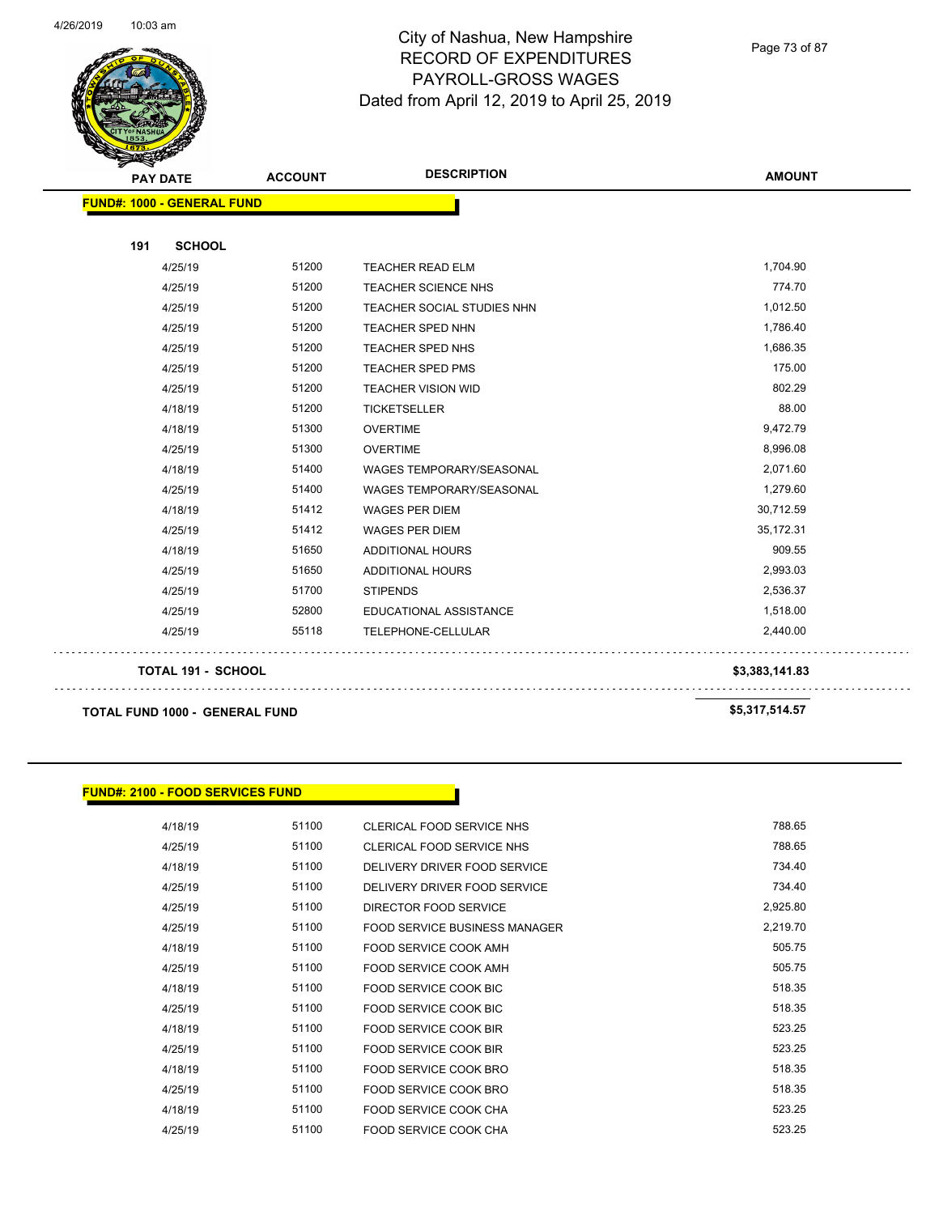

Page 73 of 87

| <b>PAY DATE</b>                   | <b>ACCOUNT</b> | <b>DESCRIPTION</b>              | <b>AMOUNT</b> |
|-----------------------------------|----------------|---------------------------------|---------------|
| <b>FUND#: 1000 - GENERAL FUND</b> |                |                                 |               |
| 191<br><b>SCHOOL</b>              |                |                                 |               |
| 4/25/19                           | 51200          | <b>TEACHER READ ELM</b>         | 1,704.90      |
| 4/25/19                           | 51200          | <b>TEACHER SCIENCE NHS</b>      | 774.70        |
| 4/25/19                           | 51200          | TEACHER SOCIAL STUDIES NHN      | 1,012.50      |
| 4/25/19                           | 51200          | TEACHER SPED NHN                | 1,786.40      |
| 4/25/19                           | 51200          | <b>TEACHER SPED NHS</b>         | 1,686.35      |
| 4/25/19                           | 51200          | <b>TEACHER SPED PMS</b>         | 175.00        |
| 4/25/19                           | 51200          | <b>TEACHER VISION WID</b>       | 802.29        |
| 4/18/19                           | 51200          | <b>TICKETSELLER</b>             | 88.00         |
| 4/18/19                           | 51300          | <b>OVERTIME</b>                 | 9,472.79      |
| 4/25/19                           | 51300          | <b>OVERTIME</b>                 | 8,996.08      |
| 4/18/19                           | 51400          | <b>WAGES TEMPORARY/SEASONAL</b> | 2,071.60      |
| 4/25/19                           | 51400          | WAGES TEMPORARY/SEASONAL        | 1,279.60      |
| 4/18/19                           | 51412          | <b>WAGES PER DIEM</b>           | 30,712.59     |
| 4/25/19                           | 51412          | <b>WAGES PER DIEM</b>           | 35,172.31     |
| 4/18/19                           | 51650          | <b>ADDITIONAL HOURS</b>         | 909.55        |
| 4/25/19                           | 51650          | ADDITIONAL HOURS                | 2,993.03      |
| 4/25/19                           | 51700          | <b>STIPENDS</b>                 | 2,536.37      |
| 4/25/19                           | 52800          | EDUCATIONAL ASSISTANCE          | 1,518.00      |
| 4/25/19                           | 55118          | TELEPHONE-CELLULAR              | 2,440.00      |

**TOTAL 191 - SCHOOL \$3,383,141.83**

**TOTAL FUND 1000 - GENERAL FUND \$5,317,514.57** 

#### **FUND#: 2100 - FOOD SERVICES FUND**

| 4/18/19 | 51100 | CLERICAL FOOD SERVICE NHS     | 788.65   |
|---------|-------|-------------------------------|----------|
| 4/25/19 | 51100 | CLERICAL FOOD SERVICE NHS     | 788.65   |
| 4/18/19 | 51100 | DELIVERY DRIVER FOOD SERVICE  | 734.40   |
| 4/25/19 | 51100 | DELIVERY DRIVER FOOD SERVICE  | 734.40   |
| 4/25/19 | 51100 | DIRECTOR FOOD SERVICE         | 2,925.80 |
| 4/25/19 | 51100 | FOOD SERVICE BUSINESS MANAGER | 2,219.70 |
| 4/18/19 | 51100 | FOOD SERVICE COOK AMH         | 505.75   |
| 4/25/19 | 51100 | FOOD SERVICE COOK AMH         | 505.75   |
| 4/18/19 | 51100 | <b>FOOD SERVICE COOK BIC</b>  | 518.35   |
| 4/25/19 | 51100 | FOOD SERVICE COOK BIC         | 518.35   |
| 4/18/19 | 51100 | <b>FOOD SERVICE COOK BIR</b>  | 523.25   |
| 4/25/19 | 51100 | FOOD SERVICE COOK BIR         | 523.25   |
| 4/18/19 | 51100 | FOOD SERVICE COOK BRO         | 518.35   |
| 4/25/19 | 51100 | FOOD SERVICE COOK BRO         | 518.35   |
| 4/18/19 | 51100 | FOOD SERVICE COOK CHA         | 523.25   |
| 4/25/19 | 51100 | FOOD SERVICE COOK CHA         | 523.25   |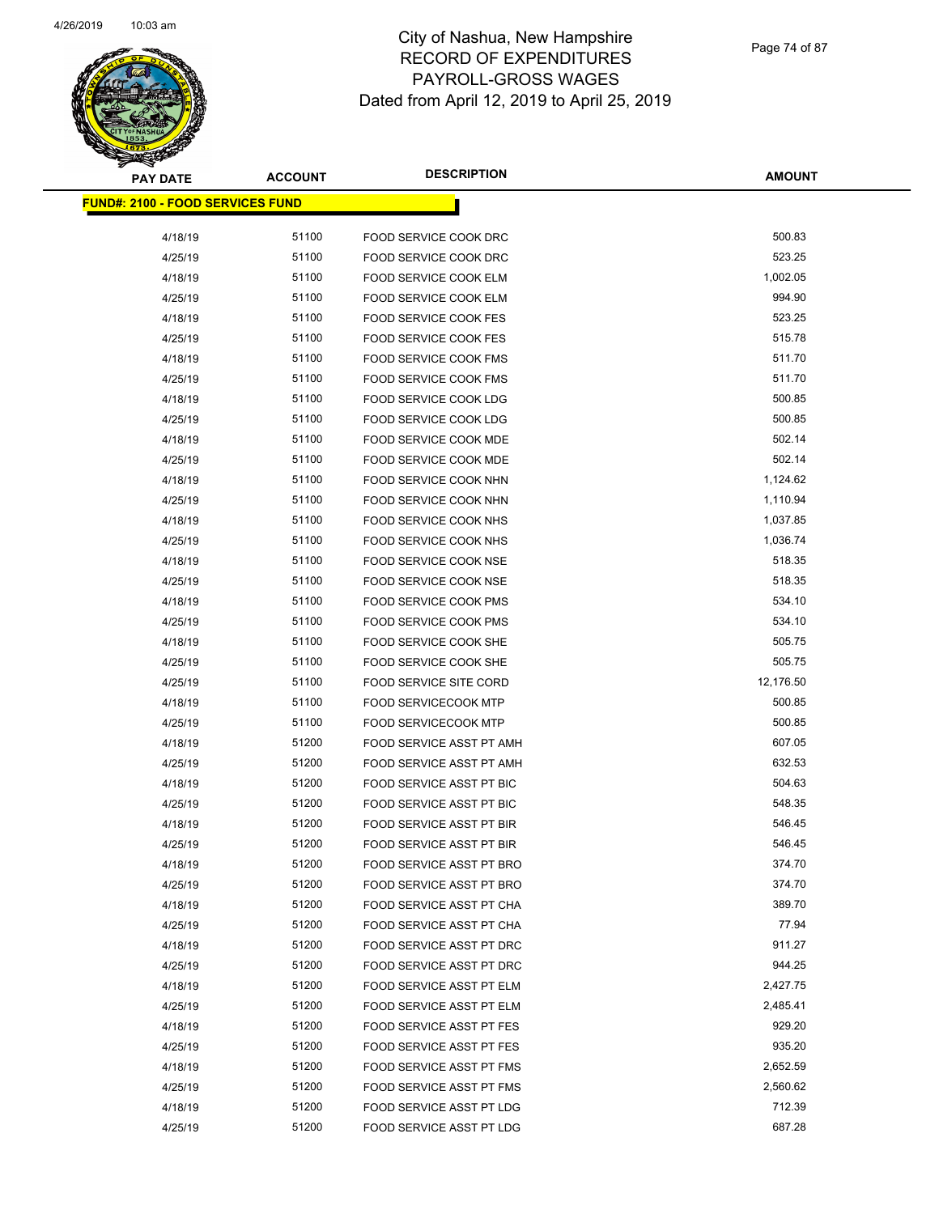# **PAY DATE ACCOUNT DESCRIPTION**

| <b>PAY DATE</b>                          | <b>ACCOUNT</b> | <b>DESCRIPTION</b>              | <b>AMOUNT</b> |
|------------------------------------------|----------------|---------------------------------|---------------|
| <u> FUND#: 2100 - FOOD SERVICES FUND</u> |                |                                 |               |
|                                          |                |                                 |               |
| 4/18/19                                  | 51100          | FOOD SERVICE COOK DRC           | 500.83        |
| 4/25/19                                  | 51100          | <b>FOOD SERVICE COOK DRC</b>    | 523.25        |
| 4/18/19                                  | 51100          | FOOD SERVICE COOK ELM           | 1,002.05      |
| 4/25/19                                  | 51100          | FOOD SERVICE COOK ELM           | 994.90        |
| 4/18/19                                  | 51100          | <b>FOOD SERVICE COOK FES</b>    | 523.25        |
| 4/25/19                                  | 51100          | <b>FOOD SERVICE COOK FES</b>    | 515.78        |
| 4/18/19                                  | 51100          | <b>FOOD SERVICE COOK FMS</b>    | 511.70        |
| 4/25/19                                  | 51100          | <b>FOOD SERVICE COOK FMS</b>    | 511.70        |
| 4/18/19                                  | 51100          | FOOD SERVICE COOK LDG           | 500.85        |
| 4/25/19                                  | 51100          | FOOD SERVICE COOK LDG           | 500.85        |
| 4/18/19                                  | 51100          | FOOD SERVICE COOK MDE           | 502.14        |
| 4/25/19                                  | 51100          | FOOD SERVICE COOK MDE           | 502.14        |
| 4/18/19                                  | 51100          | FOOD SERVICE COOK NHN           | 1,124.62      |
| 4/25/19                                  | 51100          | FOOD SERVICE COOK NHN           | 1,110.94      |
| 4/18/19                                  | 51100          | FOOD SERVICE COOK NHS           | 1,037.85      |
| 4/25/19                                  | 51100          | <b>FOOD SERVICE COOK NHS</b>    | 1,036.74      |
| 4/18/19                                  | 51100          | FOOD SERVICE COOK NSE           | 518.35        |
| 4/25/19                                  | 51100          | FOOD SERVICE COOK NSE           | 518.35        |
| 4/18/19                                  | 51100          | <b>FOOD SERVICE COOK PMS</b>    | 534.10        |
| 4/25/19                                  | 51100          | <b>FOOD SERVICE COOK PMS</b>    | 534.10        |
| 4/18/19                                  | 51100          | FOOD SERVICE COOK SHE           | 505.75        |
| 4/25/19                                  | 51100          | FOOD SERVICE COOK SHE           | 505.75        |
| 4/25/19                                  | 51100          | <b>FOOD SERVICE SITE CORD</b>   | 12,176.50     |
| 4/18/19                                  | 51100          | <b>FOOD SERVICECOOK MTP</b>     | 500.85        |
| 4/25/19                                  | 51100          | <b>FOOD SERVICECOOK MTP</b>     | 500.85        |
| 4/18/19                                  | 51200          | FOOD SERVICE ASST PT AMH        | 607.05        |
| 4/25/19                                  | 51200          | FOOD SERVICE ASST PT AMH        | 632.53        |
| 4/18/19                                  | 51200          | FOOD SERVICE ASST PT BIC        | 504.63        |
| 4/25/19                                  | 51200          | FOOD SERVICE ASST PT BIC        | 548.35        |
| 4/18/19                                  | 51200          | <b>FOOD SERVICE ASST PT BIR</b> | 546.45        |
| 4/25/19                                  | 51200          | <b>FOOD SERVICE ASST PT BIR</b> | 546.45        |
| 4/18/19                                  | 51200          | FOOD SERVICE ASST PT BRO        | 374.70        |
| 4/25/19                                  | 51200          | FOOD SERVICE ASST PT BRO        | 374.70        |
| 4/18/19                                  | 51200          | FOOD SERVICE ASST PT CHA        | 389.70        |
| 4/25/19                                  | 51200          | FOOD SERVICE ASST PT CHA        | 77.94         |
| 4/18/19                                  | 51200          | FOOD SERVICE ASST PT DRC        | 911.27        |
| 4/25/19                                  | 51200          | FOOD SERVICE ASST PT DRC        | 944.25        |
| 4/18/19                                  | 51200          | FOOD SERVICE ASST PT ELM        | 2,427.75      |
| 4/25/19                                  | 51200          | FOOD SERVICE ASST PT ELM        | 2,485.41      |
| 4/18/19                                  | 51200          | FOOD SERVICE ASST PT FES        | 929.20        |
| 4/25/19                                  | 51200          | <b>FOOD SERVICE ASST PT FES</b> | 935.20        |
| 4/18/19                                  | 51200          | FOOD SERVICE ASST PT FMS        | 2,652.59      |
| 4/25/19                                  | 51200          | FOOD SERVICE ASST PT FMS        | 2,560.62      |
| 4/18/19                                  | 51200          | FOOD SERVICE ASST PT LDG        | 712.39        |
| 4/25/19                                  | 51200          | FOOD SERVICE ASST PT LDG        | 687.28        |
|                                          |                |                                 |               |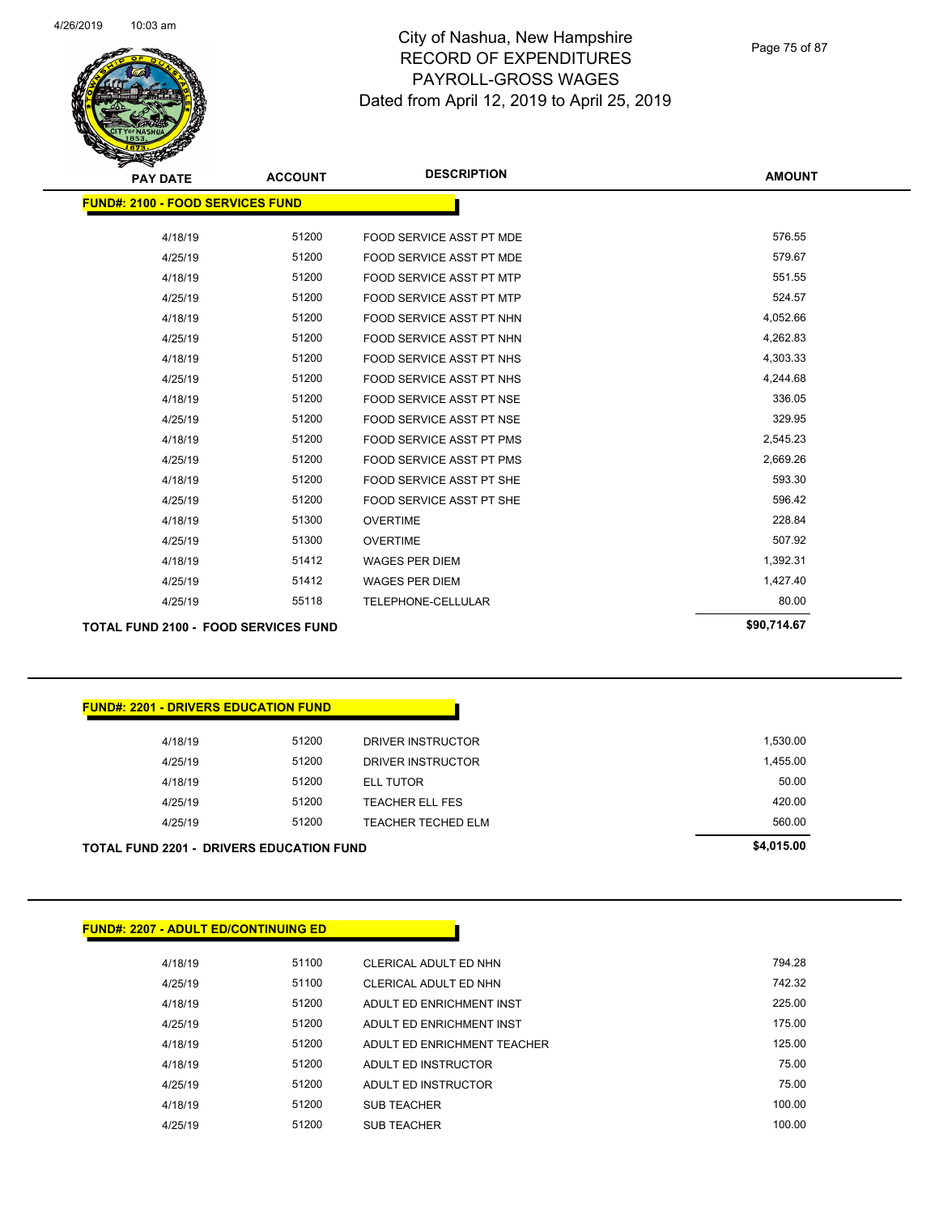

| <b>PAY DATE</b>                             | <b>ACCOUNT</b> | <b>DESCRIPTION</b>              | <b>AMOUNT</b> |
|---------------------------------------------|----------------|---------------------------------|---------------|
| <b>FUND#: 2100 - FOOD SERVICES FUND</b>     |                |                                 |               |
|                                             |                |                                 |               |
| 4/18/19                                     | 51200          | FOOD SERVICE ASST PT MDE        | 576.55        |
| 4/25/19                                     | 51200          | FOOD SERVICE ASST PT MDE        | 579.67        |
| 4/18/19                                     | 51200          | <b>FOOD SERVICE ASST PT MTP</b> | 551.55        |
| 4/25/19                                     | 51200          | <b>FOOD SERVICE ASST PT MTP</b> | 524.57        |
| 4/18/19                                     | 51200          | FOOD SERVICE ASST PT NHN        | 4,052.66      |
| 4/25/19                                     | 51200          | FOOD SERVICE ASST PT NHN        | 4,262.83      |
| 4/18/19                                     | 51200          | FOOD SERVICE ASST PT NHS        | 4,303.33      |
| 4/25/19                                     | 51200          | FOOD SERVICE ASST PT NHS        | 4,244.68      |
| 4/18/19                                     | 51200          | FOOD SERVICE ASST PT NSE        | 336.05        |
| 4/25/19                                     | 51200          | FOOD SERVICE ASST PT NSE        | 329.95        |
| 4/18/19                                     | 51200          | <b>FOOD SERVICE ASST PT PMS</b> | 2,545.23      |
| 4/25/19                                     | 51200          | <b>FOOD SERVICE ASST PT PMS</b> | 2,669.26      |
| 4/18/19                                     | 51200          | <b>FOOD SERVICE ASST PT SHE</b> | 593.30        |
| 4/25/19                                     | 51200          | <b>FOOD SERVICE ASST PT SHE</b> | 596.42        |
| 4/18/19                                     | 51300          | <b>OVERTIME</b>                 | 228.84        |
| 4/25/19                                     | 51300          | <b>OVERTIME</b>                 | 507.92        |
| 4/18/19                                     | 51412          | <b>WAGES PER DIEM</b>           | 1,392.31      |
| 4/25/19                                     | 51412          | <b>WAGES PER DIEM</b>           | 1,427.40      |
| 4/25/19                                     | 55118          | TELEPHONE-CELLULAR              | 80.00         |
| <b>TOTAL FUND 2100 - FOOD SERVICES FUND</b> |                |                                 | \$90,714.67   |

#### **FUND#: 2201 - DRIVERS EDUCATION FUND**

| TOTAL FUND 2201 -  DRIVERS EDUCATION FUND |       |                        | \$4,015.00 |
|-------------------------------------------|-------|------------------------|------------|
| 4/25/19                                   | 51200 | TEACHER TECHED ELM     | 560.00     |
| 4/25/19                                   | 51200 | <b>TEACHER ELL FES</b> | 420.00     |
| 4/18/19                                   | 51200 | <b>ELL TUTOR</b>       | 50.00      |
| 4/25/19                                   | 51200 | DRIVER INSTRUCTOR      | 1,455.00   |
| 4/18/19                                   | 51200 | DRIVER INSTRUCTOR      | 1,530.00   |
|                                           |       |                        |            |

#### **FUND#: 2207 - ADULT ED/CONTINUING ED**

| 4/18/19 | 51100 | CLERICAL ADULT ED NHN       | 794.28 |
|---------|-------|-----------------------------|--------|
| 4/25/19 | 51100 | CLERICAL ADULT ED NHN       | 742.32 |
| 4/18/19 | 51200 | ADULT FD ENRICHMENT INST    | 225.00 |
| 4/25/19 | 51200 | ADULT ED ENRICHMENT INST    | 175.00 |
| 4/18/19 | 51200 | ADULT ED ENRICHMENT TEACHER | 125.00 |
| 4/18/19 | 51200 | ADULT ED INSTRUCTOR         | 75.00  |
| 4/25/19 | 51200 | ADULT ED INSTRUCTOR         | 75.00  |
| 4/18/19 | 51200 | <b>SUB TEACHER</b>          | 100.00 |
| 4/25/19 | 51200 | <b>SUB TEACHER</b>          | 100.00 |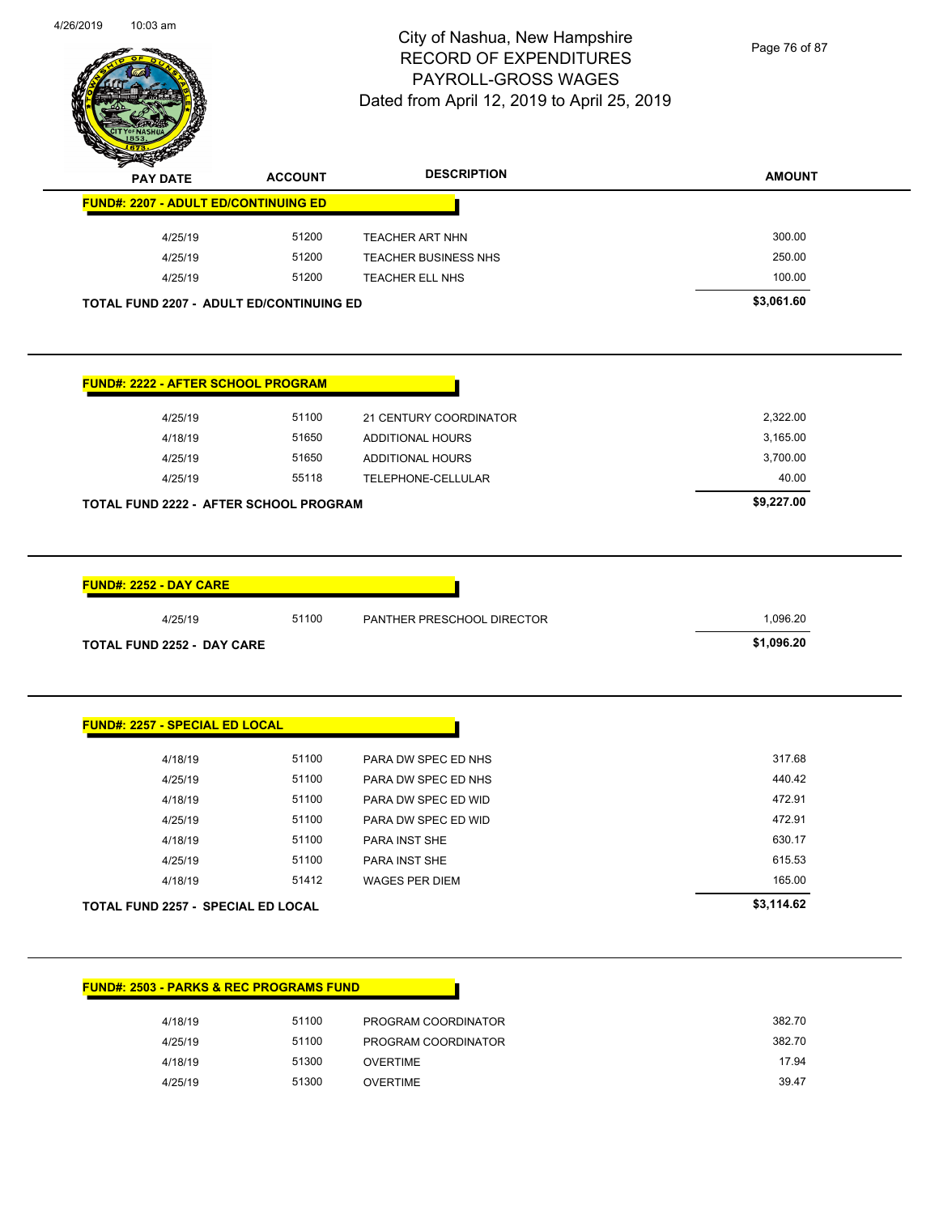

Page 76 of 87

| <b>PAY DATE</b>                             | <b>ACCOUNT</b> | <b>DESCRIPTION</b>         | <b>AMOUNT</b> |
|---------------------------------------------|----------------|----------------------------|---------------|
| <b>FUND#: 2207 - ADULT ED/CONTINUING ED</b> |                |                            |               |
| 4/25/19                                     | 51200          | TEACHER ART NHN            | 300.00        |
| 4/25/19                                     | 51200          | TEACHER BUSINESS NHS       | 250.00        |
| 4/25/19                                     | 51200          | TEACHER ELL NHS            | 100.00        |
| TOTAL FUND 2207 - ADULT ED/CONTINUING ED    |                |                            | \$3,061.60    |
| <b>FUND#: 2222 - AFTER SCHOOL PROGRAM</b>   |                |                            |               |
| 4/25/19                                     | 51100          | 21 CENTURY COORDINATOR     | 2,322.00      |
| 4/18/19                                     | 51650          | <b>ADDITIONAL HOURS</b>    | 3,165.00      |
| 4/25/19                                     | 51650          | <b>ADDITIONAL HOURS</b>    | 3,700.00      |
| 4/25/19                                     | 55118          | TELEPHONE-CELLULAR         | 40.00         |
| TOTAL FUND 2222 - AFTER SCHOOL PROGRAM      |                |                            | \$9,227.00    |
| <b>FUND#: 2252 - DAY CARE</b><br>4/25/19    | 51100          | PANTHER PRESCHOOL DIRECTOR | 1,096.20      |
| <b>TOTAL FUND 2252 - DAY CARE</b>           |                |                            | \$1,096.20    |
| <b>FUND#: 2257 - SPECIAL ED LOCAL</b>       |                |                            |               |
| 4/18/19                                     | 51100          | PARA DW SPEC ED NHS        | 317.68        |
| 4/25/19                                     | 51100          | PARA DW SPEC ED NHS        | 440.42        |
| 4/18/19                                     | 51100          | PARA DW SPEC ED WID        | 472.91        |
| 4/25/19                                     | 51100          | PARA DW SPEC ED WID        | 472.91        |
|                                             | 51100          | PARA INST SHE              | 630.17        |
| 4/18/19                                     | 51100          | PARA INST SHE              | 615.53        |
| 4/25/19                                     |                |                            |               |
| 4/18/19                                     | 51412          | <b>WAGES PER DIEM</b>      | 165.00        |
| <b>TOTAL FUND 2257 - SPECIAL ED LOCAL</b>   |                |                            | \$3,114.62    |

| 4/18/19 | 51100 | PROGRAM COORDINATOR | 382.70 |
|---------|-------|---------------------|--------|
| 4/25/19 | 51100 | PROGRAM COORDINATOR | 382.70 |
| 4/18/19 | 51300 | OVERTIME            | 17.94  |
| 4/25/19 | 51300 | <b>OVERTIME</b>     | 39.47  |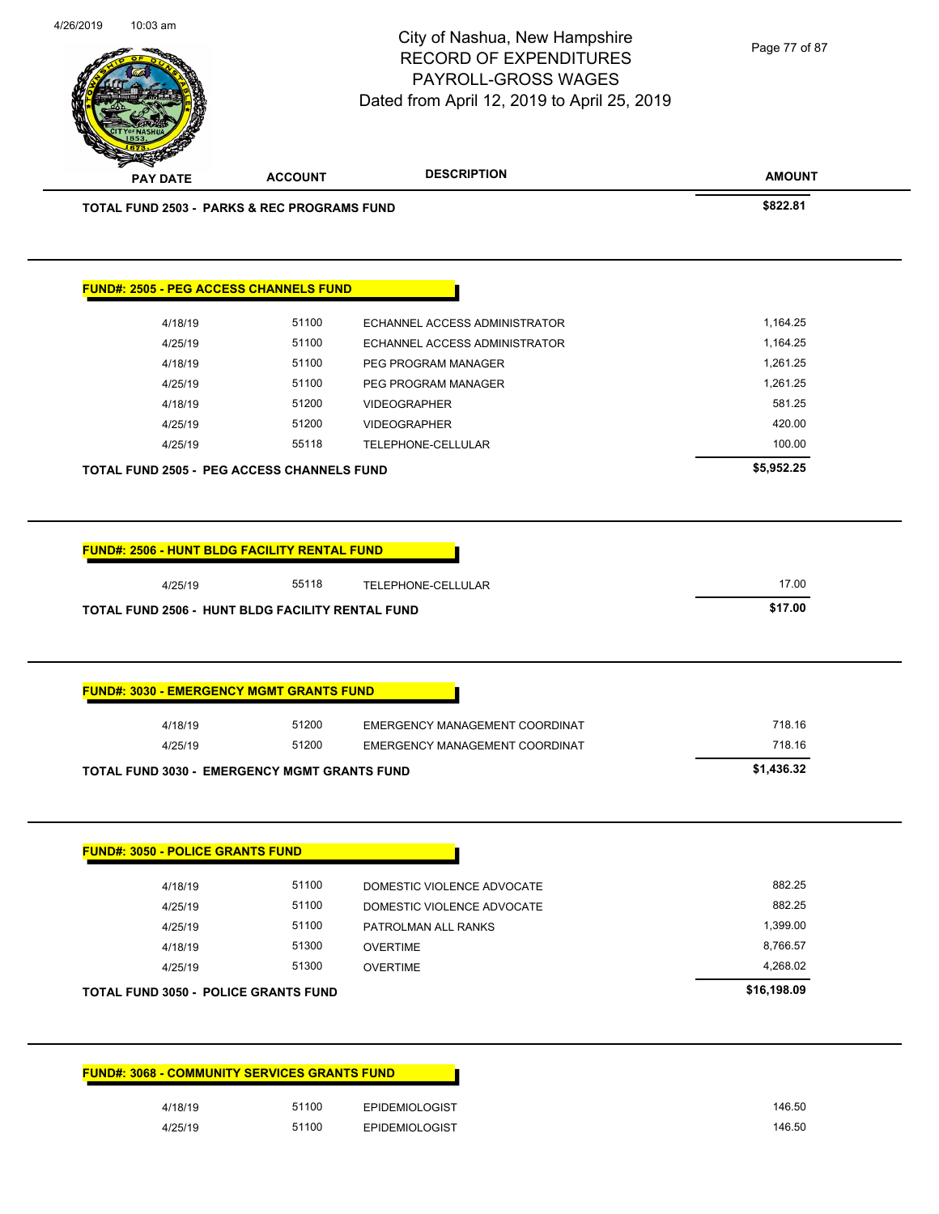| 4/26/2019 | $10:03$ am |
|-----------|------------|
|           |            |

# City of Nashua, New Hampshire RECORD OF EXPENDITURES PAYROLL-GROSS WAGES

Page 77 of 87

| <b>PAY DATE</b>                                                                                | <b>ACCOUNT</b> | <b>DESCRIPTION</b>             | <b>AMOUNT</b>    |
|------------------------------------------------------------------------------------------------|----------------|--------------------------------|------------------|
| <b>TOTAL FUND 2503 - PARKS &amp; REC PROGRAMS FUND</b>                                         |                |                                | \$822.81         |
| <b>FUND#: 2505 - PEG ACCESS CHANNELS FUND</b>                                                  |                |                                |                  |
| 4/18/19                                                                                        | 51100          | ECHANNEL ACCESS ADMINISTRATOR  | 1,164.25         |
| 4/25/19                                                                                        | 51100          | ECHANNEL ACCESS ADMINISTRATOR  | 1,164.25         |
| 4/18/19                                                                                        | 51100          | PEG PROGRAM MANAGER            | 1,261.25         |
| 4/25/19                                                                                        | 51100          | PEG PROGRAM MANAGER            | 1,261.25         |
| 4/18/19                                                                                        | 51200          | <b>VIDEOGRAPHER</b>            | 581.25           |
| 4/25/19                                                                                        | 51200          | <b>VIDEOGRAPHER</b>            | 420.00           |
| 4/25/19                                                                                        | 55118          | TELEPHONE-CELLULAR             | 100.00           |
| <b>TOTAL FUND 2505 - PEG ACCESS CHANNELS FUND</b>                                              |                |                                | \$5,952.25       |
| <b>FUND#: 2506 - HUNT BLDG FACILITY RENTAL FUND</b>                                            |                |                                |                  |
| 4/25/19                                                                                        | 55118          | TELEPHONE-CELLULAR             | 17.00            |
| TOTAL FUND 2506 - HUNT BLDG FACILITY RENTAL FUND                                               |                |                                | \$17.00          |
|                                                                                                |                |                                |                  |
|                                                                                                |                |                                |                  |
| <b>FUND#: 3030 - EMERGENCY MGMT GRANTS FUND</b><br>4/18/19                                     | 51200          | EMERGENCY MANAGEMENT COORDINAT | 718.16           |
| 4/25/19                                                                                        | 51200          | EMERGENCY MANAGEMENT COORDINAT | 718.16           |
|                                                                                                |                |                                | \$1,436.32       |
| <b>TOTAL FUND 3030 - EMERGENCY MGMT GRANTS FUND</b><br><b>FUND#: 3050 - POLICE GRANTS FUND</b> |                |                                |                  |
| 4/18/19                                                                                        | 51100          | DOMESTIC VIOLENCE ADVOCATE     | 882.25           |
| 4/25/19                                                                                        | 51100          | DOMESTIC VIOLENCE ADVOCATE     | 882.25           |
| 4/25/19                                                                                        | 51100          | PATROLMAN ALL RANKS            | 1,399.00         |
| 4/18/19                                                                                        | 51300          | <b>OVERTIME</b>                | 8,766.57         |
| 4/25/19                                                                                        | 51300          | <b>OVERTIME</b>                | 4,268.02         |
|                                                                                                |                |                                | \$16,198.09      |
| <b>TOTAL FUND 3050 - POLICE GRANTS FUND</b>                                                    |                |                                |                  |
| <b>FUND#: 3068 - COMMUNITY SERVICES GRANTS FUND</b>                                            |                |                                |                  |
| 4/18/19                                                                                        | 51100<br>51100 | <b>EPIDEMIOLOGIST</b>          | 146.50<br>146.50 |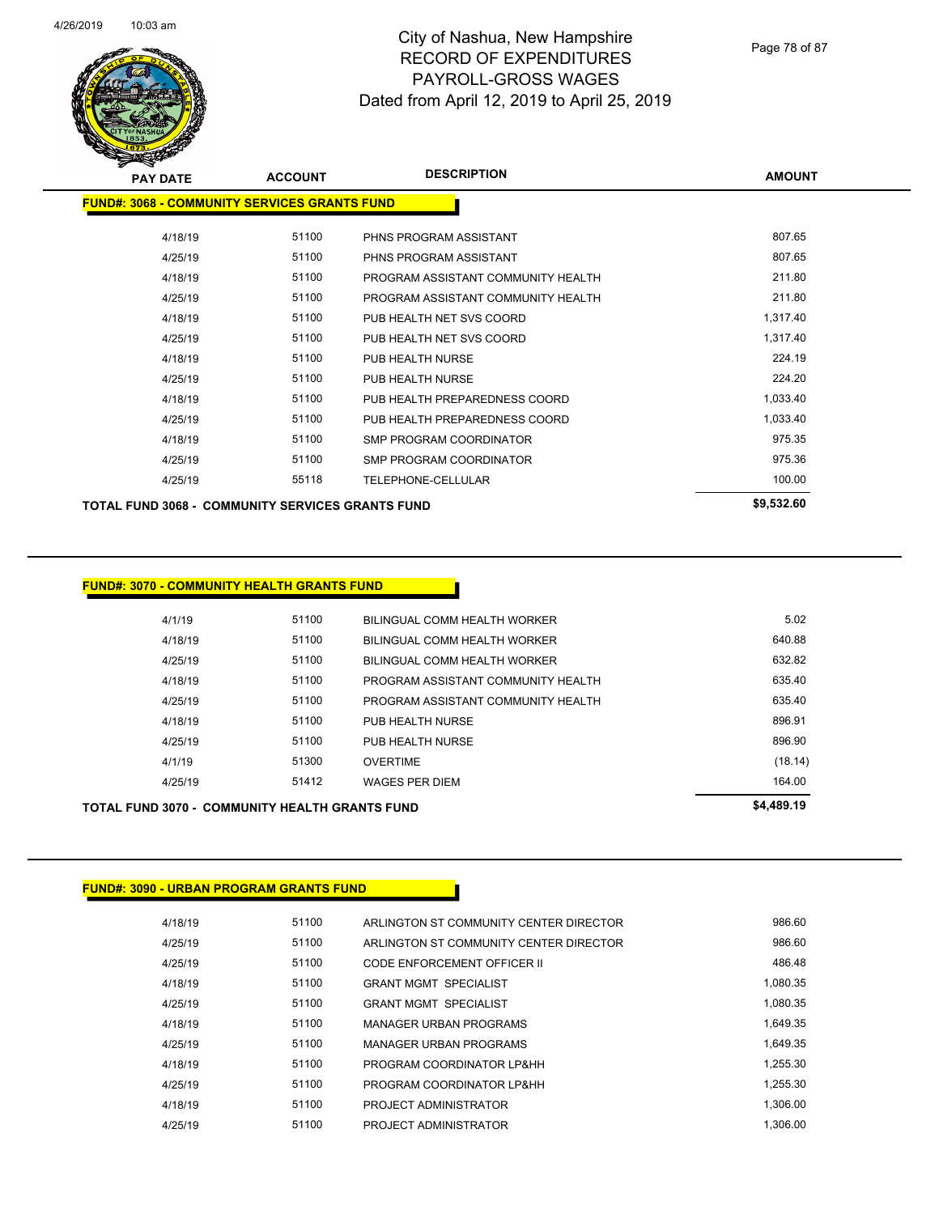

| <b>PAY DATE</b>                                         | <b>ACCOUNT</b> | <b>DESCRIPTION</b>                 | <b>AMOUNT</b> |
|---------------------------------------------------------|----------------|------------------------------------|---------------|
| <b>FUND#: 3068 - COMMUNITY SERVICES GRANTS FUND</b>     |                |                                    |               |
| 4/18/19                                                 | 51100          | PHNS PROGRAM ASSISTANT             | 807.65        |
| 4/25/19                                                 | 51100          | PHNS PROGRAM ASSISTANT             | 807.65        |
| 4/18/19                                                 | 51100          | PROGRAM ASSISTANT COMMUNITY HEALTH | 211.80        |
| 4/25/19                                                 | 51100          | PROGRAM ASSISTANT COMMUNITY HEALTH | 211.80        |
| 4/18/19                                                 | 51100          | PUB HEALTH NET SVS COORD           | 1,317.40      |
| 4/25/19                                                 | 51100          | PUB HEALTH NET SVS COORD           | 1,317.40      |
| 4/18/19                                                 | 51100          | PUB HEALTH NURSE                   | 224.19        |
| 4/25/19                                                 | 51100          | PUB HEALTH NURSE                   | 224.20        |
| 4/18/19                                                 | 51100          | PUB HEALTH PREPAREDNESS COORD      | 1,033.40      |
| 4/25/19                                                 | 51100          | PUB HEALTH PREPAREDNESS COORD      | 1,033.40      |
| 4/18/19                                                 | 51100          | SMP PROGRAM COORDINATOR            | 975.35        |
| 4/25/19                                                 | 51100          | SMP PROGRAM COORDINATOR            | 975.36        |
| 4/25/19                                                 | 55118          | TELEPHONE-CELLULAR                 | 100.00        |
| <b>TOTAL FUND 3068 - COMMUNITY SERVICES GRANTS FUND</b> |                |                                    | \$9,532.60    |

#### **FUND#: 3070 - COMMUNITY HEALTH GRANTS FUND**

|         | <b>TOTAL FUND 3070 - COMMUNITY HEALTH GRANTS FUND</b> |                                    | \$4,489.19 |
|---------|-------------------------------------------------------|------------------------------------|------------|
| 4/25/19 | 51412                                                 | <b>WAGES PER DIEM</b>              | 164.00     |
| 4/1/19  | 51300                                                 | <b>OVERTIME</b>                    | (18.14)    |
| 4/25/19 | 51100                                                 | PUB HEALTH NURSE                   | 896.90     |
| 4/18/19 | 51100                                                 | PUB HEALTH NURSE                   | 896.91     |
| 4/25/19 | 51100                                                 | PROGRAM ASSISTANT COMMUNITY HEALTH | 635.40     |
| 4/18/19 | 51100                                                 | PROGRAM ASSISTANT COMMUNITY HEALTH | 635.40     |
| 4/25/19 | 51100                                                 | BILINGUAL COMM HEALTH WORKER       | 632.82     |
| 4/18/19 | 51100                                                 | BILINGUAL COMM HEALTH WORKER       | 640.88     |
| 4/1/19  | 51100                                                 | BILINGUAL COMM HEALTH WORKER       | 5.02       |
|         |                                                       |                                    |            |

# **FUND#: 3090 - URBAN PROGRAM GRANTS FUND**

| 4/18/19 | 51100 | ARLINGTON ST COMMUNITY CENTER DIRECTOR | 986.60   |
|---------|-------|----------------------------------------|----------|
| 4/25/19 | 51100 | ARLINGTON ST COMMUNITY CENTER DIRECTOR | 986.60   |
| 4/25/19 | 51100 | CODE ENFORCEMENT OFFICER II            | 486.48   |
| 4/18/19 | 51100 | <b>GRANT MGMT SPECIALIST</b>           | 1.080.35 |
| 4/25/19 | 51100 | <b>GRANT MGMT SPECIALIST</b>           | 1.080.35 |
| 4/18/19 | 51100 | MANAGER URBAN PROGRAMS                 | 1.649.35 |
| 4/25/19 | 51100 | <b>MANAGER URBAN PROGRAMS</b>          | 1.649.35 |
| 4/18/19 | 51100 | PROGRAM COORDINATOR LP&HH              | 1.255.30 |
| 4/25/19 | 51100 | PROGRAM COORDINATOR LP&HH              | 1.255.30 |
| 4/18/19 | 51100 | PROJECT ADMINISTRATOR                  | 1.306.00 |
| 4/25/19 | 51100 | PROJECT ADMINISTRATOR                  | 1.306.00 |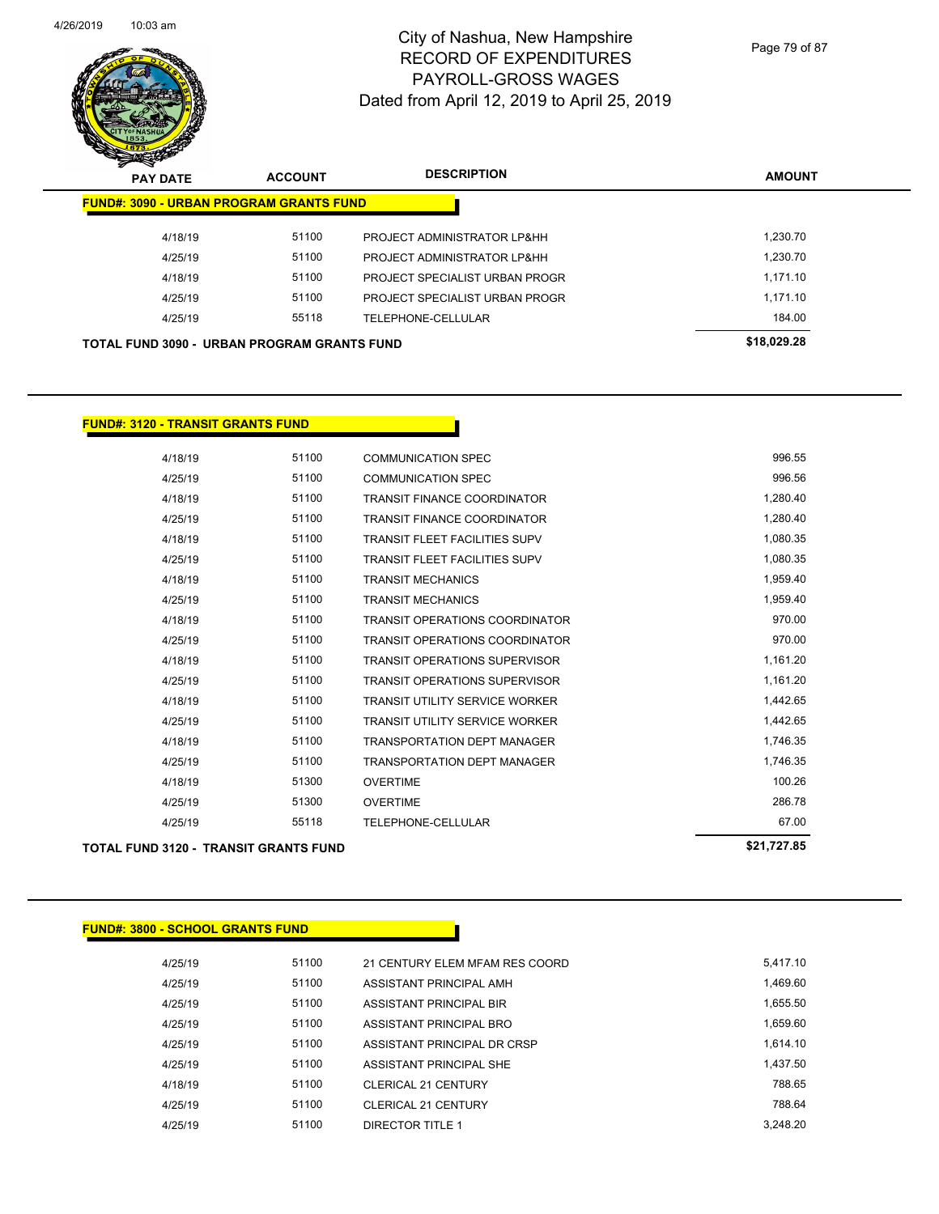

Page 79 of 87

| $\mathbf{z}$<br>--<br><b>PAY DATE</b>          | <b>ACCOUNT</b> | <b>DESCRIPTION</b>             | <b>AMOUNT</b> |
|------------------------------------------------|----------------|--------------------------------|---------------|
| <b>FUND#: 3090 - URBAN PROGRAM GRANTS FUND</b> |                |                                |               |
| 4/18/19                                        | 51100          | PROJECT ADMINISTRATOR LP&HH    | 1.230.70      |
| 4/25/19                                        | 51100          | PROJECT ADMINISTRATOR LP&HH    | 1.230.70      |
| 4/18/19                                        | 51100          | PROJECT SPECIALIST URBAN PROGR | 1.171.10      |
| 4/25/19                                        | 51100          | PROJECT SPECIALIST URBAN PROGR | 1.171.10      |
| 4/25/19                                        | 55118          | TELEPHONE-CELLULAR             | 184.00        |
| TOTAL FUND 3090 - URBAN PROGRAM GRANTS FUND    |                |                                | \$18,029.28   |

#### **FUND#: 3120 - TRANSIT GRANTS FUND**

| TOTAL FUND 3120 - TRANSIT GRANTS FUND |       |                                       | \$21.727.85 |
|---------------------------------------|-------|---------------------------------------|-------------|
| 4/25/19                               | 55118 | <b>TELEPHONE-CELLULAR</b>             | 67.00       |
| 4/25/19                               | 51300 | <b>OVERTIME</b>                       | 286.78      |
| 4/18/19                               | 51300 | <b>OVERTIME</b>                       | 100.26      |
| 4/25/19                               | 51100 | <b>TRANSPORTATION DEPT MANAGER</b>    | 1,746.35    |
| 4/18/19                               | 51100 | <b>TRANSPORTATION DEPT MANAGER</b>    | 1,746.35    |
| 4/25/19                               | 51100 | <b>TRANSIT UTILITY SERVICE WORKER</b> | 1,442.65    |
| 4/18/19                               | 51100 | <b>TRANSIT UTILITY SERVICE WORKER</b> | 1,442.65    |
| 4/25/19                               | 51100 | <b>TRANSIT OPERATIONS SUPERVISOR</b>  | 1,161.20    |
| 4/18/19                               | 51100 | <b>TRANSIT OPERATIONS SUPERVISOR</b>  | 1,161.20    |
| 4/25/19                               | 51100 | <b>TRANSIT OPERATIONS COORDINATOR</b> | 970.00      |
| 4/18/19                               | 51100 | <b>TRANSIT OPERATIONS COORDINATOR</b> | 970.00      |
| 4/25/19                               | 51100 | <b>TRANSIT MECHANICS</b>              | 1,959.40    |
| 4/18/19                               | 51100 | <b>TRANSIT MECHANICS</b>              | 1,959.40    |
| 4/25/19                               | 51100 | <b>TRANSIT FLEET FACILITIES SUPV</b>  | 1,080.35    |
| 4/18/19                               | 51100 | <b>TRANSIT FLEET FACILITIES SUPV</b>  | 1,080.35    |
| 4/25/19                               | 51100 | <b>TRANSIT FINANCE COORDINATOR</b>    | 1,280.40    |
| 4/18/19                               | 51100 | <b>TRANSIT FINANCE COORDINATOR</b>    | 1,280.40    |
| 4/25/19                               | 51100 | <b>COMMUNICATION SPEC</b>             | 996.56      |
| 4/18/19                               | 51100 | <b>COMMUNICATION SPEC</b>             | 996.55      |

#### **FUND#: 3800 - SCHOOL GRANTS FUND**

| 4/25/19 | 51100 | 21 CENTURY ELEM MFAM RES COORD | 5.417.10 |
|---------|-------|--------------------------------|----------|
| 4/25/19 | 51100 | ASSISTANT PRINCIPAL AMH        | 1.469.60 |
| 4/25/19 | 51100 | ASSISTANT PRINCIPAL BIR        | 1.655.50 |
| 4/25/19 | 51100 | ASSISTANT PRINCIPAL BRO        | 1.659.60 |
| 4/25/19 | 51100 | ASSISTANT PRINCIPAL DR CRSP    | 1.614.10 |
| 4/25/19 | 51100 | ASSISTANT PRINCIPAL SHE        | 1.437.50 |
| 4/18/19 | 51100 | <b>CLERICAL 21 CENTURY</b>     | 788.65   |
| 4/25/19 | 51100 | CLERICAL 21 CENTURY            | 788.64   |
| 4/25/19 | 51100 | DIRECTOR TITLE 1               | 3.248.20 |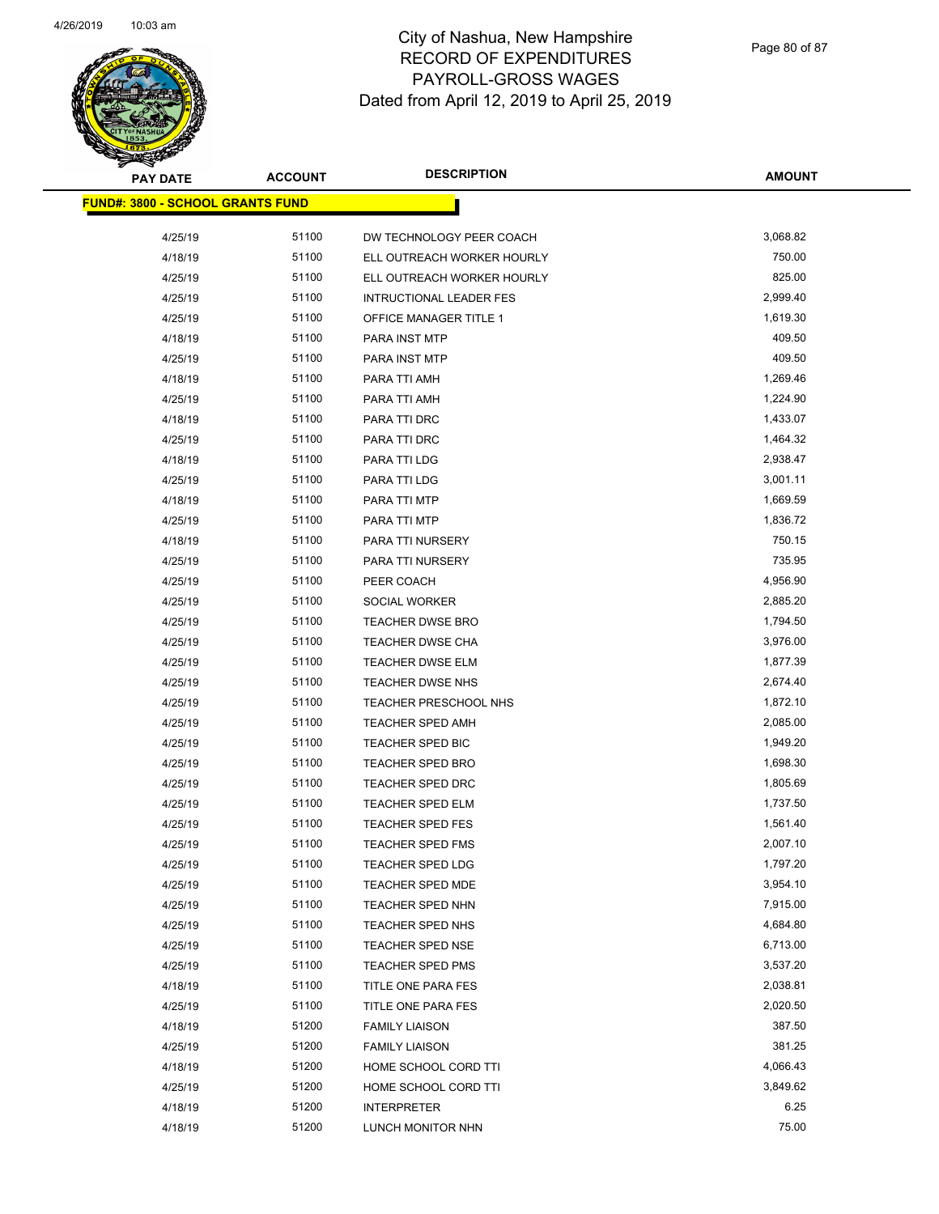

| <b>PAY DATE</b>                         | <b>ACCOUNT</b> | <b>DESCRIPTION</b>             | <b>AMOUNT</b> |
|-----------------------------------------|----------------|--------------------------------|---------------|
| <b>FUND#: 3800 - SCHOOL GRANTS FUND</b> |                |                                |               |
| 4/25/19                                 | 51100          | DW TECHNOLOGY PEER COACH       | 3,068.82      |
| 4/18/19                                 | 51100          | ELL OUTREACH WORKER HOURLY     | 750.00        |
| 4/25/19                                 | 51100          | ELL OUTREACH WORKER HOURLY     | 825.00        |
| 4/25/19                                 | 51100          | <b>INTRUCTIONAL LEADER FES</b> | 2,999.40      |
| 4/25/19                                 | 51100          | OFFICE MANAGER TITLE 1         | 1,619.30      |
| 4/18/19                                 | 51100          | PARA INST MTP                  | 409.50        |
| 4/25/19                                 | 51100          | PARA INST MTP                  | 409.50        |
| 4/18/19                                 | 51100          | PARA TTI AMH                   | 1,269.46      |
| 4/25/19                                 | 51100          | PARA TTI AMH                   | 1,224.90      |
| 4/18/19                                 | 51100          | PARA TTI DRC                   | 1,433.07      |
| 4/25/19                                 | 51100          | PARA TTI DRC                   | 1,464.32      |
| 4/18/19                                 | 51100          | PARA TTI LDG                   | 2,938.47      |
| 4/25/19                                 | 51100          | PARA TTI LDG                   | 3,001.11      |
| 4/18/19                                 | 51100          | PARA TTI MTP                   | 1,669.59      |
| 4/25/19                                 | 51100          | PARA TTI MTP                   | 1,836.72      |
| 4/18/19                                 | 51100          | PARA TTI NURSERY               | 750.15        |
| 4/25/19                                 | 51100          | PARA TTI NURSERY               | 735.95        |
| 4/25/19                                 | 51100          | PEER COACH                     | 4,956.90      |
| 4/25/19                                 | 51100          | SOCIAL WORKER                  | 2,885.20      |
| 4/25/19                                 | 51100          | TEACHER DWSE BRO               | 1,794.50      |
| 4/25/19                                 | 51100          | <b>TEACHER DWSE CHA</b>        | 3,976.00      |
| 4/25/19                                 | 51100          | TEACHER DWSE ELM               | 1,877.39      |
| 4/25/19                                 | 51100          | TEACHER DWSE NHS               | 2,674.40      |
| 4/25/19                                 | 51100          | TEACHER PRESCHOOL NHS          | 1,872.10      |
| 4/25/19                                 | 51100          |                                | 2,085.00      |
|                                         | 51100          | <b>TEACHER SPED AMH</b>        | 1,949.20      |
| 4/25/19                                 | 51100          | TEACHER SPED BIC               | 1,698.30      |
| 4/25/19                                 |                | <b>TEACHER SPED BRO</b>        | 1,805.69      |
| 4/25/19                                 | 51100          | TEACHER SPED DRC               |               |
| 4/25/19                                 | 51100<br>51100 | TEACHER SPED ELM               | 1,737.50      |
| 4/25/19                                 |                | <b>TEACHER SPED FES</b>        | 1,561.40      |
| 4/25/19                                 | 51100          | <b>TEACHER SPED FMS</b>        | 2,007.10      |
| 4/25/19                                 | 51100          | <b>TEACHER SPED LDG</b>        | 1,797.20      |
| 4/25/19                                 | 51100          | <b>TEACHER SPED MDE</b>        | 3,954.10      |
| 4/25/19                                 | 51100          | TEACHER SPED NHN               | 7,915.00      |
| 4/25/19                                 | 51100          | TEACHER SPED NHS               | 4,684.80      |
| 4/25/19                                 | 51100          | <b>TEACHER SPED NSE</b>        | 6,713.00      |
| 4/25/19                                 | 51100          | <b>TEACHER SPED PMS</b>        | 3,537.20      |
| 4/18/19                                 | 51100          | TITLE ONE PARA FES             | 2,038.81      |
| 4/25/19                                 | 51100          | TITLE ONE PARA FES             | 2,020.50      |
| 4/18/19                                 | 51200          | <b>FAMILY LIAISON</b>          | 387.50        |
| 4/25/19                                 | 51200          | <b>FAMILY LIAISON</b>          | 381.25        |
| 4/18/19                                 | 51200          | HOME SCHOOL CORD TTI           | 4,066.43      |
| 4/25/19                                 | 51200          | HOME SCHOOL CORD TTI           | 3,849.62      |
| 4/18/19                                 | 51200          | <b>INTERPRETER</b>             | 6.25          |
| 4/18/19                                 | 51200          | LUNCH MONITOR NHN              | 75.00         |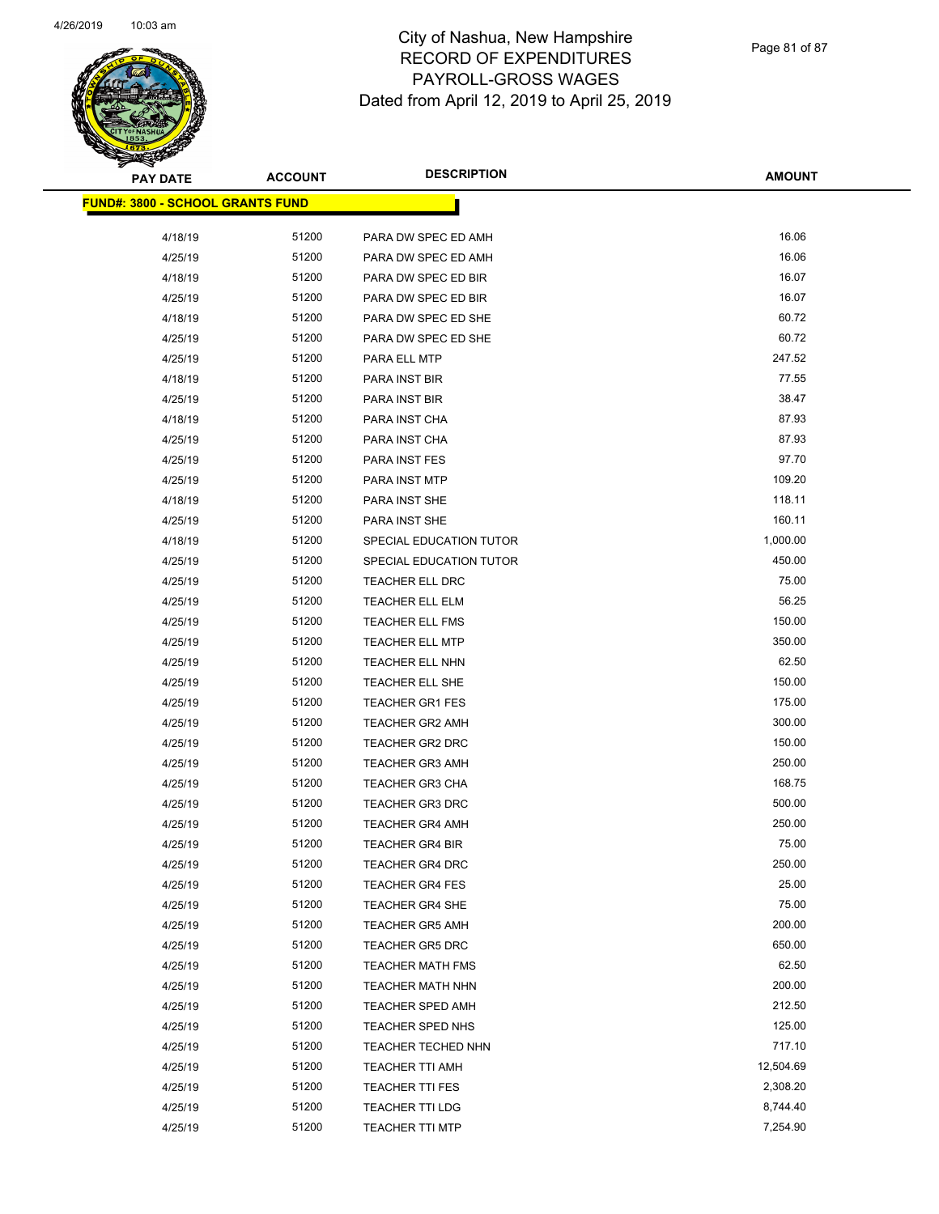

| <b>PAY DATE</b>                          | <b>ACCOUNT</b> | <b>DESCRIPTION</b>      | <b>AMOUNT</b> |
|------------------------------------------|----------------|-------------------------|---------------|
| <u> FUND#: 3800 - SCHOOL GRANTS FUND</u> |                |                         |               |
|                                          |                |                         |               |
| 4/18/19                                  | 51200          | PARA DW SPEC ED AMH     | 16.06         |
| 4/25/19                                  | 51200          | PARA DW SPEC ED AMH     | 16.06         |
| 4/18/19                                  | 51200          | PARA DW SPEC ED BIR     | 16.07         |
| 4/25/19                                  | 51200          | PARA DW SPEC ED BIR     | 16.07         |
| 4/18/19                                  | 51200          | PARA DW SPEC ED SHE     | 60.72         |
| 4/25/19                                  | 51200          | PARA DW SPEC ED SHE     | 60.72         |
| 4/25/19                                  | 51200          | PARA ELL MTP            | 247.52        |
| 4/18/19                                  | 51200          | PARA INST BIR           | 77.55         |
| 4/25/19                                  | 51200          | PARA INST BIR           | 38.47         |
| 4/18/19                                  | 51200          | PARA INST CHA           | 87.93         |
| 4/25/19                                  | 51200          | PARA INST CHA           | 87.93         |
| 4/25/19                                  | 51200          | PARA INST FES           | 97.70         |
| 4/25/19                                  | 51200          | PARA INST MTP           | 109.20        |
| 4/18/19                                  | 51200          | PARA INST SHE           | 118.11        |
| 4/25/19                                  | 51200          | PARA INST SHE           | 160.11        |
| 4/18/19                                  | 51200          | SPECIAL EDUCATION TUTOR | 1,000.00      |
| 4/25/19                                  | 51200          | SPECIAL EDUCATION TUTOR | 450.00        |
| 4/25/19                                  | 51200          | <b>TEACHER ELL DRC</b>  | 75.00         |
| 4/25/19                                  | 51200          | TEACHER ELL ELM         | 56.25         |
| 4/25/19                                  | 51200          | <b>TEACHER ELL FMS</b>  | 150.00        |
| 4/25/19                                  | 51200          | <b>TEACHER ELL MTP</b>  | 350.00        |
| 4/25/19                                  | 51200          | <b>TEACHER ELL NHN</b>  | 62.50         |
| 4/25/19                                  | 51200          | TEACHER ELL SHE         | 150.00        |
| 4/25/19                                  | 51200          | <b>TEACHER GR1 FES</b>  | 175.00        |
| 4/25/19                                  | 51200          | <b>TEACHER GR2 AMH</b>  | 300.00        |
| 4/25/19                                  | 51200          | TEACHER GR2 DRC         | 150.00        |
| 4/25/19                                  | 51200          | <b>TEACHER GR3 AMH</b>  | 250.00        |
| 4/25/19                                  | 51200          | <b>TEACHER GR3 CHA</b>  | 168.75        |
| 4/25/19                                  | 51200          | <b>TEACHER GR3 DRC</b>  | 500.00        |
| 4/25/19                                  | 51200          | <b>TEACHER GR4 AMH</b>  | 250.00        |
| 4/25/19                                  | 51200          | <b>TEACHER GR4 BIR</b>  | 75.00         |
| 4/25/19                                  | 51200          | TEACHER GR4 DRC         | 250.00        |
| 4/25/19                                  | 51200          | <b>TEACHER GR4 FES</b>  | 25.00         |
| 4/25/19                                  | 51200          | <b>TEACHER GR4 SHE</b>  | 75.00         |
| 4/25/19                                  | 51200          | <b>TEACHER GR5 AMH</b>  | 200.00        |
| 4/25/19                                  | 51200          | <b>TEACHER GR5 DRC</b>  | 650.00        |
| 4/25/19                                  | 51200          | <b>TEACHER MATH FMS</b> | 62.50         |
| 4/25/19                                  | 51200          | <b>TEACHER MATH NHN</b> | 200.00        |
| 4/25/19                                  | 51200          | <b>TEACHER SPED AMH</b> | 212.50        |
| 4/25/19                                  | 51200          | TEACHER SPED NHS        | 125.00        |
| 4/25/19                                  | 51200          | TEACHER TECHED NHN      | 717.10        |
| 4/25/19                                  | 51200          | <b>TEACHER TTI AMH</b>  | 12,504.69     |
| 4/25/19                                  | 51200          | <b>TEACHER TTI FES</b>  | 2,308.20      |
| 4/25/19                                  | 51200          | <b>TEACHER TTI LDG</b>  | 8,744.40      |
| 4/25/19                                  | 51200          | <b>TEACHER TTI MTP</b>  | 7,254.90      |
|                                          |                |                         |               |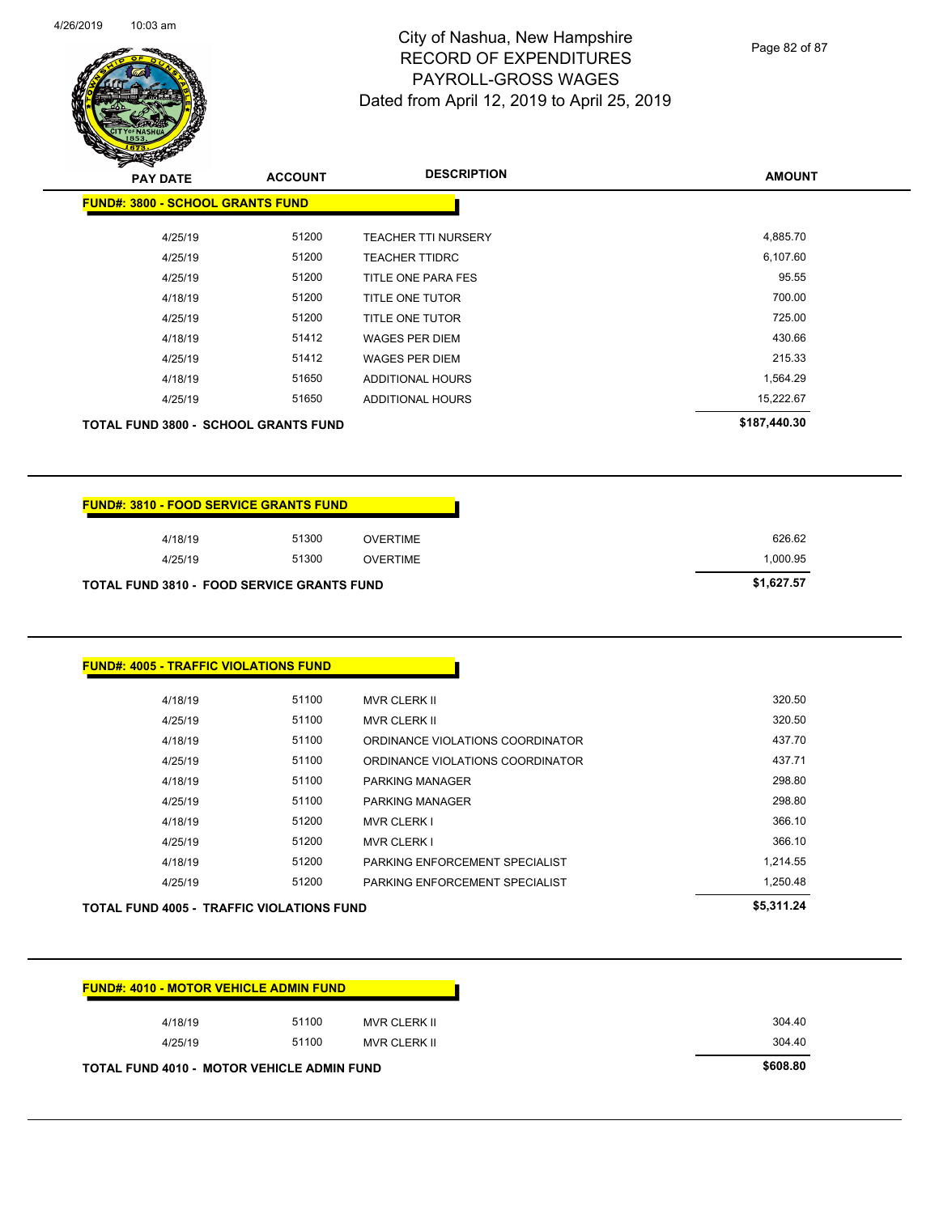

Page 82 of 87

| $\boldsymbol{z}$<br>⊸<br><b>PAY DATE</b>    | <b>ACCOUNT</b> | <b>DESCRIPTION</b>         | <b>AMOUNT</b> |
|---------------------------------------------|----------------|----------------------------|---------------|
| <b>FUND#: 3800 - SCHOOL GRANTS FUND</b>     |                |                            |               |
| 4/25/19                                     | 51200          | <b>TEACHER TTI NURSERY</b> | 4,885.70      |
| 4/25/19                                     | 51200          | <b>TEACHER TTIDRC</b>      | 6,107.60      |
| 4/25/19                                     | 51200          | TITLE ONE PARA FES         | 95.55         |
| 4/18/19                                     | 51200          | <b>TITLE ONE TUTOR</b>     | 700.00        |
| 4/25/19                                     | 51200          | <b>TITLE ONE TUTOR</b>     | 725.00        |
| 4/18/19                                     | 51412          | <b>WAGES PER DIEM</b>      | 430.66        |
| 4/25/19                                     | 51412          | <b>WAGES PER DIEM</b>      | 215.33        |
| 4/18/19                                     | 51650          | <b>ADDITIONAL HOURS</b>    | 1,564.29      |
| 4/25/19                                     | 51650          | <b>ADDITIONAL HOURS</b>    | 15,222.67     |
| <b>TOTAL FUND 3800 - SCHOOL GRANTS FUND</b> |                |                            | \$187,440.30  |

| <b>FUND#: 3810 - FOOD SERVICE GRANTS FUND</b>     |          |
|---------------------------------------------------|----------|
| 51300                                             | OVERTIME |
| 51300                                             | OVERTIME |
| <b>TOTAL FUND 3810 - FOOD SERVICE GRANTS FUND</b> |          |

| 4/25/19 | 51200 | PARKING ENFORCEMENT SPECIALIST   | 1,250.48 |
|---------|-------|----------------------------------|----------|
| 4/18/19 | 51200 | PARKING ENFORCEMENT SPECIALIST   | 1,214.55 |
| 4/25/19 | 51200 | <b>MVR CLERK I</b>               | 366.10   |
| 4/18/19 | 51200 | <b>MVR CLERK I</b>               | 366.10   |
| 4/25/19 | 51100 | PARKING MANAGER                  | 298.80   |
| 4/18/19 | 51100 | <b>PARKING MANAGER</b>           | 298.80   |
| 4/25/19 | 51100 | ORDINANCE VIOLATIONS COORDINATOR | 437.71   |
| 4/18/19 | 51100 | ORDINANCE VIOLATIONS COORDINATOR | 437.70   |
| 4/25/19 | 51100 | <b>MVR CLERK II</b>              | 320.50   |
| 4/18/19 | 51100 | <b>MVR CLERK II</b>              | 320.50   |

| <u> FUND#: 4010 - MOTOR VEHICLE ADMIN FUND</u>    |       |                     |          |
|---------------------------------------------------|-------|---------------------|----------|
| 4/18/19                                           | 51100 | <b>MVR CLERK II</b> | 304.40   |
| 4/25/19                                           | 51100 | MVR CLERK II        | 304.40   |
| <b>TOTAL FUND 4010 - MOTOR VEHICLE ADMIN FUND</b> |       |                     | \$608.80 |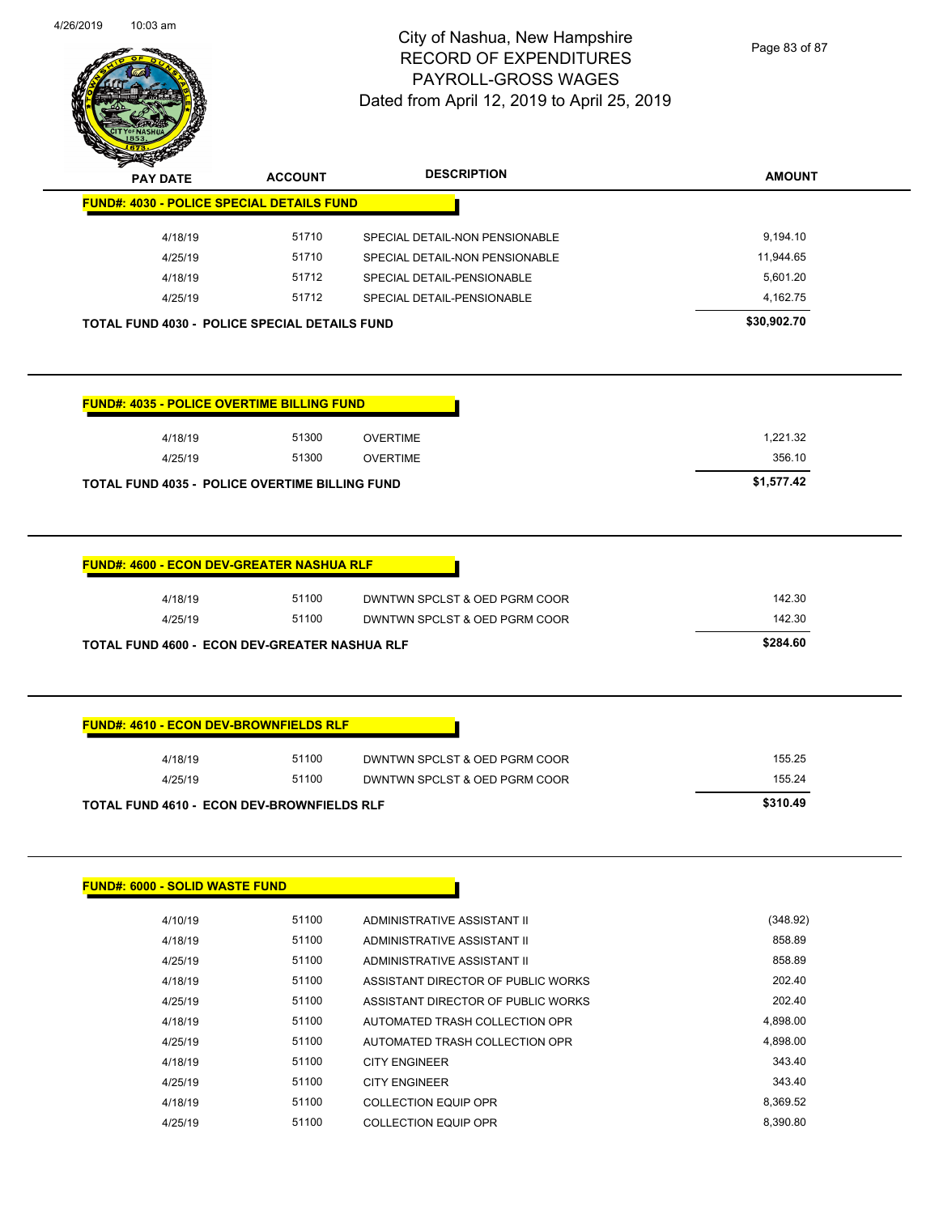

Page 83 of 87

| <b>PAY DATE</b>                                                                                                      | <b>ACCOUNT</b> | <b>DESCRIPTION</b>             | <b>AMOUNT</b> |
|----------------------------------------------------------------------------------------------------------------------|----------------|--------------------------------|---------------|
| <b>FUND#: 4030 - POLICE SPECIAL DETAILS FUND</b>                                                                     |                |                                |               |
| 4/18/19                                                                                                              | 51710          | SPECIAL DETAIL-NON PENSIONABLE | 9,194.10      |
| 4/25/19                                                                                                              | 51710          | SPECIAL DETAIL-NON PENSIONABLE | 11,944.65     |
| 4/18/19                                                                                                              | 51712          | SPECIAL DETAIL-PENSIONABLE     | 5,601.20      |
| 4/25/19                                                                                                              | 51712          | SPECIAL DETAIL-PENSIONABLE     | 4,162.75      |
|                                                                                                                      |                |                                |               |
|                                                                                                                      |                |                                | \$30,902.70   |
|                                                                                                                      |                |                                |               |
| 4/18/19                                                                                                              | 51300          | <b>OVERTIME</b>                | 1,221.32      |
| <b>TOTAL FUND 4030 - POLICE SPECIAL DETAILS FUND</b><br><b>FUND#: 4035 - POLICE OVERTIME BILLING FUND</b><br>4/25/19 | 51300          | <b>OVERTIME</b>                | 356.10        |

| 4/18/19 | 51100                                                | DWNTWN SPCLST & OED PGRM COOR | 142.30   |
|---------|------------------------------------------------------|-------------------------------|----------|
| 4/25/19 | 51100                                                | DWNTWN SPCLST & OED PGRM COOR | 142.30   |
|         |                                                      |                               |          |
|         | <b>TOTAL FUND 4600 - ECON DEV-GREATER NASHUA RLF</b> |                               | \$284.60 |
|         |                                                      |                               |          |
|         |                                                      |                               |          |
|         |                                                      |                               |          |
|         |                                                      |                               |          |

|                | <b>TOTAL FUND 4610 - ECON DEV-BROWNFIELDS RLF</b> |                                               | \$310.49 |
|----------------|---------------------------------------------------|-----------------------------------------------|----------|
| 4/25/19        | 51100                                             | DWNTWN SPCLST & OED PGRM COOR                 | 155.24   |
| <b>+</b> 10 15 | <b>VIIVV</b>                                      | <b>DIVISIONS OF CLOT &amp; OLD FORMI COOK</b> | 100.60   |

| <b>FUND#: 6000 - SOLID WASTE FUND</b> |       |                                    |          |
|---------------------------------------|-------|------------------------------------|----------|
| 4/10/19                               | 51100 | ADMINISTRATIVE ASSISTANT II        | (348.92) |
| 4/18/19                               | 51100 | ADMINISTRATIVE ASSISTANT II        | 858.89   |
| 4/25/19                               | 51100 | ADMINISTRATIVE ASSISTANT II        | 858.89   |
| 4/18/19                               | 51100 | ASSISTANT DIRECTOR OF PUBLIC WORKS | 202.40   |
| 4/25/19                               | 51100 | ASSISTANT DIRECTOR OF PUBLIC WORKS | 202.40   |
| 4/18/19                               | 51100 | AUTOMATED TRASH COLLECTION OPR     | 4,898.00 |
| 4/25/19                               | 51100 | AUTOMATED TRASH COLLECTION OPR     | 4,898.00 |
| 4/18/19                               | 51100 | <b>CITY ENGINEER</b>               | 343.40   |
| 4/25/19                               | 51100 | <b>CITY ENGINEER</b>               | 343.40   |
| 4/18/19                               | 51100 | <b>COLLECTION EQUIP OPR</b>        | 8,369.52 |
| 4/25/19                               | 51100 | <b>COLLECTION EQUIP OPR</b>        | 8.390.80 |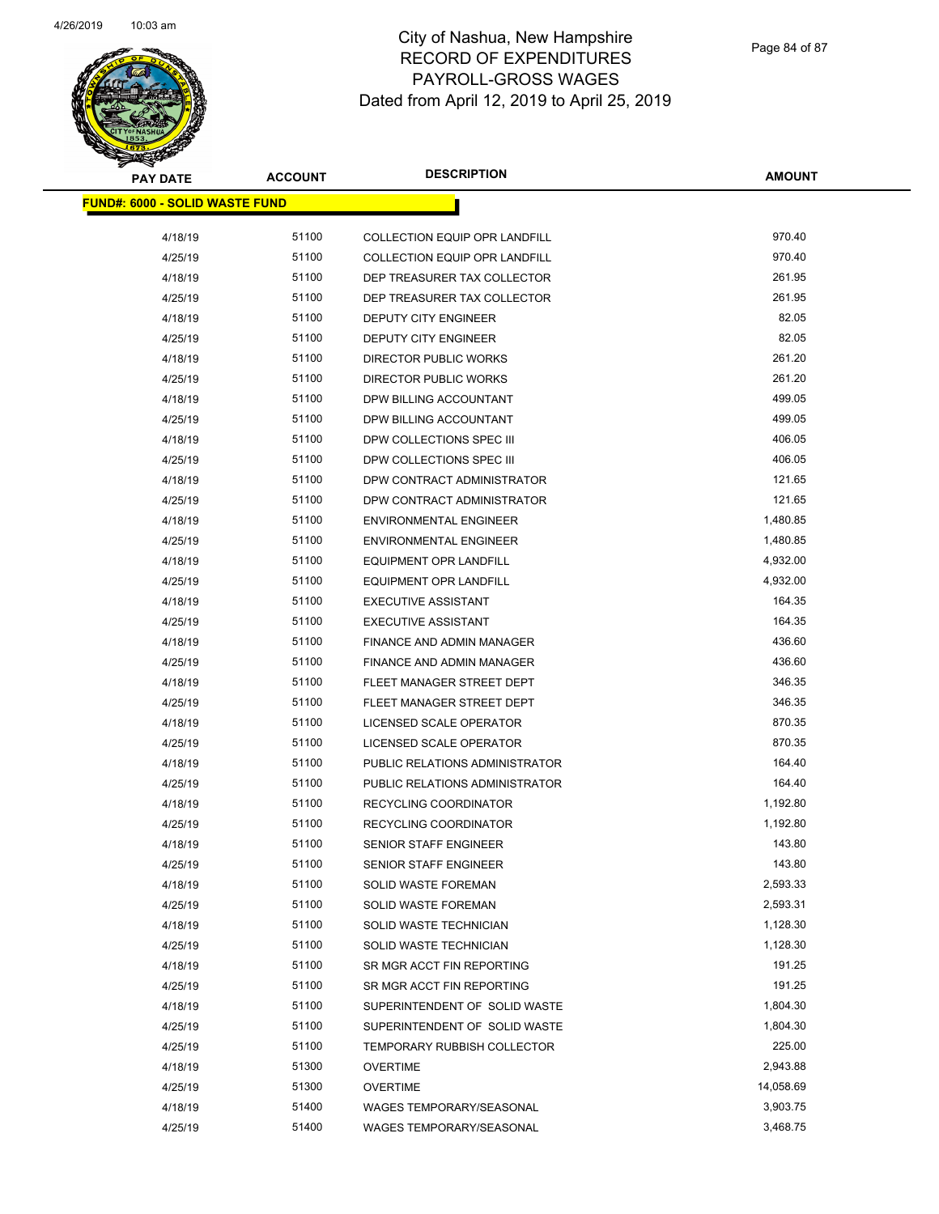

| <b>PAY DATE</b>                       | <b>ACCOUNT</b> | <b>DESCRIPTION</b>                 | <b>AMOUNT</b> |
|---------------------------------------|----------------|------------------------------------|---------------|
| <b>FUND#: 6000 - SOLID WASTE FUND</b> |                |                                    |               |
| 4/18/19                               | 51100          | COLLECTION EQUIP OPR LANDFILL      | 970.40        |
| 4/25/19                               | 51100          | COLLECTION EQUIP OPR LANDFILL      | 970.40        |
| 4/18/19                               | 51100          | DEP TREASURER TAX COLLECTOR        | 261.95        |
| 4/25/19                               | 51100          | DEP TREASURER TAX COLLECTOR        | 261.95        |
| 4/18/19                               | 51100          | <b>DEPUTY CITY ENGINEER</b>        | 82.05         |
| 4/25/19                               | 51100          | <b>DEPUTY CITY ENGINEER</b>        | 82.05         |
| 4/18/19                               | 51100          | DIRECTOR PUBLIC WORKS              | 261.20        |
| 4/25/19                               | 51100          | DIRECTOR PUBLIC WORKS              | 261.20        |
| 4/18/19                               | 51100          | DPW BILLING ACCOUNTANT             | 499.05        |
| 4/25/19                               | 51100          | DPW BILLING ACCOUNTANT             | 499.05        |
| 4/18/19                               | 51100          | DPW COLLECTIONS SPEC III           | 406.05        |
| 4/25/19                               | 51100          | DPW COLLECTIONS SPEC III           | 406.05        |
|                                       | 51100          | DPW CONTRACT ADMINISTRATOR         | 121.65        |
| 4/18/19                               | 51100          |                                    | 121.65        |
| 4/25/19                               | 51100          | DPW CONTRACT ADMINISTRATOR         | 1,480.85      |
| 4/18/19                               |                | <b>ENVIRONMENTAL ENGINEER</b>      |               |
| 4/25/19                               | 51100          | <b>ENVIRONMENTAL ENGINEER</b>      | 1,480.85      |
| 4/18/19                               | 51100          | <b>EQUIPMENT OPR LANDFILL</b>      | 4,932.00      |
| 4/25/19                               | 51100          | <b>EQUIPMENT OPR LANDFILL</b>      | 4,932.00      |
| 4/18/19                               | 51100          | <b>EXECUTIVE ASSISTANT</b>         | 164.35        |
| 4/25/19                               | 51100          | <b>EXECUTIVE ASSISTANT</b>         | 164.35        |
| 4/18/19                               | 51100          | FINANCE AND ADMIN MANAGER          | 436.60        |
| 4/25/19                               | 51100          | FINANCE AND ADMIN MANAGER          | 436.60        |
| 4/18/19                               | 51100          | FLEET MANAGER STREET DEPT          | 346.35        |
| 4/25/19                               | 51100          | FLEET MANAGER STREET DEPT          | 346.35        |
| 4/18/19                               | 51100          | LICENSED SCALE OPERATOR            | 870.35        |
| 4/25/19                               | 51100          | LICENSED SCALE OPERATOR            | 870.35        |
| 4/18/19                               | 51100          | PUBLIC RELATIONS ADMINISTRATOR     | 164.40        |
| 4/25/19                               | 51100          | PUBLIC RELATIONS ADMINISTRATOR     | 164.40        |
| 4/18/19                               | 51100          | <b>RECYCLING COORDINATOR</b>       | 1,192.80      |
| 4/25/19                               | 51100          | <b>RECYCLING COORDINATOR</b>       | 1,192.80      |
| 4/18/19                               | 51100          | <b>SENIOR STAFF ENGINEER</b>       | 143.80        |
| 4/25/19                               | 51100          | SENIOR STAFF ENGINEER              | 143.80        |
| 4/18/19                               | 51100          | <b>SOLID WASTE FOREMAN</b>         | 2,593.33      |
| 4/25/19                               | 51100          | <b>SOLID WASTE FOREMAN</b>         | 2,593.31      |
| 4/18/19                               | 51100          | SOLID WASTE TECHNICIAN             | 1,128.30      |
| 4/25/19                               | 51100          | SOLID WASTE TECHNICIAN             | 1,128.30      |
| 4/18/19                               | 51100          | SR MGR ACCT FIN REPORTING          | 191.25        |
| 4/25/19                               | 51100          | SR MGR ACCT FIN REPORTING          | 191.25        |
| 4/18/19                               | 51100          | SUPERINTENDENT OF SOLID WASTE      | 1,804.30      |
| 4/25/19                               | 51100          | SUPERINTENDENT OF SOLID WASTE      | 1,804.30      |
| 4/25/19                               | 51100          | <b>TEMPORARY RUBBISH COLLECTOR</b> | 225.00        |
| 4/18/19                               | 51300          | <b>OVERTIME</b>                    | 2,943.88      |
| 4/25/19                               | 51300          | <b>OVERTIME</b>                    | 14,058.69     |
| 4/18/19                               | 51400          | WAGES TEMPORARY/SEASONAL           | 3,903.75      |
| 4/25/19                               | 51400          | <b>WAGES TEMPORARY/SEASONAL</b>    | 3,468.75      |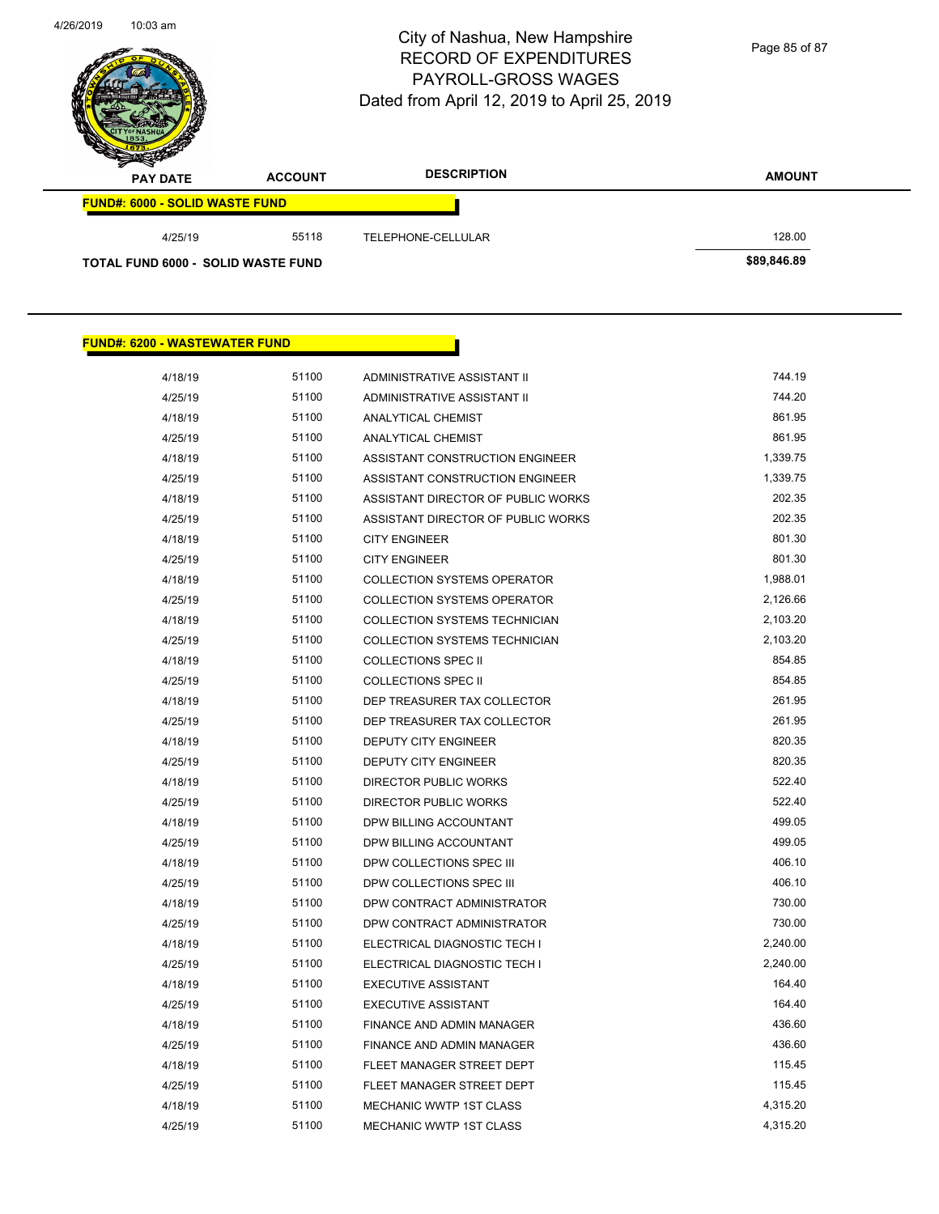Page 85 of 87

| <b>PAY DATE</b>                       | <b>ACCOUNT</b> | <b>DESCRIPTION</b> | <b>AMOUNT</b> |
|---------------------------------------|----------------|--------------------|---------------|
| <b>FUND#: 6000 - SOLID WASTE FUND</b> |                |                    |               |
| 4/25/19                               | 55118          | TELEPHONE-CELLULAR | 128.00        |
| TOTAL FUND 6000 - SOLID WASTE FUND    |                |                    | \$89,846.89   |

| <u> FUND#: 6200 - WASTEWATER FUND</u> |       |                                      |          |
|---------------------------------------|-------|--------------------------------------|----------|
| 4/18/19                               | 51100 | ADMINISTRATIVE ASSISTANT II          | 744.19   |
| 4/25/19                               | 51100 | ADMINISTRATIVE ASSISTANT II          | 744.20   |
| 4/18/19                               | 51100 | ANALYTICAL CHEMIST                   | 861.95   |
| 4/25/19                               | 51100 | <b>ANALYTICAL CHEMIST</b>            | 861.95   |
| 4/18/19                               | 51100 | ASSISTANT CONSTRUCTION ENGINEER      | 1,339.75 |
| 4/25/19                               | 51100 | ASSISTANT CONSTRUCTION ENGINEER      | 1,339.75 |
| 4/18/19                               | 51100 | ASSISTANT DIRECTOR OF PUBLIC WORKS   | 202.35   |
| 4/25/19                               | 51100 | ASSISTANT DIRECTOR OF PUBLIC WORKS   | 202.35   |
| 4/18/19                               | 51100 | <b>CITY ENGINEER</b>                 | 801.30   |
| 4/25/19                               | 51100 | <b>CITY ENGINEER</b>                 | 801.30   |
| 4/18/19                               | 51100 | <b>COLLECTION SYSTEMS OPERATOR</b>   | 1,988.01 |
| 4/25/19                               | 51100 | <b>COLLECTION SYSTEMS OPERATOR</b>   | 2,126.66 |
| 4/18/19                               | 51100 | <b>COLLECTION SYSTEMS TECHNICIAN</b> | 2,103.20 |
| 4/25/19                               | 51100 | <b>COLLECTION SYSTEMS TECHNICIAN</b> | 2,103.20 |
| 4/18/19                               | 51100 | <b>COLLECTIONS SPEC II</b>           | 854.85   |
| 4/25/19                               | 51100 | <b>COLLECTIONS SPEC II</b>           | 854.85   |
| 4/18/19                               | 51100 | DEP TREASURER TAX COLLECTOR          | 261.95   |
| 4/25/19                               | 51100 | DEP TREASURER TAX COLLECTOR          | 261.95   |
| 4/18/19                               | 51100 | DEPUTY CITY ENGINEER                 | 820.35   |
| 4/25/19                               | 51100 | DEPUTY CITY ENGINEER                 | 820.35   |
| 4/18/19                               | 51100 | <b>DIRECTOR PUBLIC WORKS</b>         | 522.40   |
| 4/25/19                               | 51100 | <b>DIRECTOR PUBLIC WORKS</b>         | 522.40   |
| 4/18/19                               | 51100 | DPW BILLING ACCOUNTANT               | 499.05   |
| 4/25/19                               | 51100 | DPW BILLING ACCOUNTANT               | 499.05   |
| 4/18/19                               | 51100 | DPW COLLECTIONS SPEC III             | 406.10   |
| 4/25/19                               | 51100 | DPW COLLECTIONS SPEC III             | 406.10   |
| 4/18/19                               | 51100 | DPW CONTRACT ADMINISTRATOR           | 730.00   |
| 4/25/19                               | 51100 | DPW CONTRACT ADMINISTRATOR           | 730.00   |
| 4/18/19                               | 51100 | ELECTRICAL DIAGNOSTIC TECH I         | 2,240.00 |
| 4/25/19                               | 51100 | ELECTRICAL DIAGNOSTIC TECH I         | 2,240.00 |
| 4/18/19                               | 51100 | <b>EXECUTIVE ASSISTANT</b>           | 164.40   |
| 4/25/19                               | 51100 | <b>EXECUTIVE ASSISTANT</b>           | 164.40   |
| 4/18/19                               | 51100 | FINANCE AND ADMIN MANAGER            | 436.60   |
| 4/25/19                               | 51100 | FINANCE AND ADMIN MANAGER            | 436.60   |
| 4/18/19                               | 51100 | FLEET MANAGER STREET DEPT            | 115.45   |
| 4/25/19                               | 51100 | FLEET MANAGER STREET DEPT            | 115.45   |
| 4/18/19                               | 51100 | <b>MECHANIC WWTP 1ST CLASS</b>       | 4,315.20 |
| 4/25/19                               | 51100 | <b>MECHANIC WWTP 1ST CLASS</b>       | 4,315.20 |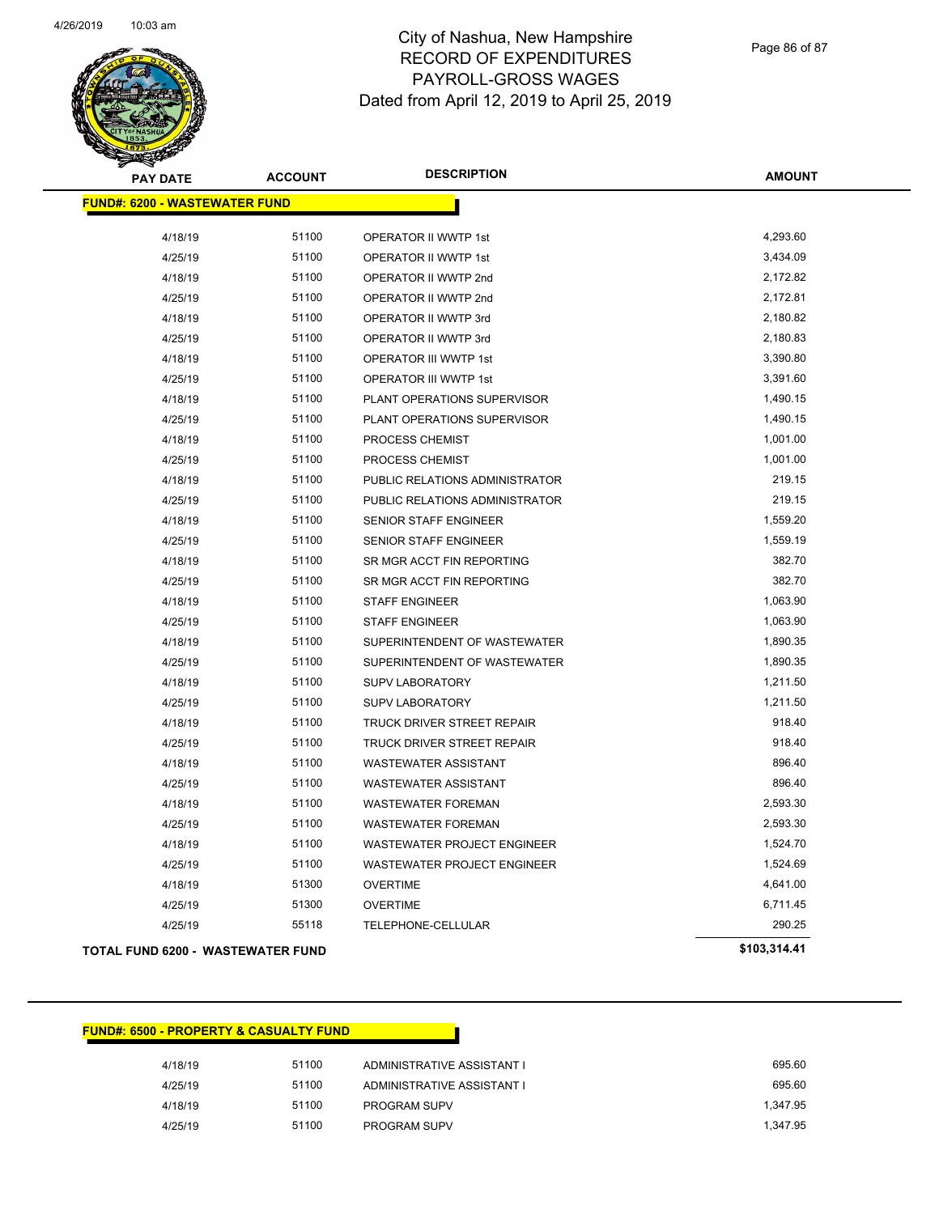

Page 86 of 87

| <b>PAY DATE</b>                          | <b>ACCOUNT</b> | <b>DESCRIPTION</b>                | <b>AMOUNT</b> |
|------------------------------------------|----------------|-----------------------------------|---------------|
| <b>FUND#: 6200 - WASTEWATER FUND</b>     |                |                                   |               |
| 4/18/19                                  | 51100          | OPERATOR II WWTP 1st              | 4,293.60      |
| 4/25/19                                  | 51100          | OPERATOR II WWTP 1st              | 3,434.09      |
| 4/18/19                                  | 51100          | OPERATOR II WWTP 2nd              | 2,172.82      |
| 4/25/19                                  | 51100          | OPERATOR II WWTP 2nd              | 2,172.81      |
| 4/18/19                                  | 51100          | OPERATOR II WWTP 3rd              | 2,180.82      |
| 4/25/19                                  | 51100          | OPERATOR II WWTP 3rd              | 2,180.83      |
| 4/18/19                                  | 51100          | OPERATOR III WWTP 1st             | 3,390.80      |
| 4/25/19                                  | 51100          | OPERATOR III WWTP 1st             | 3,391.60      |
| 4/18/19                                  | 51100          | PLANT OPERATIONS SUPERVISOR       | 1,490.15      |
| 4/25/19                                  | 51100          | PLANT OPERATIONS SUPERVISOR       | 1,490.15      |
| 4/18/19                                  | 51100          | PROCESS CHEMIST                   | 1,001.00      |
| 4/25/19                                  | 51100          | PROCESS CHEMIST                   | 1,001.00      |
| 4/18/19                                  | 51100          | PUBLIC RELATIONS ADMINISTRATOR    | 219.15        |
| 4/25/19                                  | 51100          | PUBLIC RELATIONS ADMINISTRATOR    | 219.15        |
| 4/18/19                                  | 51100          | SENIOR STAFF ENGINEER             | 1,559.20      |
| 4/25/19                                  | 51100          | SENIOR STAFF ENGINEER             | 1,559.19      |
| 4/18/19                                  | 51100          | SR MGR ACCT FIN REPORTING         | 382.70        |
| 4/25/19                                  | 51100          | SR MGR ACCT FIN REPORTING         | 382.70        |
| 4/18/19                                  | 51100          | <b>STAFF ENGINEER</b>             | 1,063.90      |
| 4/25/19                                  | 51100          | <b>STAFF ENGINEER</b>             | 1,063.90      |
| 4/18/19                                  | 51100          | SUPERINTENDENT OF WASTEWATER      | 1,890.35      |
| 4/25/19                                  | 51100          | SUPERINTENDENT OF WASTEWATER      | 1,890.35      |
| 4/18/19                                  | 51100          | <b>SUPV LABORATORY</b>            | 1,211.50      |
| 4/25/19                                  | 51100          | <b>SUPV LABORATORY</b>            | 1,211.50      |
| 4/18/19                                  | 51100          | <b>TRUCK DRIVER STREET REPAIR</b> | 918.40        |
| 4/25/19                                  | 51100          | <b>TRUCK DRIVER STREET REPAIR</b> | 918.40        |
| 4/18/19                                  | 51100          | <b>WASTEWATER ASSISTANT</b>       | 896.40        |
| 4/25/19                                  | 51100          | <b>WASTEWATER ASSISTANT</b>       | 896.40        |
| 4/18/19                                  | 51100          | <b>WASTEWATER FOREMAN</b>         | 2,593.30      |
| 4/25/19                                  | 51100          | <b>WASTEWATER FOREMAN</b>         | 2,593.30      |
| 4/18/19                                  | 51100          | WASTEWATER PROJECT ENGINEER       | 1,524.70      |
| 4/25/19                                  | 51100          | WASTEWATER PROJECT ENGINEER       | 1,524.69      |
| 4/18/19                                  | 51300          | <b>OVERTIME</b>                   | 4,641.00      |
| 4/25/19                                  | 51300          | <b>OVERTIME</b>                   | 6,711.45      |
| 4/25/19                                  | 55118          | TELEPHONE-CELLULAR                | 290.25        |
| <b>TOTAL FUND 6200 - WASTEWATER FUND</b> |                |                                   | \$103,314.41  |

### **FUND#: 6500 - PROPERTY & CASUALTY FUND**

| 4/18/19 | 51100 | ADMINISTRATIVE ASSISTANT I | 695.60   |
|---------|-------|----------------------------|----------|
| 4/25/19 | 51100 | ADMINISTRATIVE ASSISTANT I | 695.60   |
| 4/18/19 | 51100 | <b>PROGRAM SUPV</b>        | 1.347.95 |
| 4/25/19 | 51100 | <b>PROGRAM SUPV</b>        | 1.347.95 |